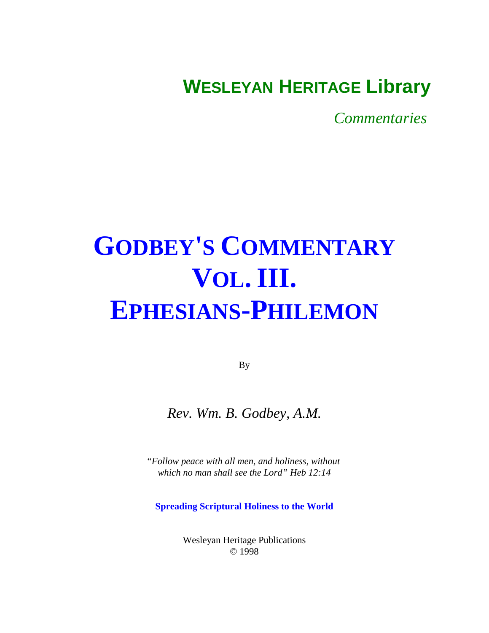# **WESLEYAN HERITAGE Library**

*Commentaries* 

# **GODBEY'S COMMENTARY VOL. III. EPHESIANS-PHILEMON**

By

# *Rev. Wm. B. Godbey, A.M.*

*"Follow peace with all men, and holiness, without which no man shall see the Lord" Heb 12:14*

**Spreading Scriptural Holiness to the World**

Wesleyan Heritage Publications © 1998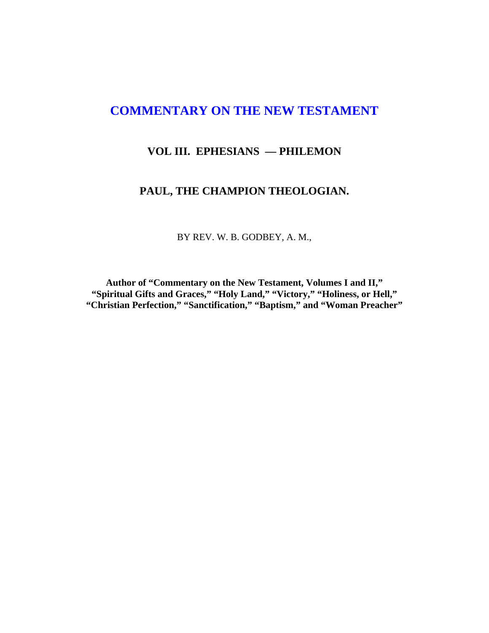## **COMMENTARY ON THE NEW TESTAMENT**

### **VOL III. EPHESIANS — PHILEMON**

#### **PAUL, THE CHAMPION THEOLOGIAN.**

BY REV. W. B. GODBEY, A. M.,

**Author of "Commentary on the New Testament, Volumes I and II," "Spiritual Gifts and Graces," "Holy Land," "Victory," "Holiness, or Hell," "Christian Perfection," "Sanctification," "Baptism," and "Woman Preacher"**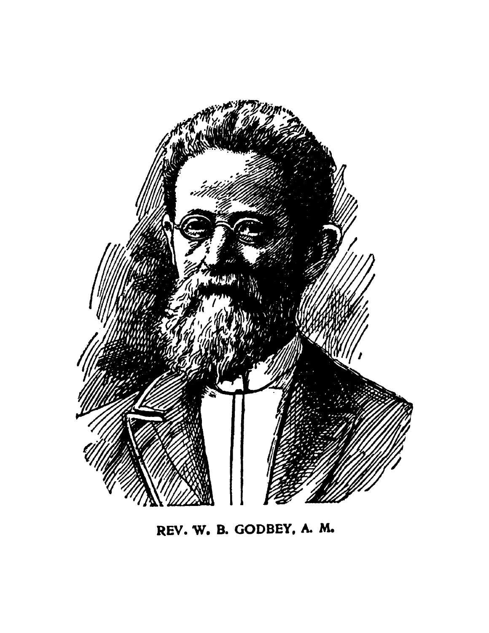

REV. W. B. GODBEY, A. M.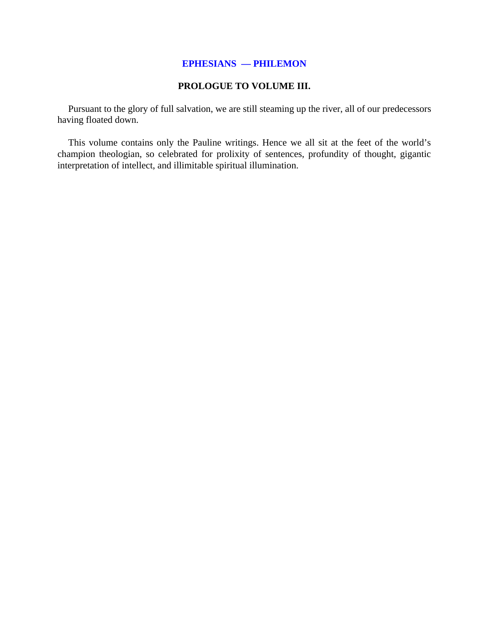#### **EPHESIANS — PHILEMON**

#### **PROLOGUE TO VOLUME III.**

Pursuant to the glory of full salvation, we are still steaming up the river, all of our predecessors having floated down.

This volume contains only the Pauline writings. Hence we all sit at the feet of the world's champion theologian, so celebrated for prolixity of sentences, profundity of thought, gigantic interpretation of intellect, and illimitable spiritual illumination.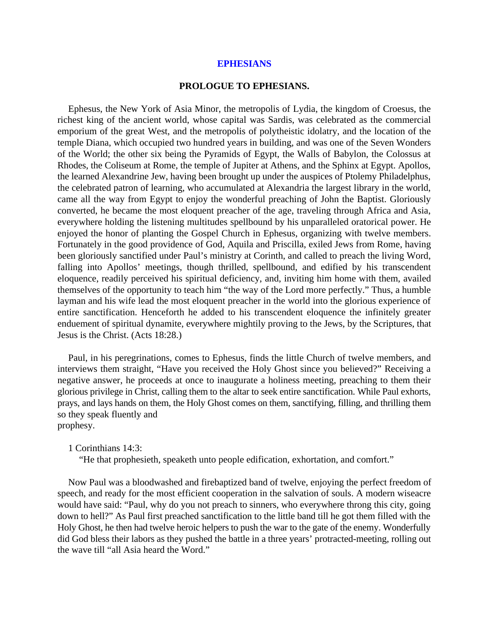#### **PROLOGUE TO EPHESIANS.**

Ephesus, the New York of Asia Minor, the metropolis of Lydia, the kingdom of Croesus, the richest king of the ancient world, whose capital was Sardis, was celebrated as the commercial emporium of the great West, and the metropolis of polytheistic idolatry, and the location of the temple Diana, which occupied two hundred years in building, and was one of the Seven Wonders of the World; the other six being the Pyramids of Egypt, the Walls of Babylon, the Colossus at Rhodes, the Coliseum at Rome, the temple of Jupiter at Athens, and the Sphinx at Egypt. Apollos, the learned Alexandrine Jew, having been brought up under the auspices of Ptolemy Philadelphus, the celebrated patron of learning, who accumulated at Alexandria the largest library in the world, came all the way from Egypt to enjoy the wonderful preaching of John the Baptist. Gloriously converted, he became the most eloquent preacher of the age, traveling through Africa and Asia, everywhere holding the listening multitudes spellbound by his unparalleled oratorical power. He enjoyed the honor of planting the Gospel Church in Ephesus, organizing with twelve members. Fortunately in the good providence of God, Aquila and Priscilla, exiled Jews from Rome, having been gloriously sanctified under Paul's ministry at Corinth, and called to preach the living Word, falling into Apollos' meetings, though thrilled, spellbound, and edified by his transcendent eloquence, readily perceived his spiritual deficiency, and, inviting him home with them, availed themselves of the opportunity to teach him "the way of the Lord more perfectly." Thus, a humble layman and his wife lead the most eloquent preacher in the world into the glorious experience of entire sanctification. Henceforth he added to his transcendent eloquence the infinitely greater enduement of spiritual dynamite, everywhere mightily proving to the Jews, by the Scriptures, that Jesus is the Christ. (Acts 18:28.)

Paul, in his peregrinations, comes to Ephesus, finds the little Church of twelve members, and interviews them straight, "Have you received the Holy Ghost since you believed?" Receiving a negative answer, he proceeds at once to inaugurate a holiness meeting, preaching to them their glorious privilege in Christ, calling them to the altar to seek entire sanctification. While Paul exhorts, prays, and lays hands on them, the Holy Ghost comes on them, sanctifying, filling, and thrilling them so they speak fluently and prophesy.

1 Corinthians 14:3:

"He that prophesieth, speaketh unto people edification, exhortation, and comfort."

Now Paul was a bloodwashed and firebaptized band of twelve, enjoying the perfect freedom of speech, and ready for the most efficient cooperation in the salvation of souls. A modern wiseacre would have said: "Paul, why do you not preach to sinners, who everywhere throng this city, going down to hell?" As Paul first preached sanctification to the little band till he got them filled with the Holy Ghost, he then had twelve heroic helpers to push the war to the gate of the enemy. Wonderfully did God bless their labors as they pushed the battle in a three years' protracted-meeting, rolling out the wave till "all Asia heard the Word."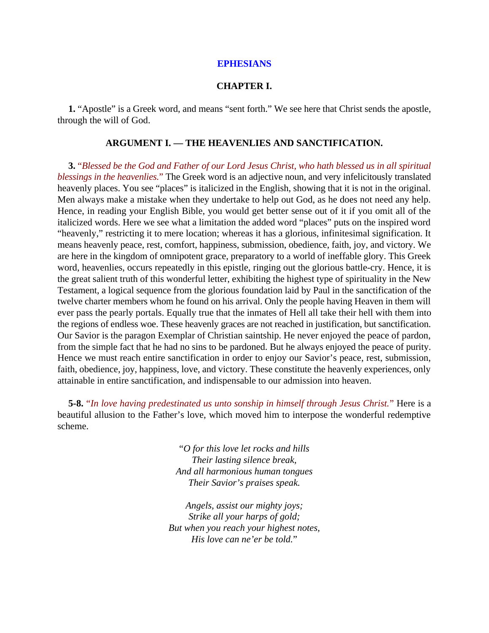#### **CHAPTER I.**

**1.** "Apostle" is a Greek word, and means "sent forth." We see here that Christ sends the apostle, through the will of God.

#### **ARGUMENT I. — THE HEAVENLIES AND SANCTIFICATION.**

**3.** "*Blessed be the God and Father of our Lord Jesus Christ, who hath blessed us in all spiritual blessings in the heavenlies.*" The Greek word is an adjective noun, and very infelicitously translated heavenly places. You see "places" is italicized in the English, showing that it is not in the original. Men always make a mistake when they undertake to help out God, as he does not need any help. Hence, in reading your English Bible, you would get better sense out of it if you omit all of the italicized words. Here we see what a limitation the added word "places" puts on the inspired word "heavenly," restricting it to mere location; whereas it has a glorious, infinitesimal signification. It means heavenly peace, rest, comfort, happiness, submission, obedience, faith, joy, and victory. We are here in the kingdom of omnipotent grace, preparatory to a world of ineffable glory. This Greek word, heavenlies, occurs repeatedly in this epistle, ringing out the glorious battle-cry. Hence, it is the great salient truth of this wonderful letter, exhibiting the highest type of spirituality in the New Testament, a logical sequence from the glorious foundation laid by Paul in the sanctification of the twelve charter members whom he found on his arrival. Only the people having Heaven in them will ever pass the pearly portals. Equally true that the inmates of Hell all take their hell with them into the regions of endless woe. These heavenly graces are not reached in justification, but sanctification. Our Savior is the paragon Exemplar of Christian saintship. He never enjoyed the peace of pardon, from the simple fact that he had no sins to be pardoned. But he always enjoyed the peace of purity. Hence we must reach entire sanctification in order to enjoy our Savior's peace, rest, submission, faith, obedience, joy, happiness, love, and victory. These constitute the heavenly experiences, only attainable in entire sanctification, and indispensable to our admission into heaven.

**5-8.** "*In love having predestinated us unto sonship in himself through Jesus Christ.*" Here is a beautiful allusion to the Father's love, which moved him to interpose the wonderful redemptive scheme.

> "*O for this love let rocks and hills Their lasting silence break, And all harmonious human tongues Their Savior's praises speak.*

*Angels, assist our mighty joys; Strike all your harps of gold; But when you reach your highest notes, His love can ne'er be told.*"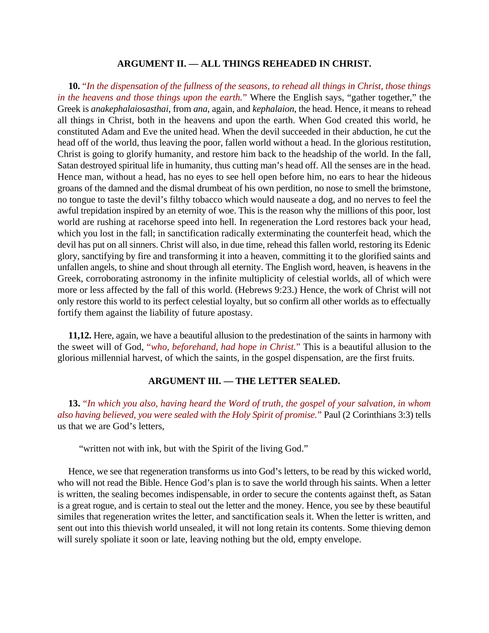#### **ARGUMENT II. — ALL THINGS REHEADED IN CHRIST.**

**10.** "*In the dispensation of the fullness of the seasons, to rehead all things in Christ, those things in the heavens and those things upon the earth.*" Where the English says, "gather together," the Greek is *anakephalaiosasthai*, from *ana*, again, and *kephalaion*, the head. Hence, it means to rehead all things in Christ, both in the heavens and upon the earth. When God created this world, he constituted Adam and Eve the united head. When the devil succeeded in their abduction, he cut the head off of the world, thus leaving the poor, fallen world without a head. In the glorious restitution, Christ is going to glorify humanity, and restore him back to the headship of the world. In the fall, Satan destroyed spiritual life in humanity, thus cutting man's head off. All the senses are in the head. Hence man, without a head, has no eyes to see hell open before him, no ears to hear the hideous groans of the damned and the dismal drumbeat of his own perdition, no nose to smell the brimstone, no tongue to taste the devil's filthy tobacco which would nauseate a dog, and no nerves to feel the awful trepidation inspired by an eternity of woe. This is the reason why the millions of this poor, lost world are rushing at racehorse speed into hell. In regeneration the Lord restores back your head, which you lost in the fall; in sanctification radically exterminating the counterfeit head, which the devil has put on all sinners. Christ will also, in due time, rehead this fallen world, restoring its Edenic glory, sanctifying by fire and transforming it into a heaven, committing it to the glorified saints and unfallen angels, to shine and shout through all eternity. The English word, heaven, is heavens in the Greek, corroborating astronomy in the infinite multiplicity of celestial worlds, all of which were more or less affected by the fall of this world. (Hebrews 9:23.) Hence, the work of Christ will not only restore this world to its perfect celestial loyalty, but so confirm all other worlds as to effectually fortify them against the liability of future apostasy.

**11,12.** Here, again, we have a beautiful allusion to the predestination of the saints in harmony with the sweet will of God, "*who, beforehand, had hope in Christ.*" This is a beautiful allusion to the glorious millennial harvest, of which the saints, in the gospel dispensation, are the first fruits.

#### **ARGUMENT III. — THE LETTER SEALED.**

**13.** "*In which you also, having heard the Word of truth, the gospel of your salvation, in whom also having believed, you were sealed with the Holy Spirit of promise.*" Paul (2 Corinthians 3:3) tells us that we are God's letters,

"written not with ink, but with the Spirit of the living God."

Hence, we see that regeneration transforms us into God's letters, to be read by this wicked world, who will not read the Bible. Hence God's plan is to save the world through his saints. When a letter is written, the sealing becomes indispensable, in order to secure the contents against theft, as Satan is a great rogue, and is certain to steal out the letter and the money. Hence, you see by these beautiful similes that regeneration writes the letter, and sanctification seals it. When the letter is written, and sent out into this thievish world unsealed, it will not long retain its contents. Some thieving demon will surely spoliate it soon or late, leaving nothing but the old, empty envelope.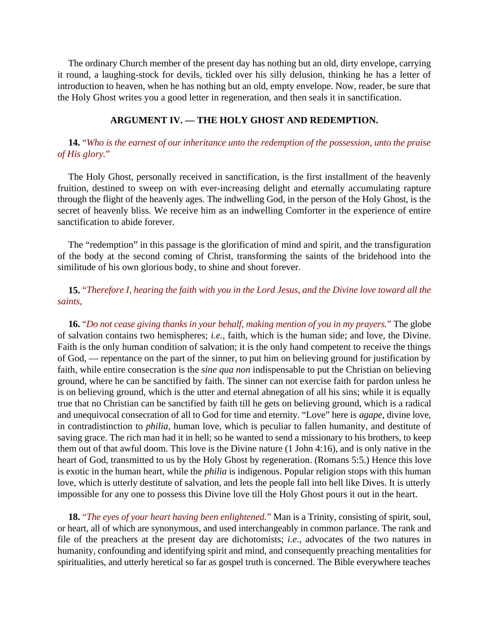The ordinary Church member of the present day has nothing but an old, dirty envelope, carrying it round, a laughing-stock for devils, tickled over his silly delusion, thinking he has a letter of introduction to heaven, when he has nothing but an old, empty envelope. Now, reader, be sure that the Holy Ghost writes you a good letter in regeneration, and then seals it in sanctification.

#### **ARGUMENT IV. — THE HOLY GHOST AND REDEMPTION.**

**14.** "*Who is the earnest of our inheritance unto the redemption of the possession, unto the praise of His glory.*"

The Holy Ghost, personally received in sanctification, is the first installment of the heavenly fruition, destined to sweep on with ever-increasing delight and eternally accumulating rapture through the flight of the heavenly ages. The indwelling God, in the person of the Holy Ghost, is the secret of heavenly bliss. We receive him as an indwelling Comforter in the experience of entire sanctification to abide forever.

The "redemption" in this passage is the glorification of mind and spirit, and the transfiguration of the body at the second coming of Christ, transforming the saints of the bridehood into the similitude of his own glorious body, to shine and shout forever.

**15.** "*Therefore I, hearing the faith with you in the Lord Jesus, and the Divine love toward all the saints,*

**16.** "*Do not cease giving thanks in your behalf, making mention of you in my prayers.*" The globe of salvation contains two hemispheres; *i.e.*, faith, which is the human side; and love, the Divine. Faith is the only human condition of salvation; it is the only hand competent to receive the things of God, — repentance on the part of the sinner, to put him on believing ground for justification by faith, while entire consecration is the *sine qua non* indispensable to put the Christian on believing ground, where he can be sanctified by faith. The sinner can not exercise faith for pardon unless he is on believing ground, which is the utter and eternal abnegation of all his sins; while it is equally true that no Christian can be sanctified by faith till he gets on believing ground, which is a radical and unequivocal consecration of all to God for time and eternity. "Love" here is *agape*, divine love, in contradistinction to *philia*, human love, which is peculiar to fallen humanity, and destitute of saving grace. The rich man had it in hell; so he wanted to send a missionary to his brothers, to keep them out of that awful doom. This love is the Divine nature (1 John 4:16), and is only native in the heart of God, transmitted to us by the Holy Ghost by regeneration. (Romans 5:5.) Hence this love is exotic in the human heart, while the *philia* is indigenous. Popular religion stops with this human love, which is utterly destitute of salvation, and lets the people fall into hell like Dives. It is utterly impossible for any one to possess this Divine love till the Holy Ghost pours it out in the heart.

**18.** "*The eyes of your heart having been enlightened.*" Man is a Trinity, consisting of spirit, soul, or heart, all of which are synonymous, and used interchangeably in common parlance. The rank and file of the preachers at the present day are dichotomists; *i.e.*, advocates of the two natures in humanity, confounding and identifying spirit and mind, and consequently preaching mentalities for spiritualities, and utterly heretical so far as gospel truth is concerned. The Bible everywhere teaches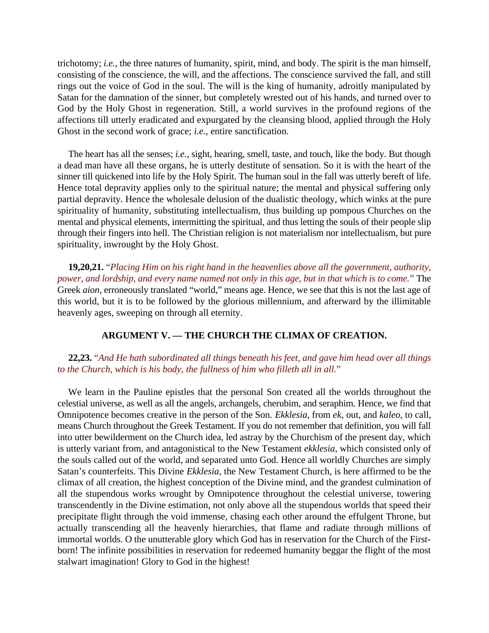trichotomy; *i.e.*, the three natures of humanity, spirit, mind, and body. The spirit is the man himself, consisting of the conscience, the will, and the affections. The conscience survived the fall, and still rings out the voice of God in the soul. The will is the king of humanity, adroitly manipulated by Satan for the damnation of the sinner, but completely wrested out of his hands, and turned over to God by the Holy Ghost in regeneration. Still, a world survives in the profound regions of the affections till utterly eradicated and expurgated by the cleansing blood, applied through the Holy Ghost in the second work of grace; *i.e.*, entire sanctification.

The heart has all the senses; *i.e.*, sight, hearing, smell, taste, and touch, like the body. But though a dead man have all these organs, he is utterly destitute of sensation. So it is with the heart of the sinner till quickened into life by the Holy Spirit. The human soul in the fall was utterly bereft of life. Hence total depravity applies only to the spiritual nature; the mental and physical suffering only partial depravity. Hence the wholesale delusion of the dualistic theology, which winks at the pure spirituality of humanity, substituting intellectualism, thus building up pompous Churches on the mental and physical elements, intermitting the spiritual, and thus letting the souls of their people slip through their fingers into hell. The Christian religion is not materialism nor intellectualism, but pure spirituality, inwrought by the Holy Ghost.

**19,20,21.** "*Placing Him on his right hand in the heavenlies above all the government, authority, power, and lordship, and every name named not only in this age, but in that which is to come.*" The Greek *aion,* erroneously translated "world," means age. Hence, we see that this is not the last age of this world, but it is to be followed by the glorious millennium, and afterward by the illimitable heavenly ages, sweeping on through all eternity.

#### **ARGUMENT V. — THE CHURCH THE CLIMAX OF CREATION.**

#### **22,23.** "*And He hath subordinated all things beneath his feet, and gave him head over all things to the Church, which is his body, the fullness of him who filleth all in all.*"

We learn in the Pauline epistles that the personal Son created all the worlds throughout the celestial universe, as well as all the angels, archangels, cherubim, and seraphim. Hence, we find that Omnipotence becomes creative in the person of the Son. *Ekklesia*, from *ek*, out, and *kaleo*, to call, means Church throughout the Greek Testament. If you do not remember that definition, you will fall into utter bewilderment on the Church idea, led astray by the Churchism of the present day, which is utterly variant from, and antagonistical to the New Testament *ekklesia*, which consisted only of the souls called out of the world, and separated unto God. Hence all worldly Churches are simply Satan's counterfeits. This Divine *Ekklesia*, the New Testament Church, is here affirmed to be the climax of all creation, the highest conception of the Divine mind, and the grandest culmination of all the stupendous works wrought by Omnipotence throughout the celestial universe, towering transcendently in the Divine estimation, not only above all the stupendous worlds that speed their precipitate flight through the void immense, chasing each other around the effulgent Throne, but actually transcending all the heavenly hierarchies, that flame and radiate through millions of immortal worlds. O the unutterable glory which God has in reservation for the Church of the Firstborn! The infinite possibilities in reservation for redeemed humanity beggar the flight of the most stalwart imagination! Glory to God in the highest!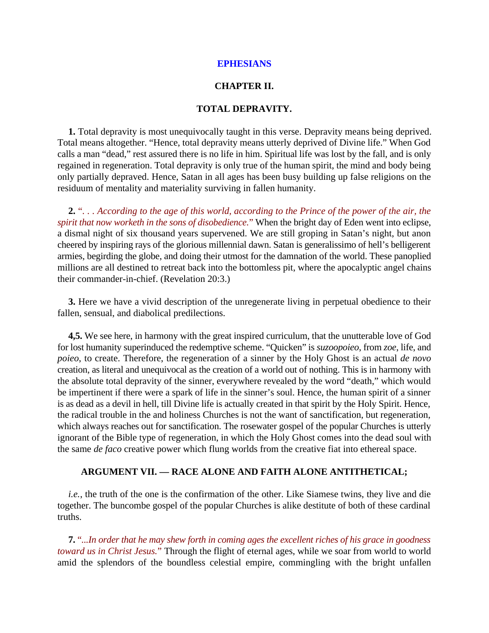#### **CHAPTER II.**

#### **TOTAL DEPRAVITY.**

**1.** Total depravity is most unequivocally taught in this verse. Depravity means being deprived. Total means altogether. "Hence, total depravity means utterly deprived of Divine life." When God calls a man "dead," rest assured there is no life in him. Spiritual life was lost by the fall, and is only regained in regeneration. Total depravity is only true of the human spirit, the mind and body being only partially depraved. Hence, Satan in all ages has been busy building up false religions on the residuum of mentality and materiality surviving in fallen humanity.

**2.** "*. . . According to the age of this world, according to the Prince of the power of the air, the spirit that now worketh in the sons of disobedience.*" When the bright day of Eden went into eclipse, a dismal night of six thousand years supervened. We are still groping in Satan's night, but anon cheered by inspiring rays of the glorious millennial dawn. Satan is generalissimo of hell's belligerent armies, begirding the globe, and doing their utmost for the damnation of the world. These panoplied millions are all destined to retreat back into the bottomless pit, where the apocalyptic angel chains their commander-in-chief. (Revelation 20:3.)

**3.** Here we have a vivid description of the unregenerate living in perpetual obedience to their fallen, sensual, and diabolical predilections.

**4,5.** We see here, in harmony with the great inspired curriculum, that the unutterable love of God for lost humanity superinduced the redemptive scheme. "Quicken" is *suzoopoieo*, from *zoe*, life, and *poieo*, to create. Therefore, the regeneration of a sinner by the Holy Ghost is an actual *de novo* creation, as literal and unequivocal as the creation of a world out of nothing. This is in harmony with the absolute total depravity of the sinner, everywhere revealed by the word "death," which would be impertinent if there were a spark of life in the sinner's soul. Hence, the human spirit of a sinner is as dead as a devil in hell, till Divine life is actually created in that spirit by the Holy Spirit. Hence, the radical trouble in the and holiness Churches is not the want of sanctification, but regeneration, which always reaches out for sanctification. The rosewater gospel of the popular Churches is utterly ignorant of the Bible type of regeneration, in which the Holy Ghost comes into the dead soul with the same *de faco* creative power which flung worlds from the creative fiat into ethereal space.

#### **ARGUMENT VII. — RACE ALONE AND FAITH ALONE ANTITHETICAL;**

*i.e.*, the truth of the one is the confirmation of the other. Like Siamese twins, they live and die together. The buncombe gospel of the popular Churches is alike destitute of both of these cardinal truths.

**7.** "*...In order that he may shew forth in coming ages the excellent riches of his grace in goodness toward us in Christ Jesus.*" Through the flight of eternal ages, while we soar from world to world amid the splendors of the boundless celestial empire, commingling with the bright unfallen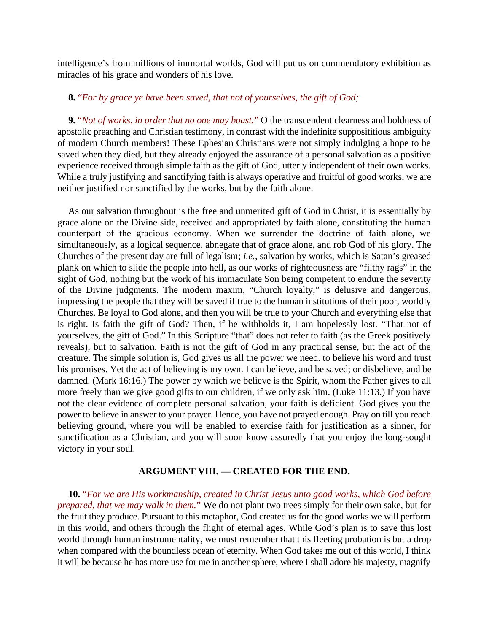intelligence's from millions of immortal worlds, God will put us on commendatory exhibition as miracles of his grace and wonders of his love.

#### **8.** "*For by grace ye have been saved, that not of yourselves, the gift of God;*

**9.** "*Not of works, in order that no one may boast.*" O the transcendent clearness and boldness of apostolic preaching and Christian testimony, in contrast with the indefinite supposititious ambiguity of modern Church members! These Ephesian Christians were not simply indulging a hope to be saved when they died, but they already enjoyed the assurance of a personal salvation as a positive experience received through simple faith as the gift of God, utterly independent of their own works. While a truly justifying and sanctifying faith is always operative and fruitful of good works, we are neither justified nor sanctified by the works, but by the faith alone.

As our salvation throughout is the free and unmerited gift of God in Christ, it is essentially by grace alone on the Divine side, received and appropriated by faith alone, constituting the human counterpart of the gracious economy. When we surrender the doctrine of faith alone, we simultaneously, as a logical sequence, abnegate that of grace alone, and rob God of his glory. The Churches of the present day are full of legalism; *i.e.*, salvation by works, which is Satan's greased plank on which to slide the people into hell, as our works of righteousness are "filthy rags" in the sight of God, nothing but the work of his immaculate Son being competent to endure the severity of the Divine judgments. The modern maxim, "Church loyalty," is delusive and dangerous, impressing the people that they will be saved if true to the human institutions of their poor, worldly Churches. Be loyal to God alone, and then you will be true to your Church and everything else that is right. Is faith the gift of God? Then, if he withholds it, I am hopelessly lost. "That not of yourselves, the gift of God." In this Scripture "that" does not refer to faith (as the Greek positively reveals), but to salvation. Faith is not the gift of God in any practical sense, but the act of the creature. The simple solution is, God gives us all the power we need. to believe his word and trust his promises. Yet the act of believing is my own. I can believe, and be saved; or disbelieve, and be damned. (Mark 16:16.) The power by which we believe is the Spirit, whom the Father gives to all more freely than we give good gifts to our children, if we only ask him. (Luke 11:13.) If you have not the clear evidence of complete personal salvation, your faith is deficient. God gives you the power to believe in answer to your prayer. Hence, you have not prayed enough. Pray on till you reach believing ground, where you will be enabled to exercise faith for justification as a sinner, for sanctification as a Christian, and you will soon know assuredly that you enjoy the long-sought victory in your soul.

#### **ARGUMENT VIII. — CREATED FOR THE END.**

**10.** "*For we are His workmanship, created in Christ Jesus unto good works, which God before prepared, that we may walk in them.*" We do not plant two trees simply for their own sake, but for the fruit they produce. Pursuant to this metaphor, God created us for the good works we will perform in this world, and others through the flight of eternal ages. While God's plan is to save this lost world through human instrumentality, we must remember that this fleeting probation is but a drop when compared with the boundless ocean of eternity. When God takes me out of this world, I think it will be because he has more use for me in another sphere, where I shall adore his majesty, magnify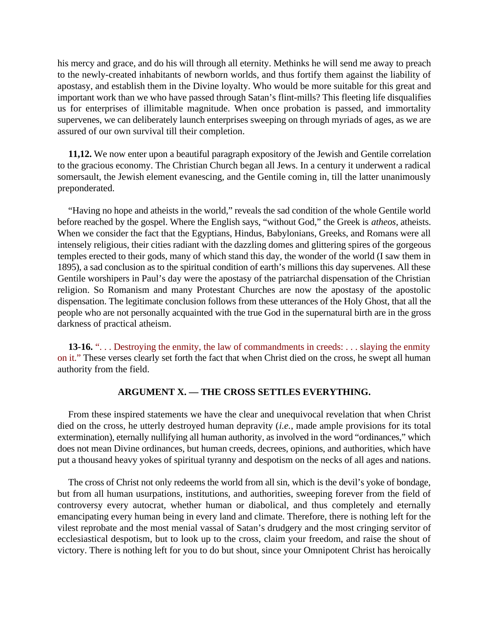his mercy and grace, and do his will through all eternity. Methinks he will send me away to preach to the newly-created inhabitants of newborn worlds, and thus fortify them against the liability of apostasy, and establish them in the Divine loyalty. Who would be more suitable for this great and important work than we who have passed through Satan's flint-mills? This fleeting life disqualifies us for enterprises of illimitable magnitude. When once probation is passed, and immortality supervenes, we can deliberately launch enterprises sweeping on through myriads of ages, as we are assured of our own survival till their completion.

**11,12.** We now enter upon a beautiful paragraph expository of the Jewish and Gentile correlation to the gracious economy. The Christian Church began all Jews. In a century it underwent a radical somersault, the Jewish element evanescing, and the Gentile coming in, till the latter unanimously preponderated.

"Having no hope and atheists in the world," reveals the sad condition of the whole Gentile world before reached by the gospel. Where the English says, "without God," the Greek is *atheos*, atheists. When we consider the fact that the Egyptians, Hindus, Babylonians, Greeks, and Romans were all intensely religious, their cities radiant with the dazzling domes and glittering spires of the gorgeous temples erected to their gods, many of which stand this day, the wonder of the world (I saw them in 1895), a sad conclusion as to the spiritual condition of earth's millions this day supervenes. All these Gentile worshipers in Paul's day were the apostasy of the patriarchal dispensation of the Christian religion. So Romanism and many Protestant Churches are now the apostasy of the apostolic dispensation. The legitimate conclusion follows from these utterances of the Holy Ghost, that all the people who are not personally acquainted with the true God in the supernatural birth are in the gross darkness of practical atheism.

**13-16.** "... Destroying the enmity, the law of commandments in creeds: ... slaying the enmity on it." These verses clearly set forth the fact that when Christ died on the cross, he swept all human authority from the field.

#### **ARGUMENT X. — THE CROSS SETTLES EVERYTHING.**

From these inspired statements we have the clear and unequivocal revelation that when Christ died on the cross, he utterly destroyed human depravity (*i.e.*, made ample provisions for its total extermination), eternally nullifying all human authority, as involved in the word "ordinances," which does not mean Divine ordinances, but human creeds, decrees, opinions, and authorities, which have put a thousand heavy yokes of spiritual tyranny and despotism on the necks of all ages and nations.

The cross of Christ not only redeems the world from all sin, which is the devil's yoke of bondage, but from all human usurpations, institutions, and authorities, sweeping forever from the field of controversy every autocrat, whether human or diabolical, and thus completely and eternally emancipating every human being in every land and climate. Therefore, there is nothing left for the vilest reprobate and the most menial vassal of Satan's drudgery and the most cringing servitor of ecclesiastical despotism, but to look up to the cross, claim your freedom, and raise the shout of victory. There is nothing left for you to do but shout, since your Omnipotent Christ has heroically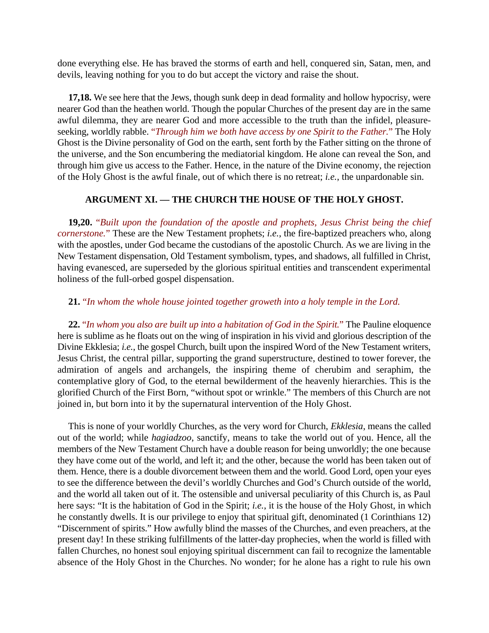done everything else. He has braved the storms of earth and hell, conquered sin, Satan, men, and devils, leaving nothing for you to do but accept the victory and raise the shout.

**17,18.** We see here that the Jews, though sunk deep in dead formality and hollow hypocrisy, were nearer God than the heathen world. Though the popular Churches of the present day are in the same awful dilemma, they are nearer God and more accessible to the truth than the infidel, pleasureseeking, worldly rabble. "*Through him we both have access by one Spirit to the Father.*" The Holy Ghost is the Divine personality of God on the earth, sent forth by the Father sitting on the throne of the universe, and the Son encumbering the mediatorial kingdom. He alone can reveal the Son, and through him give us access to the Father. Hence, in the nature of the Divine economy, the rejection of the Holy Ghost is the awful finale, out of which there is no retreat; *i.e.*, the unpardonable sin.

#### **ARGUMENT XI. — THE CHURCH THE HOUSE OF THE HOLY GHOST.**

**19,20.** "*Built upon the foundation of the apostle and prophets, Jesus Christ being the chief cornerstone.*" These are the New Testament prophets; *i.e.*, the fire-baptized preachers who, along with the apostles, under God became the custodians of the apostolic Church. As we are living in the New Testament dispensation, Old Testament symbolism, types, and shadows, all fulfilled in Christ, having evanesced, are superseded by the glorious spiritual entities and transcendent experimental holiness of the full-orbed gospel dispensation.

#### **21.** "*In whom the whole house jointed together groweth into a holy temple in the Lord.*

**22.** "*In whom you also are built up into a habitation of God in the Spirit.*" The Pauline eloquence here is sublime as he floats out on the wing of inspiration in his vivid and glorious description of the Divine Ekklesia; *i.e.*, the gospel Church, built upon the inspired Word of the New Testament writers, Jesus Christ, the central pillar, supporting the grand superstructure, destined to tower forever, the admiration of angels and archangels, the inspiring theme of cherubim and seraphim, the contemplative glory of God, to the eternal bewilderment of the heavenly hierarchies. This is the glorified Church of the First Born, "without spot or wrinkle." The members of this Church are not joined in, but born into it by the supernatural intervention of the Holy Ghost.

This is none of your worldly Churches, as the very word for Church, *Ekklesia*, means the called out of the world; while *hagiadzoo*, sanctify, means to take the world out of you. Hence, all the members of the New Testament Church have a double reason for being unworldly; the one because they have come out of the world, and left it; and the other, because the world has been taken out of them. Hence, there is a double divorcement between them and the world. Good Lord, open your eyes to see the difference between the devil's worldly Churches and God's Church outside of the world, and the world all taken out of it. The ostensible and universal peculiarity of this Church is, as Paul here says: "It is the habitation of God in the Spirit; *i.e.*, it is the house of the Holy Ghost, in which he constantly dwells. It is our privilege to enjoy that spiritual gift, denominated (1 Corinthians 12) "Discernment of spirits." How awfully blind the masses of the Churches, and even preachers, at the present day! In these striking fulfillments of the latter-day prophecies, when the world is filled with fallen Churches, no honest soul enjoying spiritual discernment can fail to recognize the lamentable absence of the Holy Ghost in the Churches. No wonder; for he alone has a right to rule his own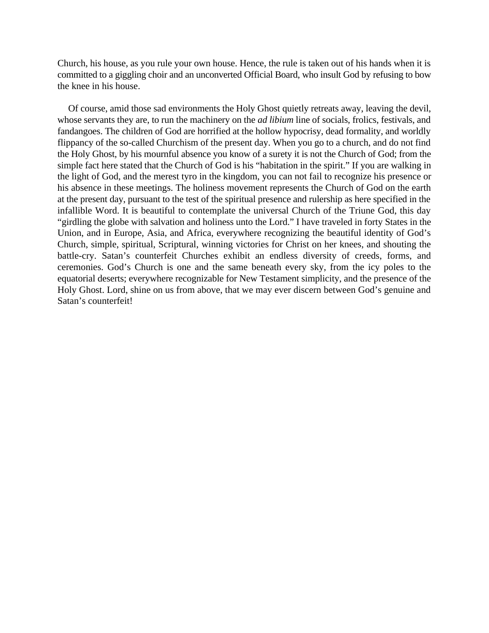Church, his house, as you rule your own house. Hence, the rule is taken out of his hands when it is committed to a giggling choir and an unconverted Official Board, who insult God by refusing to bow the knee in his house.

Of course, amid those sad environments the Holy Ghost quietly retreats away, leaving the devil, whose servants they are, to run the machinery on the *ad libium* line of socials, frolics, festivals, and fandangoes. The children of God are horrified at the hollow hypocrisy, dead formality, and worldly flippancy of the so-called Churchism of the present day. When you go to a church, and do not find the Holy Ghost, by his mournful absence you know of a surety it is not the Church of God; from the simple fact here stated that the Church of God is his "habitation in the spirit." If you are walking in the light of God, and the merest tyro in the kingdom, you can not fail to recognize his presence or his absence in these meetings. The holiness movement represents the Church of God on the earth at the present day, pursuant to the test of the spiritual presence and rulership as here specified in the infallible Word. It is beautiful to contemplate the universal Church of the Triune God, this day "girdling the globe with salvation and holiness unto the Lord." I have traveled in forty States in the Union, and in Europe, Asia, and Africa, everywhere recognizing the beautiful identity of God's Church, simple, spiritual, Scriptural, winning victories for Christ on her knees, and shouting the battle-cry. Satan's counterfeit Churches exhibit an endless diversity of creeds, forms, and ceremonies. God's Church is one and the same beneath every sky, from the icy poles to the equatorial deserts; everywhere recognizable for New Testament simplicity, and the presence of the Holy Ghost. Lord, shine on us from above, that we may ever discern between God's genuine and Satan's counterfeit!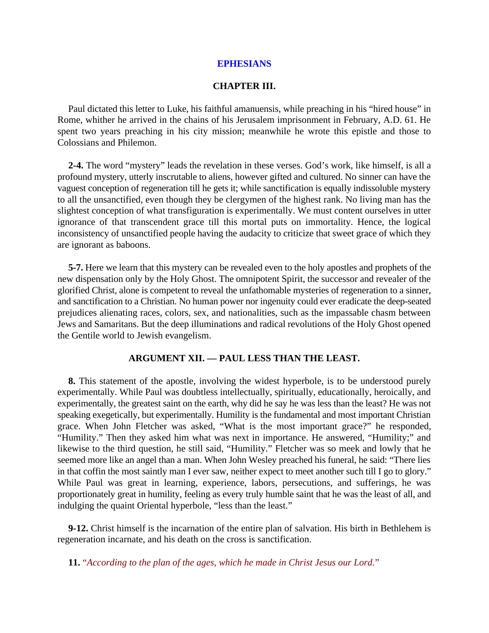#### **CHAPTER III.**

Paul dictated this letter to Luke, his faithful amanuensis, while preaching in his "hired house" in Rome, whither he arrived in the chains of his Jerusalem imprisonment in February, A.D. 61. He spent two years preaching in his city mission; meanwhile he wrote this epistle and those to Colossians and Philemon.

**2-4.** The word "mystery" leads the revelation in these verses. God's work, like himself, is all a profound mystery, utterly inscrutable to aliens, however gifted and cultured. No sinner can have the vaguest conception of regeneration till he gets it; while sanctification is equally indissoluble mystery to all the unsanctified, even though they be clergymen of the highest rank. No living man has the slightest conception of what transfiguration is experimentally. We must content ourselves in utter ignorance of that transcendent grace till this mortal puts on immortality. Hence, the logical inconsistency of unsanctified people having the audacity to criticize that sweet grace of which they are ignorant as baboons.

**5-7.** Here we learn that this mystery can be revealed even to the holy apostles and prophets of the new dispensation only by the Holy Ghost. The omnipotent Spirit, the successor and revealer of the glorified Christ, alone is competent to reveal the unfathomable mysteries of regeneration to a sinner, and sanctification to a Christian. No human power nor ingenuity could ever eradicate the deep-seated prejudices alienating races, colors, sex, and nationalities, such as the impassable chasm between Jews and Samaritans. But the deep illuminations and radical revolutions of the Holy Ghost opened the Gentile world to Jewish evangelism.

#### **ARGUMENT XII. — PAUL LESS THAN THE LEAST.**

**8.** This statement of the apostle, involving the widest hyperbole, is to be understood purely experimentally. While Paul was doubtless intellectually, spiritually, educationally, heroically, and experimentally, the greatest saint on the earth, why did he say he was less than the least? He was not speaking exegetically, but experimentally. Humility is the fundamental and most important Christian grace. When John Fletcher was asked, "What is the most important grace?" he responded, "Humility." Then they asked him what was next in importance. He answered, "Humility;" and likewise to the third question, he still said, "Humility." Fletcher was so meek and lowly that he seemed more like an angel than a man. When John Wesley preached his funeral, he said: "There lies in that coffin the most saintly man I ever saw, neither expect to meet another such till I go to glory." While Paul was great in learning, experience, labors, persecutions, and sufferings, he was proportionately great in humility, feeling as every truly humble saint that he was the least of all, and indulging the quaint Oriental hyperbole, "less than the least."

**9-12.** Christ himself is the incarnation of the entire plan of salvation. His birth in Bethlehem is regeneration incarnate, and his death on the cross is sanctification.

**11.** "*According to the plan of the ages, which he made in Christ Jesus our Lord.*"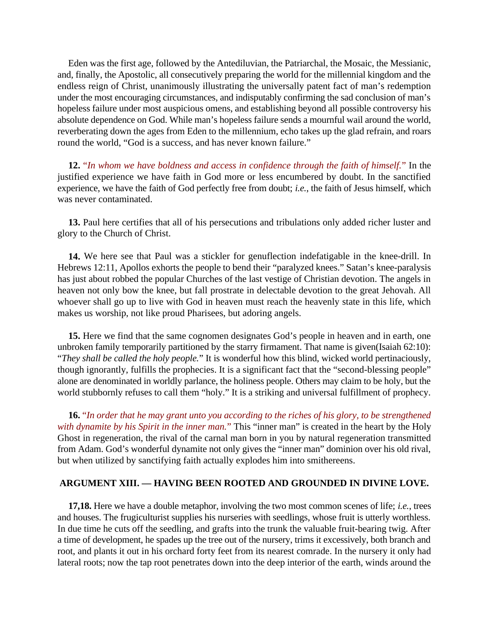Eden was the first age, followed by the Antediluvian, the Patriarchal, the Mosaic, the Messianic, and, finally, the Apostolic, all consecutively preparing the world for the millennial kingdom and the endless reign of Christ, unanimously illustrating the universally patent fact of man's redemption under the most encouraging circumstances, and indisputably confirming the sad conclusion of man's hopeless failure under most auspicious omens, and establishing beyond all possible controversy his absolute dependence on God. While man's hopeless failure sends a mournful wail around the world, reverberating down the ages from Eden to the millennium, echo takes up the glad refrain, and roars round the world, "God is a success, and has never known failure."

**12.** "*In whom we have boldness and access in confidence through the faith of himself.*" In the justified experience we have faith in God more or less encumbered by doubt. In the sanctified experience, we have the faith of God perfectly free from doubt; *i.e.*, the faith of Jesus himself, which was never contaminated.

**13.** Paul here certifies that all of his persecutions and tribulations only added richer luster and glory to the Church of Christ.

**14.** We here see that Paul was a stickler for genuflection indefatigable in the knee-drill. In Hebrews 12:11, Apollos exhorts the people to bend their "paralyzed knees." Satan's knee-paralysis has just about robbed the popular Churches of the last vestige of Christian devotion. The angels in heaven not only bow the knee, but fall prostrate in delectable devotion to the great Jehovah. All whoever shall go up to live with God in heaven must reach the heavenly state in this life, which makes us worship, not like proud Pharisees, but adoring angels.

**15.** Here we find that the same cognomen designates God's people in heaven and in earth, one unbroken family temporarily partitioned by the starry firmament. That name is given(Isaiah 62:10): "*They shall be called the holy people.*" It is wonderful how this blind, wicked world pertinaciously, though ignorantly, fulfills the prophecies. It is a significant fact that the "second-blessing people" alone are denominated in worldly parlance, the holiness people. Others may claim to be holy, but the world stubbornly refuses to call them "holy." It is a striking and universal fulfillment of prophecy.

**16.** "*In order that he may grant unto you according to the riches of his glory, to be strengthened with dynamite by his Spirit in the inner man.*" This "inner man" is created in the heart by the Holy Ghost in regeneration, the rival of the carnal man born in you by natural regeneration transmitted from Adam. God's wonderful dynamite not only gives the "inner man" dominion over his old rival, but when utilized by sanctifying faith actually explodes him into smithereens.

#### **ARGUMENT XIII. — HAVING BEEN ROOTED AND GROUNDED IN DIVINE LOVE.**

**17,18.** Here we have a double metaphor, involving the two most common scenes of life; *i.e.*, trees and houses. The frugiculturist supplies his nurseries with seedlings, whose fruit is utterly worthless. In due time he cuts off the seedling, and grafts into the trunk the valuable fruit-bearing twig. After a time of development, he spades up the tree out of the nursery, trims it excessively, both branch and root, and plants it out in his orchard forty feet from its nearest comrade. In the nursery it only had lateral roots; now the tap root penetrates down into the deep interior of the earth, winds around the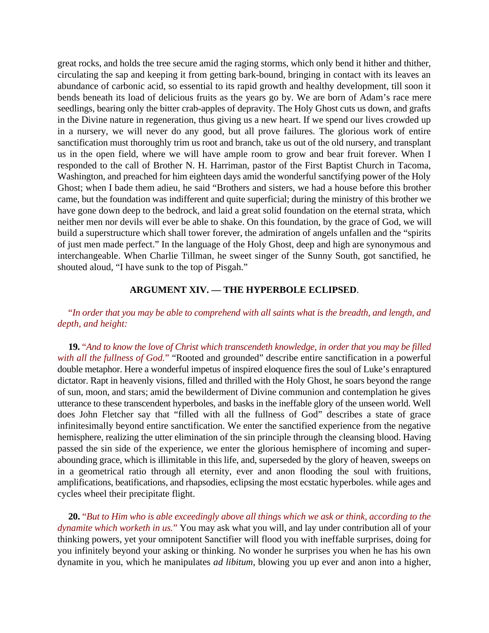great rocks, and holds the tree secure amid the raging storms, which only bend it hither and thither, circulating the sap and keeping it from getting bark-bound, bringing in contact with its leaves an abundance of carbonic acid, so essential to its rapid growth and healthy development, till soon it bends beneath its load of delicious fruits as the years go by. We are born of Adam's race mere seedlings, bearing only the bitter crab-apples of depravity. The Holy Ghost cuts us down, and grafts in the Divine nature in regeneration, thus giving us a new heart. If we spend our lives crowded up in a nursery, we will never do any good, but all prove failures. The glorious work of entire sanctification must thoroughly trim us root and branch, take us out of the old nursery, and transplant us in the open field, where we will have ample room to grow and bear fruit forever. When I responded to the call of Brother N. H. Harriman, pastor of the First Baptist Church in Tacoma, Washington, and preached for him eighteen days amid the wonderful sanctifying power of the Holy Ghost; when I bade them adieu, he said "Brothers and sisters, we had a house before this brother came, but the foundation was indifferent and quite superficial; during the ministry of this brother we have gone down deep to the bedrock, and laid a great solid foundation on the eternal strata, which neither men nor devils will ever be able to shake. On this foundation, by the grace of God, we will build a superstructure which shall tower forever, the admiration of angels unfallen and the "spirits of just men made perfect." In the language of the Holy Ghost, deep and high are synonymous and interchangeable. When Charlie Tillman, he sweet singer of the Sunny South, got sanctified, he shouted aloud, "I have sunk to the top of Pisgah."

#### **ARGUMENT XIV. — THE HYPERBOLE ECLIPSED**.

#### "*In order that you may be able to comprehend with all saints what is the breadth, and length, and depth, and height:*

**19.** "*And to know the love of Christ which transcendeth knowledge, in order that you may be filled with all the fullness of God.*" "Rooted and grounded" describe entire sanctification in a powerful double metaphor. Here a wonderful impetus of inspired eloquence fires the soul of Luke's enraptured dictator. Rapt in heavenly visions, filled and thrilled with the Holy Ghost, he soars beyond the range of sun, moon, and stars; amid the bewilderment of Divine communion and contemplation he gives utterance to these transcendent hyperboles, and basks in the ineffable glory of the unseen world. Well does John Fletcher say that "filled with all the fullness of God" describes a state of grace infinitesimally beyond entire sanctification. We enter the sanctified experience from the negative hemisphere, realizing the utter elimination of the sin principle through the cleansing blood. Having passed the sin side of the experience, we enter the glorious hemisphere of incoming and superabounding grace, which is illimitable in this life, and, superseded by the glory of heaven, sweeps on in a geometrical ratio through all eternity, ever and anon flooding the soul with fruitions, amplifications, beatifications, and rhapsodies, eclipsing the most ecstatic hyperboles. while ages and cycles wheel their precipitate flight.

**20.** "*But to Him who is able exceedingly above all things which we ask or think, according to the dynamite which worketh in us.*" You may ask what you will, and lay under contribution all of your thinking powers, yet your omnipotent Sanctifier will flood you with ineffable surprises, doing for you infinitely beyond your asking or thinking. No wonder he surprises you when he has his own dynamite in you, which he manipulates *ad libitum*, blowing you up ever and anon into a higher,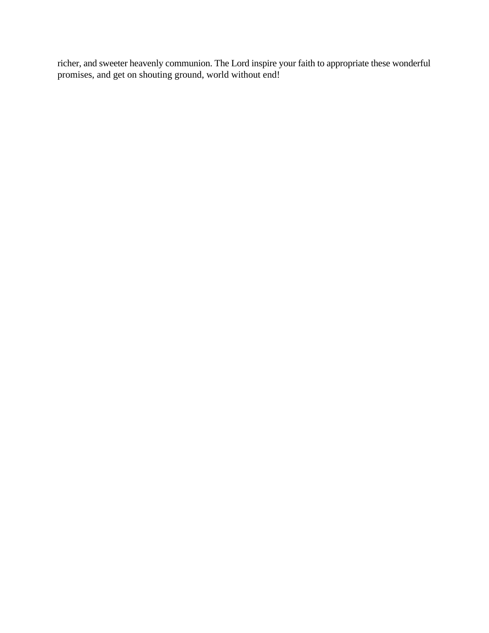richer, and sweeter heavenly communion. The Lord inspire your faith to appropriate these wonderful promises, and get on shouting ground, world without end!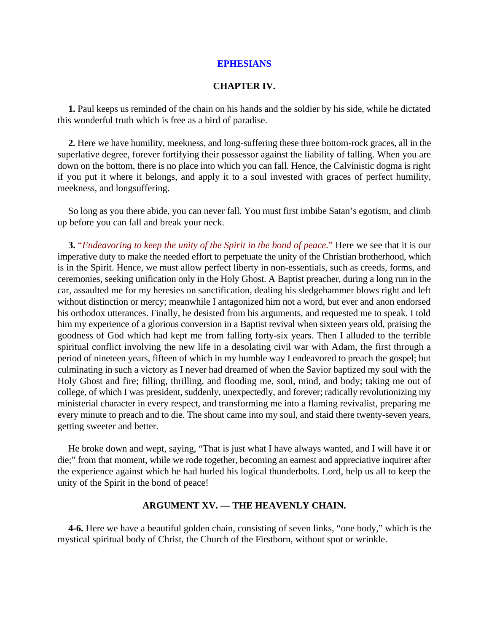#### **CHAPTER IV.**

**1.** Paul keeps us reminded of the chain on his hands and the soldier by his side, while he dictated this wonderful truth which is free as a bird of paradise.

**2.** Here we have humility, meekness, and long-suffering these three bottom-rock graces, all in the superlative degree, forever fortifying their possessor against the liability of falling. When you are down on the bottom, there is no place into which you can fall. Hence, the Calvinistic dogma is right if you put it where it belongs, and apply it to a soul invested with graces of perfect humility, meekness, and longsuffering.

So long as you there abide, you can never fall. You must first imbibe Satan's egotism, and climb up before you can fall and break your neck.

**3.** "*Endeavoring to keep the unity of the Spirit in the bond of peace.*" Here we see that it is our imperative duty to make the needed effort to perpetuate the unity of the Christian brotherhood, which is in the Spirit. Hence, we must allow perfect liberty in non-essentials, such as creeds, forms, and ceremonies, seeking unification only in the Holy Ghost. A Baptist preacher, during a long run in the car, assaulted me for my heresies on sanctification, dealing his sledgehammer blows right and left without distinction or mercy; meanwhile I antagonized him not a word, but ever and anon endorsed his orthodox utterances. Finally, he desisted from his arguments, and requested me to speak. I told him my experience of a glorious conversion in a Baptist revival when sixteen years old, praising the goodness of God which had kept me from falling forty-six years. Then I alluded to the terrible spiritual conflict involving the new life in a desolating civil war with Adam, the first through a period of nineteen years, fifteen of which in my humble way I endeavored to preach the gospel; but culminating in such a victory as I never had dreamed of when the Savior baptized my soul with the Holy Ghost and fire; filling, thrilling, and flooding me, soul, mind, and body; taking me out of college, of which I was president, suddenly, unexpectedly, and forever; radically revolutionizing my ministerial character in every respect, and transforming me into a flaming revivalist, preparing me every minute to preach and to die. The shout came into my soul, and staid there twenty-seven years, getting sweeter and better.

He broke down and wept, saying, "That is just what I have always wanted, and I will have it or die;" from that moment, while we rode together, becoming an earnest and appreciative inquirer after the experience against which he had hurled his logical thunderbolts. Lord, help us all to keep the unity of the Spirit in the bond of peace!

#### **ARGUMENT XV. — THE HEAVENLY CHAIN.**

**4-6.** Here we have a beautiful golden chain, consisting of seven links, "one body," which is the mystical spiritual body of Christ, the Church of the Firstborn, without spot or wrinkle.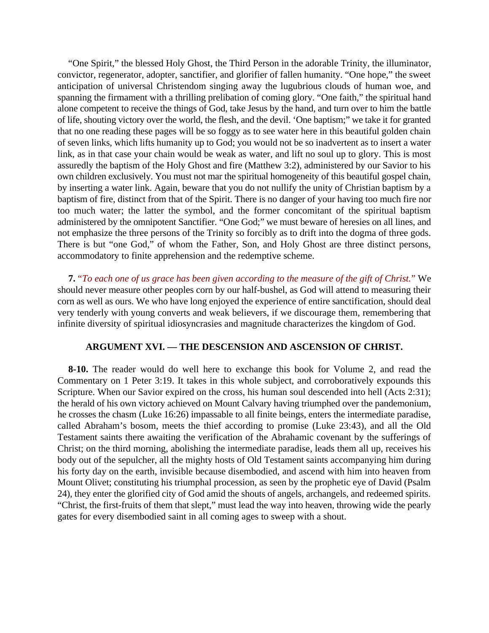"One Spirit," the blessed Holy Ghost, the Third Person in the adorable Trinity, the illuminator, convictor, regenerator, adopter, sanctifier, and glorifier of fallen humanity. "One hope," the sweet anticipation of universal Christendom singing away the lugubrious clouds of human woe, and spanning the firmament with a thrilling prelibation of coming glory. "One faith," the spiritual hand alone competent to receive the things of God, take Jesus by the hand, and turn over to him the battle of life, shouting victory over the world, the flesh, and the devil. 'One baptism;" we take it for granted that no one reading these pages will be so foggy as to see water here in this beautiful golden chain of seven links, which lifts humanity up to God; you would not be so inadvertent as to insert a water link, as in that case your chain would be weak as water, and lift no soul up to glory. This is most assuredly the baptism of the Holy Ghost and fire (Matthew 3:2), administered by our Savior to his own children exclusively. You must not mar the spiritual homogeneity of this beautiful gospel chain, by inserting a water link. Again, beware that you do not nullify the unity of Christian baptism by a baptism of fire, distinct from that of the Spirit. There is no danger of your having too much fire nor too much water; the latter the symbol, and the former concomitant of the spiritual baptism administered by the omnipotent Sanctifier. "One God;" we must beware of heresies on all lines, and not emphasize the three persons of the Trinity so forcibly as to drift into the dogma of three gods. There is but "one God," of whom the Father, Son, and Holy Ghost are three distinct persons, accommodatory to finite apprehension and the redemptive scheme.

**7.** "*To each one of us grace has been given according to the measure of the gift of Christ.*" We should never measure other peoples corn by our half-bushel, as God will attend to measuring their corn as well as ours. We who have long enjoyed the experience of entire sanctification, should deal very tenderly with young converts and weak believers, if we discourage them, remembering that infinite diversity of spiritual idiosyncrasies and magnitude characterizes the kingdom of God.

#### **ARGUMENT XVI. — THE DESCENSION AND ASCENSION OF CHRIST.**

**8-10.** The reader would do well here to exchange this book for Volume 2, and read the Commentary on 1 Peter 3:19. It takes in this whole subject, and corroboratively expounds this Scripture. When our Savior expired on the cross, his human soul descended into hell (Acts 2:31); the herald of his own victory achieved on Mount Calvary having triumphed over the pandemonium, he crosses the chasm (Luke 16:26) impassable to all finite beings, enters the intermediate paradise, called Abraham's bosom, meets the thief according to promise (Luke 23:43), and all the Old Testament saints there awaiting the verification of the Abrahamic covenant by the sufferings of Christ; on the third morning, abolishing the intermediate paradise, leads them all up, receives his body out of the sepulcher, all the mighty hosts of Old Testament saints accompanying him during his forty day on the earth, invisible because disembodied, and ascend with him into heaven from Mount Olivet; constituting his triumphal procession, as seen by the prophetic eye of David (Psalm 24), they enter the glorified city of God amid the shouts of angels, archangels, and redeemed spirits. "Christ, the first-fruits of them that slept," must lead the way into heaven, throwing wide the pearly gates for every disembodied saint in all coming ages to sweep with a shout.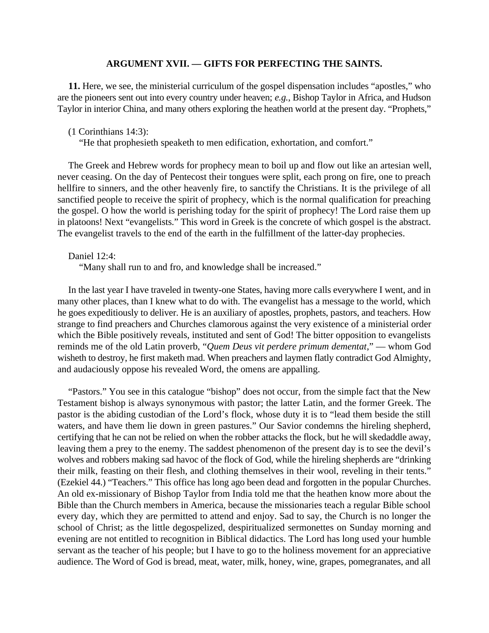#### **ARGUMENT XVII. — GIFTS FOR PERFECTING THE SAINTS.**

**11.** Here, we see, the ministerial curriculum of the gospel dispensation includes "apostles," who are the pioneers sent out into every country under heaven; *e.g.*, Bishop Taylor in Africa, and Hudson Taylor in interior China, and many others exploring the heathen world at the present day. "Prophets,"

(1 Corinthians 14:3):

"He that prophesieth speaketh to men edification, exhortation, and comfort."

The Greek and Hebrew words for prophecy mean to boil up and flow out like an artesian well, never ceasing. On the day of Pentecost their tongues were split, each prong on fire, one to preach hellfire to sinners, and the other heavenly fire, to sanctify the Christians. It is the privilege of all sanctified people to receive the spirit of prophecy, which is the normal qualification for preaching the gospel. O how the world is perishing today for the spirit of prophecy! The Lord raise them up in platoons! Next "evangelists." This word in Greek is the concrete of which gospel is the abstract. The evangelist travels to the end of the earth in the fulfillment of the latter-day prophecies.

#### Daniel 12:4:

"Many shall run to and fro, and knowledge shall be increased."

In the last year I have traveled in twenty-one States, having more calls everywhere I went, and in many other places, than I knew what to do with. The evangelist has a message to the world, which he goes expeditiously to deliver. He is an auxiliary of apostles, prophets, pastors, and teachers. How strange to find preachers and Churches clamorous against the very existence of a ministerial order which the Bible positively reveals, instituted and sent of God! The bitter opposition to evangelists reminds me of the old Latin proverb, "*Quem Deus vit perdere primum dementat*," — whom God wisheth to destroy, he first maketh mad. When preachers and laymen flatly contradict God Almighty, and audaciously oppose his revealed Word, the omens are appalling.

"Pastors." You see in this catalogue "bishop" does not occur, from the simple fact that the New Testament bishop is always synonymous with pastor; the latter Latin, and the former Greek. The pastor is the abiding custodian of the Lord's flock, whose duty it is to "lead them beside the still waters, and have them lie down in green pastures." Our Savior condemns the hireling shepherd, certifying that he can not be relied on when the robber attacks the flock, but he will skedaddle away, leaving them a prey to the enemy. The saddest phenomenon of the present day is to see the devil's wolves and robbers making sad havoc of the flock of God, while the hireling shepherds are "drinking their milk, feasting on their flesh, and clothing themselves in their wool, reveling in their tents." (Ezekiel 44.) "Teachers." This office has long ago been dead and forgotten in the popular Churches. An old ex-missionary of Bishop Taylor from India told me that the heathen know more about the Bible than the Church members in America, because the missionaries teach a regular Bible school every day, which they are permitted to attend and enjoy. Sad to say, the Church is no longer the school of Christ; as the little degospelized, despiritualized sermonettes on Sunday morning and evening are not entitled to recognition in Biblical didactics. The Lord has long used your humble servant as the teacher of his people; but I have to go to the holiness movement for an appreciative audience. The Word of God is bread, meat, water, milk, honey, wine, grapes, pomegranates, and all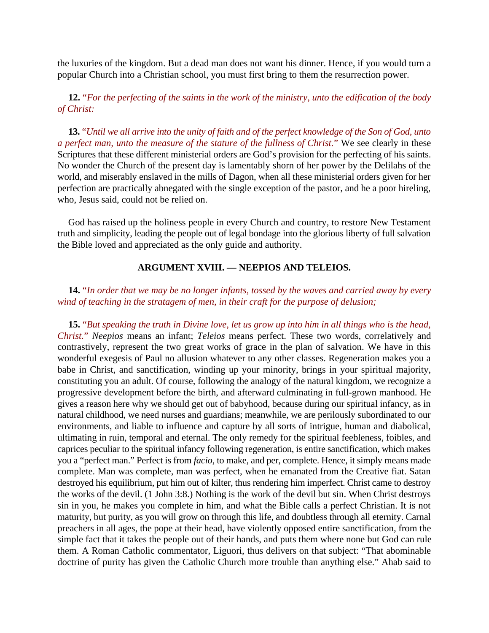the luxuries of the kingdom. But a dead man does not want his dinner. Hence, if you would turn a popular Church into a Christian school, you must first bring to them the resurrection power.

**12.** "*For the perfecting of the saints in the work of the ministry, unto the edification of the body of Christ:*

**13.** "*Until we all arrive into the unity of faith and of the perfect knowledge of the Son of God, unto a perfect man, unto the measure of the stature of the fullness of Christ.*" We see clearly in these Scriptures that these different ministerial orders are God's provision for the perfecting of his saints. No wonder the Church of the present day is lamentably shorn of her power by the Delilahs of the world, and miserably enslaved in the mills of Dagon, when all these ministerial orders given for her perfection are practically abnegated with the single exception of the pastor, and he a poor hireling, who, Jesus said, could not be relied on.

God has raised up the holiness people in every Church and country, to restore New Testament truth and simplicity, leading the people out of legal bondage into the glorious liberty of full salvation the Bible loved and appreciated as the only guide and authority.

#### **ARGUMENT XVIII. — NEEPIOS AND TELEIOS.**

#### **14.** "*In order that we may be no longer infants, tossed by the waves and carried away by every wind of teaching in the stratagem of men, in their craft for the purpose of delusion;*

**15.** "*But speaking the truth in Divine love, let us grow up into him in all things who is the head, Christ.*" *Neepios* means an infant; *Teleios* means perfect. These two words, correlatively and contrastively, represent the two great works of grace in the plan of salvation. We have in this wonderful exegesis of Paul no allusion whatever to any other classes. Regeneration makes you a babe in Christ, and sanctification, winding up your minority, brings in your spiritual majority, constituting you an adult. Of course, following the analogy of the natural kingdom, we recognize a progressive development before the birth, and afterward culminating in full-grown manhood. He gives a reason here why we should get out of babyhood, because during our spiritual infancy, as in natural childhood, we need nurses and guardians; meanwhile, we are perilously subordinated to our environments, and liable to influence and capture by all sorts of intrigue, human and diabolical, ultimating in ruin, temporal and eternal. The only remedy for the spiritual feebleness, foibles, and caprices peculiar to the spiritual infancy following regeneration, is entire sanctification, which makes you a "perfect man." Perfect is from *facio*, to make, and per, complete. Hence, it simply means made complete. Man was complete, man was perfect, when he emanated from the Creative fiat. Satan destroyed his equilibrium, put him out of kilter, thus rendering him imperfect. Christ came to destroy the works of the devil. (1 John 3:8.) Nothing is the work of the devil but sin. When Christ destroys sin in you, he makes you complete in him, and what the Bible calls a perfect Christian. It is not maturity, but purity, as you will grow on through this life, and doubtless through all eternity. Carnal preachers in all ages, the pope at their head, have violently opposed entire sanctification, from the simple fact that it takes the people out of their hands, and puts them where none but God can rule them. A Roman Catholic commentator, Liguori, thus delivers on that subject: "That abominable doctrine of purity has given the Catholic Church more trouble than anything else." Ahab said to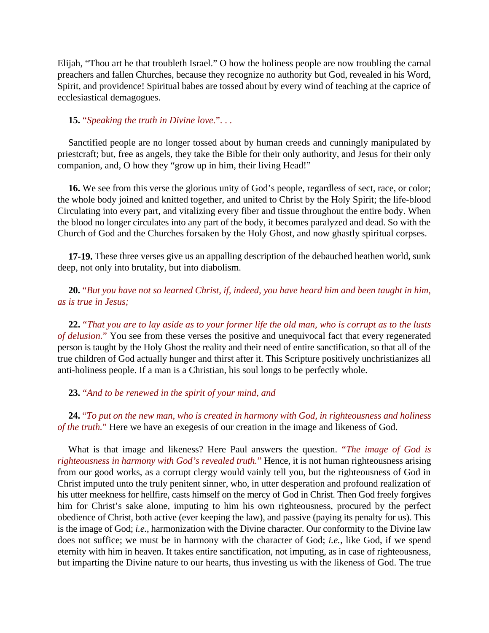Elijah, "Thou art he that troubleth Israel." O how the holiness people are now troubling the carnal preachers and fallen Churches, because they recognize no authority but God, revealed in his Word, Spirit, and providence! Spiritual babes are tossed about by every wind of teaching at the caprice of ecclesiastical demagogues.

#### **15.** "*Speaking the truth in Divine love.*". . .

Sanctified people are no longer tossed about by human creeds and cunningly manipulated by priestcraft; but, free as angels, they take the Bible for their only authority, and Jesus for their only companion, and, O how they "grow up in him, their living Head!"

**16.** We see from this verse the glorious unity of God's people, regardless of sect, race, or color; the whole body joined and knitted together, and united to Christ by the Holy Spirit; the life-blood Circulating into every part, and vitalizing every fiber and tissue throughout the entire body. When the blood no longer circulates into any part of the body, it becomes paralyzed and dead. So with the Church of God and the Churches forsaken by the Holy Ghost, and now ghastly spiritual corpses.

**17-19.** These three verses give us an appalling description of the debauched heathen world, sunk deep, not only into brutality, but into diabolism.

**20.** "*But you have not so learned Christ, if, indeed, you have heard him and been taught in him, as is true in Jesus;*

**22.** "*That you are to lay aside as to your former life the old man, who is corrupt as to the lusts of delusion.*" You see from these verses the positive and unequivocal fact that every regenerated person is taught by the Holy Ghost the reality and their need of entire sanctification, so that all of the true children of God actually hunger and thirst after it. This Scripture positively unchristianizes all anti-holiness people. If a man is a Christian, his soul longs to be perfectly whole.

#### **23.** "*And to be renewed in the spirit of your mind, and*

**24.** "*To put on the new man, who is created in harmony with God, in righteousness and holiness of the truth.*" Here we have an exegesis of our creation in the image and likeness of God.

What is that image and likeness? Here Paul answers the question. "*The image of God is righteousness in harmony with God's revealed truth.*" Hence, it is not human righteousness arising from our good works, as a corrupt clergy would vainly tell you, but the righteousness of God in Christ imputed unto the truly penitent sinner, who, in utter desperation and profound realization of his utter meekness for hellfire, casts himself on the mercy of God in Christ. Then God freely forgives him for Christ's sake alone, imputing to him his own righteousness, procured by the perfect obedience of Christ, both active (ever keeping the law), and passive (paying its penalty for us). This is the image of God; *i.e.*, harmonization with the Divine character. Our conformity to the Divine law does not suffice; we must be in harmony with the character of God; *i.e.*, like God, if we spend eternity with him in heaven. It takes entire sanctification, not imputing, as in case of righteousness, but imparting the Divine nature to our hearts, thus investing us with the likeness of God. The true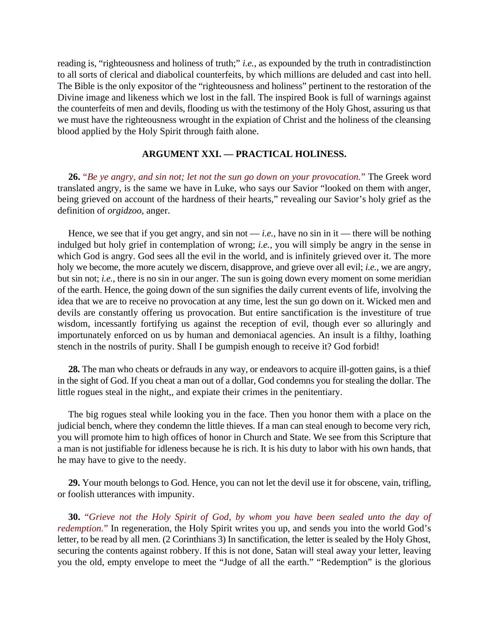reading is, "righteousness and holiness of truth;" *i.e.*, as expounded by the truth in contradistinction to all sorts of clerical and diabolical counterfeits, by which millions are deluded and cast into hell. The Bible is the only expositor of the "righteousness and holiness" pertinent to the restoration of the Divine image and likeness which we lost in the fall. The inspired Book is full of warnings against the counterfeits of men and devils, flooding us with the testimony of the Holy Ghost, assuring us that we must have the righteousness wrought in the expiation of Christ and the holiness of the cleansing blood applied by the Holy Spirit through faith alone.

#### **ARGUMENT XXI. — PRACTICAL HOLINESS.**

**26.** "*Be ye angry, and sin not; let not the sun go down on your provocation.*" The Greek word translated angry, is the same we have in Luke, who says our Savior "looked on them with anger, being grieved on account of the hardness of their hearts," revealing our Savior's holy grief as the definition of *orgidzoo*, anger.

Hence, we see that if you get angry, and sin not — *i.e.*, have no sin in it — there will be nothing indulged but holy grief in contemplation of wrong; *i.e.*, you will simply be angry in the sense in which God is angry. God sees all the evil in the world, and is infinitely grieved over it. The more holy we become, the more acutely we discern, disapprove, and grieve over all evil; *i.e.*, we are angry, but sin not; *i.e.*, there is no sin in our anger. The sun is going down every moment on some meridian of the earth. Hence, the going down of the sun signifies the daily current events of life, involving the idea that we are to receive no provocation at any time, lest the sun go down on it. Wicked men and devils are constantly offering us provocation. But entire sanctification is the investiture of true wisdom, incessantly fortifying us against the reception of evil, though ever so alluringly and importunately enforced on us by human and demoniacal agencies. An insult is a filthy, loathing stench in the nostrils of purity. Shall I be gumpish enough to receive it? God forbid!

**28.** The man who cheats or defrauds in any way, or endeavors to acquire ill-gotten gains, is a thief in the sight of God. If you cheat a man out of a dollar, God condemns you for stealing the dollar. The little rogues steal in the night,, and expiate their crimes in the penitentiary.

The big rogues steal while looking you in the face. Then you honor them with a place on the judicial bench, where they condemn the little thieves. If a man can steal enough to become very rich, you will promote him to high offices of honor in Church and State. We see from this Scripture that a man is not justifiable for idleness because he is rich. It is his duty to labor with his own hands, that he may have to give to the needy.

**29.** Your mouth belongs to God. Hence, you can not let the devil use it for obscene, vain, trifling, or foolish utterances with impunity.

**30.** "*Grieve not the Holy Spirit of God, by whom you have been sealed unto the day of redemption.*" In regeneration, the Holy Spirit writes you up, and sends you into the world God's letter, to be read by all men. (2 Corinthians 3) In sanctification, the letter is sealed by the Holy Ghost, securing the contents against robbery. If this is not done, Satan will steal away your letter, leaving you the old, empty envelope to meet the "Judge of all the earth." "Redemption" is the glorious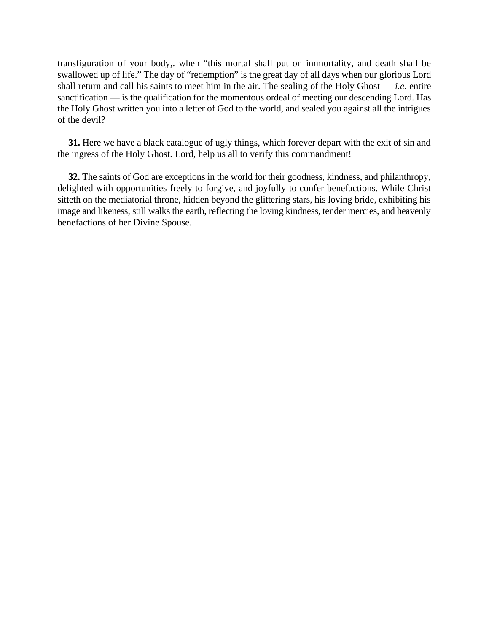transfiguration of your body,. when "this mortal shall put on immortality, and death shall be swallowed up of life." The day of "redemption" is the great day of all days when our glorious Lord shall return and call his saints to meet him in the air. The sealing of the Holy Ghost  $-$  *i.e.* entire sanctification — is the qualification for the momentous ordeal of meeting our descending Lord. Has the Holy Ghost written you into a letter of God to the world, and sealed you against all the intrigues of the devil?

**31.** Here we have a black catalogue of ugly things, which forever depart with the exit of sin and the ingress of the Holy Ghost. Lord, help us all to verify this commandment!

**32.** The saints of God are exceptions in the world for their goodness, kindness, and philanthropy, delighted with opportunities freely to forgive, and joyfully to confer benefactions. While Christ sitteth on the mediatorial throne, hidden beyond the glittering stars, his loving bride, exhibiting his image and likeness, still walks the earth, reflecting the loving kindness, tender mercies, and heavenly benefactions of her Divine Spouse.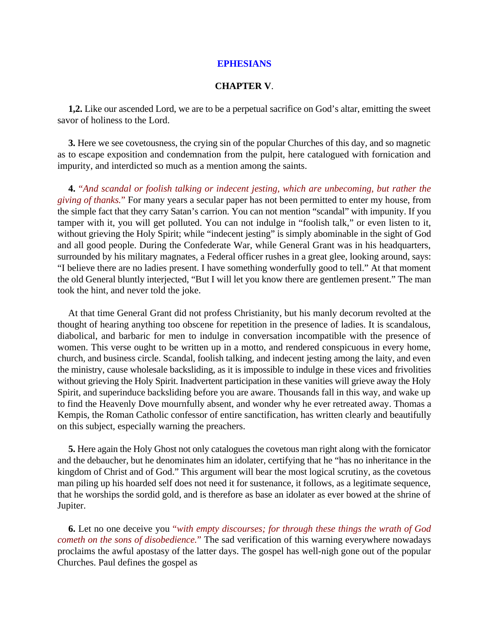#### **CHAPTER V**.

**1,2.** Like our ascended Lord, we are to be a perpetual sacrifice on God's altar, emitting the sweet savor of holiness to the Lord.

**3.** Here we see covetousness, the crying sin of the popular Churches of this day, and so magnetic as to escape exposition and condemnation from the pulpit, here catalogued with fornication and impurity, and interdicted so much as a mention among the saints.

**4.** "*And scandal or foolish talking or indecent jesting, which are unbecoming, but rather the giving of thanks.*" For many years a secular paper has not been permitted to enter my house, from the simple fact that they carry Satan's carrion. You can not mention "scandal" with impunity. If you tamper with it, you will get polluted. You can not indulge in "foolish talk," or even listen to it, without grieving the Holy Spirit; while "indecent jesting" is simply abominable in the sight of God and all good people. During the Confederate War, while General Grant was in his headquarters, surrounded by his military magnates, a Federal officer rushes in a great glee, looking around, says: "I believe there are no ladies present. I have something wonderfully good to tell." At that moment the old General bluntly interjected, "But I will let you know there are gentlemen present." The man took the hint, and never told the joke.

At that time General Grant did not profess Christianity, but his manly decorum revolted at the thought of hearing anything too obscene for repetition in the presence of ladies. It is scandalous, diabolical, and barbaric for men to indulge in conversation incompatible with the presence of women. This verse ought to be written up in a motto, and rendered conspicuous in every home, church, and business circle. Scandal, foolish talking, and indecent jesting among the laity, and even the ministry, cause wholesale backsliding, as it is impossible to indulge in these vices and frivolities without grieving the Holy Spirit. Inadvertent participation in these vanities will grieve away the Holy Spirit, and superinduce backsliding before you are aware. Thousands fall in this way, and wake up to find the Heavenly Dove mournfully absent, and wonder why he ever retreated away. Thomas a Kempis, the Roman Catholic confessor of entire sanctification, has written clearly and beautifully on this subject, especially warning the preachers.

**5.** Here again the Holy Ghost not only catalogues the covetous man right along with the fornicator and the debaucher, but he denominates him an idolater, certifying that he "has no inheritance in the kingdom of Christ and of God." This argument will bear the most logical scrutiny, as the covetous man piling up his hoarded self does not need it for sustenance, it follows, as a legitimate sequence, that he worships the sordid gold, and is therefore as base an idolater as ever bowed at the shrine of Jupiter.

**6.** Let no one deceive you "*with empty discourses; for through these things the wrath of God cometh on the sons of disobedience.*" The sad verification of this warning everywhere nowadays proclaims the awful apostasy of the latter days. The gospel has well-nigh gone out of the popular Churches. Paul defines the gospel as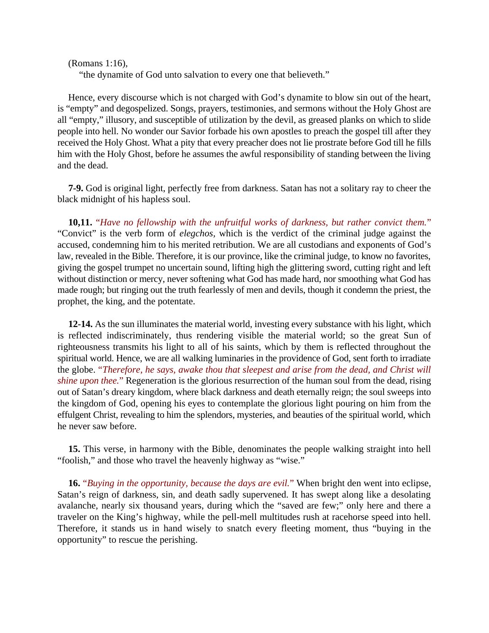(Romans 1:16),

"the dynamite of God unto salvation to every one that believeth."

Hence, every discourse which is not charged with God's dynamite to blow sin out of the heart, is "empty" and degospelized. Songs, prayers, testimonies, and sermons without the Holy Ghost are all "empty," illusory, and susceptible of utilization by the devil, as greased planks on which to slide people into hell. No wonder our Savior forbade his own apostles to preach the gospel till after they received the Holy Ghost. What a pity that every preacher does not lie prostrate before God till he fills him with the Holy Ghost, before he assumes the awful responsibility of standing between the living and the dead.

**7-9.** God is original light, perfectly free from darkness. Satan has not a solitary ray to cheer the black midnight of his hapless soul.

**10,11.** "*Have no fellowship with the unfruitful works of darkness, but rather convict them.*" "Convict" is the verb form of *elegchos,* which is the verdict of the criminal judge against the accused, condemning him to his merited retribution. We are all custodians and exponents of God's law, revealed in the Bible. Therefore, it is our province, like the criminal judge, to know no favorites, giving the gospel trumpet no uncertain sound, lifting high the glittering sword, cutting right and left without distinction or mercy, never softening what God has made hard, nor smoothing what God has made rough; but ringing out the truth fearlessly of men and devils, though it condemn the priest, the prophet, the king, and the potentate.

**12-14.** As the sun illuminates the material world, investing every substance with his light, which is reflected indiscriminately, thus rendering visible the material world; so the great Sun of righteousness transmits his light to all of his saints, which by them is reflected throughout the spiritual world. Hence, we are all walking luminaries in the providence of God, sent forth to irradiate the globe. "*Therefore, he says, awake thou that sleepest and arise from the dead, and Christ will shine upon thee.*" Regeneration is the glorious resurrection of the human soul from the dead, rising out of Satan's dreary kingdom, where black darkness and death eternally reign; the soul sweeps into the kingdom of God, opening his eyes to contemplate the glorious light pouring on him from the effulgent Christ, revealing to him the splendors, mysteries, and beauties of the spiritual world, which he never saw before.

**15.** This verse, in harmony with the Bible, denominates the people walking straight into hell "foolish," and those who travel the heavenly highway as "wise."

**16.** "*Buying in the opportunity, because the days are evil.*" When bright den went into eclipse, Satan's reign of darkness, sin, and death sadly supervened. It has swept along like a desolating avalanche, nearly six thousand years, during which the "saved are few;" only here and there a traveler on the King's highway, while the pell-mell multitudes rush at racehorse speed into hell. Therefore, it stands us in hand wisely to snatch every fleeting moment, thus "buying in the opportunity" to rescue the perishing.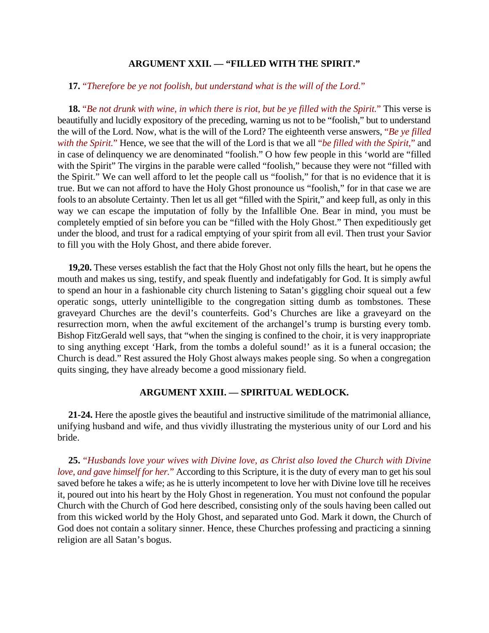#### **ARGUMENT XXII. — "FILLED WITH THE SPIRIT."**

#### **17.** "*Therefore be ye not foolish, but understand what is the will of the Lord.*"

**18.** "*Be not drunk with wine, in which there is riot, but be ye filled with the Spirit.*" This verse is beautifully and lucidly expository of the preceding, warning us not to be "foolish," but to understand the will of the Lord. Now, what is the will of the Lord? The eighteenth verse answers, "*Be ye filled with the Spirit.*" Hence, we see that the will of the Lord is that we all "*be filled with the Spirit,*" and in case of delinquency we are denominated "foolish." O how few people in this 'world are "filled with the Spirit" The virgins in the parable were called "foolish," because they were not "filled with the Spirit." We can well afford to let the people call us "foolish," for that is no evidence that it is true. But we can not afford to have the Holy Ghost pronounce us "foolish," for in that case we are fools to an absolute Certainty. Then let us all get "filled with the Spirit," and keep full, as only in this way we can escape the imputation of folly by the Infallible One. Bear in mind, you must be completely emptied of sin before you can be "filled with the Holy Ghost." Then expeditiously get under the blood, and trust for a radical emptying of your spirit from all evil. Then trust your Savior to fill you with the Holy Ghost, and there abide forever.

**19,20.** These verses establish the fact that the Holy Ghost not only fills the heart, but he opens the mouth and makes us sing, testify, and speak fluently and indefatigably for God. It is simply awful to spend an hour in a fashionable city church listening to Satan's giggling choir squeal out a few operatic songs, utterly unintelligible to the congregation sitting dumb as tombstones. These graveyard Churches are the devil's counterfeits. God's Churches are like a graveyard on the resurrection morn, when the awful excitement of the archangel's trump is bursting every tomb. Bishop FitzGerald well says, that "when the singing is confined to the choir, it is very inappropriate to sing anything except 'Hark, from the tombs a doleful sound!' as it is a funeral occasion; the Church is dead." Rest assured the Holy Ghost always makes people sing. So when a congregation quits singing, they have already become a good missionary field.

#### **ARGUMENT XXIII. — SPIRITUAL WEDLOCK.**

**21-24.** Here the apostle gives the beautiful and instructive similitude of the matrimonial alliance, unifying husband and wife, and thus vividly illustrating the mysterious unity of our Lord and his bride.

**25.** "*Husbands love your wives with Divine love, as Christ also loved the Church with Divine love, and gave himself for her.*" According to this Scripture, it is the duty of every man to get his soul saved before he takes a wife; as he is utterly incompetent to love her with Divine love till he receives it, poured out into his heart by the Holy Ghost in regeneration. You must not confound the popular Church with the Church of God here described, consisting only of the souls having been called out from this wicked world by the Holy Ghost, and separated unto God. Mark it down, the Church of God does not contain a solitary sinner. Hence, these Churches professing and practicing a sinning religion are all Satan's bogus.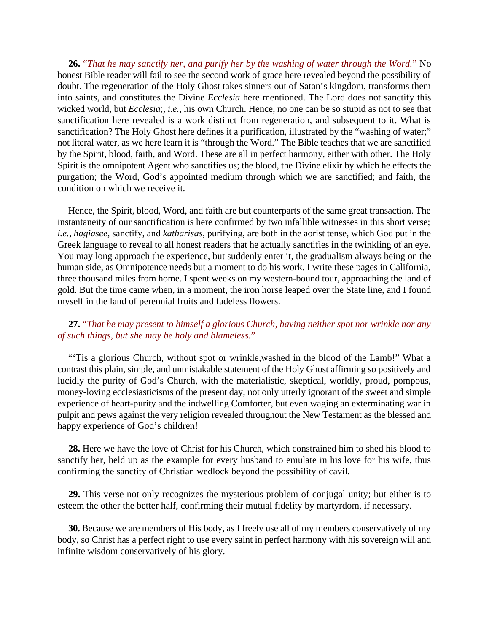**26.** "*That he may sanctify her, and purify her by the washing of water through the Word.*" No honest Bible reader will fail to see the second work of grace here revealed beyond the possibility of doubt. The regeneration of the Holy Ghost takes sinners out of Satan's kingdom, transforms them into saints, and constitutes the Divine *Ecclesia* here mentioned. The Lord does not sanctify this wicked world, but *Ecclesia*;, *i.e.*, his own Church. Hence, no one can be so stupid as not to see that sanctification here revealed is a work distinct from regeneration, and subsequent to it. What is sanctification? The Holy Ghost here defines it a purification, illustrated by the "washing of water;" not literal water, as we here learn it is "through the Word." The Bible teaches that we are sanctified by the Spirit, blood, faith, and Word. These are all in perfect harmony, either with other. The Holy Spirit is the omnipotent Agent who sanctifies us; the blood, the Divine elixir by which he effects the purgation; the Word, God's appointed medium through which we are sanctified; and faith, the condition on which we receive it.

Hence, the Spirit, blood, Word, and faith are but counterparts of the same great transaction. The instantaneity of our sanctification is here confirmed by two infallible witnesses in this short verse; *i.e.*, *hagiasee,* sanctify, and *katharisas*, purifying, are both in the aorist tense, which God put in the Greek language to reveal to all honest readers that he actually sanctifies in the twinkling of an eye. You may long approach the experience, but suddenly enter it, the gradualism always being on the human side, as Omnipotence needs but a moment to do his work. I write these pages in California, three thousand miles from home. I spent weeks on my western-bound tour, approaching the land of gold. But the time came when, in a moment, the iron horse leaped over the State line, and I found myself in the land of perennial fruits and fadeless flowers.

#### **27.** "*That he may present to himself a glorious Church, having neither spot nor wrinkle nor any of such things, but she may be holy and blameless.*"

"Tis a glorious Church, without spot or wrinkle, washed in the blood of the Lamb!" What a contrast this plain, simple, and unmistakable statement of the Holy Ghost affirming so positively and lucidly the purity of God's Church, with the materialistic, skeptical, worldly, proud, pompous, money-loving ecclesiasticisms of the present day, not only utterly ignorant of the sweet and simple experience of heart-purity and the indwelling Comforter, but even waging an exterminating war in pulpit and pews against the very religion revealed throughout the New Testament as the blessed and happy experience of God's children!

**28.** Here we have the love of Christ for his Church, which constrained him to shed his blood to sanctify her, held up as the example for every husband to emulate in his love for his wife, thus confirming the sanctity of Christian wedlock beyond the possibility of cavil.

**29.** This verse not only recognizes the mysterious problem of conjugal unity; but either is to esteem the other the better half, confirming their mutual fidelity by martyrdom, if necessary.

**30.** Because we are members of His body, as I freely use all of my members conservatively of my body, so Christ has a perfect right to use every saint in perfect harmony with his sovereign will and infinite wisdom conservatively of his glory.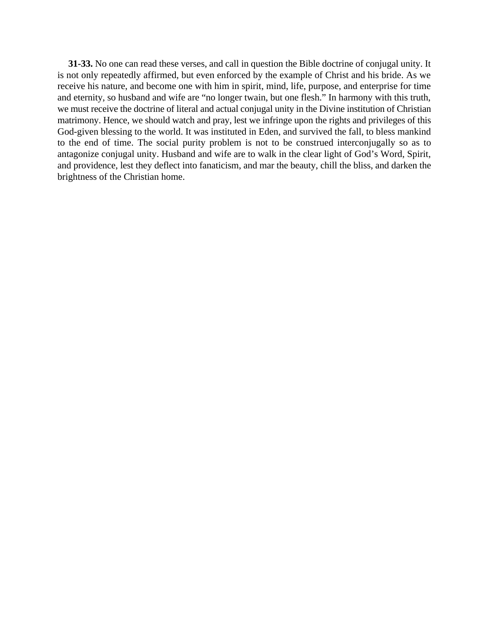**31-33.** No one can read these verses, and call in question the Bible doctrine of conjugal unity. It is not only repeatedly affirmed, but even enforced by the example of Christ and his bride. As we receive his nature, and become one with him in spirit, mind, life, purpose, and enterprise for time and eternity, so husband and wife are "no longer twain, but one flesh." In harmony with this truth, we must receive the doctrine of literal and actual conjugal unity in the Divine institution of Christian matrimony. Hence, we should watch and pray, lest we infringe upon the rights and privileges of this God-given blessing to the world. It was instituted in Eden, and survived the fall, to bless mankind to the end of time. The social purity problem is not to be construed interconjugally so as to antagonize conjugal unity. Husband and wife are to walk in the clear light of God's Word, Spirit, and providence, lest they deflect into fanaticism, and mar the beauty, chill the bliss, and darken the brightness of the Christian home.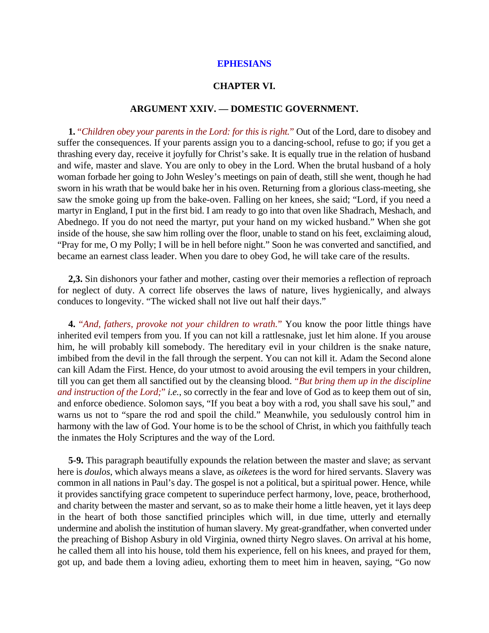#### **CHAPTER VI.**

#### **ARGUMENT XXIV. — DOMESTIC GOVERNMENT.**

**1.** "*Children obey your parents in the Lord: for this is right.*" Out of the Lord, dare to disobey and suffer the consequences. If your parents assign you to a dancing-school, refuse to go; if you get a thrashing every day, receive it joyfully for Christ's sake. It is equally true in the relation of husband and wife, master and slave. You are only to obey in the Lord. When the brutal husband of a holy woman forbade her going to John Wesley's meetings on pain of death, still she went, though he had sworn in his wrath that be would bake her in his oven. Returning from a glorious class-meeting, she saw the smoke going up from the bake-oven. Falling on her knees, she said; "Lord, if you need a martyr in England, I put in the first bid. I am ready to go into that oven like Shadrach, Meshach, and Abednego. If you do not need the martyr, put your hand on my wicked husband." When she got inside of the house, she saw him rolling over the floor, unable to stand on his feet, exclaiming aloud, "Pray for me, O my Polly; I will be in hell before night." Soon he was converted and sanctified, and became an earnest class leader. When you dare to obey God, he will take care of the results.

**2,3.** Sin dishonors your father and mother, casting over their memories a reflection of reproach for neglect of duty. A correct life observes the laws of nature, lives hygienically, and always conduces to longevity. "The wicked shall not live out half their days."

**4.** "*And, fathers, provoke not your children to wrath.*" You know the poor little things have inherited evil tempers from you. If you can not kill a rattlesnake, just let him alone. If you arouse him, he will probably kill somebody. The hereditary evil in your children is the snake nature, imbibed from the devil in the fall through the serpent. You can not kill it. Adam the Second alone can kill Adam the First. Hence, do your utmost to avoid arousing the evil tempers in your children, till you can get them all sanctified out by the cleansing blood. "*But bring them up in the discipline and instruction of the Lord;*" *i.e.*, so correctly in the fear and love of God as to keep them out of sin, and enforce obedience. Solomon says, "If you beat a boy with a rod, you shall save his soul," and warns us not to "spare the rod and spoil the child." Meanwhile, you sedulously control him in harmony with the law of God. Your home is to be the school of Christ, in which you faithfully teach the inmates the Holy Scriptures and the way of the Lord.

**5-9.** This paragraph beautifully expounds the relation between the master and slave; as servant here is *doulos*, which always means a slave, as *oiketees* is the word for hired servants. Slavery was common in all nations in Paul's day. The gospel is not a political, but a spiritual power. Hence, while it provides sanctifying grace competent to superinduce perfect harmony, love, peace, brotherhood, and charity between the master and servant, so as to make their home a little heaven, yet it lays deep in the heart of both those sanctified principles which will, in due time, utterly and eternally undermine and abolish the institution of human slavery. My great-grandfather, when converted under the preaching of Bishop Asbury in old Virginia, owned thirty Negro slaves. On arrival at his home, he called them all into his house, told them his experience, fell on his knees, and prayed for them, got up, and bade them a loving adieu, exhorting them to meet him in heaven, saying, "Go now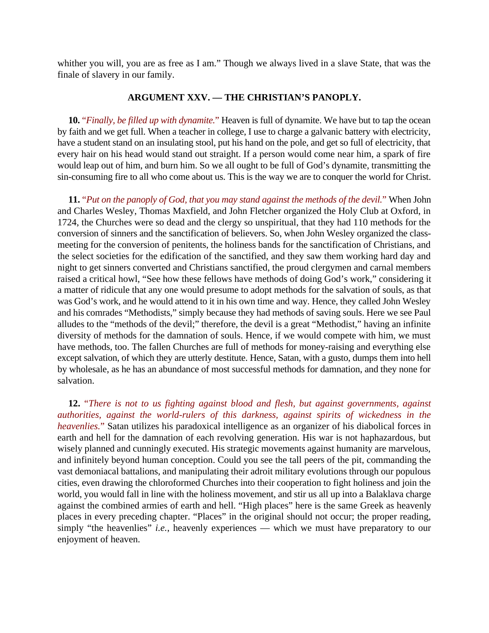whither you will, you are as free as I am." Though we always lived in a slave State, that was the finale of slavery in our family.

#### **ARGUMENT XXV. — THE CHRISTIAN'S PANOPLY.**

**10.** "*Finally, be filled up with dynamite.*" Heaven is full of dynamite. We have but to tap the ocean by faith and we get full. When a teacher in college, I use to charge a galvanic battery with electricity, have a student stand on an insulating stool, put his hand on the pole, and get so full of electricity, that every hair on his head would stand out straight. If a person would come near him, a spark of fire would leap out of him, and burn him. So we all ought to be full of God's dynamite, transmitting the sin-consuming fire to all who come about us. This is the way we are to conquer the world for Christ.

**11.** "*Put on the panoply of God, that you may stand against the methods of the devil.*" When John and Charles Wesley, Thomas Maxfield, and John Fletcher organized the Holy Club at Oxford, in 1724, the Churches were so dead and the clergy so unspiritual, that they had 110 methods for the conversion of sinners and the sanctification of believers. So, when John Wesley organized the classmeeting for the conversion of penitents, the holiness bands for the sanctification of Christians, and the select societies for the edification of the sanctified, and they saw them working hard day and night to get sinners converted and Christians sanctified, the proud clergymen and carnal members raised a critical howl, "See how these fellows have methods of doing God's work," considering it a matter of ridicule that any one would presume to adopt methods for the salvation of souls, as that was God's work, and he would attend to it in his own time and way. Hence, they called John Wesley and his comrades "Methodists," simply because they had methods of saving souls. Here we see Paul alludes to the "methods of the devil;" therefore, the devil is a great "Methodist," having an infinite diversity of methods for the damnation of souls. Hence, if we would compete with him, we must have methods, too. The fallen Churches are full of methods for money-raising and everything else except salvation, of which they are utterly destitute. Hence, Satan, with a gusto, dumps them into hell by wholesale, as he has an abundance of most successful methods for damnation, and they none for salvation.

**12.** "*There is not to us fighting against blood and flesh, but against governments, against authorities, against the world-rulers of this darkness, against spirits of wickedness in the heavenlies.*" Satan utilizes his paradoxical intelligence as an organizer of his diabolical forces in earth and hell for the damnation of each revolving generation. His war is not haphazardous, but wisely planned and cunningly executed. His strategic movements against humanity are marvelous, and infinitely beyond human conception. Could you see the tall peers of the pit, commanding the vast demoniacal battalions, and manipulating their adroit military evolutions through our populous cities, even drawing the chloroformed Churches into their cooperation to fight holiness and join the world, you would fall in line with the holiness movement, and stir us all up into a Balaklava charge against the combined armies of earth and hell. "High places" here is the same Greek as heavenly places in every preceding chapter. "Places" in the original should not occur; the proper reading, simply "the heavenlies" *i.e.*, heavenly experiences — which we must have preparatory to our enjoyment of heaven.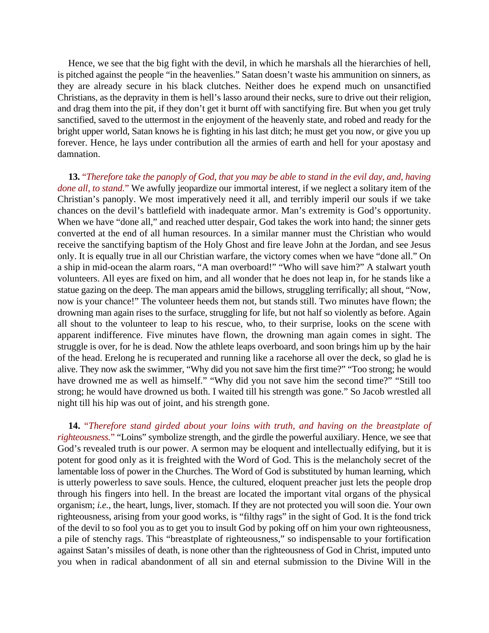Hence, we see that the big fight with the devil, in which he marshals all the hierarchies of hell, is pitched against the people "in the heavenlies." Satan doesn't waste his ammunition on sinners, as they are already secure in his black clutches. Neither does he expend much on unsanctified Christians, as the depravity in them is hell's lasso around their necks, sure to drive out their religion, and drag them into the pit, if they don't get it burnt off with sanctifying fire. But when you get truly sanctified, saved to the uttermost in the enjoyment of the heavenly state, and robed and ready for the bright upper world, Satan knows he is fighting in his last ditch; he must get you now, or give you up forever. Hence, he lays under contribution all the armies of earth and hell for your apostasy and damnation.

**13.** "*Therefore take the panoply of God, that you may be able to stand in the evil day, and, having done all, to stand.*" We awfully jeopardize our immortal interest, if we neglect a solitary item of the Christian's panoply. We most imperatively need it all, and terribly imperil our souls if we take chances on the devil's battlefield with inadequate armor. Man's extremity is God's opportunity. When we have "done all," and reached utter despair, God takes the work into hand; the sinner gets converted at the end of all human resources. In a similar manner must the Christian who would receive the sanctifying baptism of the Holy Ghost and fire leave John at the Jordan, and see Jesus only. It is equally true in all our Christian warfare, the victory comes when we have "done all." On a ship in mid-ocean the alarm roars, "A man overboard!" "Who will save him?" A stalwart youth volunteers. All eyes are fixed on him, and all wonder that he does not leap in, for he stands like a statue gazing on the deep. The man appears amid the billows, struggling terrifically; all shout, "Now, now is your chance!" The volunteer heeds them not, but stands still. Two minutes have flown; the drowning man again rises to the surface, struggling for life, but not half so violently as before. Again all shout to the volunteer to leap to his rescue, who, to their surprise, looks on the scene with apparent indifference. Five minutes have flown, the drowning man again comes in sight. The struggle is over, for he is dead. Now the athlete leaps overboard, and soon brings him up by the hair of the head. Erelong he is recuperated and running like a racehorse all over the deck, so glad he is alive. They now ask the swimmer, "Why did you not save him the first time?" "Too strong; he would have drowned me as well as himself." "Why did you not save him the second time?" "Still too strong; he would have drowned us both. I waited till his strength was gone." So Jacob wrestled all night till his hip was out of joint, and his strength gone.

**14.** "*Therefore stand girded about your loins with truth, and having on the breastplate of righteousness.*" "Loins" symbolize strength, and the girdle the powerful auxiliary. Hence, we see that God's revealed truth is our power. A sermon may be eloquent and intellectually edifying, but it is potent for good only as it is freighted with the Word of God. This is the melancholy secret of the lamentable loss of power in the Churches. The Word of God is substituted by human learning, which is utterly powerless to save souls. Hence, the cultured, eloquent preacher just lets the people drop through his fingers into hell. In the breast are located the important vital organs of the physical organism; *i.e.*, the heart, lungs, liver, stomach. If they are not protected you will soon die. Your own righteousness, arising from your good works, is "filthy rags" in the sight of God. It is the fond trick of the devil to so fool you as to get you to insult God by poking off on him your own righteousness, a pile of stenchy rags. This "breastplate of righteousness," so indispensable to your fortification against Satan's missiles of death, is none other than the righteousness of God in Christ, imputed unto you when in radical abandonment of all sin and eternal submission to the Divine Will in the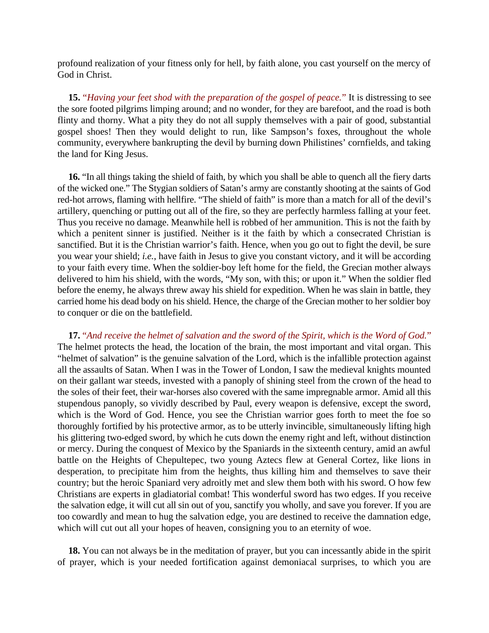profound realization of your fitness only for hell, by faith alone, you cast yourself on the mercy of God in Christ.

**15.** "*Having your feet shod with the preparation of the gospel of peace.*" It is distressing to see the sore footed pilgrims limping around; and no wonder, for they are barefoot, and the road is both flinty and thorny. What a pity they do not all supply themselves with a pair of good, substantial gospel shoes! Then they would delight to run, like Sampson's foxes, throughout the whole community, everywhere bankrupting the devil by burning down Philistines' cornfields, and taking the land for King Jesus.

**16.** "In all things taking the shield of faith, by which you shall be able to quench all the fiery darts of the wicked one." The Stygian soldiers of Satan's army are constantly shooting at the saints of God red-hot arrows, flaming with hellfire. "The shield of faith" is more than a match for all of the devil's artillery, quenching or putting out all of the fire, so they are perfectly harmless falling at your feet. Thus you receive no damage. Meanwhile hell is robbed of her ammunition. This is not the faith by which a penitent sinner is justified. Neither is it the faith by which a consecrated Christian is sanctified. But it is the Christian warrior's faith. Hence, when you go out to fight the devil, be sure you wear your shield; *i.e.*, have faith in Jesus to give you constant victory, and it will be according to your faith every time. When the soldier-boy left home for the field, the Grecian mother always delivered to him his shield, with the words, "My son, with this; or upon it." When the soldier fled before the enemy, he always threw away his shield for expedition. When he was slain in battle, they carried home his dead body on his shield. Hence, the charge of the Grecian mother to her soldier boy to conquer or die on the battlefield.

**17.** "*And receive the helmet of salvation and the sword of the Spirit, which is the Word of God.*" The helmet protects the head, the location of the brain, the most important and vital organ. This "helmet of salvation" is the genuine salvation of the Lord, which is the infallible protection against all the assaults of Satan. When I was in the Tower of London, I saw the medieval knights mounted on their gallant war steeds, invested with a panoply of shining steel from the crown of the head to the soles of their feet, their war-horses also covered with the same impregnable armor. Amid all this stupendous panoply, so vividly described by Paul, every weapon is defensive, except the sword, which is the Word of God. Hence, you see the Christian warrior goes forth to meet the foe so thoroughly fortified by his protective armor, as to be utterly invincible, simultaneously lifting high his glittering two-edged sword, by which he cuts down the enemy right and left, without distinction or mercy. During the conquest of Mexico by the Spaniards in the sixteenth century, amid an awful battle on the Heights of Chepultepec, two young Aztecs flew at General Cortez, like lions in desperation, to precipitate him from the heights, thus killing him and themselves to save their country; but the heroic Spaniard very adroitly met and slew them both with his sword. O how few Christians are experts in gladiatorial combat! This wonderful sword has two edges. If you receive the salvation edge, it will cut all sin out of you, sanctify you wholly, and save you forever. If you are too cowardly and mean to hug the salvation edge, you are destined to receive the damnation edge, which will cut out all your hopes of heaven, consigning you to an eternity of woe.

**18.** You can not always be in the meditation of prayer, but you can incessantly abide in the spirit of prayer, which is your needed fortification against demoniacal surprises, to which you are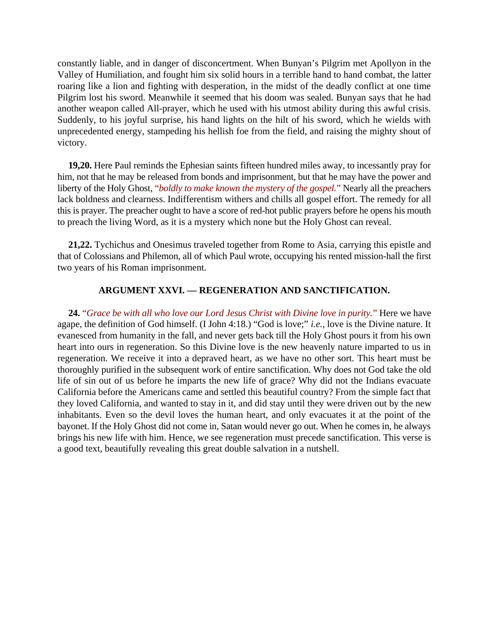constantly liable, and in danger of disconcertment. When Bunyan's Pilgrim met Apollyon in the Valley of Humiliation, and fought him six solid hours in a terrible hand to hand combat, the latter roaring like a lion and fighting with desperation, in the midst of the deadly conflict at one time Pilgrim lost his sword. Meanwhile it seemed that his doom was sealed. Bunyan says that he had another weapon called All-prayer, which he used with his utmost ability during this awful crisis. Suddenly, to his joyful surprise, his hand lights on the hilt of his sword, which he wields with unprecedented energy, stampeding his hellish foe from the field, and raising the mighty shout of victory.

**19,20.** Here Paul reminds the Ephesian saints fifteen hundred miles away, to incessantly pray for him, not that he may be released from bonds and imprisonment, but that he may have the power and liberty of the Holy Ghost, "*boldly to make known the mystery of the gospel.*" Nearly all the preachers lack boldness and clearness. Indifferentism withers and chills all gospel effort. The remedy for all this is prayer. The preacher ought to have a score of red-hot public prayers before he opens his mouth to preach the living Word, as it is a mystery which none but the Holy Ghost can reveal.

**21,22.** Tychichus and Onesimus traveled together from Rome to Asia, carrying this epistle and that of Colossians and Philemon, all of which Paul wrote, occupying his rented mission-hall the first two years of his Roman imprisonment.

#### **ARGUMENT XXVI. — REGENERATION AND SANCTIFICATION.**

**24.** "*Grace be with all who love our Lord Jesus Christ with Divine love in purity.*" Here we have agape, the definition of God himself. (I John 4:18.) "God is love;" *i.e.*, love is the Divine nature. It evanesced from humanity in the fall, and never gets back till the Holy Ghost pours it from his own heart into ours in regeneration. So this Divine love is the new heavenly nature imparted to us in regeneration. We receive it into a depraved heart, as we have no other sort. This heart must be thoroughly purified in the subsequent work of entire sanctification. Why does not God take the old life of sin out of us before he imparts the new life of grace? Why did not the Indians evacuate California before the Americans came and settled this beautiful country? From the simple fact that they loved California, and wanted to stay in it, and did stay until they were driven out by the new inhabitants. Even so the devil loves the human heart, and only evacuates it at the point of the bayonet. If the Holy Ghost did not come in, Satan would never go out. When he comes in, he always brings his new life with him. Hence, we see regeneration must precede sanctification. This verse is a good text, beautifully revealing this great double salvation in a nutshell.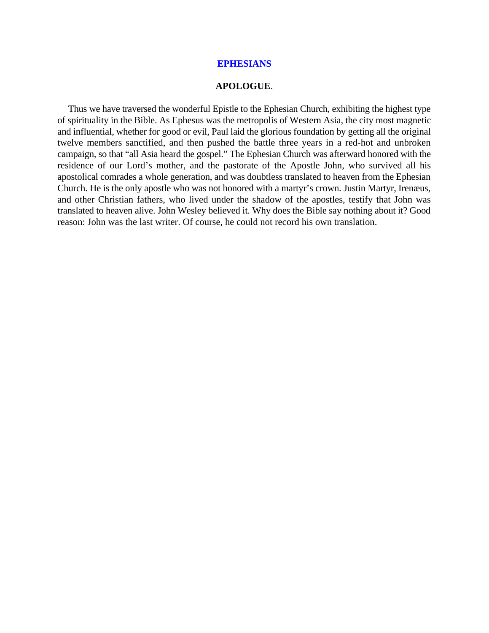#### **APOLOGUE**.

Thus we have traversed the wonderful Epistle to the Ephesian Church, exhibiting the highest type of spirituality in the Bible. As Ephesus was the metropolis of Western Asia, the city most magnetic and influential, whether for good or evil, Paul laid the glorious foundation by getting all the original twelve members sanctified, and then pushed the battle three years in a red-hot and unbroken campaign, so that "all Asia heard the gospel." The Ephesian Church was afterward honored with the residence of our Lord's mother, and the pastorate of the Apostle John, who survived all his apostolical comrades a whole generation, and was doubtless translated to heaven from the Ephesian Church. He is the only apostle who was not honored with a martyr's crown. Justin Martyr, Irenæus, and other Christian fathers, who lived under the shadow of the apostles, testify that John was translated to heaven alive. John Wesley believed it. Why does the Bible say nothing about it? Good reason: John was the last writer. Of course, he could not record his own translation.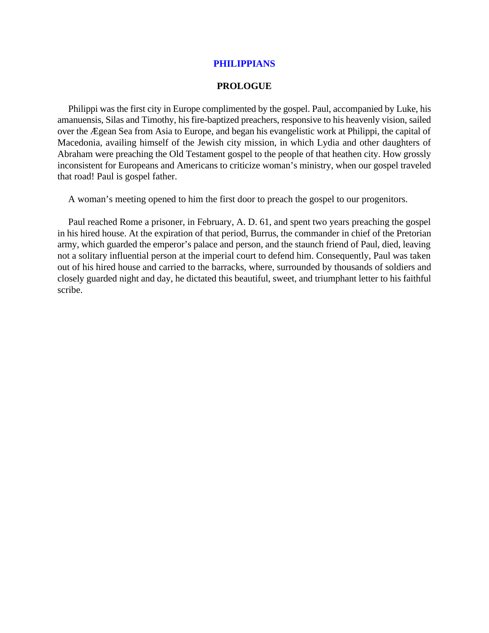## **PHILIPPIANS**

#### **PROLOGUE**

Philippi was the first city in Europe complimented by the gospel. Paul, accompanied by Luke, his amanuensis, Silas and Timothy, his fire-baptized preachers, responsive to his heavenly vision, sailed over the Ægean Sea from Asia to Europe, and began his evangelistic work at Philippi, the capital of Macedonia, availing himself of the Jewish city mission, in which Lydia and other daughters of Abraham were preaching the Old Testament gospel to the people of that heathen city. How grossly inconsistent for Europeans and Americans to criticize woman's ministry, when our gospel traveled that road! Paul is gospel father.

A woman's meeting opened to him the first door to preach the gospel to our progenitors.

Paul reached Rome a prisoner, in February, A. D. 61, and spent two years preaching the gospel in his hired house. At the expiration of that period, Burrus, the commander in chief of the Pretorian army, which guarded the emperor's palace and person, and the staunch friend of Paul, died, leaving not a solitary influential person at the imperial court to defend him. Consequently, Paul was taken out of his hired house and carried to the barracks, where, surrounded by thousands of soldiers and closely guarded night and day, he dictated this beautiful, sweet, and triumphant letter to his faithful scribe.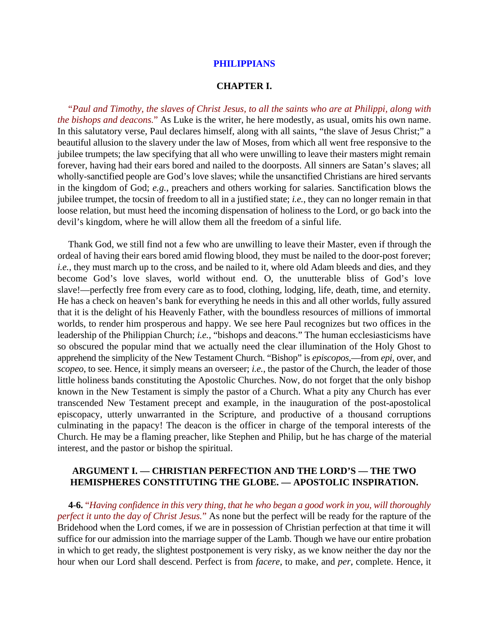#### **PHILIPPIANS**

#### **CHAPTER I.**

"*Paul and Timothy, the slaves of Christ Jesus, to all the saints who are at Philippi, along with the bishops and deacons.*" As Luke is the writer, he here modestly, as usual, omits his own name. In this salutatory verse, Paul declares himself, along with all saints, "the slave of Jesus Christ;" a beautiful allusion to the slavery under the law of Moses, from which all went free responsive to the jubilee trumpets; the law specifying that all who were unwilling to leave their masters might remain forever, having had their ears bored and nailed to the doorposts. All sinners are Satan's slaves; all wholly-sanctified people are God's love slaves; while the unsanctified Christians are hired servants in the kingdom of God; *e.g.*, preachers and others working for salaries. Sanctification blows the jubilee trumpet, the tocsin of freedom to all in a justified state; *i.e.*, they can no longer remain in that loose relation, but must heed the incoming dispensation of holiness to the Lord, or go back into the devil's kingdom, where he will allow them all the freedom of a sinful life.

Thank God, we still find not a few who are unwilling to leave their Master, even if through the ordeal of having their ears bored amid flowing blood, they must be nailed to the door-post forever; *i.e.*, they must march up to the cross, and be nailed to it, where old Adam bleeds and dies, and they become God's love slaves, world without end. O, the unutterable bliss of God's love slave!—perfectly free from every care as to food, clothing, lodging, life, death, time, and eternity. He has a check on heaven's bank for everything he needs in this and all other worlds, fully assured that it is the delight of his Heavenly Father, with the boundless resources of millions of immortal worlds, to render him prosperous and happy. We see here Paul recognizes but two offices in the leadership of the Philippian Church; *i.e.*, "bishops and deacons." The human ecclesiasticisms have so obscured the popular mind that we actually need the clear illumination of the Holy Ghost to apprehend the simplicity of the New Testament Church. "Bishop" is *episcopos*,—from *epi*, over, and *scopeo*, to see. Hence, it simply means an overseer; *i.e.*, the pastor of the Church, the leader of those little holiness bands constituting the Apostolic Churches. Now, do not forget that the only bishop known in the New Testament is simply the pastor of a Church. What a pity any Church has ever transcended New Testament precept and example, in the inauguration of the post-apostolical episcopacy, utterly unwarranted in the Scripture, and productive of a thousand corruptions culminating in the papacy! The deacon is the officer in charge of the temporal interests of the Church. He may be a flaming preacher, like Stephen and Philip, but he has charge of the material interest, and the pastor or bishop the spiritual.

## **ARGUMENT I. — CHRISTIAN PERFECTION AND THE LORD'S — THE TWO HEMISPHERES CONSTITUTING THE GLOBE. — APOSTOLIC INSPIRATION.**

**4-6.** "*Having confidence in this very thing, that he who began a good work in you, will thoroughly perfect it unto the day of Christ Jesus.*" As none but the perfect will be ready for the rapture of the Bridehood when the Lord comes, if we are in possession of Christian perfection at that time it will suffice for our admission into the marriage supper of the Lamb. Though we have our entire probation in which to get ready, the slightest postponement is very risky, as we know neither the day nor the hour when our Lord shall descend. Perfect is from *facere*, to make, and *per*, complete. Hence, it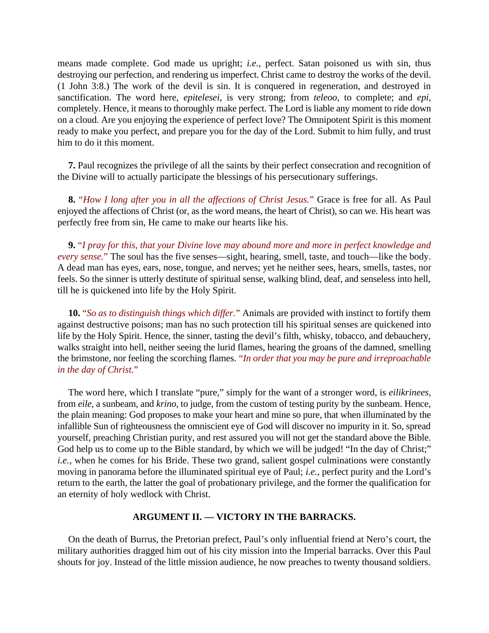means made complete. God made us upright; *i.e.*, perfect. Satan poisoned us with sin, thus destroying our perfection, and rendering us imperfect. Christ came to destroy the works of the devil. (1 John 3:8.) The work of the devil is sin. It is conquered in regeneration, and destroyed in sanctification. The word here, *epitelesei*, is very strong; from *teleoo*, to complete; and *epi*, completely. Hence, it means to thoroughly make perfect. The Lord is liable any moment to ride down on a cloud. Are you enjoying the experience of perfect love? The Omnipotent Spirit is this moment ready to make you perfect, and prepare you for the day of the Lord. Submit to him fully, and trust him to do it this moment.

**7.** Paul recognizes the privilege of all the saints by their perfect consecration and recognition of the Divine will to actually participate the blessings of his persecutionary sufferings.

**8.** "*How I long after you in all the affections of Christ Jesus.*" Grace is free for all. As Paul enjoyed the affections of Christ (or, as the word means, the heart of Christ), so can we. His heart was perfectly free from sin, He came to make our hearts like his.

**9.** "*I pray for this, that your Divine love may abound more and more in perfect knowledge and every sense.*" The soul has the five senses—sight, hearing, smell, taste, and touch—like the body. A dead man has eyes, ears, nose, tongue, and nerves; yet he neither sees, hears, smells, tastes, nor feels. So the sinner is utterly destitute of spiritual sense, walking blind, deaf, and senseless into hell, till he is quickened into life by the Holy Spirit.

**10.** "*So as to distinguish things which differ.*" Animals are provided with instinct to fortify them against destructive poisons; man has no such protection till his spiritual senses are quickened into life by the Holy Spirit. Hence, the sinner, tasting the devil's filth, whisky, tobacco, and debauchery, walks straight into hell, neither seeing the lurid flames, hearing the groans of the damned, smelling the brimstone, nor feeling the scorching flames. "*In order that you may be pure and irreproachable in the day of Christ.*"

The word here, which I translate "pure," simply for the want of a stronger word, is *eilikrinees*, from *eile*, a sunbeam, and *krino*, to judge, from the custom of testing purity by the sunbeam. Hence, the plain meaning: God proposes to make your heart and mine so pure, that when illuminated by the infallible Sun of righteousness the omniscient eye of God will discover no impurity in it. So, spread yourself, preaching Christian purity, and rest assured you will not get the standard above the Bible. God help us to come up to the Bible standard, by which we will be judged! "In the day of Christ;" *i.e.*, when he comes for his Bride. These two grand, salient gospel culminations were constantly moving in panorama before the illuminated spiritual eye of Paul; *i.e.*, perfect purity and the Lord's return to the earth, the latter the goal of probationary privilege, and the former the qualification for an eternity of holy wedlock with Christ.

## **ARGUMENT II. — VICTORY IN THE BARRACKS.**

On the death of Burrus, the Pretorian prefect, Paul's only influential friend at Nero's court, the military authorities dragged him out of his city mission into the Imperial barracks. Over this Paul shouts for joy. Instead of the little mission audience, he now preaches to twenty thousand soldiers.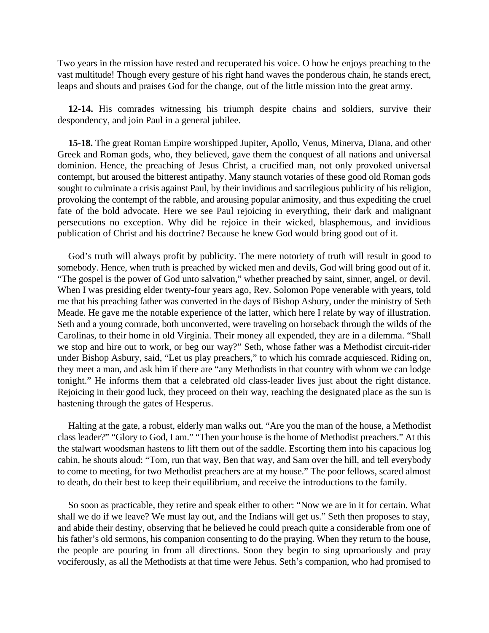Two years in the mission have rested and recuperated his voice. O how he enjoys preaching to the vast multitude! Though every gesture of his right hand waves the ponderous chain, he stands erect, leaps and shouts and praises God for the change, out of the little mission into the great army.

**12-14.** His comrades witnessing his triumph despite chains and soldiers, survive their despondency, and join Paul in a general jubilee.

**15-18.** The great Roman Empire worshipped Jupiter, Apollo, Venus, Minerva, Diana, and other Greek and Roman gods, who, they believed, gave them the conquest of all nations and universal dominion. Hence, the preaching of Jesus Christ, a crucified man, not only provoked universal contempt, but aroused the bitterest antipathy. Many staunch votaries of these good old Roman gods sought to culminate a crisis against Paul, by their invidious and sacrilegious publicity of his religion, provoking the contempt of the rabble, and arousing popular animosity, and thus expediting the cruel fate of the bold advocate. Here we see Paul rejoicing in everything, their dark and malignant persecutions no exception. Why did he rejoice in their wicked, blasphemous, and invidious publication of Christ and his doctrine? Because he knew God would bring good out of it.

God's truth will always profit by publicity. The mere notoriety of truth will result in good to somebody. Hence, when truth is preached by wicked men and devils, God will bring good out of it. "The gospel is the power of God unto salvation," whether preached by saint, sinner, angel, or devil. When I was presiding elder twenty-four years ago, Rev. Solomon Pope venerable with years, told me that his preaching father was converted in the days of Bishop Asbury, under the ministry of Seth Meade. He gave me the notable experience of the latter, which here I relate by way of illustration. Seth and a young comrade, both unconverted, were traveling on horseback through the wilds of the Carolinas, to their home in old Virginia. Their money all expended, they are in a dilemma. "Shall we stop and hire out to work, or beg our way?" Seth, whose father was a Methodist circuit-rider under Bishop Asbury, said, "Let us play preachers," to which his comrade acquiesced. Riding on, they meet a man, and ask him if there are "any Methodists in that country with whom we can lodge tonight." He informs them that a celebrated old class-leader lives just about the right distance. Rejoicing in their good luck, they proceed on their way, reaching the designated place as the sun is hastening through the gates of Hesperus.

Halting at the gate, a robust, elderly man walks out. "Are you the man of the house, a Methodist class leader?" "Glory to God, I am." "Then your house is the home of Methodist preachers." At this the stalwart woodsman hastens to lift them out of the saddle. Escorting them into his capacious log cabin, he shouts aloud: "Tom, run that way, Ben that way, and Sam over the hill, and tell everybody to come to meeting, for two Methodist preachers are at my house." The poor fellows, scared almost to death, do their best to keep their equilibrium, and receive the introductions to the family.

So soon as practicable, they retire and speak either to other: "Now we are in it for certain. What shall we do if we leave? We must lay out, and the Indians will get us." Seth then proposes to stay, and abide their destiny, observing that he believed he could preach quite a considerable from one of his father's old sermons, his companion consenting to do the praying. When they return to the house, the people are pouring in from all directions. Soon they begin to sing uproariously and pray vociferously, as all the Methodists at that time were Jehus. Seth's companion, who had promised to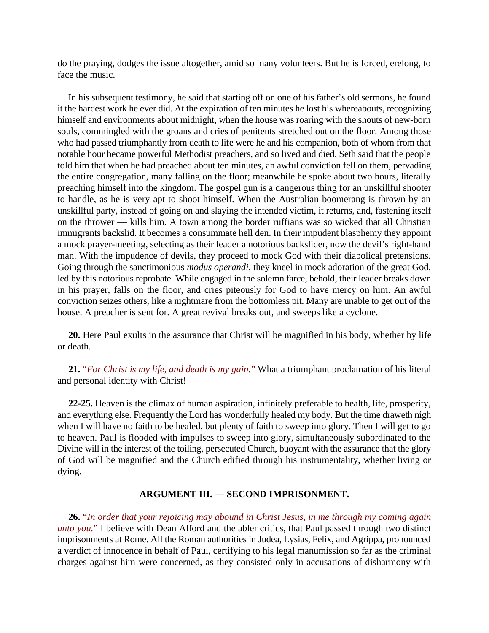do the praying, dodges the issue altogether, amid so many volunteers. But he is forced, erelong, to face the music.

In his subsequent testimony, he said that starting off on one of his father's old sermons, he found it the hardest work he ever did. At the expiration of ten minutes he lost his whereabouts, recognizing himself and environments about midnight, when the house was roaring with the shouts of new-born souls, commingled with the groans and cries of penitents stretched out on the floor. Among those who had passed triumphantly from death to life were he and his companion, both of whom from that notable hour became powerful Methodist preachers, and so lived and died. Seth said that the people told him that when he had preached about ten minutes, an awful conviction fell on them, pervading the entire congregation, many falling on the floor; meanwhile he spoke about two hours, literally preaching himself into the kingdom. The gospel gun is a dangerous thing for an unskillful shooter to handle, as he is very apt to shoot himself. When the Australian boomerang is thrown by an unskillful party, instead of going on and slaying the intended victim, it returns, and, fastening itself on the thrower — kills him. A town among the border ruffians was so wicked that all Christian immigrants backslid. It becomes a consummate hell den. In their impudent blasphemy they appoint a mock prayer-meeting, selecting as their leader a notorious backslider, now the devil's right-hand man. With the impudence of devils, they proceed to mock God with their diabolical pretensions. Going through the sanctimonious *modus operandi*, they kneel in mock adoration of the great God, led by this notorious reprobate. While engaged in the solemn farce, behold, their leader breaks down in his prayer, falls on the floor, and cries piteously for God to have mercy on him. An awful conviction seizes others, like a nightmare from the bottomless pit. Many are unable to get out of the house. A preacher is sent for. A great revival breaks out, and sweeps like a cyclone.

**20.** Here Paul exults in the assurance that Christ will be magnified in his body, whether by life or death.

**21.** "*For Christ is my life, and death is my gain.*" What a triumphant proclamation of his literal and personal identity with Christ!

**22-25.** Heaven is the climax of human aspiration, infinitely preferable to health, life, prosperity, and everything else. Frequently the Lord has wonderfully healed my body. But the time draweth nigh when I will have no faith to be healed, but plenty of faith to sweep into glory. Then I will get to go to heaven. Paul is flooded with impulses to sweep into glory, simultaneously subordinated to the Divine will in the interest of the toiling, persecuted Church, buoyant with the assurance that the glory of God will be magnified and the Church edified through his instrumentality, whether living or dying.

## **ARGUMENT III. — SECOND IMPRISONMENT.**

**26.** "*In order that your rejoicing may abound in Christ Jesus, in me through my coming again unto you.*" I believe with Dean Alford and the abler critics, that Paul passed through two distinct imprisonments at Rome. All the Roman authorities in Judea, Lysias, Felix, and Agrippa, pronounced a verdict of innocence in behalf of Paul, certifying to his legal manumission so far as the criminal charges against him were concerned, as they consisted only in accusations of disharmony with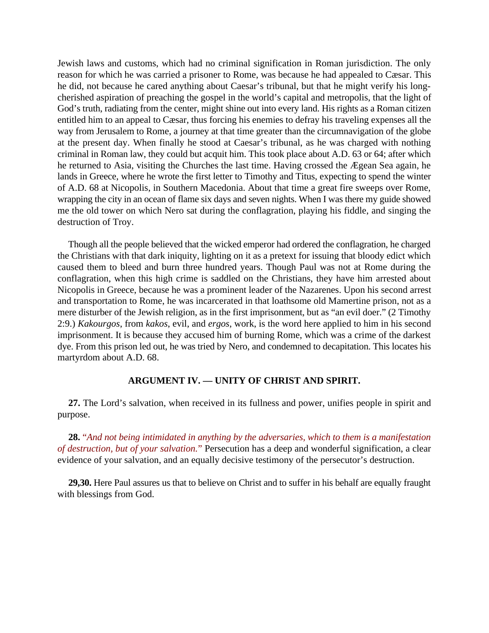Jewish laws and customs, which had no criminal signification in Roman jurisdiction. The only reason for which he was carried a prisoner to Rome, was because he had appealed to Cæsar. This he did, not because he cared anything about Caesar's tribunal, but that he might verify his longcherished aspiration of preaching the gospel in the world's capital and metropolis, that the light of God's truth, radiating from the center, might shine out into every land. His rights as a Roman citizen entitled him to an appeal to Cæsar, thus forcing his enemies to defray his traveling expenses all the way from Jerusalem to Rome, a journey at that time greater than the circumnavigation of the globe at the present day. When finally he stood at Caesar's tribunal, as he was charged with nothing criminal in Roman law, they could but acquit him. This took place about A.D. 63 or 64; after which he returned to Asia, visiting the Churches the last time. Having crossed the Ægean Sea again, he lands in Greece, where he wrote the first letter to Timothy and Titus, expecting to spend the winter of A.D. 68 at Nicopolis, in Southern Macedonia. About that time a great fire sweeps over Rome, wrapping the city in an ocean of flame six days and seven nights. When I was there my guide showed me the old tower on which Nero sat during the conflagration, playing his fiddle, and singing the destruction of Troy.

Though all the people believed that the wicked emperor had ordered the conflagration, he charged the Christians with that dark iniquity, lighting on it as a pretext for issuing that bloody edict which caused them to bleed and burn three hundred years. Though Paul was not at Rome during the conflagration, when this high crime is saddled on the Christians, they have him arrested about Nicopolis in Greece, because he was a prominent leader of the Nazarenes. Upon his second arrest and transportation to Rome, he was incarcerated in that loathsome old Mamertine prison, not as a mere disturber of the Jewish religion, as in the first imprisonment, but as "an evil doer." (2 Timothy 2:9.) *Kakourgos*, from *kakos*, evil, and *ergos*, work, is the word here applied to him in his second imprisonment. It is because they accused him of burning Rome, which was a crime of the darkest dye. From this prison led out, he was tried by Nero, and condemned to decapitation. This locates his martyrdom about A.D. 68.

## **ARGUMENT IV. — UNITY OF CHRIST AND SPIRIT.**

**27.** The Lord's salvation, when received in its fullness and power, unifies people in spirit and purpose.

**28.** "*And not being intimidated in anything by the adversaries, which to them is a manifestation of destruction, but of your salvation.*" Persecution has a deep and wonderful signification, a clear evidence of your salvation, and an equally decisive testimony of the persecutor's destruction.

**29,30.** Here Paul assures us that to believe on Christ and to suffer in his behalf are equally fraught with blessings from God.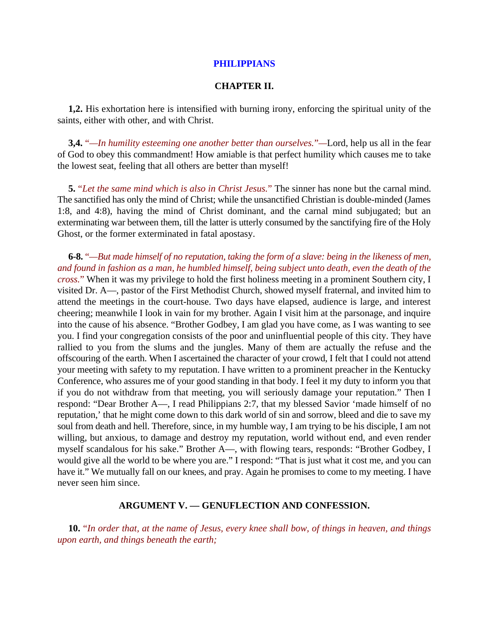### **PHILIPPIANS**

### **CHAPTER II.**

**1,2.** His exhortation here is intensified with burning irony, enforcing the spiritual unity of the saints, either with other, and with Christ.

**3,4.** "*—In humility esteeming one another better than ourselves.*"*—*Lord, help us all in the fear of God to obey this commandment! How amiable is that perfect humility which causes me to take the lowest seat, feeling that all others are better than myself!

**5.** "*Let the same mind which is also in Christ Jesus.*" The sinner has none but the carnal mind. The sanctified has only the mind of Christ; while the unsanctified Christian is double-minded (James 1:8, and 4:8), having the mind of Christ dominant, and the carnal mind subjugated; but an exterminating war between them, till the latter is utterly consumed by the sanctifying fire of the Holy Ghost, or the former exterminated in fatal apostasy.

**6-8.** "*—But made himself of no reputation, taking the form of a slave: being in the likeness of men, and found in fashion as a man, he humbled himself, being subject unto death, even the death of the cross.*" When it was my privilege to hold the first holiness meeting in a prominent Southern city, I visited Dr. A—, pastor of the First Methodist Church, showed myself fraternal, and invited him to attend the meetings in the court-house. Two days have elapsed, audience is large, and interest cheering; meanwhile I look in vain for my brother. Again I visit him at the parsonage, and inquire into the cause of his absence. "Brother Godbey, I am glad you have come, as I was wanting to see you. I find your congregation consists of the poor and uninfluential people of this city. They have rallied to you from the slums and the jungles. Many of them are actually the refuse and the offscouring of the earth. When I ascertained the character of your crowd, I felt that I could not attend your meeting with safety to my reputation. I have written to a prominent preacher in the Kentucky Conference, who assures me of your good standing in that body. I feel it my duty to inform you that if you do not withdraw from that meeting, you will seriously damage your reputation." Then I respond: "Dear Brother A—, I read Philippians 2:7, that my blessed Savior 'made himself of no reputation,' that he might come down to this dark world of sin and sorrow, bleed and die to save my soul from death and hell. Therefore, since, in my humble way, I am trying to be his disciple, I am not willing, but anxious, to damage and destroy my reputation, world without end, and even render myself scandalous for his sake." Brother A—, with flowing tears, responds: "Brother Godbey, I would give all the world to be where you are." I respond: "That is just what it cost me, and you can have it." We mutually fall on our knees, and pray. Again he promises to come to my meeting. I have never seen him since.

### **ARGUMENT V. — GENUFLECTION AND CONFESSION.**

**10.** "*In order that, at the name of Jesus, every knee shall bow, of things in heaven, and things upon earth, and things beneath the earth;*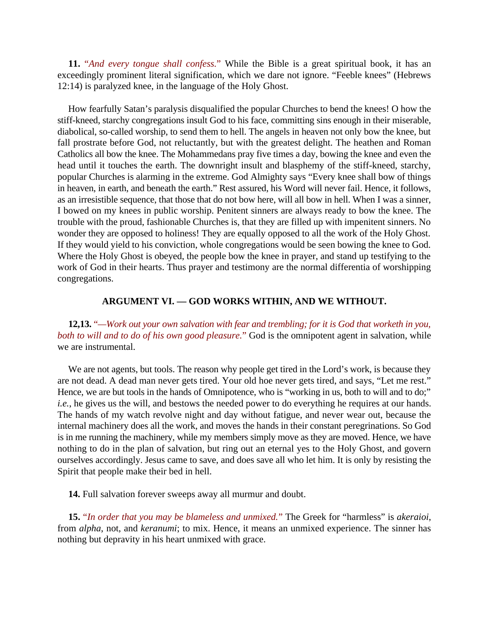**11.** "*And every tongue shall confess.*" While the Bible is a great spiritual book, it has an exceedingly prominent literal signification, which we dare not ignore. "Feeble knees" (Hebrews 12:14) is paralyzed knee, in the language of the Holy Ghost.

How fearfully Satan's paralysis disqualified the popular Churches to bend the knees! O how the stiff-kneed, starchy congregations insult God to his face, committing sins enough in their miserable, diabolical, so-called worship, to send them to hell. The angels in heaven not only bow the knee, but fall prostrate before God, not reluctantly, but with the greatest delight. The heathen and Roman Catholics all bow the knee. The Mohammedans pray five times a day, bowing the knee and even the head until it touches the earth. The downright insult and blasphemy of the stiff-kneed, starchy, popular Churches is alarming in the extreme. God Almighty says "Every knee shall bow of things in heaven, in earth, and beneath the earth." Rest assured, his Word will never fail. Hence, it follows, as an irresistible sequence, that those that do not bow here, will all bow in hell. When I was a sinner, I bowed on my knees in public worship. Penitent sinners are always ready to bow the knee. The trouble with the proud, fashionable Churches is, that they are filled up with impenitent sinners. No wonder they are opposed to holiness! They are equally opposed to all the work of the Holy Ghost. If they would yield to his conviction, whole congregations would be seen bowing the knee to God. Where the Holy Ghost is obeyed, the people bow the knee in prayer, and stand up testifying to the work of God in their hearts. Thus prayer and testimony are the normal differentia of worshipping congregations.

## **ARGUMENT VI. — GOD WORKS WITHIN, AND WE WITHOUT.**

**12,13.** "*—Work out your own salvation with fear and trembling; for it is God that worketh in you, both to will and to do of his own good pleasure.*" God is the omnipotent agent in salvation, while we are instrumental.

We are not agents, but tools. The reason why people get tired in the Lord's work, is because they are not dead. A dead man never gets tired. Your old hoe never gets tired, and says, "Let me rest." Hence, we are but tools in the hands of Omnipotence, who is "working in us, both to will and to do;" *i.e.*, he gives us the will, and bestows the needed power to do everything he requires at our hands. The hands of my watch revolve night and day without fatigue, and never wear out, because the internal machinery does all the work, and moves the hands in their constant peregrinations. So God is in me running the machinery, while my members simply move as they are moved. Hence, we have nothing to do in the plan of salvation, but ring out an eternal yes to the Holy Ghost, and govern ourselves accordingly. Jesus came to save, and does save all who let him. It is only by resisting the Spirit that people make their bed in hell.

**14.** Full salvation forever sweeps away all murmur and doubt.

**15.** "*In order that you may be blameless and unmixed.*" The Greek for "harmless" is *akeraioi*, from *alpha*, not, and *keranumi*; to mix. Hence, it means an unmixed experience. The sinner has nothing but depravity in his heart unmixed with grace.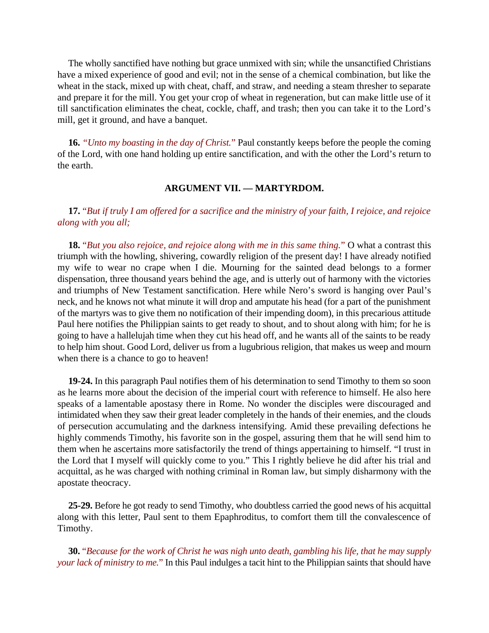The wholly sanctified have nothing but grace unmixed with sin; while the unsanctified Christians have a mixed experience of good and evil; not in the sense of a chemical combination, but like the wheat in the stack, mixed up with cheat, chaff, and straw, and needing a steam thresher to separate and prepare it for the mill. You get your crop of wheat in regeneration, but can make little use of it till sanctification eliminates the cheat, cockle, chaff, and trash; then you can take it to the Lord's mill, get it ground, and have a banquet.

**16.** *"Unto my boasting in the day of Christ.*" Paul constantly keeps before the people the coming of the Lord, with one hand holding up entire sanctification, and with the other the Lord's return to the earth.

## **ARGUMENT VII. — MARTYRDOM.**

# **17.** "*But if truly I am offered for a sacrifice and the ministry of your faith, I rejoice, and rejoice along with you all;*

**18.** "*But you also rejoice, and rejoice along with me in this same thing.*" O what a contrast this triumph with the howling, shivering, cowardly religion of the present day! I have already notified my wife to wear no crape when I die. Mourning for the sainted dead belongs to a former dispensation, three thousand years behind the age, and is utterly out of harmony with the victories and triumphs of New Testament sanctification. Here while Nero's sword is hanging over Paul's neck, and he knows not what minute it will drop and amputate his head (for a part of the punishment of the martyrs was to give them no notification of their impending doom), in this precarious attitude Paul here notifies the Philippian saints to get ready to shout, and to shout along with him; for he is going to have a hallelujah time when they cut his head off, and he wants all of the saints to be ready to help him shout. Good Lord, deliver us from a lugubrious religion, that makes us weep and mourn when there is a chance to go to heaven!

**19-24.** In this paragraph Paul notifies them of his determination to send Timothy to them so soon as he learns more about the decision of the imperial court with reference to himself. He also here speaks of a lamentable apostasy there in Rome. No wonder the disciples were discouraged and intimidated when they saw their great leader completely in the hands of their enemies, and the clouds of persecution accumulating and the darkness intensifying. Amid these prevailing defections he highly commends Timothy, his favorite son in the gospel, assuring them that he will send him to them when he ascertains more satisfactorily the trend of things appertaining to himself. "I trust in the Lord that I myself will quickly come to you." This I rightly believe he did after his trial and acquittal, as he was charged with nothing criminal in Roman law, but simply disharmony with the apostate theocracy.

**25-29.** Before he got ready to send Timothy, who doubtless carried the good news of his acquittal along with this letter, Paul sent to them Epaphroditus, to comfort them till the convalescence of Timothy.

**30.** "*Because for the work of Christ he was nigh unto death, gambling his life, that he may supply your lack of ministry to me.*" In this Paul indulges a tacit hint to the Philippian saints that should have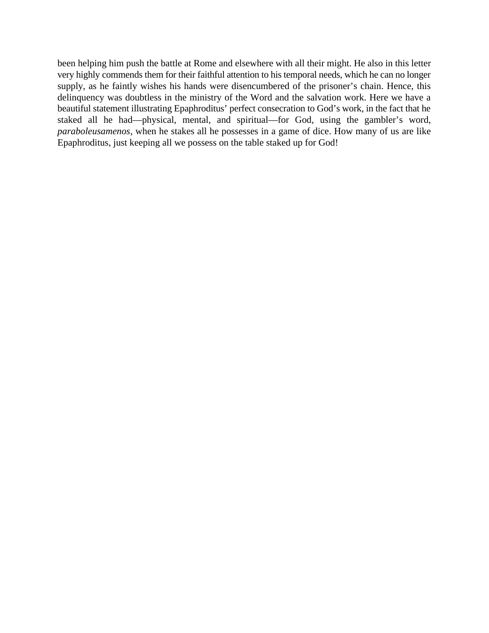been helping him push the battle at Rome and elsewhere with all their might. He also in this letter very highly commends them for their faithful attention to his temporal needs, which he can no longer supply, as he faintly wishes his hands were disencumbered of the prisoner's chain. Hence, this delinquency was doubtless in the ministry of the Word and the salvation work. Here we have a beautiful statement illustrating Epaphroditus' perfect consecration to God's work, in the fact that he staked all he had—physical, mental, and spiritual—for God, using the gambler's word, *paraboleusamenos*, when he stakes all he possesses in a game of dice. How many of us are like Epaphroditus, just keeping all we possess on the table staked up for God!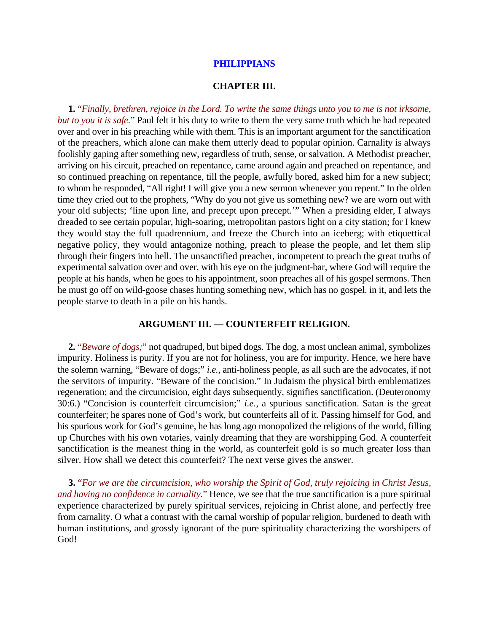### **PHILIPPIANS**

#### **CHAPTER III.**

**1.** "*Finally, brethren, rejoice in the Lord. To write the same things unto you to me is not irksome, but to you it is safe.*" Paul felt it his duty to write to them the very same truth which he had repeated over and over in his preaching while with them. This is an important argument for the sanctification of the preachers, which alone can make them utterly dead to popular opinion. Carnality is always foolishly gaping after something new, regardless of truth, sense, or salvation. A Methodist preacher, arriving on his circuit, preached on repentance, came around again and preached on repentance, and so continued preaching on repentance, till the people, awfully bored, asked him for a new subject; to whom he responded, "All right! I will give you a new sermon whenever you repent." In the olden time they cried out to the prophets, "Why do you not give us something new? we are worn out with your old subjects; 'line upon line, and precept upon precept.'" When a presiding elder, I always dreaded to see certain popular, high-soaring, metropolitan pastors light on a city station; for I knew they would stay the full quadrennium, and freeze the Church into an iceberg; with etiquettical negative policy, they would antagonize nothing, preach to please the people, and let them slip through their fingers into hell. The unsanctified preacher, incompetent to preach the great truths of experimental salvation over and over, with his eye on the judgment-bar, where God will require the people at his hands, when he goes to his appointment, soon preaches all of his gospel sermons. Then he must go off on wild-goose chases hunting something new, which has no gospel. in it, and lets the people starve to death in a pile on his hands.

### **ARGUMENT III. — COUNTERFEIT RELIGION.**

**2.** "*Beware of dogs;*" not quadruped, but biped dogs. The dog, a most unclean animal, symbolizes impurity. Holiness is purity. If you are not for holiness, you are for impurity. Hence, we here have the solemn warning, "Beware of dogs;" *i.e.*, anti-holiness people, as all such are the advocates, if not the servitors of impurity. "Beware of the concision." In Judaism the physical birth emblematizes regeneration; and the circumcision, eight days subsequently, signifies sanctification. (Deuteronomy 30:6.) "Concision is counterfeit circumcision;" *i.e.*, a spurious sanctification. Satan is the great counterfeiter; he spares none of God's work, but counterfeits all of it. Passing himself for God, and his spurious work for God's genuine, he has long ago monopolized the religions of the world, filling up Churches with his own votaries, vainly dreaming that they are worshipping God. A counterfeit sanctification is the meanest thing in the world, as counterfeit gold is so much greater loss than silver. How shall we detect this counterfeit? The next verse gives the answer.

**3.** "*For we are the circumcision, who worship the Spirit of God, truly rejoicing in Christ Jesus, and having no confidence in carnality.*" Hence, we see that the true sanctification is a pure spiritual experience characterized by purely spiritual services, rejoicing in Christ alone, and perfectly free from carnality. O what a contrast with the carnal worship of popular religion, burdened to death with human institutions, and grossly ignorant of the pure spirituality characterizing the worshipers of God!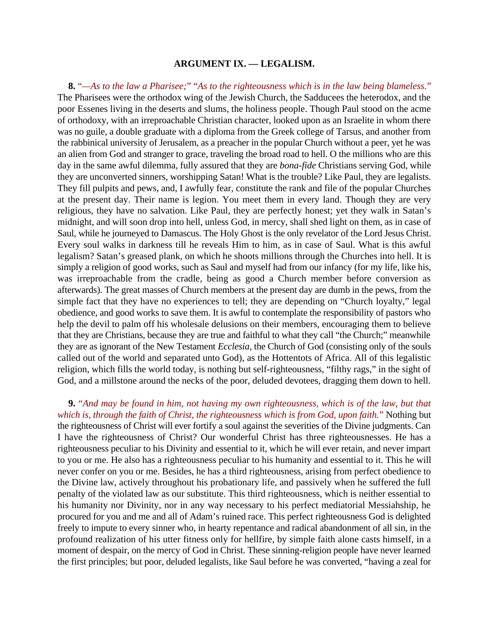#### **ARGUMENT IX. — LEGALISM.**

**8.** "*—As to the law a Pharisee;*" "*As to the righteousness which is in the law being blameless.*" The Pharisees were the orthodox wing of the Jewish Church, the Sadducees the heterodox, and the poor Essenes living in the deserts and slums, the holiness people. Though Paul stood on the acme of orthodoxy, with an irreproachable Christian character, looked upon as an Israelite in whom there was no guile, a double graduate with a diploma from the Greek college of Tarsus, and another from the rabbinical university of Jerusalem, as a preacher in the popular Church without a peer, yet he was an alien from God and stranger to grace, traveling the broad road to hell. O the millions who are this day in the same awful dilemma, fully assured that they are *bona-fide* Christians serving God, while they are unconverted sinners, worshipping Satan! What is the trouble? Like Paul, they are legalists. They fill pulpits and pews, and, I awfully fear, constitute the rank and file of the popular Churches at the present day. Their name is legion. You meet them in every land. Though they are very religious, they have no salvation. Like Paul, they are perfectly honest; yet they walk in Satan's midnight, and will soon drop into hell, unless God, in mercy, shall shed light on them, as in case of Saul, while he journeyed to Damascus. The Holy Ghost is the only revelator of the Lord Jesus Christ. Every soul walks in darkness till he reveals Him to him, as in case of Saul. What is this awful legalism? Satan's greased plank, on which he shoots millions through the Churches into hell. It is simply a religion of good works, such as Saul and myself had from our infancy (for my life, like his, was irreproachable from the cradle, being as good a Church member before conversion as afterwards). The great masses of Church members at the present day are dumb in the pews, from the simple fact that they have no experiences to tell; they are depending on "Church loyalty," legal obedience, and good works to save them. It is awful to contemplate the responsibility of pastors who help the devil to palm off his wholesale delusions on their members, encouraging them to believe that they are Christians, because they are true and faithful to what they call "the Church;" meanwhile they are as ignorant of the New Testament *Ecclesia*, the Church of God (consisting only of the souls called out of the world and separated unto God), as the Hottentots of Africa. All of this legalistic religion, which fills the world today, is nothing but self-righteousness, "filthy rags," in the sight of God, and a millstone around the necks of the poor, deluded devotees, dragging them down to hell.

**9.** "*And may be found in him, not having my own righteousness, which is of the law, but that which is, through the faith of Christ, the righteousness which is from God, upon faith.*" Nothing but the righteousness of Christ will ever fortify a soul against the severities of the Divine judgments. Can I have the righteousness of Christ? Our wonderful Christ has three righteousnesses. He has a righteousness peculiar to his Divinity and essential to it, which he will ever retain, and never impart to you or me. He also has a righteousness peculiar to his humanity and essential to it. This he will never confer on you or me. Besides, he has a third righteousness, arising from perfect obedience to the Divine law, actively throughout his probationary life, and passively when he suffered the full penalty of the violated law as our substitute. This third righteousness, which is neither essential to his humanity nor Divinity, nor in any way necessary to his perfect mediatorial Messiahship, he procured for you and me and all of Adam's ruined race. This perfect righteousness God is delighted freely to impute to every sinner who, in hearty repentance and radical abandonment of all sin, in the profound realization of his utter fitness only for hellfire, by simple faith alone casts himself, in a moment of despair, on the mercy of God in Christ. These sinning-religion people have never learned the first principles; but poor, deluded legalists, like Saul before he was converted, "having a zeal for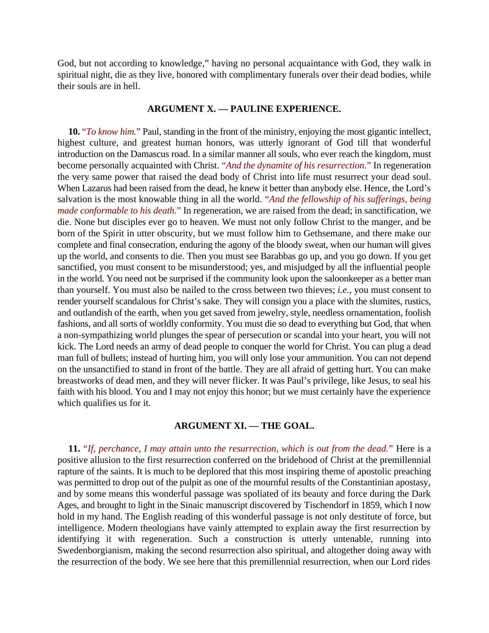God, but not according to knowledge," having no personal acquaintance with God, they walk in spiritual night, die as they live, honored with complimentary funerals over their dead bodies, while their souls are in hell.

## **ARGUMENT X. — PAULINE EXPERIENCE.**

**10.** "*To know him.*" Paul, standing in the front of the ministry, enjoying the most gigantic intellect, highest culture, and greatest human honors, was utterly ignorant of God till that wonderful introduction on the Damascus road. In a similar manner all souls, who ever reach the kingdom, must become personally acquainted with Christ. "*And the dynamite of his resurrection.*" In regeneration the very same power that raised the dead body of Christ into life must resurrect your dead soul. When Lazarus had been raised from the dead, he knew it better than anybody else. Hence, the Lord's salvation is the most knowable thing in all the world. "*And the fellowship of his sufferings, being made conformable to his death.*" In regeneration, we are raised from the dead; in sanctification, we die. None but disciples ever go to heaven. We must not only follow Christ to the manger, and be born of the Spirit in utter obscurity, but we must follow him to Gethsemane, and there make our complete and final consecration, enduring the agony of the bloody sweat, when our human will gives up the world, and consents to die. Then you must see Barabbas go up, and you go down. If you get sanctified, you must consent to be misunderstood; yes, and misjudged by all the influential people in the world. You need not be surprised if the community look upon the saloonkeeper as a better man than yourself. You must also be nailed to the cross between two thieves; *i.e.*, you must consent to render yourself scandalous for Christ's sake. They will consign you a place with the slumites, rustics, and outlandish of the earth, when you get saved from jewelry, style, needless ornamentation, foolish fashions, and all sorts of worldly conformity. You must die so dead to everything but God, that when a non-sympathizing world plunges the spear of persecution or scandal into your heart, you will not kick. The Lord needs an army of dead people to conquer the world for Christ. You can plug a dead man full of bullets; instead of hurting him, you will only lose your ammunition. You can not depend on the unsanctified to stand in front of the battle. They are all afraid of getting hurt. You can make breastworks of dead men, and they will never flicker. It was Paul's privilege, like Jesus, to seal his faith with his blood. You and I may not enjoy this honor; but we must certainly have the experience which qualifies us for it.

## **ARGUMENT XI. — THE GOAL.**

**11.** "*If, perchance, I may attain unto the resurrection, which is out from the dead.*" Here is a positive allusion to the first resurrection conferred on the bridehood of Christ at the premillennial rapture of the saints. It is much to be deplored that this most inspiring theme of apostolic preaching was permitted to drop out of the pulpit as one of the mournful results of the Constantinian apostasy, and by some means this wonderful passage was spoliated of its beauty and force during the Dark Ages, and brought to light in the Sinaic manuscript discovered by Tischendorf in 1859, which I now hold in my hand. The English reading of this wonderful passage is not only destitute of force, but intelligence. Modern theologians have vainly attempted to explain away the first resurrection by identifying it with regeneration. Such a construction is utterly untenable, running into Swedenborgianism, making the second resurrection also spiritual, and altogether doing away with the resurrection of the body. We see here that this premillennial resurrection, when our Lord rides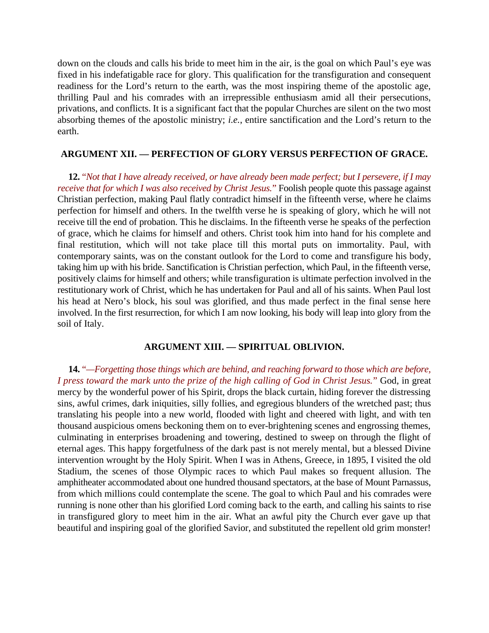down on the clouds and calls his bride to meet him in the air, is the goal on which Paul's eye was fixed in his indefatigable race for glory. This qualification for the transfiguration and consequent readiness for the Lord's return to the earth, was the most inspiring theme of the apostolic age, thrilling Paul and his comrades with an irrepressible enthusiasm amid all their persecutions, privations, and conflicts. It is a significant fact that the popular Churches are silent on the two most absorbing themes of the apostolic ministry; *i.e.*, entire sanctification and the Lord's return to the earth.

# **ARGUMENT XII. — PERFECTION OF GLORY VERSUS PERFECTION OF GRACE.**

**12.** "*Not that I have already received, or have already been made perfect; but I persevere, if I may receive that for which I was also received by Christ Jesus.*" Foolish people quote this passage against Christian perfection, making Paul flatly contradict himself in the fifteenth verse, where he claims perfection for himself and others. In the twelfth verse he is speaking of glory, which he will not receive till the end of probation. This he disclaims. In the fifteenth verse he speaks of the perfection of grace, which he claims for himself and others. Christ took him into hand for his complete and final restitution, which will not take place till this mortal puts on immortality. Paul, with contemporary saints, was on the constant outlook for the Lord to come and transfigure his body, taking him up with his bride. Sanctification is Christian perfection, which Paul, in the fifteenth verse, positively claims for himself and others; while transfiguration is ultimate perfection involved in the restitutionary work of Christ, which he has undertaken for Paul and all of his saints. When Paul lost his head at Nero's block, his soul was glorified, and thus made perfect in the final sense here involved. In the first resurrection, for which I am now looking, his body will leap into glory from the soil of Italy.

# **ARGUMENT XIII. — SPIRITUAL OBLIVION.**

**14.** "*—Forgetting those things which are behind, and reaching forward to those which are before, I press toward the mark unto the prize of the high calling of God in Christ Jesus.*" God, in great mercy by the wonderful power of his Spirit, drops the black curtain, hiding forever the distressing sins, awful crimes, dark iniquities, silly follies, and egregious blunders of the wretched past; thus translating his people into a new world, flooded with light and cheered with light, and with ten thousand auspicious omens beckoning them on to ever-brightening scenes and engrossing themes, culminating in enterprises broadening and towering, destined to sweep on through the flight of eternal ages. This happy forgetfulness of the dark past is not merely mental, but a blessed Divine intervention wrought by the Holy Spirit. When I was in Athens, Greece, in 1895, I visited the old Stadium, the scenes of those Olympic races to which Paul makes so frequent allusion. The amphitheater accommodated about one hundred thousand spectators, at the base of Mount Parnassus, from which millions could contemplate the scene. The goal to which Paul and his comrades were running is none other than his glorified Lord coming back to the earth, and calling his saints to rise in transfigured glory to meet him in the air. What an awful pity the Church ever gave up that beautiful and inspiring goal of the glorified Savior, and substituted the repellent old grim monster!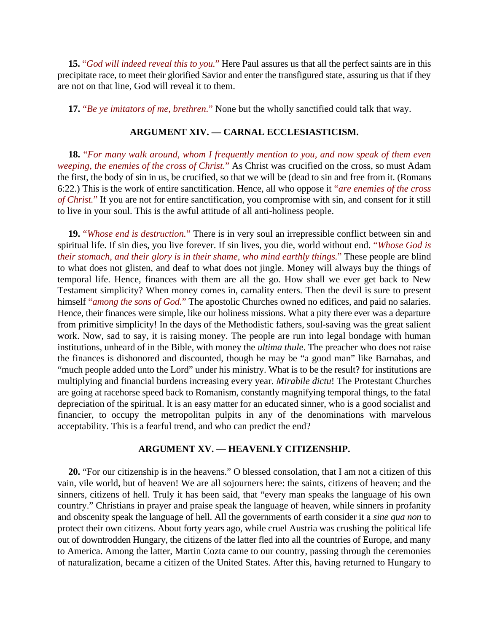**15.** "*God will indeed reveal this to you.*" Here Paul assures us that all the perfect saints are in this precipitate race, to meet their glorified Savior and enter the transfigured state, assuring us that if they are not on that line, God will reveal it to them.

**17.** "*Be ye imitators of me, brethren.*" None but the wholly sanctified could talk that way.

### **ARGUMENT XIV. — CARNAL ECCLESIASTICISM.**

**18.** "*For many walk around, whom I frequently mention to you, and now speak of them even weeping, the enemies of the cross of Christ.*" As Christ was crucified on the cross, so must Adam the first, the body of sin in us, be crucified, so that we will be (dead to sin and free from it. (Romans 6:22.) This is the work of entire sanctification. Hence, all who oppose it "*are enemies of the cross of Christ.*" If you are not for entire sanctification, you compromise with sin, and consent for it still to live in your soul. This is the awful attitude of all anti-holiness people.

**19.** "*Whose end is destruction.*" There is in very soul an irrepressible conflict between sin and spiritual life. If sin dies, you live forever. If sin lives, you die, world without end. "*Whose God is their stomach, and their glory is in their shame, who mind earthly things.*" These people are blind to what does not glisten, and deaf to what does not jingle. Money will always buy the things of temporal life. Hence, finances with them are all the go. How shall we ever get back to New Testament simplicity? When money comes in, carnality enters. Then the devil is sure to present himself "*among the sons of God.*" The apostolic Churches owned no edifices, and paid no salaries. Hence, their finances were simple, like our holiness missions. What a pity there ever was a departure from primitive simplicity! In the days of the Methodistic fathers, soul-saving was the great salient work. Now, sad to say, it is raising money. The people are run into legal bondage with human institutions, unheard of in the Bible, with money the *ultima thule*. The preacher who does not raise the finances is dishonored and discounted, though he may be "a good man" like Barnabas, and "much people added unto the Lord" under his ministry. What is to be the result? for institutions are multiplying and financial burdens increasing every year. *Mirabile dictu*! The Protestant Churches are going at racehorse speed back to Romanism, constantly magnifying temporal things, to the fatal depreciation of the spiritual. It is an easy matter for an educated sinner, who is a good socialist and financier, to occupy the metropolitan pulpits in any of the denominations with marvelous acceptability. This is a fearful trend, and who can predict the end?

## **ARGUMENT XV. — HEAVENLY CITIZENSHIP.**

**20.** "For our citizenship is in the heavens." O blessed consolation, that I am not a citizen of this vain, vile world, but of heaven! We are all sojourners here: the saints, citizens of heaven; and the sinners, citizens of hell. Truly it has been said, that "every man speaks the language of his own country." Christians in prayer and praise speak the language of heaven, while sinners in profanity and obscenity speak the language of hell. All the governments of earth consider it a *sine qua non* to protect their own citizens. About forty years ago, while cruel Austria was crushing the political life out of downtrodden Hungary, the citizens of the latter fled into all the countries of Europe, and many to America. Among the latter, Martin Cozta came to our country, passing through the ceremonies of naturalization, became a citizen of the United States. After this, having returned to Hungary to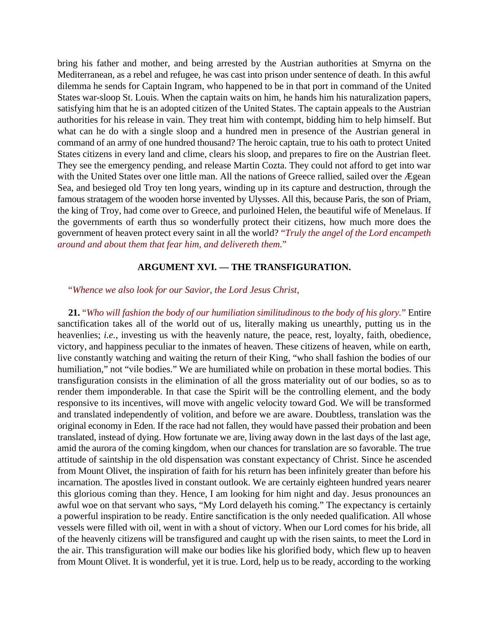bring his father and mother, and being arrested by the Austrian authorities at Smyrna on the Mediterranean, as a rebel and refugee, he was cast into prison under sentence of death. In this awful dilemma he sends for Captain Ingram, who happened to be in that port in command of the United States war-sloop St. Louis. When the captain waits on him, he hands him his naturalization papers, satisfying him that he is an adopted citizen of the United States. The captain appeals to the Austrian authorities for his release in vain. They treat him with contempt, bidding him to help himself. But what can he do with a single sloop and a hundred men in presence of the Austrian general in command of an army of one hundred thousand? The heroic captain, true to his oath to protect United States citizens in every land and clime, clears his sloop, and prepares to fire on the Austrian fleet. They see the emergency pending, and release Martin Cozta. They could not afford to get into war with the United States over one little man. All the nations of Greece rallied, sailed over the Ægean Sea, and besieged old Troy ten long years, winding up in its capture and destruction, through the famous stratagem of the wooden horse invented by Ulysses. All this, because Paris, the son of Priam, the king of Troy, had come over to Greece, and purloined Helen, the beautiful wife of Menelaus. If the governments of earth thus so wonderfully protect their citizens, how much more does the government of heaven protect every saint in all the world? "*Truly the angel of the Lord encampeth around and about them that fear him, and delivereth them.*"

### **ARGUMENT XVI. — THE TRANSFIGURATION.**

#### "*Whence we also look for our Savior, the Lord Jesus Christ,*

**21.** "*Who will fashion the body of our humiliation similitudinous to the body of his glory.*" Entire sanctification takes all of the world out of us, literally making us unearthly, putting us in the heavenlies; *i.e.*, investing us with the heavenly nature, the peace, rest, loyalty, faith, obedience, victory, and happiness peculiar to the inmates of heaven. These citizens of heaven, while on earth, live constantly watching and waiting the return of their King, "who shall fashion the bodies of our humiliation," not "vile bodies." We are humiliated while on probation in these mortal bodies. This transfiguration consists in the elimination of all the gross materiality out of our bodies, so as to render them imponderable. In that case the Spirit will be the controlling element, and the body responsive to its incentives, will move with angelic velocity toward God. We will be transformed and translated independently of volition, and before we are aware. Doubtless, translation was the original economy in Eden. If the race had not fallen, they would have passed their probation and been translated, instead of dying. How fortunate we are, living away down in the last days of the last age, amid the aurora of the coming kingdom, when our chances for translation are so favorable. The true attitude of saintship in the old dispensation was constant expectancy of Christ. Since he ascended from Mount Olivet, the inspiration of faith for his return has been infinitely greater than before his incarnation. The apostles lived in constant outlook. We are certainly eighteen hundred years nearer this glorious coming than they. Hence, I am looking for him night and day. Jesus pronounces an awful woe on that servant who says, "My Lord delayeth his coming." The expectancy is certainly a powerful inspiration to be ready. Entire sanctification is the only needed qualification. All whose vessels were filled with oil, went in with a shout of victory. When our Lord comes for his bride, all of the heavenly citizens will be transfigured and caught up with the risen saints, to meet the Lord in the air. This transfiguration will make our bodies like his glorified body, which flew up to heaven from Mount Olivet. It is wonderful, yet it is true. Lord, help us to be ready, according to the working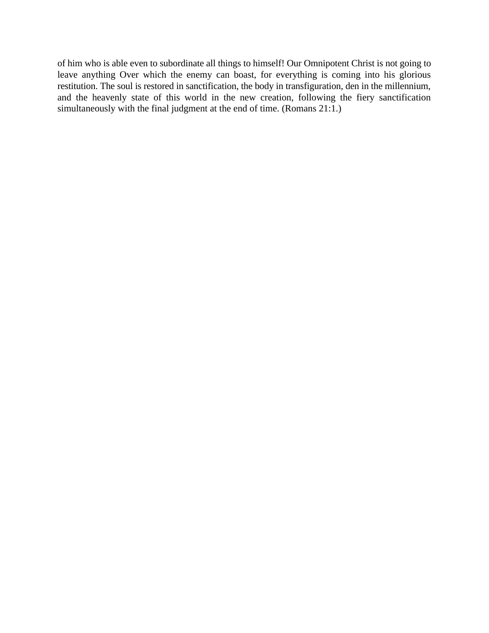of him who is able even to subordinate all things to himself! Our Omnipotent Christ is not going to leave anything Over which the enemy can boast, for everything is coming into his glorious restitution. The soul is restored in sanctification, the body in transfiguration, den in the millennium, and the heavenly state of this world in the new creation, following the fiery sanctification simultaneously with the final judgment at the end of time. (Romans 21:1.)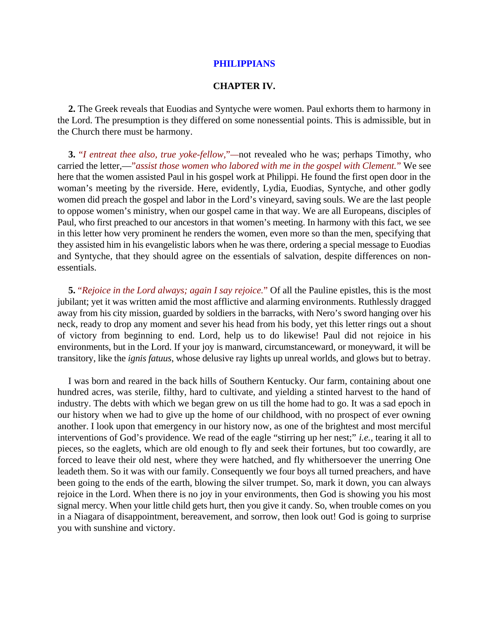#### **PHILIPPIANS**

### **CHAPTER IV.**

**2.** The Greek reveals that Euodias and Syntyche were women. Paul exhorts them to harmony in the Lord. The presumption is they differed on some nonessential points. This is admissible, but in the Church there must be harmony.

**3.** "*I entreat thee also, true yoke-fellow,*"*—*not revealed who he was; perhaps Timothy, who carried the letter,—"*assist those women who labored with me in the gospel with Clement.*" We see here that the women assisted Paul in his gospel work at Philippi. He found the first open door in the woman's meeting by the riverside. Here, evidently, Lydia, Euodias, Syntyche, and other godly women did preach the gospel and labor in the Lord's vineyard, saving souls. We are the last people to oppose women's ministry, when our gospel came in that way. We are all Europeans, disciples of Paul, who first preached to our ancestors in that women's meeting. In harmony with this fact, we see in this letter how very prominent he renders the women, even more so than the men, specifying that they assisted him in his evangelistic labors when he was there, ordering a special message to Euodias and Syntyche, that they should agree on the essentials of salvation, despite differences on nonessentials.

**5.** "*Rejoice in the Lord always; again I say rejoice.*" Of all the Pauline epistles, this is the most jubilant; yet it was written amid the most afflictive and alarming environments. Ruthlessly dragged away from his city mission, guarded by soldiers in the barracks, with Nero's sword hanging over his neck, ready to drop any moment and sever his head from his body, yet this letter rings out a shout of victory from beginning to end. Lord, help us to do likewise! Paul did not rejoice in his environments, but in the Lord. If your joy is manward, circumstanceward, or moneyward, it will be transitory, like the *ignis fatuus*, whose delusive ray lights up unreal worlds, and glows but to betray.

I was born and reared in the back hills of Southern Kentucky. Our farm, containing about one hundred acres, was sterile, filthy, hard to cultivate, and yielding a stinted harvest to the hand of industry. The debts with which we began grew on us till the home had to go. It was a sad epoch in our history when we had to give up the home of our childhood, with no prospect of ever owning another. I look upon that emergency in our history now, as one of the brightest and most merciful interventions of God's providence. We read of the eagle "stirring up her nest;" *i.e.*, tearing it all to pieces, so the eaglets, which are old enough to fly and seek their fortunes, but too cowardly, are forced to leave their old nest, where they were hatched, and fly whithersoever the unerring One leadeth them. So it was with our family. Consequently we four boys all turned preachers, and have been going to the ends of the earth, blowing the silver trumpet. So, mark it down, you can always rejoice in the Lord. When there is no joy in your environments, then God is showing you his most signal mercy. When your little child gets hurt, then you give it candy. So, when trouble comes on you in a Niagara of disappointment, bereavement, and sorrow, then look out! God is going to surprise you with sunshine and victory.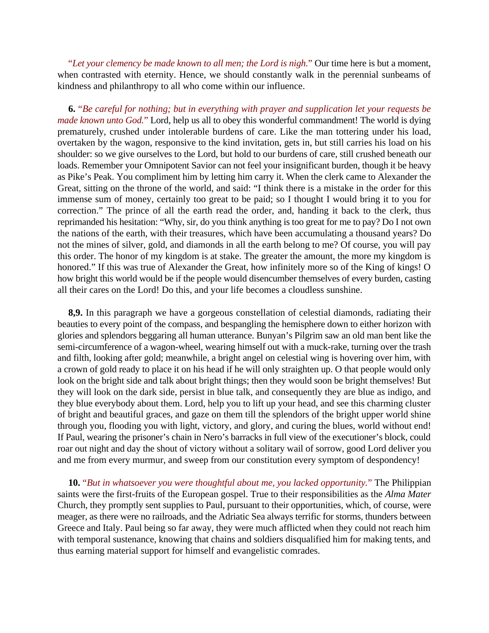"*Let your clemency be made known to all men; the Lord is nigh.*" Our time here is but a moment, when contrasted with eternity. Hence, we should constantly walk in the perennial sunbeams of kindness and philanthropy to all who come within our influence.

**6.** "*Be careful for nothing; but in everything with prayer and supplication let your requests be made known unto God.*" Lord, help us all to obey this wonderful commandment! The world is dying prematurely, crushed under intolerable burdens of care. Like the man tottering under his load, overtaken by the wagon, responsive to the kind invitation, gets in, but still carries his load on his shoulder: so we give ourselves to the Lord, but hold to our burdens of care, still crushed beneath our loads. Remember your Omnipotent Savior can not feel your insignificant burden, though it be heavy as Pike's Peak. You compliment him by letting him carry it. When the clerk came to Alexander the Great, sitting on the throne of the world, and said: "I think there is a mistake in the order for this immense sum of money, certainly too great to be paid; so I thought I would bring it to you for correction." The prince of all the earth read the order, and, handing it back to the clerk, thus reprimanded his hesitation: "Why, sir, do you think anything is too great for me to pay? Do I not own the nations of the earth, with their treasures, which have been accumulating a thousand years? Do not the mines of silver, gold, and diamonds in all the earth belong to me? Of course, you will pay this order. The honor of my kingdom is at stake. The greater the amount, the more my kingdom is honored." If this was true of Alexander the Great, how infinitely more so of the King of kings! O how bright this world would be if the people would disencumber themselves of every burden, casting all their cares on the Lord! Do this, and your life becomes a cloudless sunshine.

**8,9.** In this paragraph we have a gorgeous constellation of celestial diamonds, radiating their beauties to every point of the compass, and bespangling the hemisphere down to either horizon with glories and splendors beggaring all human utterance. Bunyan's Pilgrim saw an old man bent like the semi-circumference of a wagon-wheel, wearing himself out with a muck-rake, turning over the trash and filth, looking after gold; meanwhile, a bright angel on celestial wing is hovering over him, with a crown of gold ready to place it on his head if he will only straighten up. O that people would only look on the bright side and talk about bright things; then they would soon be bright themselves! But they will look on the dark side, persist in blue talk, and consequently they are blue as indigo, and they blue everybody about them. Lord, help you to lift up your head, and see this charming cluster of bright and beautiful graces, and gaze on them till the splendors of the bright upper world shine through you, flooding you with light, victory, and glory, and curing the blues, world without end! If Paul, wearing the prisoner's chain in Nero's barracks in full view of the executioner's block, could roar out night and day the shout of victory without a solitary wail of sorrow, good Lord deliver you and me from every murmur, and sweep from our constitution every symptom of despondency!

**10.** "*But in whatsoever you were thoughtful about me, you lacked opportunity.*" The Philippian saints were the first-fruits of the European gospel. True to their responsibilities as the *Alma Mater* Church, they promptly sent supplies to Paul, pursuant to their opportunities, which, of course, were meager, as there were no railroads, and the Adriatic Sea always terrific for storms, thunders between Greece and Italy. Paul being so far away, they were much afflicted when they could not reach him with temporal sustenance, knowing that chains and soldiers disqualified him for making tents, and thus earning material support for himself and evangelistic comrades.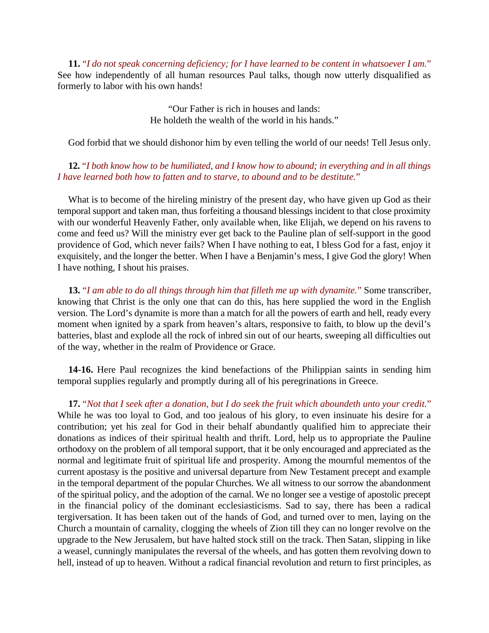**11.** "*I do not speak concerning deficiency; for I have learned to be content in whatsoever I am.*" See how independently of all human resources Paul talks, though now utterly disqualified as formerly to labor with his own hands!

> "Our Father is rich in houses and lands: He holdeth the wealth of the world in his hands."

God forbid that we should dishonor him by even telling the world of our needs! Tell Jesus only.

**12.** "*I both know how to be humiliated, and I know how to abound; in everything and in all things I have learned both how to fatten and to starve, to abound and to be destitute.*"

What is to become of the hireling ministry of the present day, who have given up God as their temporal support and taken man, thus forfeiting a thousand blessings incident to that close proximity with our wonderful Heavenly Father, only available when, like Elijah, we depend on his ravens to come and feed us? Will the ministry ever get back to the Pauline plan of self-support in the good providence of God, which never fails? When I have nothing to eat, I bless God for a fast, enjoy it exquisitely, and the longer the better. When I have a Benjamin's mess, I give God the glory! When I have nothing, I shout his praises.

**13.** "*I am able to do all things through him that filleth me up with dynamite.*" Some transcriber, knowing that Christ is the only one that can do this, has here supplied the word in the English version. The Lord's dynamite is more than a match for all the powers of earth and hell, ready every moment when ignited by a spark from heaven's altars, responsive to faith, to blow up the devil's batteries, blast and explode all the rock of inbred sin out of our hearts, sweeping all difficulties out of the way, whether in the realm of Providence or Grace.

**14-16.** Here Paul recognizes the kind benefactions of the Philippian saints in sending him temporal supplies regularly and promptly during all of his peregrinations in Greece.

**17.** "*Not that I seek after a donation, but I do seek the fruit which aboundeth unto your credit.*" While he was too loyal to God, and too jealous of his glory, to even insinuate his desire for a contribution; yet his zeal for God in their behalf abundantly qualified him to appreciate their donations as indices of their spiritual health and thrift. Lord, help us to appropriate the Pauline orthodoxy on the problem of all temporal support, that it be only encouraged and appreciated as the normal and legitimate fruit of spiritual life and prosperity. Among the mournful mementos of the current apostasy is the positive and universal departure from New Testament precept and example in the temporal department of the popular Churches. We all witness to our sorrow the abandonment of the spiritual policy, and the adoption of the carnal. We no longer see a vestige of apostolic precept in the financial policy of the dominant ecclesiasticisms. Sad to say, there has been a radical tergiversation. It has been taken out of the hands of God, and turned over to men, laying on the Church a mountain of carnality, clogging the wheels of Zion till they can no longer revolve on the upgrade to the New Jerusalem, but have halted stock still on the track. Then Satan, slipping in like a weasel, cunningly manipulates the reversal of the wheels, and has gotten them revolving down to hell, instead of up to heaven. Without a radical financial revolution and return to first principles, as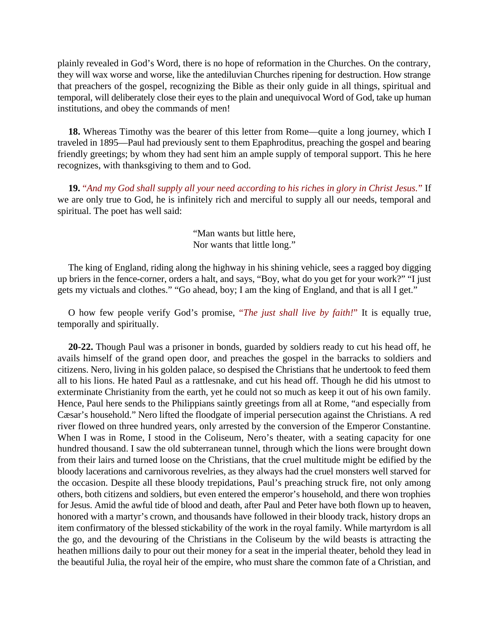plainly revealed in God's Word, there is no hope of reformation in the Churches. On the contrary, they will wax worse and worse, like the antediluvian Churches ripening for destruction. How strange that preachers of the gospel, recognizing the Bible as their only guide in all things, spiritual and temporal, will deliberately close their eyes to the plain and unequivocal Word of God, take up human institutions, and obey the commands of men!

**18.** Whereas Timothy was the bearer of this letter from Rome—quite a long journey, which I traveled in 1895—Paul had previously sent to them Epaphroditus, preaching the gospel and bearing friendly greetings; by whom they had sent him an ample supply of temporal support. This he here recognizes, with thanksgiving to them and to God.

**19.** "*And my God shall supply all your need according to his riches in glory in Christ Jesus.*" If we are only true to God, he is infinitely rich and merciful to supply all our needs, temporal and spiritual. The poet has well said:

> "Man wants but little here, Nor wants that little long."

The king of England, riding along the highway in his shining vehicle, sees a ragged boy digging up briers in the fence-corner, orders a halt, and says, "Boy, what do you get for your work?" "I just gets my victuals and clothes." "Go ahead, boy; I am the king of England, and that is all I get."

O how few people verify God's promise, "*The just shall live by faith!*" It is equally true, temporally and spiritually.

**20-22.** Though Paul was a prisoner in bonds, guarded by soldiers ready to cut his head off, he avails himself of the grand open door, and preaches the gospel in the barracks to soldiers and citizens. Nero, living in his golden palace, so despised the Christians that he undertook to feed them all to his lions. He hated Paul as a rattlesnake, and cut his head off. Though he did his utmost to exterminate Christianity from the earth, yet he could not so much as keep it out of his own family. Hence, Paul here sends to the Philippians saintly greetings from all at Rome, "and especially from Cæsar's household." Nero lifted the floodgate of imperial persecution against the Christians. A red river flowed on three hundred years, only arrested by the conversion of the Emperor Constantine. When I was in Rome, I stood in the Coliseum, Nero's theater, with a seating capacity for one hundred thousand. I saw the old subterranean tunnel, through which the lions were brought down from their lairs and turned loose on the Christians, that the cruel multitude might be edified by the bloody lacerations and carnivorous revelries, as they always had the cruel monsters well starved for the occasion. Despite all these bloody trepidations, Paul's preaching struck fire, not only among others, both citizens and soldiers, but even entered the emperor's household, and there won trophies for Jesus. Amid the awful tide of blood and death, after Paul and Peter have both flown up to heaven, honored with a martyr's crown, and thousands have followed in their bloody track, history drops an item confirmatory of the blessed stickability of the work in the royal family. While martyrdom is all the go, and the devouring of the Christians in the Coliseum by the wild beasts is attracting the heathen millions daily to pour out their money for a seat in the imperial theater, behold they lead in the beautiful Julia, the royal heir of the empire, who must share the common fate of a Christian, and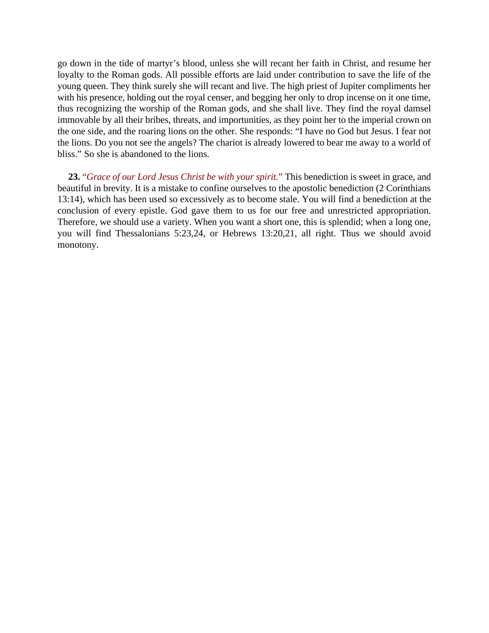go down in the tide of martyr's blood, unless she will recant her faith in Christ, and resume her loyalty to the Roman gods. All possible efforts are laid under contribution to save the life of the young queen. They think surely she will recant and live. The high priest of Jupiter compliments her with his presence, holding out the royal censer, and begging her only to drop incense on it one time, thus recognizing the worship of the Roman gods, and she shall live. They find the royal damsel immovable by all their bribes, threats, and importunities, as they point her to the imperial crown on the one side, and the roaring lions on the other. She responds: "I have no God but Jesus. I fear not the lions. Do you not see the angels? The chariot is already lowered to bear me away to a world of bliss." So she is abandoned to the lions.

**23.** "*Grace of our Lord Jesus Christ be with your spirit.*" This benediction is sweet in grace, and beautiful in brevity. It is a mistake to confine ourselves to the apostolic benediction (2 Corinthians 13:14), which has been used so excessively as to become stale. You will find a benediction at the conclusion of every epistle. God gave them to us for our free and unrestricted appropriation. Therefore, we should use a variety. When you want a short one, this is splendid; when a long one, you will find Thessalonians 5:23,24, or Hebrews 13:20,21, all right. Thus we should avoid monotony.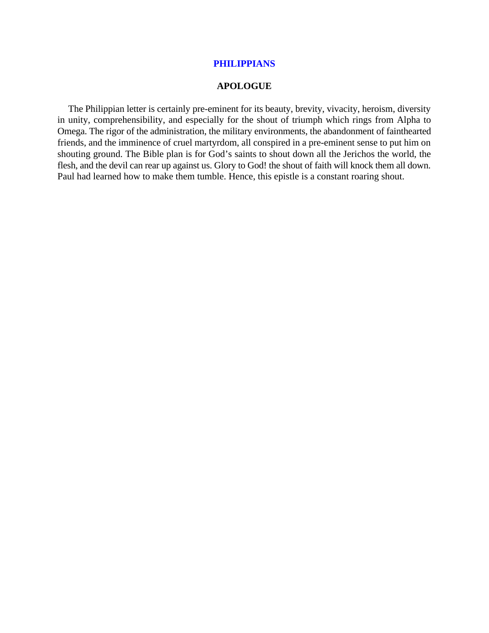### **PHILIPPIANS**

#### **APOLOGUE**

The Philippian letter is certainly pre-eminent for its beauty, brevity, vivacity, heroism, diversity in unity, comprehensibility, and especially for the shout of triumph which rings from Alpha to Omega. The rigor of the administration, the military environments, the abandonment of fainthearted friends, and the imminence of cruel martyrdom, all conspired in a pre-eminent sense to put him on shouting ground. The Bible plan is for God's saints to shout down all the Jerichos the world, the flesh, and the devil can rear up against us. Glory to God! the shout of faith will knock them all down. Paul had learned how to make them tumble. Hence, this epistle is a constant roaring shout.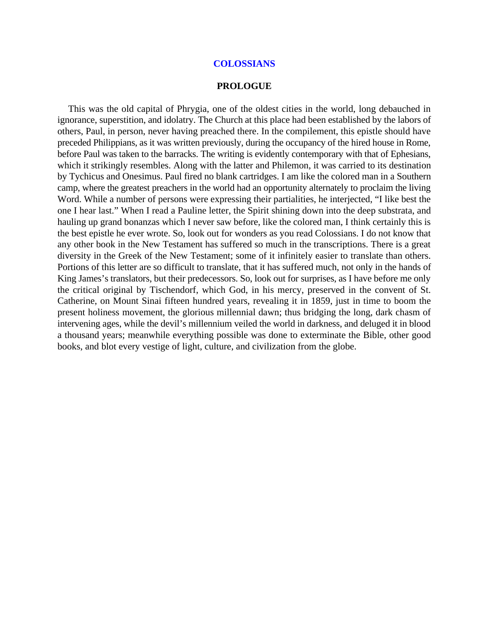#### **COLOSSIANS**

#### **PROLOGUE**

This was the old capital of Phrygia, one of the oldest cities in the world, long debauched in ignorance, superstition, and idolatry. The Church at this place had been established by the labors of others, Paul, in person, never having preached there. In the compilement, this epistle should have preceded Philippians, as it was written previously, during the occupancy of the hired house in Rome, before Paul was taken to the barracks. The writing is evidently contemporary with that of Ephesians, which it strikingly resembles. Along with the latter and Philemon, it was carried to its destination by Tychicus and Onesimus. Paul fired no blank cartridges. I am like the colored man in a Southern camp, where the greatest preachers in the world had an opportunity alternately to proclaim the living Word. While a number of persons were expressing their partialities, he interjected, "I like best the one I hear last." When I read a Pauline letter, the Spirit shining down into the deep substrata, and hauling up grand bonanzas which I never saw before, like the colored man, I think certainly this is the best epistle he ever wrote. So, look out for wonders as you read Colossians. I do not know that any other book in the New Testament has suffered so much in the transcriptions. There is a great diversity in the Greek of the New Testament; some of it infinitely easier to translate than others. Portions of this letter are so difficult to translate, that it has suffered much, not only in the hands of King James's translators, but their predecessors. So, look out for surprises, as I have before me only the critical original by Tischendorf, which God, in his mercy, preserved in the convent of St. Catherine, on Mount Sinai fifteen hundred years, revealing it in 1859, just in time to boom the present holiness movement, the glorious millennial dawn; thus bridging the long, dark chasm of intervening ages, while the devil's millennium veiled the world in darkness, and deluged it in blood a thousand years; meanwhile everything possible was done to exterminate the Bible, other good books, and blot every vestige of light, culture, and civilization from the globe.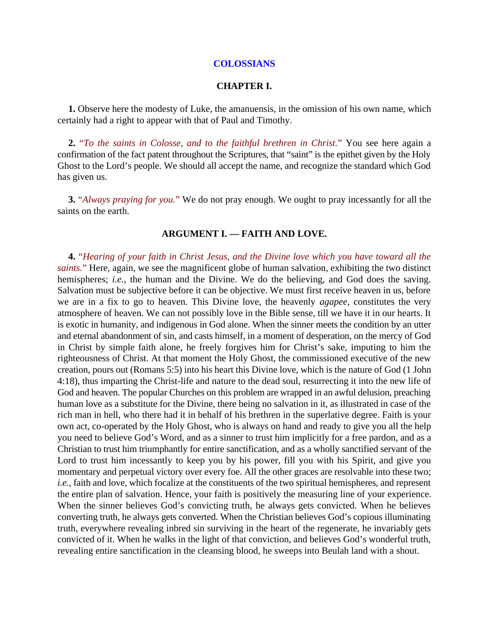#### **COLOSSIANS**

#### **CHAPTER I.**

**1.** Observe here the modesty of Luke, the amanuensis, in the omission of his own name, which certainly had a right to appear with that of Paul and Timothy.

**2.** "*To the saints in Colosse, and to the faithful brethren in Christ.*" You see here again a confirmation of the fact patent throughout the Scriptures, that "saint" is the epithet given by the Holy Ghost to the Lord's people. We should all accept the name, and recognize the standard which God has given us.

**3.** "*Always praying for you.*" We do not pray enough. We ought to pray incessantly for all the saints on the earth.

#### **ARGUMENT I. — FAITH AND LOVE.**

**4.** "*Hearing of your faith in Christ Jesus, and the Divine love which you have toward all the saints.*" Here, again, we see the magnificent globe of human salvation, exhibiting the two distinct hemispheres; *i.e.*, the human and the Divine. We do the believing, and God does the saving. Salvation must be subjective before it can be objective. We must first receive heaven in us, before we are in a fix to go to heaven. This Divine love, the heavenly *agapee*, constitutes the very atmosphere of heaven. We can not possibly love in the Bible sense, till we have it in our hearts. It is exotic in humanity, and indigenous in God alone. When the sinner meets the condition by an utter and eternal abandonment of sin, and casts himself, in a moment of desperation, on the mercy of God in Christ by simple faith alone, he freely forgives him for Christ's sake, imputing to him the righteousness of Christ. At that moment the Holy Ghost, the commissioned executive of the new creation, pours out (Romans 5:5) into his heart this Divine love, which is the nature of God (1 John 4:18), thus imparting the Christ-life and nature to the dead soul, resurrecting it into the new life of God and heaven. The popular Churches on this problem are wrapped in an awful delusion, preaching human love as a substitute for the Divine, there being no salvation in it, as illustrated in case of the rich man in hell, who there had it in behalf of his brethren in the superlative degree. Faith is your own act, co-operated by the Holy Ghost, who is always on hand and ready to give you all the help you need to believe God's Word, and as a sinner to trust him implicitly for a free pardon, and as a Christian to trust him triumphantly for entire sanctification, and as a wholly sanctified servant of the Lord to trust him incessantly to keep you by his power, fill you with his Spirit, and give you momentary and perpetual victory over every foe. All the other graces are resolvable into these two; *i.e.*, faith and love, which focalize at the constituents of the two spiritual hemispheres, and represent the entire plan of salvation. Hence, your faith is positively the measuring line of your experience. When the sinner believes God's convicting truth, he always gets convicted. When he believes converting truth, he always gets converted. When the Christian believes God's copious illuminating truth, everywhere revealing inbred sin surviving in the heart of the regenerate, he invariably gets convicted of it. When he walks in the light of that conviction, and believes God's wonderful truth, revealing entire sanctification in the cleansing blood, he sweeps into Beulah land with a shout.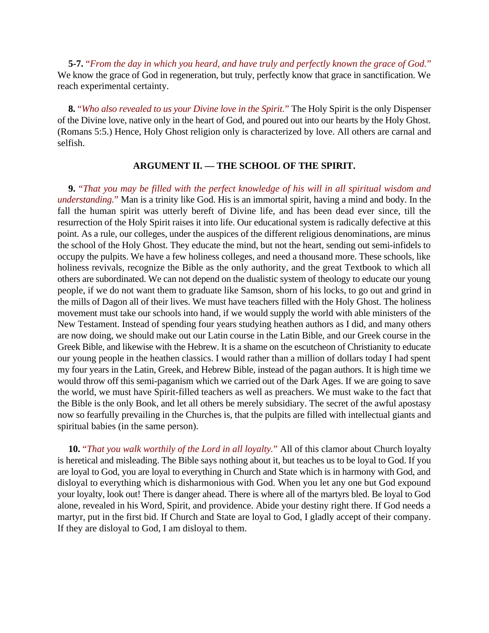**5-7.** "*From the day in which you heard, and have truly and perfectly known the grace of God.*" We know the grace of God in regeneration, but truly, perfectly know that grace in sanctification. We reach experimental certainty.

**8.** "*Who also revealed to us your Divine love in the Spirit.*" The Holy Spirit is the only Dispenser of the Divine love, native only in the heart of God, and poured out into our hearts by the Holy Ghost. (Romans 5:5.) Hence, Holy Ghost religion only is characterized by love. All others are carnal and selfish.

### **ARGUMENT II. — THE SCHOOL OF THE SPIRIT.**

**9.** "*That you may be filled with the perfect knowledge of his will in all spiritual wisdom and understanding.*" Man is a trinity like God. His is an immortal spirit, having a mind and body. In the fall the human spirit was utterly bereft of Divine life, and has been dead ever since, till the resurrection of the Holy Spirit raises it into life. Our educational system is radically defective at this point. As a rule, our colleges, under the auspices of the different religious denominations, are minus the school of the Holy Ghost. They educate the mind, but not the heart, sending out semi-infidels to occupy the pulpits. We have a few holiness colleges, and need a thousand more. These schools, like holiness revivals, recognize the Bible as the only authority, and the great Textbook to which all others are subordinated. We can not depend on the dualistic system of theology to educate our young people, if we do not want them to graduate like Samson, shorn of his locks, to go out and grind in the mills of Dagon all of their lives. We must have teachers filled with the Holy Ghost. The holiness movement must take our schools into hand, if we would supply the world with able ministers of the New Testament. Instead of spending four years studying heathen authors as I did, and many others are now doing, we should make out our Latin course in the Latin Bible, and our Greek course in the Greek Bible, and likewise with the Hebrew. It is a shame on the escutcheon of Christianity to educate our young people in the heathen classics. I would rather than a million of dollars today I had spent my four years in the Latin, Greek, and Hebrew Bible, instead of the pagan authors. It is high time we would throw off this semi-paganism which we carried out of the Dark Ages. If we are going to save the world, we must have Spirit-filled teachers as well as preachers. We must wake to the fact that the Bible is the only Book, and let all others be merely subsidiary. The secret of the awful apostasy now so fearfully prevailing in the Churches is, that the pulpits are filled with intellectual giants and spiritual babies (in the same person).

**10.** "*That you walk worthily of the Lord in all loyalty.*" All of this clamor about Church loyalty is heretical and misleading. The Bible says nothing about it, but teaches us to be loyal to God. If you are loyal to God, you are loyal to everything in Church and State which is in harmony with God, and disloyal to everything which is disharmonious with God. When you let any one but God expound your loyalty, look out! There is danger ahead. There is where all of the martyrs bled. Be loyal to God alone, revealed in his Word, Spirit, and providence. Abide your destiny right there. If God needs a martyr, put in the first bid. If Church and State are loyal to God, I gladly accept of their company. If they are disloyal to God, I am disloyal to them.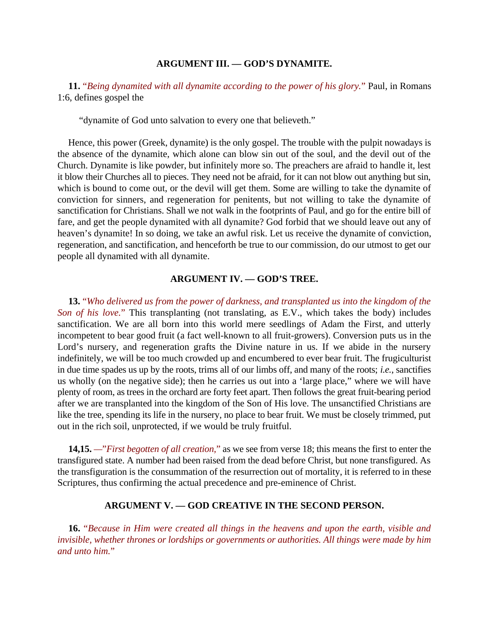#### **ARGUMENT III. — GOD'S DYNAMITE.**

**11.** "*Being dynamited with all dynamite according to the power of his glory.*" Paul, in Romans 1:6, defines gospel the

"dynamite of God unto salvation to every one that believeth."

Hence, this power (Greek, dynamite) is the only gospel. The trouble with the pulpit nowadays is the absence of the dynamite, which alone can blow sin out of the soul, and the devil out of the Church. Dynamite is like powder, but infinitely more so. The preachers are afraid to handle it, lest it blow their Churches all to pieces. They need not be afraid, for it can not blow out anything but sin, which is bound to come out, or the devil will get them. Some are willing to take the dynamite of conviction for sinners, and regeneration for penitents, but not willing to take the dynamite of sanctification for Christians. Shall we not walk in the footprints of Paul, and go for the entire bill of fare, and get the people dynamited with all dynamite? God forbid that we should leave out any of heaven's dynamite! In so doing, we take an awful risk. Let us receive the dynamite of conviction, regeneration, and sanctification, and henceforth be true to our commission, do our utmost to get our people all dynamited with all dynamite.

### **ARGUMENT IV. — GOD'S TREE.**

**13.** "*Who delivered us from the power of darkness, and transplanted us into the kingdom of the Son of his love.*" This transplanting (not translating, as E.V., which takes the body) includes sanctification. We are all born into this world mere seedlings of Adam the First, and utterly incompetent to bear good fruit (a fact well-known to all fruit-growers). Conversion puts us in the Lord's nursery, and regeneration grafts the Divine nature in us. If we abide in the nursery indefinitely, we will be too much crowded up and encumbered to ever bear fruit. The frugiculturist in due time spades us up by the roots, trims all of our limbs off, and many of the roots; *i.e.*, sanctifies us wholly (on the negative side); then he carries us out into a 'large place," where we will have plenty of room, as trees in the orchard are forty feet apart. Then follows the great fruit-bearing period after we are transplanted into the kingdom of the Son of His love. The unsanctified Christians are like the tree, spending its life in the nursery, no place to bear fruit. We must be closely trimmed, put out in the rich soil, unprotected, if we would be truly fruitful.

**14,15.** *—*"*First begotten of all creation,*" as we see from verse 18; this means the first to enter the transfigured state. A number had been raised from the dead before Christ, but none transfigured. As the transfiguration is the consummation of the resurrection out of mortality, it is referred to in these Scriptures, thus confirming the actual precedence and pre-eminence of Christ.

# **ARGUMENT V. — GOD CREATIVE IN THE SECOND PERSON.**

**16.** "*Because in Him were created all things in the heavens and upon the earth, visible and invisible, whether thrones or lordships or governments or authorities. All things were made by him and unto him.*"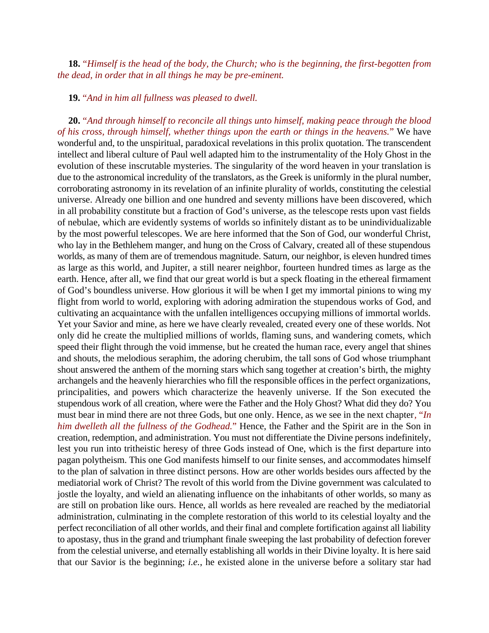**18.** "*Himself is the head of the body, the Church; who is the beginning, the first-begotten from the dead, in order that in all things he may be pre-eminent.*

**19.** "*And in him all fullness was pleased to dwell.*

**20.** "*And through himself to reconcile all things unto himself, making peace through the blood of his cross, through himself, whether things upon the earth or things in the heavens.*" We have wonderful and, to the unspiritual, paradoxical revelations in this prolix quotation. The transcendent intellect and liberal culture of Paul well adapted him to the instrumentality of the Holy Ghost in the evolution of these inscrutable mysteries. The singularity of the word heaven in your translation is due to the astronomical incredulity of the translators, as the Greek is uniformly in the plural number, corroborating astronomy in its revelation of an infinite plurality of worlds, constituting the celestial universe. Already one billion and one hundred and seventy millions have been discovered, which in all probability constitute but a fraction of God's universe, as the telescope rests upon vast fields of nebulae, which are evidently systems of worlds so infinitely distant as to be unindividualizable by the most powerful telescopes. We are here informed that the Son of God, our wonderful Christ, who lay in the Bethlehem manger, and hung on the Cross of Calvary, created all of these stupendous worlds, as many of them are of tremendous magnitude. Saturn, our neighbor, is eleven hundred times as large as this world, and Jupiter, a still nearer neighbor, fourteen hundred times as large as the earth. Hence, after all, we find that our great world is but a speck floating in the ethereal firmament of God's boundless universe. How glorious it will be when I get my immortal pinions to wing my flight from world to world, exploring with adoring admiration the stupendous works of God, and cultivating an acquaintance with the unfallen intelligences occupying millions of immortal worlds. Yet your Savior and mine, as here we have clearly revealed, created every one of these worlds. Not only did he create the multiplied millions of worlds, flaming suns, and wandering comets, which speed their flight through the void immense, but he created the human race, every angel that shines and shouts, the melodious seraphim, the adoring cherubim, the tall sons of God whose triumphant shout answered the anthem of the morning stars which sang together at creation's birth, the mighty archangels and the heavenly hierarchies who fill the responsible offices in the perfect organizations, principalities, and powers which characterize the heavenly universe. If the Son executed the stupendous work of all creation, where were the Father and the Holy Ghost? What did they do? You must bear in mind there are not three Gods, but one only. Hence, as we see in the next chapter*,* "*In him dwelleth all the fullness of the Godhead.*" Hence, the Father and the Spirit are in the Son in creation, redemption, and administration. You must not differentiate the Divine persons indefinitely, lest you run into tritheistic heresy of three Gods instead of One, which is the first departure into pagan polytheism. This one God manifests himself to our finite senses, and accommodates himself to the plan of salvation in three distinct persons. How are other worlds besides ours affected by the mediatorial work of Christ? The revolt of this world from the Divine government was calculated to jostle the loyalty, and wield an alienating influence on the inhabitants of other worlds, so many as are still on probation like ours. Hence, all worlds as here revealed are reached by the mediatorial administration, culminating in the complete restoration of this world to its celestial loyalty and the perfect reconciliation of all other worlds, and their final and complete fortification against all liability to apostasy, thus in the grand and triumphant finale sweeping the last probability of defection forever from the celestial universe, and eternally establishing all worlds in their Divine loyalty. It is here said that our Savior is the beginning; *i.e.*, he existed alone in the universe before a solitary star had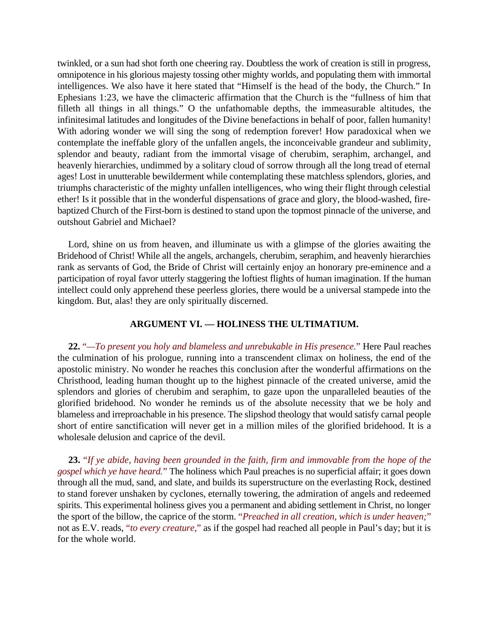twinkled, or a sun had shot forth one cheering ray. Doubtless the work of creation is still in progress, omnipotence in his glorious majesty tossing other mighty worlds, and populating them with immortal intelligences. We also have it here stated that "Himself is the head of the body, the Church." In Ephesians 1:23, we have the climacteric affirmation that the Church is the "fullness of him that filleth all things in all things." O the unfathomable depths, the immeasurable altitudes, the infinitesimal latitudes and longitudes of the Divine benefactions in behalf of poor, fallen humanity! With adoring wonder we will sing the song of redemption forever! How paradoxical when we contemplate the ineffable glory of the unfallen angels, the inconceivable grandeur and sublimity, splendor and beauty, radiant from the immortal visage of cherubim, seraphim, archangel, and heavenly hierarchies, undimmed by a solitary cloud of sorrow through all the long tread of eternal ages! Lost in unutterable bewilderment while contemplating these matchless splendors, glories, and triumphs characteristic of the mighty unfallen intelligences, who wing their flight through celestial ether! Is it possible that in the wonderful dispensations of grace and glory, the blood-washed, firebaptized Church of the First-born is destined to stand upon the topmost pinnacle of the universe, and outshout Gabriel and Michael?

Lord, shine on us from heaven, and illuminate us with a glimpse of the glories awaiting the Bridehood of Christ! While all the angels, archangels, cherubim, seraphim, and heavenly hierarchies rank as servants of God, the Bride of Christ will certainly enjoy an honorary pre-eminence and a participation of royal favor utterly staggering the loftiest flights of human imagination. If the human intellect could only apprehend these peerless glories, there would be a universal stampede into the kingdom. But, alas! they are only spiritually discerned.

# **ARGUMENT VI. — HOLINESS THE ULTIMATIUM.**

**22.** "*—To present you holy and blameless and unrebukable in His presence.*" Here Paul reaches the culmination of his prologue, running into a transcendent climax on holiness, the end of the apostolic ministry. No wonder he reaches this conclusion after the wonderful affirmations on the Christhood, leading human thought up to the highest pinnacle of the created universe, amid the splendors and glories of cherubim and seraphim, to gaze upon the unparalleled beauties of the glorified bridehood. No wonder he reminds us of the absolute necessity that we be holy and blameless and irreproachable in his presence. The slipshod theology that would satisfy carnal people short of entire sanctification will never get in a million miles of the glorified bridehood. It is a wholesale delusion and caprice of the devil.

**23.** "*If ye abide, having been grounded in the faith, firm and immovable from the hope of the gospel which ye have heard.*" The holiness which Paul preaches is no superficial affair; it goes down through all the mud, sand, and slate, and builds its superstructure on the everlasting Rock, destined to stand forever unshaken by cyclones, eternally towering, the admiration of angels and redeemed spirits. This experimental holiness gives you a permanent and abiding settlement in Christ, no longer the sport of the billow, the caprice of the storm. "*Preached in all creation, which is under heaven;*" not as E.V. reads, "*to every creature,*" as if the gospel had reached all people in Paul's day; but it is for the whole world.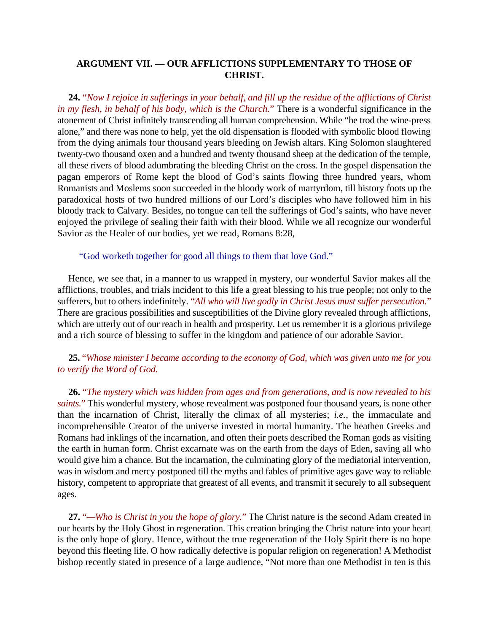## **ARGUMENT VII. — OUR AFFLICTIONS SUPPLEMENTARY TO THOSE OF CHRIST.**

**24.** "*Now I rejoice in sufferings in your behalf, and fill up the residue of the afflictions of Christ in my flesh, in behalf of his body, which is the Church.*" There is a wonderful significance in the atonement of Christ infinitely transcending all human comprehension. While "he trod the wine-press alone," and there was none to help, yet the old dispensation is flooded with symbolic blood flowing from the dying animals four thousand years bleeding on Jewish altars. King Solomon slaughtered twenty-two thousand oxen and a hundred and twenty thousand sheep at the dedication of the temple, all these rivers of blood adumbrating the bleeding Christ on the cross. In the gospel dispensation the pagan emperors of Rome kept the blood of God's saints flowing three hundred years, whom Romanists and Moslems soon succeeded in the bloody work of martyrdom, till history foots up the paradoxical hosts of two hundred millions of our Lord's disciples who have followed him in his bloody track to Calvary. Besides, no tongue can tell the sufferings of God's saints, who have never enjoyed the privilege of sealing their faith with their blood. While we all recognize our wonderful Savior as the Healer of our bodies, yet we read, Romans 8:28,

"God worketh together for good all things to them that love God."

Hence, we see that, in a manner to us wrapped in mystery, our wonderful Savior makes all the afflictions, troubles, and trials incident to this life a great blessing to his true people; not only to the sufferers, but to others indefinitely. "*All who will live godly in Christ Jesus must suffer persecution.*" There are gracious possibilities and susceptibilities of the Divine glory revealed through afflictions, which are utterly out of our reach in health and prosperity. Let us remember it is a glorious privilege and a rich source of blessing to suffer in the kingdom and patience of our adorable Savior.

# **25.** "*Whose minister I became according to the economy of God, which was given unto me for you to verify the Word of God.*

**26.** "*The mystery which was hidden from ages and from generations, and is now revealed to his saints.*" This wonderful mystery, whose revealment was postponed four thousand years, is none other than the incarnation of Christ, literally the climax of all mysteries; *i.e.*, the immaculate and incomprehensible Creator of the universe invested in mortal humanity. The heathen Greeks and Romans had inklings of the incarnation, and often their poets described the Roman gods as visiting the earth in human form. Christ excarnate was on the earth from the days of Eden, saving all who would give him a chance. But the incarnation, the culminating glory of the mediatorial intervention, was in wisdom and mercy postponed till the myths and fables of primitive ages gave way to reliable history, competent to appropriate that greatest of all events, and transmit it securely to all subsequent ages.

**27.** "*—Who is Christ in you the hope of glory.*" The Christ nature is the second Adam created in our hearts by the Holy Ghost in regeneration. This creation bringing the Christ nature into your heart is the only hope of glory. Hence, without the true regeneration of the Holy Spirit there is no hope beyond this fleeting life. O how radically defective is popular religion on regeneration! A Methodist bishop recently stated in presence of a large audience, "Not more than one Methodist in ten is this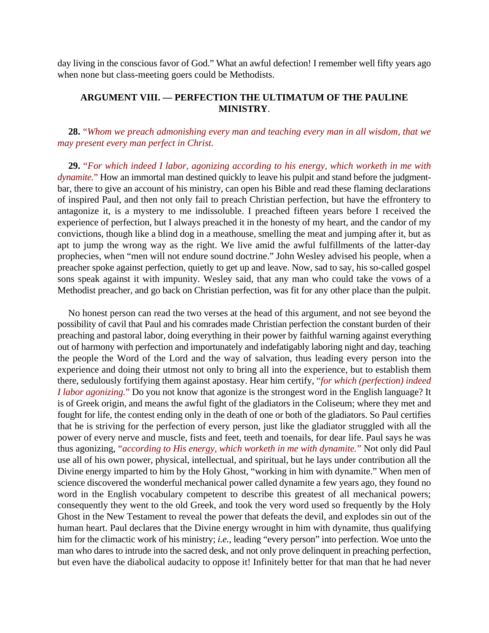day living in the conscious favor of God." What an awful defection! I remember well fifty years ago when none but class-meeting goers could be Methodists.

# **ARGUMENT VIII. — PERFECTION THE ULTIMATUM OF THE PAULINE MINISTRY**.

# **28.** "*Whom we preach admonishing every man and teaching every man in all wisdom, that we may present every man perfect in Christ.*

**29.** "*For which indeed I labor, agonizing according to his energy, which worketh in me with dynamite.*" How an immortal man destined quickly to leave his pulpit and stand before the judgmentbar, there to give an account of his ministry, can open his Bible and read these flaming declarations of inspired Paul, and then not only fail to preach Christian perfection, but have the effrontery to antagonize it, is a mystery to me indissoluble. I preached fifteen years before I received the experience of perfection, but I always preached it in the honesty of my heart, and the candor of my convictions, though like a blind dog in a meathouse, smelling the meat and jumping after it, but as apt to jump the wrong way as the right. We live amid the awful fulfillments of the latter-day prophecies, when "men will not endure sound doctrine." John Wesley advised his people, when a preacher spoke against perfection, quietly to get up and leave. Now, sad to say, his so-called gospel sons speak against it with impunity. Wesley said, that any man who could take the vows of a Methodist preacher, and go back on Christian perfection, was fit for any other place than the pulpit.

No honest person can read the two verses at the head of this argument, and not see beyond the possibility of cavil that Paul and his comrades made Christian perfection the constant burden of their preaching and pastoral labor, doing everything in their power by faithful warning against everything out of harmony with perfection and importunately and indefatigably laboring night and day, teaching the people the Word of the Lord and the way of salvation, thus leading every person into the experience and doing their utmost not only to bring all into the experience, but to establish them there, sedulously fortifying them against apostasy. Hear him certify, "*for which (perfection) indeed I labor agonizing.*" Do you not know that agonize is the strongest word in the English language? It is of Greek origin, and means the awful fight of the gladiators in the Coliseum; where they met and fought for life, the contest ending only in the death of one or both of the gladiators. So Paul certifies that he is striving for the perfection of every person, just like the gladiator struggled with all the power of every nerve and muscle, fists and feet, teeth and toenails, for dear life. Paul says he was thus agonizing, "*according to His energy, which worketh in me with dynamite.*" Not only did Paul use all of his own power, physical, intellectual, and spiritual, but he lays under contribution all the Divine energy imparted to him by the Holy Ghost, "working in him with dynamite." When men of science discovered the wonderful mechanical power called dynamite a few years ago, they found no word in the English vocabulary competent to describe this greatest of all mechanical powers; consequently they went to the old Greek, and took the very word used so frequently by the Holy Ghost in the New Testament to reveal the power that defeats the devil, and explodes sin out of the human heart. Paul declares that the Divine energy wrought in him with dynamite, thus qualifying him for the climactic work of his ministry; *i.e.*, leading "every person" into perfection. Woe unto the man who dares to intrude into the sacred desk, and not only prove delinquent in preaching perfection, but even have the diabolical audacity to oppose it! Infinitely better for that man that he had never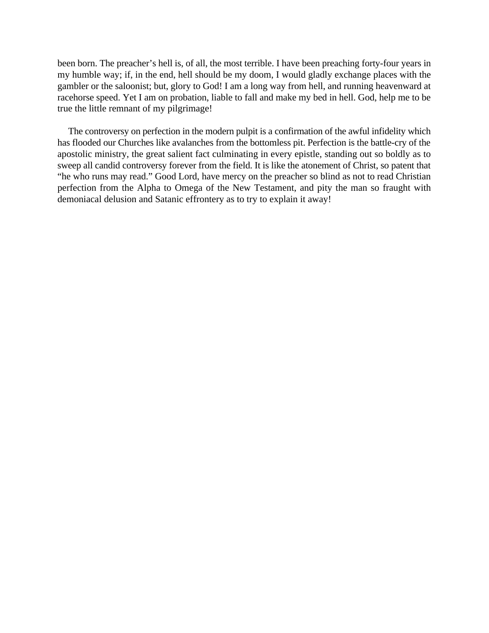been born. The preacher's hell is, of all, the most terrible. I have been preaching forty-four years in my humble way; if, in the end, hell should be my doom, I would gladly exchange places with the gambler or the saloonist; but, glory to God! I am a long way from hell, and running heavenward at racehorse speed. Yet I am on probation, liable to fall and make my bed in hell. God, help me to be true the little remnant of my pilgrimage!

The controversy on perfection in the modern pulpit is a confirmation of the awful infidelity which has flooded our Churches like avalanches from the bottomless pit. Perfection is the battle-cry of the apostolic ministry, the great salient fact culminating in every epistle, standing out so boldly as to sweep all candid controversy forever from the field. It is like the atonement of Christ, so patent that "he who runs may read." Good Lord, have mercy on the preacher so blind as not to read Christian perfection from the Alpha to Omega of the New Testament, and pity the man so fraught with demoniacal delusion and Satanic effrontery as to try to explain it away!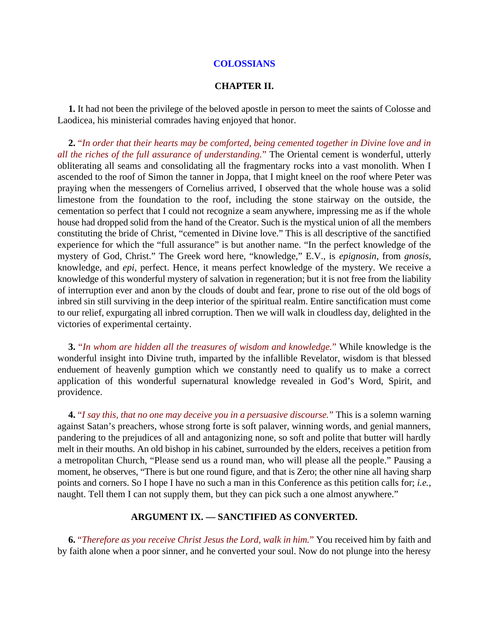#### **COLOSSIANS**

### **CHAPTER II.**

**1.** It had not been the privilege of the beloved apostle in person to meet the saints of Colosse and Laodicea, his ministerial comrades having enjoyed that honor.

**2.** "*In order that their hearts may be comforted, being cemented together in Divine love and in all the riches of the full assurance of understanding.*" The Oriental cement is wonderful, utterly obliterating all seams and consolidating all the fragmentary rocks into a vast monolith. When I ascended to the roof of Simon the tanner in Joppa, that I might kneel on the roof where Peter was praying when the messengers of Cornelius arrived, I observed that the whole house was a solid limestone from the foundation to the roof, including the stone stairway on the outside, the cementation so perfect that I could not recognize a seam anywhere, impressing me as if the whole house had dropped solid from the hand of the Creator. Such is the mystical union of all the members constituting the bride of Christ, "cemented in Divine love." This is all descriptive of the sanctified experience for which the "full assurance" is but another name. "In the perfect knowledge of the mystery of God, Christ." The Greek word here, "knowledge," E.V., is *epignosin*, from *gnosis*, knowledge, and *epi*, perfect. Hence, it means perfect knowledge of the mystery. We receive a knowledge of this wonderful mystery of salvation in regeneration; but it is not free from the liability of interruption ever and anon by the clouds of doubt and fear, prone to rise out of the old bogs of inbred sin still surviving in the deep interior of the spiritual realm. Entire sanctification must come to our relief, expurgating all inbred corruption. Then we will walk in cloudless day, delighted in the victories of experimental certainty.

**3.** "*In whom are hidden all the treasures of wisdom and knowledge.*" While knowledge is the wonderful insight into Divine truth, imparted by the infallible Revelator, wisdom is that blessed enduement of heavenly gumption which we constantly need to qualify us to make a correct application of this wonderful supernatural knowledge revealed in God's Word, Spirit, and providence.

**4.** "*I say this, that no one may deceive you in a persuasive discourse.*" This is a solemn warning against Satan's preachers, whose strong forte is soft palaver, winning words, and genial manners, pandering to the prejudices of all and antagonizing none, so soft and polite that butter will hardly melt in their mouths. An old bishop in his cabinet, surrounded by the elders, receives a petition from a metropolitan Church, "Please send us a round man, who will please all the people." Pausing a moment, he observes, "There is but one round figure, and that is Zero; the other nine all having sharp points and corners. So I hope I have no such a man in this Conference as this petition calls for; *i.e.*, naught. Tell them I can not supply them, but they can pick such a one almost anywhere."

# **ARGUMENT IX. — SANCTIFIED AS CONVERTED.**

**6.** "*Therefore as you receive Christ Jesus the Lord, walk in him.*" You received him by faith and by faith alone when a poor sinner, and he converted your soul. Now do not plunge into the heresy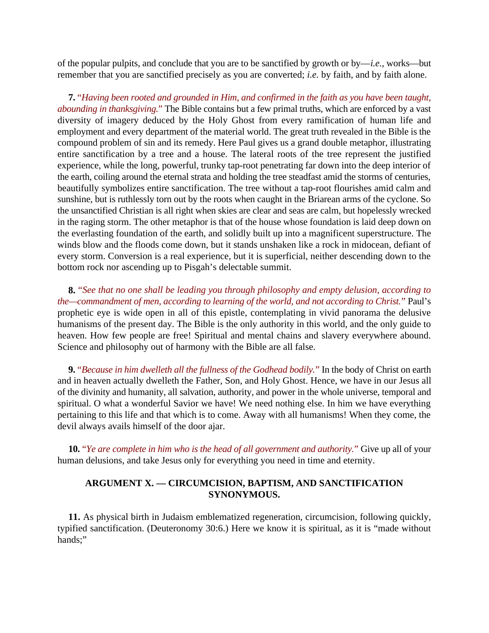of the popular pulpits, and conclude that you are to be sanctified by growth or by—*i.e.*, works—but remember that you are sanctified precisely as you are converted; *i.e.* by faith, and by faith alone.

**7.** "*Having been rooted and grounded in Him, and confirmed in the faith as you have been taught, abounding in thanksgiving.*" The Bible contains but a few primal truths, which are enforced by a vast diversity of imagery deduced by the Holy Ghost from every ramification of human life and employment and every department of the material world. The great truth revealed in the Bible is the compound problem of sin and its remedy. Here Paul gives us a grand double metaphor, illustrating entire sanctification by a tree and a house. The lateral roots of the tree represent the justified experience, while the long, powerful, trunky tap-root penetrating far down into the deep interior of the earth, coiling around the eternal strata and holding the tree steadfast amid the storms of centuries, beautifully symbolizes entire sanctification. The tree without a tap-root flourishes amid calm and sunshine, but is ruthlessly torn out by the roots when caught in the Briarean arms of the cyclone. So the unsanctified Christian is all right when skies are clear and seas are calm, but hopelessly wrecked in the raging storm. The other metaphor is that of the house whose foundation is laid deep down on the everlasting foundation of the earth, and solidly built up into a magnificent superstructure. The winds blow and the floods come down, but it stands unshaken like a rock in midocean, defiant of every storm. Conversion is a real experience, but it is superficial, neither descending down to the bottom rock nor ascending up to Pisgah's delectable summit.

**8.** "*See that no one shall be leading you through philosophy and empty delusion, according to the—commandment of men, according to learning of the world, and not according to Christ.*" Paul's prophetic eye is wide open in all of this epistle, contemplating in vivid panorama the delusive humanisms of the present day. The Bible is the only authority in this world, and the only guide to heaven. How few people are free! Spiritual and mental chains and slavery everywhere abound. Science and philosophy out of harmony with the Bible are all false.

**9.** "*Because in him dwelleth all the fullness of the Godhead bodily.*" In the body of Christ on earth and in heaven actually dwelleth the Father, Son, and Holy Ghost. Hence, we have in our Jesus all of the divinity and humanity, all salvation, authority, and power in the whole universe, temporal and spiritual. O what a wonderful Savior we have! We need nothing else. In him we have everything pertaining to this life and that which is to come. Away with all humanisms! When they come, the devil always avails himself of the door ajar.

**10.** "*Ye are complete in him who is the head of all government and authority.*" Give up all of your human delusions, and take Jesus only for everything you need in time and eternity.

# **ARGUMENT X. — CIRCUMCISION, BAPTISM, AND SANCTIFICATION SYNONYMOUS.**

**11.** As physical birth in Judaism emblematized regeneration, circumcision, following quickly, typified sanctification. (Deuteronomy 30:6.) Here we know it is spiritual, as it is "made without hands;"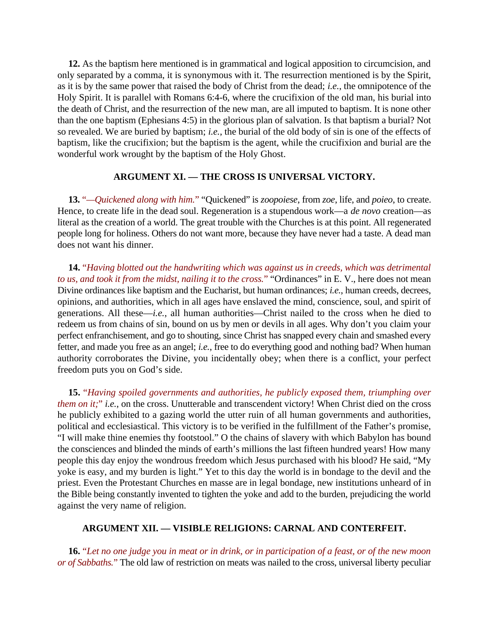**12.** As the baptism here mentioned is in grammatical and logical apposition to circumcision, and only separated by a comma, it is synonymous with it. The resurrection mentioned is by the Spirit, as it is by the same power that raised the body of Christ from the dead; *i.e.*, the omnipotence of the Holy Spirit. It is parallel with Romans 6:4-6, where the crucifixion of the old man, his burial into the death of Christ, and the resurrection of the new man, are all imputed to baptism. It is none other than the one baptism (Ephesians 4:5) in the glorious plan of salvation. Is that baptism a burial? Not so revealed. We are buried by baptism; *i.e.*, the burial of the old body of sin is one of the effects of baptism, like the crucifixion; but the baptism is the agent, while the crucifixion and burial are the wonderful work wrought by the baptism of the Holy Ghost.

# **ARGUMENT XI. — THE CROSS IS UNIVERSAL VICTORY.**

**13.** "*—Quickened along with him.*" "Quickened" is *zoopoiese*, from *zoe*, life, and *poieo*, to create. Hence, to create life in the dead soul. Regeneration is a stupendous work—a *de novo* creation—as literal as the creation of a world. The great trouble with the Churches is at this point. All regenerated people long for holiness. Others do not want more, because they have never had a taste. A dead man does not want his dinner.

**14.** "*Having blotted out the handwriting which was against us in creeds, which was detrimental to us, and took it from the midst, nailing it to the cross.*" "Ordinances" in E. V., here does not mean Divine ordinances like baptism and the Eucharist, but human ordinances; *i.e.*, human creeds, decrees, opinions, and authorities, which in all ages have enslaved the mind, conscience, soul, and spirit of generations. All these—*i.e.*, all human authorities—Christ nailed to the cross when he died to redeem us from chains of sin, bound on us by men or devils in all ages. Why don't you claim your perfect enfranchisement, and go to shouting, since Christ has snapped every chain and smashed every fetter, and made you free as an angel; *i.e.*, free to do everything good and nothing bad? When human authority corroborates the Divine, you incidentally obey; when there is a conflict, your perfect freedom puts you on God's side.

**15.** "*Having spoiled governments and authorities, he publicly exposed them, triumphing over them on it;*" *i.e.*, on the cross. Unutterable and transcendent victory! When Christ died on the cross he publicly exhibited to a gazing world the utter ruin of all human governments and authorities, political and ecclesiastical. This victory is to be verified in the fulfillment of the Father's promise, "I will make thine enemies thy footstool." O the chains of slavery with which Babylon has bound the consciences and blinded the minds of earth's millions the last fifteen hundred years! How many people this day enjoy the wondrous freedom which Jesus purchased with his blood? He said, "My yoke is easy, and my burden is light." Yet to this day the world is in bondage to the devil and the priest. Even the Protestant Churches en masse are in legal bondage, new institutions unheard of in the Bible being constantly invented to tighten the yoke and add to the burden, prejudicing the world against the very name of religion.

## **ARGUMENT XII. — VISIBLE RELIGIONS: CARNAL AND CONTERFEIT.**

**16.** "*Let no one judge you in meat or in drink, or in participation of a feast, or of the new moon or of Sabbaths.*" The old law of restriction on meats was nailed to the cross, universal liberty peculiar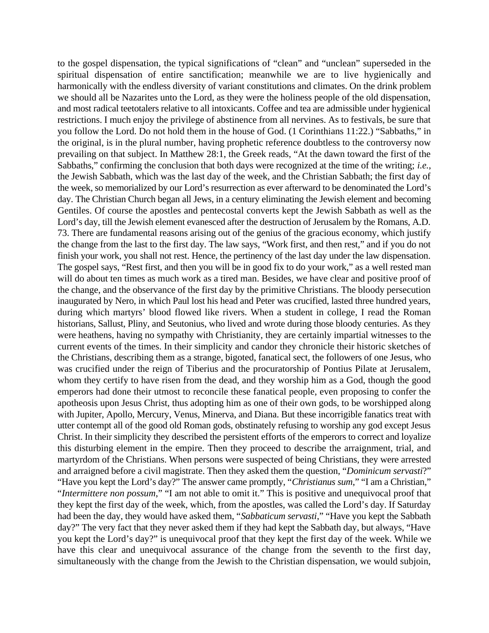to the gospel dispensation, the typical significations of "clean" and "unclean" superseded in the spiritual dispensation of entire sanctification; meanwhile we are to live hygienically and harmonically with the endless diversity of variant constitutions and climates. On the drink problem we should all be Nazarites unto the Lord, as they were the holiness people of the old dispensation, and most radical teetotalers relative to all intoxicants. Coffee and tea are admissible under hygienical restrictions. I much enjoy the privilege of abstinence from all nervines. As to festivals, be sure that you follow the Lord. Do not hold them in the house of God. (1 Corinthians 11:22.) "Sabbaths," in the original, is in the plural number, having prophetic reference doubtless to the controversy now prevailing on that subject. In Matthew 28:1, the Greek reads, "At the dawn toward the first of the Sabbaths," confirming the conclusion that both days were recognized at the time of the writing; *i.e.*, the Jewish Sabbath, which was the last day of the week, and the Christian Sabbath; the first day of the week, so memorialized by our Lord's resurrection as ever afterward to be denominated the Lord's day. The Christian Church began all Jews, in a century eliminating the Jewish element and becoming Gentiles. Of course the apostles and pentecostal converts kept the Jewish Sabbath as well as the Lord's day, till the Jewish element evanesced after the destruction of Jerusalem by the Romans, A.D. 73. There are fundamental reasons arising out of the genius of the gracious economy, which justify the change from the last to the first day. The law says, "Work first, and then rest," and if you do not finish your work, you shall not rest. Hence, the pertinency of the last day under the law dispensation. The gospel says, "Rest first, and then you will be in good fix to do your work," as a well rested man will do about ten times as much work as a tired man. Besides, we have clear and positive proof of the change, and the observance of the first day by the primitive Christians. The bloody persecution inaugurated by Nero, in which Paul lost his head and Peter was crucified, lasted three hundred years, during which martyrs' blood flowed like rivers. When a student in college, I read the Roman historians, Sallust, Pliny, and Seutonius, who lived and wrote during those bloody centuries. As they were heathens, having no sympathy with Christianity, they are certainly impartial witnesses to the current events of the times. In their simplicity and candor they chronicle their historic sketches of the Christians, describing them as a strange, bigoted, fanatical sect, the followers of one Jesus, who was crucified under the reign of Tiberius and the procuratorship of Pontius Pilate at Jerusalem, whom they certify to have risen from the dead, and they worship him as a God, though the good emperors had done their utmost to reconcile these fanatical people, even proposing to confer the apotheosis upon Jesus Christ, thus adopting him as one of their own gods, to be worshipped along with Jupiter, Apollo, Mercury, Venus, Minerva, and Diana. But these incorrigible fanatics treat with utter contempt all of the good old Roman gods, obstinately refusing to worship any god except Jesus Christ. In their simplicity they described the persistent efforts of the emperors to correct and loyalize this disturbing element in the empire. Then they proceed to describe the arraignment, trial, and martyrdom of the Christians. When persons were suspected of being Christians, they were arrested and arraigned before a civil magistrate. Then they asked them the question, "*Dominicum servasti*?" "Have you kept the Lord's day?" The answer came promptly, "*Christianus sum*," "I am a Christian," "*Intermittere non possum*," "I am not able to omit it." This is positive and unequivocal proof that they kept the first day of the week, which, from the apostles, was called the Lord's day. If Saturday had been the day, they would have asked them, "*Sabbaticum servasti*," "Have you kept the Sabbath day?" The very fact that they never asked them if they had kept the Sabbath day, but always, "Have you kept the Lord's day?" is unequivocal proof that they kept the first day of the week. While we have this clear and unequivocal assurance of the change from the seventh to the first day, simultaneously with the change from the Jewish to the Christian dispensation, we would subjoin,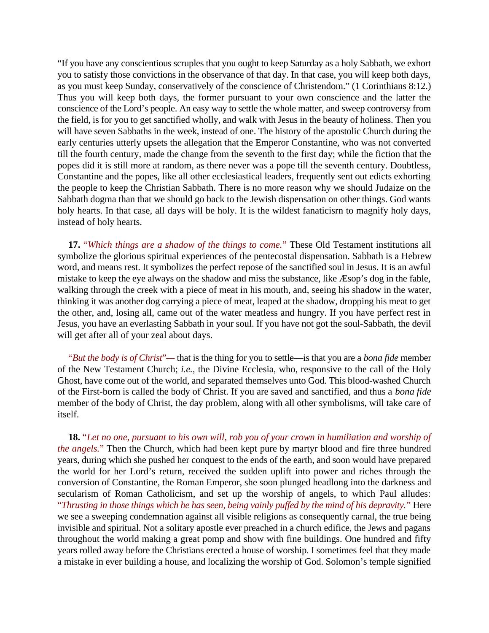"If you have any conscientious scruples that you ought to keep Saturday as a holy Sabbath, we exhort you to satisfy those convictions in the observance of that day. In that case, you will keep both days, as you must keep Sunday, conservatively of the conscience of Christendom." (1 Corinthians 8:12.) Thus you will keep both days, the former pursuant to your own conscience and the latter the conscience of the Lord's people. An easy way to settle the whole matter, and sweep controversy from the field, is for you to get sanctified wholly, and walk with Jesus in the beauty of holiness. Then you will have seven Sabbaths in the week, instead of one. The history of the apostolic Church during the early centuries utterly upsets the allegation that the Emperor Constantine, who was not converted till the fourth century, made the change from the seventh to the first day; while the fiction that the popes did it is still more at random, as there never was a pope till the seventh century. Doubtless, Constantine and the popes, like all other ecclesiastical leaders, frequently sent out edicts exhorting the people to keep the Christian Sabbath. There is no more reason why we should Judaize on the Sabbath dogma than that we should go back to the Jewish dispensation on other things. God wants holy hearts. In that case, all days will be holy. It is the wildest fanaticisrn to magnify holy days, instead of holy hearts.

**17.** "*Which things are a shadow of the things to come.*" These Old Testament institutions all symbolize the glorious spiritual experiences of the pentecostal dispensation. Sabbath is a Hebrew word, and means rest. It symbolizes the perfect repose of the sanctified soul in Jesus. It is an awful mistake to keep the eye always on the shadow and miss the substance, like Æsop's dog in the fable, walking through the creek with a piece of meat in his mouth, and, seeing his shadow in the water, thinking it was another dog carrying a piece of meat, leaped at the shadow, dropping his meat to get the other, and, losing all, came out of the water meatless and hungry. If you have perfect rest in Jesus, you have an everlasting Sabbath in your soul. If you have not got the soul-Sabbath, the devil will get after all of your zeal about days.

"*But the body is of Christ*"*—* that is the thing for you to settle—is that you are a *bona fide* member of the New Testament Church; *i.e.*, the Divine Ecclesia, who, responsive to the call of the Holy Ghost, have come out of the world, and separated themselves unto God. This blood-washed Church of the First-born is called the body of Christ. If you are saved and sanctified, and thus a *bona fide* member of the body of Christ, the day problem, along with all other symbolisms, will take care of itself.

**18.** "*Let no one, pursuant to his own will, rob you of your crown in humiliation and worship of the angels.*" Then the Church, which had been kept pure by martyr blood and fire three hundred years, during which she pushed her conquest to the ends of the earth, and soon would have prepared the world for her Lord's return, received the sudden uplift into power and riches through the conversion of Constantine, the Roman Emperor, she soon plunged headlong into the darkness and secularism of Roman Catholicism, and set up the worship of angels, to which Paul alludes: "*Thrusting in those things which he has seen, being vainly puffed by the mind of his depravity.*" Here we see a sweeping condemnation against all visible religions as consequently carnal, the true being invisible and spiritual. Not a solitary apostle ever preached in a church edifice, the Jews and pagans throughout the world making a great pomp and show with fine buildings. One hundred and fifty years rolled away before the Christians erected a house of worship. I sometimes feel that they made a mistake in ever building a house, and localizing the worship of God. Solomon's temple signified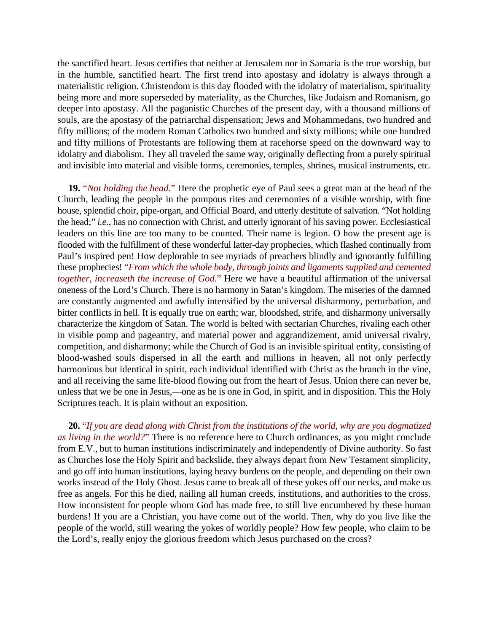the sanctified heart. Jesus certifies that neither at Jerusalem nor in Samaria is the true worship, but in the humble, sanctified heart. The first trend into apostasy and idolatry is always through a materialistic religion. Christendom is this day flooded with the idolatry of materialism, spirituality being more and more superseded by materiality, as the Churches, like Judaism and Romanism, go deeper into apostasy. All the paganistic Churches of the present day, with a thousand millions of souls, are the apostasy of the patriarchal dispensation; Jews and Mohammedans, two hundred and fifty millions; of the modern Roman Catholics two hundred and sixty millions; while one hundred and fifty millions of Protestants are following them at racehorse speed on the downward way to idolatry and diabolism. They all traveled the same way, originally deflecting from a purely spiritual and invisible into material and visible forms, ceremonies, temples, shrines, musical instruments, etc.

**19.** "*Not holding the head.*" Here the prophetic eye of Paul sees a great man at the head of the Church, leading the people in the pompous rites and ceremonies of a visible worship, with fine house, splendid choir, pipe-organ, and Official Board, and utterly destitute of salvation. "Not holding the head;" *i.e.*, has no connection with Christ, and utterly ignorant of his saving power. Ecclesiastical leaders on this line are too many to be counted. Their name is legion. O how the present age is flooded with the fulfillment of these wonderful latter-day prophecies, which flashed continually from Paul's inspired pen! How deplorable to see myriads of preachers blindly and ignorantly fulfilling these prophecies! "*From which the whole body, through joints and ligaments supplied and cemented together, increaseth the increase of God.*" Here we have a beautiful affirmation of the universal oneness of the Lord's Church. There is no harmony in Satan's kingdom. The miseries of the damned are constantly augmented and awfully intensified by the universal disharmony, perturbation, and bitter conflicts in hell. It is equally true on earth; war, bloodshed, strife, and disharmony universally characterize the kingdom of Satan. The world is belted with sectarian Churches, rivaling each other in visible pomp and pageantry, and material power and aggrandizement, amid universal rivalry, competition, and disharmony; while the Church of God is an invisible spiritual entity, consisting of blood-washed souls dispersed in all the earth and millions in heaven, all not only perfectly harmonious but identical in spirit, each individual identified with Christ as the branch in the vine, and all receiving the same life-blood flowing out from the heart of Jesus. Union there can never be, unless that we be one in Jesus,—one as he is one in God, in spirit, and in disposition. This the Holy Scriptures teach. It is plain without an exposition.

**20.** "*If you are dead along with Christ from the institutions of the world, why are you dogmatized as living in the world?*" There is no reference here to Church ordinances, as you might conclude from E.V., but to human institutions indiscriminately and independently of Divine authority. So fast as Churches lose the Holy Spirit and backslide, they always depart from New Testament simplicity, and go off into human institutions, laying heavy burdens on the people, and depending on their own works instead of the Holy Ghost. Jesus came to break all of these yokes off our necks, and make us free as angels. For this he died, nailing all human creeds, institutions, and authorities to the cross. How inconsistent for people whom God has made free, to still live encumbered by these human burdens! If you are a Christian, you have come out of the world. Then, why do you live like the people of the world, still wearing the yokes of worldly people? How few people, who claim to be the Lord's, really enjoy the glorious freedom which Jesus purchased on the cross?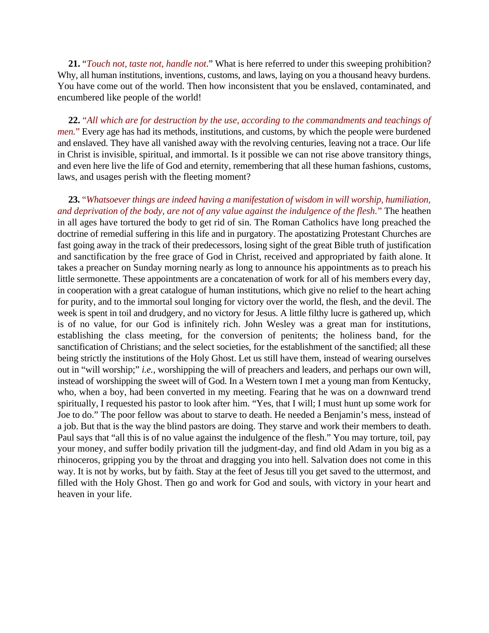**21.** "*Touch not, taste not, handle not*." What is here referred to under this sweeping prohibition? Why, all human institutions, inventions, customs, and laws, laying on you a thousand heavy burdens. You have come out of the world. Then how inconsistent that you be enslaved, contaminated, and encumbered like people of the world!

**22.** "*All which are for destruction by the use, according to the commandments and teachings of men.*" Every age has had its methods, institutions, and customs, by which the people were burdened and enslaved. They have all vanished away with the revolving centuries, leaving not a trace. Our life in Christ is invisible, spiritual, and immortal. Is it possible we can not rise above transitory things, and even here live the life of God and eternity, remembering that all these human fashions, customs, laws, and usages perish with the fleeting moment?

**23.** "*Whatsoever things are indeed having a manifestation of wisdom in will worship, humiliation, and deprivation of the body, are not of any value against the indulgence of the flesh.*" The heathen in all ages have tortured the body to get rid of sin. The Roman Catholics have long preached the doctrine of remedial suffering in this life and in purgatory. The apostatizing Protestant Churches are fast going away in the track of their predecessors, losing sight of the great Bible truth of justification and sanctification by the free grace of God in Christ, received and appropriated by faith alone. It takes a preacher on Sunday morning nearly as long to announce his appointments as to preach his little sermonette. These appointments are a concatenation of work for all of his members every day, in cooperation with a great catalogue of human institutions, which give no relief to the heart aching for purity, and to the immortal soul longing for victory over the world, the flesh, and the devil. The week is spent in toil and drudgery, and no victory for Jesus. A little filthy lucre is gathered up, which is of no value, for our God is infinitely rich. John Wesley was a great man for institutions, establishing the class meeting, for the conversion of penitents; the holiness band, for the sanctification of Christians; and the select societies, for the establishment of the sanctified; all these being strictly the institutions of the Holy Ghost. Let us still have them, instead of wearing ourselves out in "will worship;" *i.e.*, worshipping the will of preachers and leaders, and perhaps our own will, instead of worshipping the sweet will of God. In a Western town I met a young man from Kentucky, who, when a boy, had been converted in my meeting. Fearing that he was on a downward trend spiritually, I requested his pastor to look after him. "Yes, that I will; I must hunt up some work for Joe to do." The poor fellow was about to starve to death. He needed a Benjamin's mess, instead of a job. But that is the way the blind pastors are doing. They starve and work their members to death. Paul says that "all this is of no value against the indulgence of the flesh." You may torture, toil, pay your money, and suffer bodily privation till the judgment-day, and find old Adam in you big as a rhinoceros, gripping you by the throat and dragging you into hell. Salvation does not come in this way. It is not by works, but by faith. Stay at the feet of Jesus till you get saved to the uttermost, and filled with the Holy Ghost. Then go and work for God and souls, with victory in your heart and heaven in your life.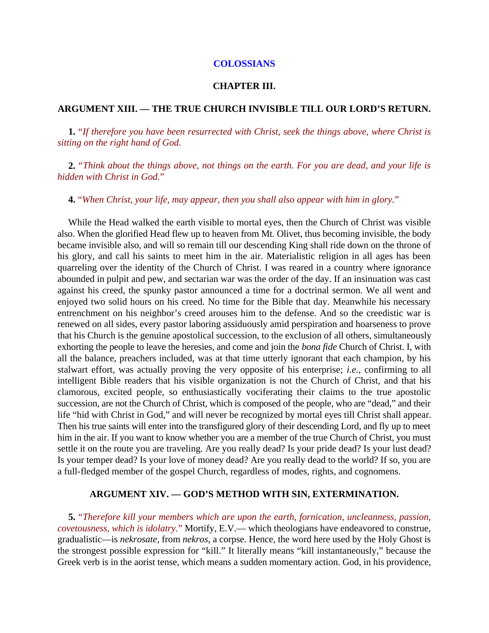#### **COLOSSIANS**

#### **CHAPTER III.**

#### **ARGUMENT XIII. — THE TRUE CHURCH INVISIBLE TILL OUR LORD'S RETURN.**

**1.** "*If therefore you have been resurrected with Christ, seek the things above, where Christ is sitting on the right hand of God.*

**2.** "*Think about the things above, not things on the earth. For you are dead, and your life is hidden with Christ in God.*"

**4.** "*When Christ, your life, may appear, then you shall also appear with him in glory.*"

While the Head walked the earth visible to mortal eyes, then the Church of Christ was visible also. When the glorified Head flew up to heaven from Mt. Olivet, thus becoming invisible, the body became invisible also, and will so remain till our descending King shall ride down on the throne of his glory, and call his saints to meet him in the air. Materialistic religion in all ages has been quarreling over the identity of the Church of Christ. I was reared in a country where ignorance abounded in pulpit and pew, and sectarian war was the order of the day. If an insinuation was cast against his creed, the spunky pastor announced a time for a doctrinal sermon. We all went and enjoyed two solid hours on his creed. No time for the Bible that day. Meanwhile his necessary entrenchment on his neighbor's creed arouses him to the defense. And so the creedistic war is renewed on all sides, every pastor laboring assiduously amid perspiration and hoarseness to prove that his Church is the genuine apostolical succession, to the exclusion of all others, simultaneously exhorting the people to leave the heresies, and come and join the *bona fide* Church of Christ. I, with all the balance, preachers included, was at that time utterly ignorant that each champion, by his stalwart effort, was actually proving the very opposite of his enterprise; *i.e.*, confirming to all intelligent Bible readers that his visible organization is not the Church of Christ, and that his clamorous, excited people, so enthusiastically vociferating their claims to the true apostolic succession, are not the Church of Christ, which is composed of the people, who are "dead," and their life "hid with Christ in God," and will never be recognized by mortal eyes till Christ shall appear. Then his true saints will enter into the transfigured glory of their descending Lord, and fly up to meet him in the air. If you want to know whether you are a member of the true Church of Christ, you must settle it on the route you are traveling. Are you really dead? Is your pride dead? Is your lust dead? Is your temper dead? Is your love of money dead? Are you really dead to the world? If so, you are a full-fledged member of the gospel Church, regardless of modes, rights, and cognomens.

#### **ARGUMENT XIV. — GOD'S METHOD WITH SIN, EXTERMINATION.**

**5.** "*Therefore kill your members which are upon the earth, fornication, uncleanness, passion, covetousness, which is idolatry.*" Mortify, E.V.— which theologians have endeavored to construe, gradualistic—is *nekrosate*, from *nekros*, a corpse. Hence, the word here used by the Holy Ghost is the strongest possible expression for "kill." It literally means "kill instantaneously," because the Greek verb is in the aorist tense, which means a sudden momentary action. God, in his providence,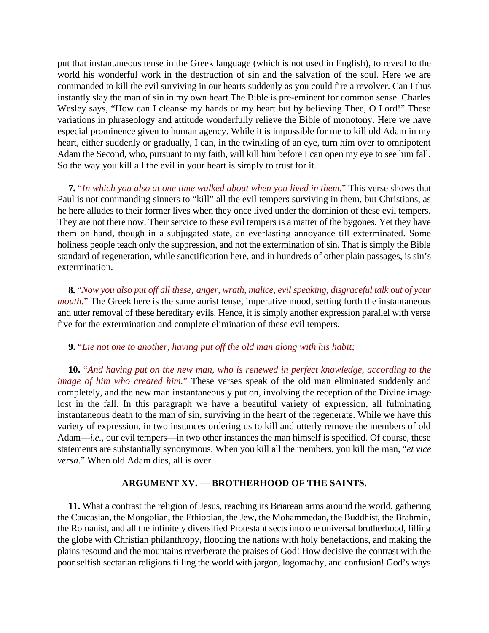put that instantaneous tense in the Greek language (which is not used in English), to reveal to the world his wonderful work in the destruction of sin and the salvation of the soul. Here we are commanded to kill the evil surviving in our hearts suddenly as you could fire a revolver. Can I thus instantly slay the man of sin in my own heart The Bible is pre-eminent for common sense. Charles Wesley says, "How can I cleanse my hands or my heart but by believing Thee, O Lord!" These variations in phraseology and attitude wonderfully relieve the Bible of monotony. Here we have especial prominence given to human agency. While it is impossible for me to kill old Adam in my heart, either suddenly or gradually, I can, in the twinkling of an eye, turn him over to omnipotent Adam the Second, who, pursuant to my faith, will kill him before I can open my eye to see him fall. So the way you kill all the evil in your heart is simply to trust for it.

**7.** "*In which you also at one time walked about when you lived in them.*" This verse shows that Paul is not commanding sinners to "kill" all the evil tempers surviving in them, but Christians, as he here alludes to their former lives when they once lived under the dominion of these evil tempers. They are not there now. Their service to these evil tempers is a matter of the bygones. Yet they have them on hand, though in a subjugated state, an everlasting annoyance till exterminated. Some holiness people teach only the suppression, and not the extermination of sin. That is simply the Bible standard of regeneration, while sanctification here, and in hundreds of other plain passages, is sin's extermination.

**8.** "*Now you also put off all these; anger, wrath, malice, evil speaking, disgraceful talk out of your mouth.*" The Greek here is the same aorist tense, imperative mood, setting forth the instantaneous and utter removal of these hereditary evils. Hence, it is simply another expression parallel with verse five for the extermination and complete elimination of these evil tempers.

**9.** "*Lie not one to another, having put off the old man along with his habit;*

**10.** "*And having put on the new man, who is renewed in perfect knowledge, according to the image of him who created him.*" These verses speak of the old man eliminated suddenly and completely, and the new man instantaneously put on, involving the reception of the Divine image lost in the fall. In this paragraph we have a beautiful variety of expression, all fulminating instantaneous death to the man of sin, surviving in the heart of the regenerate. While we have this variety of expression, in two instances ordering us to kill and utterly remove the members of old Adam—*i.e.*, our evil tempers—in two other instances the man himself is specified. Of course, these statements are substantially synonymous. When you kill all the members, you kill the man, "*et vice versa*." When old Adam dies, all is over.

## **ARGUMENT XV. — BROTHERHOOD OF THE SAINTS.**

**11.** What a contrast the religion of Jesus, reaching its Briarean arms around the world, gathering the Caucasian, the Mongolian, the Ethiopian, the Jew, the Mohammedan, the Buddhist, the Brahmin, the Romanist, and all the infinitely diversified Protestant sects into one universal brotherhood, filling the globe with Christian philanthropy, flooding the nations with holy benefactions, and making the plains resound and the mountains reverberate the praises of God! How decisive the contrast with the poor selfish sectarian religions filling the world with jargon, logomachy, and confusion! God's ways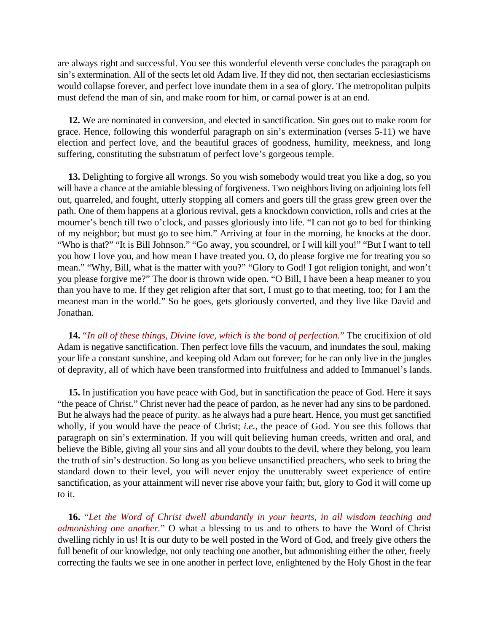are always right and successful. You see this wonderful eleventh verse concludes the paragraph on sin's extermination. All of the sects let old Adam live. If they did not, then sectarian ecclesiasticisms would collapse forever, and perfect love inundate them in a sea of glory. The metropolitan pulpits must defend the man of sin, and make room for him, or carnal power is at an end.

**12.** We are nominated in conversion, and elected in sanctification. Sin goes out to make room for grace. Hence, following this wonderful paragraph on sin's extermination (verses 5-11) we have election and perfect love, and the beautiful graces of goodness, humility, meekness, and long suffering, constituting the substratum of perfect love's gorgeous temple.

**13.** Delighting to forgive all wrongs. So you wish somebody would treat you like a dog, so you will have a chance at the amiable blessing of forgiveness. Two neighbors living on adjoining lots fell out, quarreled, and fought, utterly stopping all comers and goers till the grass grew green over the path. One of them happens at a glorious revival, gets a knockdown conviction, rolls and cries at the mourner's bench till two o'clock, and passes gloriously into life. "I can not go to bed for thinking of my neighbor; but must go to see him." Arriving at four in the morning, he knocks at the door. "Who is that?" "It is Bill Johnson." "Go away, you scoundrel, or I will kill you!" "But I want to tell you how I love you, and how mean I have treated you. O, do please forgive me for treating you so mean." "Why, Bill, what is the matter with you?" "Glory to God! I got religion tonight, and won't you please forgive me?" The door is thrown wide open. "O Bill, I have been a heap meaner to you than you have to me. If they get religion after that sort, I must go to that meeting, too; for I am the meanest man in the world." So he goes, gets gloriously converted, and they live like David and Jonathan.

**14.** "*In all of these things, Divine love, which is the bond of perfection.*" The crucifixion of old Adam is negative sanctification. Then perfect love fills the vacuum, and inundates the soul, making your life a constant sunshine, and keeping old Adam out forever; for he can only live in the jungles of depravity, all of which have been transformed into fruitfulness and added to Immanuel's lands.

**15.** In justification you have peace with God, but in sanctification the peace of God. Here it says "the peace of Christ." Christ never had the peace of pardon, as he never had any sins to be pardoned. But he always had the peace of purity. as he always had a pure heart. Hence, you must get sanctified wholly, if you would have the peace of Christ; *i.e.*, the peace of God. You see this follows that paragraph on sin's extermination. If you will quit believing human creeds, written and oral, and believe the Bible, giving all your sins and all your doubts to the devil, where they belong, you learn the truth of sin's destruction. So long as you believe unsanctified preachers, who seek to bring the standard down to their level, you will never enjoy the unutterably sweet experience of entire sanctification, as your attainment will never rise above your faith; but, glory to God it will come up to it.

**16.** "*Let the Word of Christ dwell abundantly in your hearts, in all wisdom teaching and admonishing one another.*" O what a blessing to us and to others to have the Word of Christ dwelling richly in us! It is our duty to be well posted in the Word of God, and freely give others the full benefit of our knowledge, not only teaching one another, but admonishing either the other, freely correcting the faults we see in one another in perfect love, enlightened by the Holy Ghost in the fear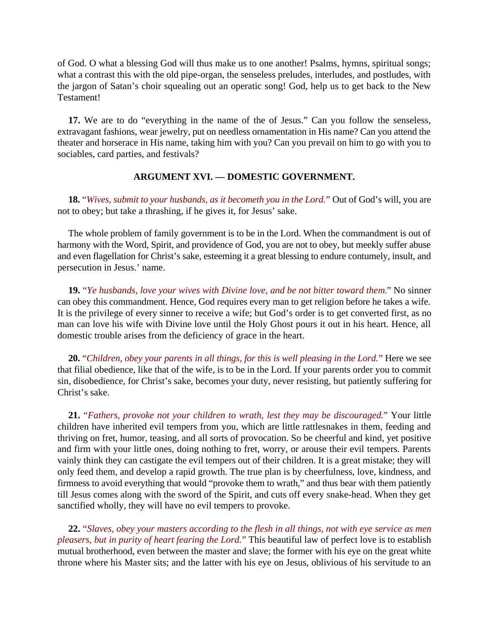of God. O what a blessing God will thus make us to one another! Psalms, hymns, spiritual songs; what a contrast this with the old pipe-organ, the senseless preludes, interludes, and postludes, with the jargon of Satan's choir squealing out an operatic song! God, help us to get back to the New Testament!

**17.** We are to do "everything in the name of the of Jesus." Can you follow the senseless, extravagant fashions, wear jewelry, put on needless ornamentation in His name? Can you attend the theater and horserace in His name, taking him with you? Can you prevail on him to go with you to sociables, card parties, and festivals?

# **ARGUMENT XVI. — DOMESTIC GOVERNMENT.**

**18.** "*Wives, submit to your husbands, as it becometh you in the Lord.*" Out of God's will, you are not to obey; but take a thrashing, if he gives it, for Jesus' sake.

The whole problem of family government is to be in the Lord. When the commandment is out of harmony with the Word, Spirit, and providence of God, you are not to obey, but meekly suffer abuse and even flagellation for Christ's sake, esteeming it a great blessing to endure contumely, insult, and persecution in Jesus.' name.

**19.** "*Ye husbands, love your wives with Divine love, and be not bitter toward them.*" No sinner can obey this commandment. Hence, God requires every man to get religion before he takes a wife. It is the privilege of every sinner to receive a wife; but God's order is to get converted first, as no man can love his wife with Divine love until the Holy Ghost pours it out in his heart. Hence, all domestic trouble arises from the deficiency of grace in the heart.

**20.** "*Children, obey your parents in all things, for this is well pleasing in the Lord.*" Here we see that filial obedience, like that of the wife, is to be in the Lord. If your parents order you to commit sin, disobedience, for Christ's sake, becomes your duty, never resisting, but patiently suffering for Christ's sake.

**21.** "*Fathers, provoke not your children to wrath, lest they may be discouraged.*" Your little children have inherited evil tempers from you, which are little rattlesnakes in them, feeding and thriving on fret, humor, teasing, and all sorts of provocation. So be cheerful and kind, yet positive and firm with your little ones, doing nothing to fret, worry, or arouse their evil tempers. Parents vainly think they can castigate the evil tempers out of their children. It is a great mistake; they will only feed them, and develop a rapid growth. The true plan is by cheerfulness, love, kindness, and firmness to avoid everything that would "provoke them to wrath," and thus bear with them patiently till Jesus comes along with the sword of the Spirit, and cuts off every snake-head. When they get sanctified wholly, they will have no evil tempers to provoke.

**22.** "*Slaves, obey your masters according to the flesh in all things, not with eye service as men pleasers, but in purity of heart fearing the Lord.*" This beautiful law of perfect love is to establish mutual brotherhood, even between the master and slave; the former with his eye on the great white throne where his Master sits; and the latter with his eye on Jesus, oblivious of his servitude to an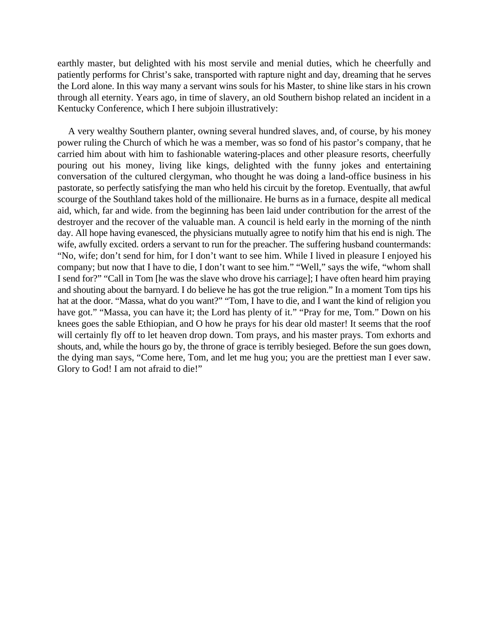earthly master, but delighted with his most servile and menial duties, which he cheerfully and patiently performs for Christ's sake, transported with rapture night and day, dreaming that he serves the Lord alone. In this way many a servant wins souls for his Master, to shine like stars in his crown through all eternity. Years ago, in time of slavery, an old Southern bishop related an incident in a Kentucky Conference, which I here subjoin illustratively:

A very wealthy Southern planter, owning several hundred slaves, and, of course, by his money power ruling the Church of which he was a member, was so fond of his pastor's company, that he carried him about with him to fashionable watering-places and other pleasure resorts, cheerfully pouring out his money, living like kings, delighted with the funny jokes and entertaining conversation of the cultured clergyman, who thought he was doing a land-office business in his pastorate, so perfectly satisfying the man who held his circuit by the foretop. Eventually, that awful scourge of the Southland takes hold of the millionaire. He burns as in a furnace, despite all medical aid, which, far and wide. from the beginning has been laid under contribution for the arrest of the destroyer and the recover of the valuable man. A council is held early in the morning of the ninth day. All hope having evanesced, the physicians mutually agree to notify him that his end is nigh. The wife, awfully excited. orders a servant to run for the preacher. The suffering husband countermands: "No, wife; don't send for him, for I don't want to see him. While I lived in pleasure I enjoyed his company; but now that I have to die, I don't want to see him." "Well," says the wife, "whom shall I send for?" "Call in Tom [he was the slave who drove his carriage]; I have often heard him praying and shouting about the barnyard. I do believe he has got the true religion." In a moment Tom tips his hat at the door. "Massa, what do you want?" "Tom, I have to die, and I want the kind of religion you have got." "Massa, you can have it; the Lord has plenty of it." "Pray for me, Tom." Down on his knees goes the sable Ethiopian, and O how he prays for his dear old master! It seems that the roof will certainly fly off to let heaven drop down. Tom prays, and his master prays. Tom exhorts and shouts, and, while the hours go by, the throne of grace is terribly besieged. Before the sun goes down, the dying man says, "Come here, Tom, and let me hug you; you are the prettiest man I ever saw. Glory to God! I am not afraid to die!"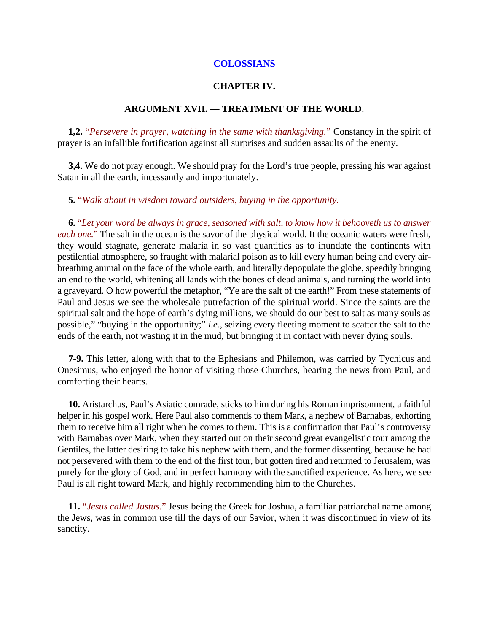### **COLOSSIANS**

### **CHAPTER IV.**

## **ARGUMENT XVII. — TREATMENT OF THE WORLD**.

**1,2.** "*Persevere in prayer, watching in the same with thanksgiving.*" Constancy in the spirit of prayer is an infallible fortification against all surprises and sudden assaults of the enemy.

**3,4.** We do not pray enough. We should pray for the Lord's true people, pressing his war against Satan in all the earth, incessantly and importunately.

**5.** "*Walk about in wisdom toward outsiders, buying in the opportunity.*

**6.** "*Let your word be always in grace, seasoned with salt, to know how it behooveth us to answer each one.*" The salt in the ocean is the savor of the physical world. It the oceanic waters were fresh, they would stagnate, generate malaria in so vast quantities as to inundate the continents with pestilential atmosphere, so fraught with malarial poison as to kill every human being and every airbreathing animal on the face of the whole earth, and literally depopulate the globe, speedily bringing an end to the world, whitening all lands with the bones of dead animals, and turning the world into a graveyard. O how powerful the metaphor, "Ye are the salt of the earth!" From these statements of Paul and Jesus we see the wholesale putrefaction of the spiritual world. Since the saints are the spiritual salt and the hope of earth's dying millions, we should do our best to salt as many souls as possible," "buying in the opportunity;" *i.e.*, seizing every fleeting moment to scatter the salt to the ends of the earth, not wasting it in the mud, but bringing it in contact with never dying souls.

**7-9.** This letter, along with that to the Ephesians and Philemon, was carried by Tychicus and Onesimus, who enjoyed the honor of visiting those Churches, bearing the news from Paul, and comforting their hearts.

**10.** Aristarchus, Paul's Asiatic comrade, sticks to him during his Roman imprisonment, a faithful helper in his gospel work. Here Paul also commends to them Mark, a nephew of Barnabas, exhorting them to receive him all right when he comes to them. This is a confirmation that Paul's controversy with Barnabas over Mark, when they started out on their second great evangelistic tour among the Gentiles, the latter desiring to take his nephew with them, and the former dissenting, because he had not persevered with them to the end of the first tour, but gotten tired and returned to Jerusalem, was purely for the glory of God, and in perfect harmony with the sanctified experience. As here, we see Paul is all right toward Mark, and highly recommending him to the Churches.

**11.** "*Jesus called Justus.*" Jesus being the Greek for Joshua, a familiar patriarchal name among the Jews, was in common use till the days of our Savior, when it was discontinued in view of its sanctity.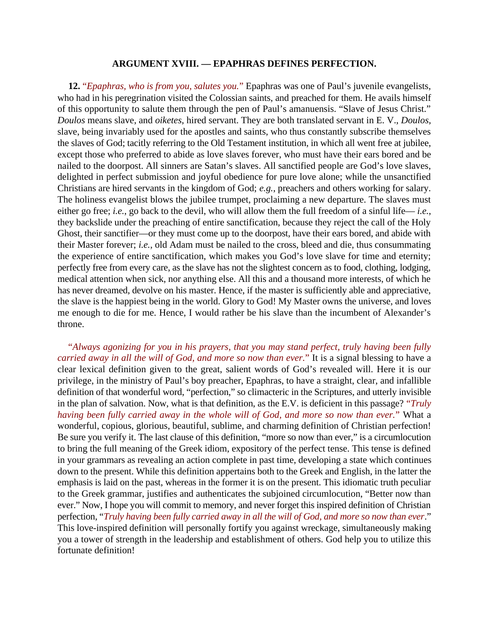### **ARGUMENT XVIII. — EPAPHRAS DEFINES PERFECTION.**

**12.** "*Epaphras, who is from you, salutes you.*" Epaphras was one of Paul's juvenile evangelists, who had in his peregrination visited the Colossian saints, and preached for them. He avails himself of this opportunity to salute them through the pen of Paul's amanuensis. "Slave of Jesus Christ." *Doulos* means slave, and *oiketes*, hired servant. They are both translated servant in E. V., *Doulos*, slave, being invariably used for the apostles and saints, who thus constantly subscribe themselves the slaves of God; tacitly referring to the Old Testament institution, in which all went free at jubilee, except those who preferred to abide as love slaves forever, who must have their ears bored and be nailed to the doorpost. All sinners are Satan's slaves. All sanctified people are God's love slaves, delighted in perfect submission and joyful obedience for pure love alone; while the unsanctified Christians are hired servants in the kingdom of God; *e.g.*, preachers and others working for salary. The holiness evangelist blows the jubilee trumpet, proclaiming a new departure. The slaves must either go free; *i.e.*, go back to the devil, who will allow them the full freedom of a sinful life— *i.e.*, they backslide under the preaching of entire sanctification, because they reject the call of the Holy Ghost, their sanctifier—or they must come up to the doorpost, have their ears bored, and abide with their Master forever; *i.e.*, old Adam must be nailed to the cross, bleed and die, thus consummating the experience of entire sanctification, which makes you God's love slave for time and eternity; perfectly free from every care, as the slave has not the slightest concern as to food, clothing, lodging, medical attention when sick, nor anything else. All this and a thousand more interests, of which he has never dreamed, devolve on his master. Hence, if the master is sufficiently able and appreciative, the slave is the happiest being in the world. Glory to God! My Master owns the universe, and loves me enough to die for me. Hence, I would rather be his slave than the incumbent of Alexander's throne.

"*Always agonizing for you in his prayers, that you may stand perfect, truly having been fully carried away in all the will of God, and more so now than ever.*" It is a signal blessing to have a clear lexical definition given to the great, salient words of God's revealed will. Here it is our privilege, in the ministry of Paul's boy preacher, Epaphras, to have a straight, clear, and infallible definition of that wonderful word, "perfection," so climacteric in the Scriptures, and utterly invisible in the plan of salvation. Now, what is that definition, as the E.V. is deficient in this passage? "*Truly having been fully carried away in the whole will of God, and more so now than ever.*" What a wonderful, copious, glorious, beautiful, sublime, and charming definition of Christian perfection! Be sure you verify it. The last clause of this definition, "more so now than ever," is a circumlocution to bring the full meaning of the Greek idiom, expository of the perfect tense. This tense is defined in your grammars as revealing an action complete in past time, developing a state which continues down to the present. While this definition appertains both to the Greek and English, in the latter the emphasis is laid on the past, whereas in the former it is on the present. This idiomatic truth peculiar to the Greek grammar, justifies and authenticates the subjoined circumlocution, "Better now than ever." Now, I hope you will commit to memory, and never forget this inspired definition of Christian perfection, "*Truly having been fully carried away in all the will of God, and more so now than ever*." This love-inspired definition will personally fortify you against wreckage, simultaneously making you a tower of strength in the leadership and establishment of others. God help you to utilize this fortunate definition!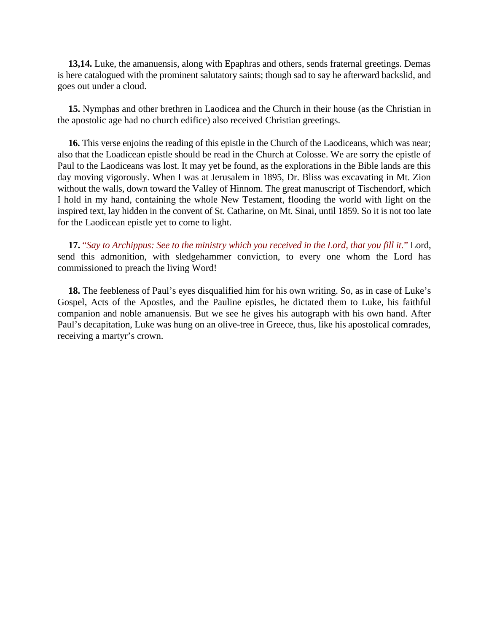**13,14.** Luke, the amanuensis, along with Epaphras and others, sends fraternal greetings. Demas is here catalogued with the prominent salutatory saints; though sad to say he afterward backslid, and goes out under a cloud.

**15.** Nymphas and other brethren in Laodicea and the Church in their house (as the Christian in the apostolic age had no church edifice) also received Christian greetings.

**16.** This verse enjoins the reading of this epistle in the Church of the Laodiceans, which was near; also that the Loadicean epistle should be read in the Church at Colosse. We are sorry the epistle of Paul to the Laodiceans was lost. It may yet be found, as the explorations in the Bible lands are this day moving vigorously. When I was at Jerusalem in 1895, Dr. Bliss was excavating in Mt. Zion without the walls, down toward the Valley of Hinnom. The great manuscript of Tischendorf, which I hold in my hand, containing the whole New Testament, flooding the world with light on the inspired text, lay hidden in the convent of St. Catharine, on Mt. Sinai, until 1859. So it is not too late for the Laodicean epistle yet to come to light.

**17.** "*Say to Archippus: See to the ministry which you received in the Lord, that you fill it.*" Lord, send this admonition, with sledgehammer conviction, to every one whom the Lord has commissioned to preach the living Word!

**18.** The feebleness of Paul's eyes disqualified him for his own writing. So, as in case of Luke's Gospel, Acts of the Apostles, and the Pauline epistles, he dictated them to Luke, his faithful companion and noble amanuensis. But we see he gives his autograph with his own hand. After Paul's decapitation, Luke was hung on an olive-tree in Greece, thus, like his apostolical comrades, receiving a martyr's crown.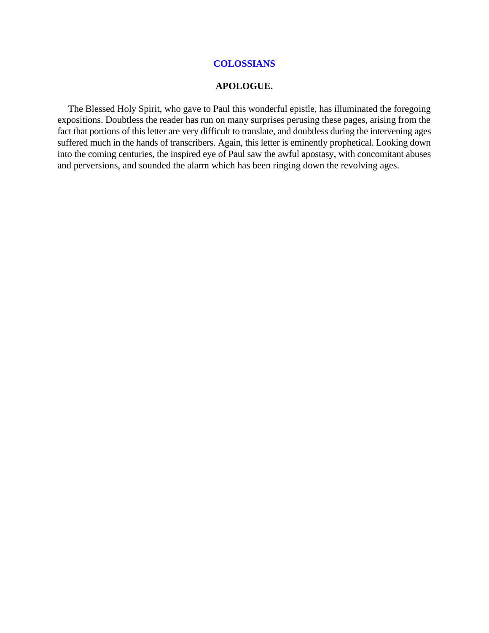## **COLOSSIANS**

#### **APOLOGUE.**

The Blessed Holy Spirit, who gave to Paul this wonderful epistle, has illuminated the foregoing expositions. Doubtless the reader has run on many surprises perusing these pages, arising from the fact that portions of this letter are very difficult to translate, and doubtless during the intervening ages suffered much in the hands of transcribers. Again, this letter is eminently prophetical. Looking down into the coming centuries, the inspired eye of Paul saw the awful apostasy, with concomitant abuses and perversions, and sounded the alarm which has been ringing down the revolving ages.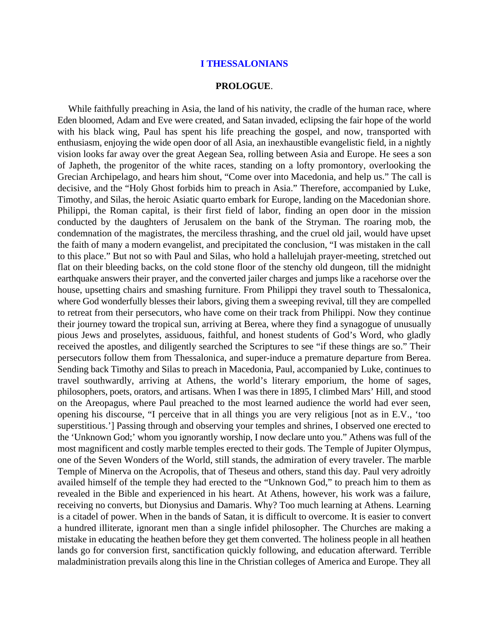#### **PROLOGUE**.

While faithfully preaching in Asia, the land of his nativity, the cradle of the human race, where Eden bloomed, Adam and Eve were created, and Satan invaded, eclipsing the fair hope of the world with his black wing, Paul has spent his life preaching the gospel, and now, transported with enthusiasm, enjoying the wide open door of all Asia, an inexhaustible evangelistic field, in a nightly vision looks far away over the great Aegean Sea, rolling between Asia and Europe. He sees a son of Japheth, the progenitor of the white races, standing on a lofty promontory, overlooking the Grecian Archipelago, and hears him shout, "Come over into Macedonia, and help us." The call is decisive, and the "Holy Ghost forbids him to preach in Asia." Therefore, accompanied by Luke, Timothy, and Silas, the heroic Asiatic quarto embark for Europe, landing on the Macedonian shore. Philippi, the Roman capital, is their first field of labor, finding an open door in the mission conducted by the daughters of Jerusalem on the bank of the Stryman. The roaring mob, the condemnation of the magistrates, the merciless thrashing, and the cruel old jail, would have upset the faith of many a modern evangelist, and precipitated the conclusion, "I was mistaken in the call to this place." But not so with Paul and Silas, who hold a hallelujah prayer-meeting, stretched out flat on their bleeding backs, on the cold stone floor of the stenchy old dungeon, till the midnight earthquake answers their prayer, and the converted jailer charges and jumps like a racehorse over the house, upsetting chairs and smashing furniture. From Philippi they travel south to Thessalonica, where God wonderfully blesses their labors, giving them a sweeping revival, till they are compelled to retreat from their persecutors, who have come on their track from Philippi. Now they continue their journey toward the tropical sun, arriving at Berea, where they find a synagogue of unusually pious Jews and proselytes, assiduous, faithful, and honest students of God's Word, who gladly received the apostles, and diligently searched the Scriptures to see "if these things are so." Their persecutors follow them from Thessalonica, and super-induce a premature departure from Berea. Sending back Timothy and Silas to preach in Macedonia, Paul, accompanied by Luke, continues to travel southwardly, arriving at Athens, the world's literary emporium, the home of sages, philosophers, poets, orators, and artisans. When I was there in 1895, I climbed Mars' Hill, and stood on the Areopagus, where Paul preached to the most learned audience the world had ever seen, opening his discourse, "I perceive that in all things you are very religious [not as in E.V., 'too superstitious.'] Passing through and observing your temples and shrines, I observed one erected to the 'Unknown God;' whom you ignorantly worship, I now declare unto you." Athens was full of the most magnificent and costly marble temples erected to their gods. The Temple of Jupiter Olympus, one of the Seven Wonders of the World, still stands, the admiration of every traveler. The marble Temple of Minerva on the Acropolis, that of Theseus and others, stand this day. Paul very adroitly availed himself of the temple they had erected to the "Unknown God," to preach him to them as revealed in the Bible and experienced in his heart. At Athens, however, his work was a failure, receiving no converts, but Dionysius and Damaris. Why? Too much learning at Athens. Learning is a citadel of power. When in the bands of Satan, it is difficult to overcome. It is easier to convert a hundred illiterate, ignorant men than a single infidel philosopher. The Churches are making a mistake in educating the heathen before they get them converted. The holiness people in all heathen lands go for conversion first, sanctification quickly following, and education afterward. Terrible maladministration prevails along this line in the Christian colleges of America and Europe. They all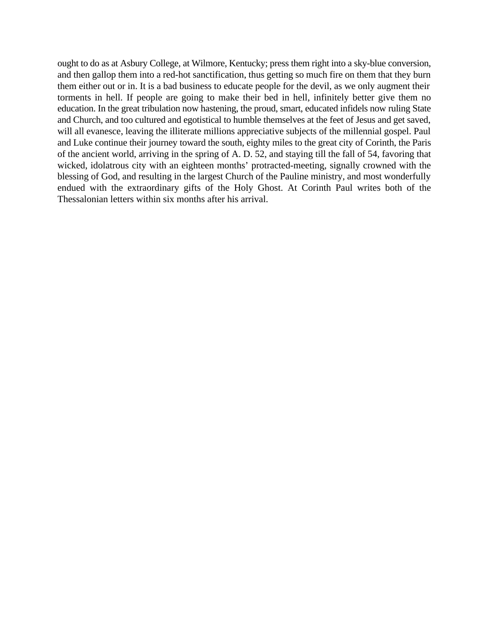ought to do as at Asbury College, at Wilmore, Kentucky; press them right into a sky-blue conversion, and then gallop them into a red-hot sanctification, thus getting so much fire on them that they burn them either out or in. It is a bad business to educate people for the devil, as we only augment their torments in hell. If people are going to make their bed in hell, infinitely better give them no education. In the great tribulation now hastening, the proud, smart, educated infidels now ruling State and Church, and too cultured and egotistical to humble themselves at the feet of Jesus and get saved, will all evanesce, leaving the illiterate millions appreciative subjects of the millennial gospel. Paul and Luke continue their journey toward the south, eighty miles to the great city of Corinth, the Paris of the ancient world, arriving in the spring of A. D. 52, and staying till the fall of 54, favoring that wicked, idolatrous city with an eighteen months' protracted-meeting, signally crowned with the blessing of God, and resulting in the largest Church of the Pauline ministry, and most wonderfully endued with the extraordinary gifts of the Holy Ghost. At Corinth Paul writes both of the Thessalonian letters within six months after his arrival.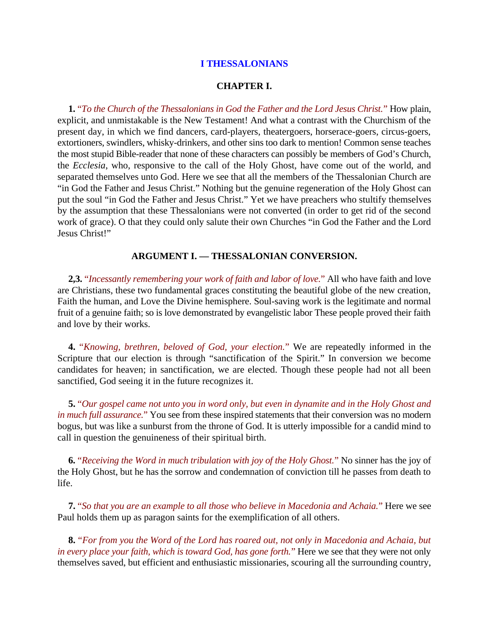#### **CHAPTER I.**

**1.** "*To the Church of the Thessalonians in God the Father and the Lord Jesus Christ.*" How plain, explicit, and unmistakable is the New Testament! And what a contrast with the Churchism of the present day, in which we find dancers, card-players, theatergoers, horserace-goers, circus-goers, extortioners, swindlers, whisky-drinkers, and other sins too dark to mention! Common sense teaches the most stupid Bible-reader that none of these characters can possibly be members of God's Church, the *Ecclesia*, who, responsive to the call of the Holy Ghost, have come out of the world, and separated themselves unto God. Here we see that all the members of the Thessalonian Church are "in God the Father and Jesus Christ." Nothing but the genuine regeneration of the Holy Ghost can put the soul "in God the Father and Jesus Christ." Yet we have preachers who stultify themselves by the assumption that these Thessalonians were not converted (in order to get rid of the second work of grace). O that they could only salute their own Churches "in God the Father and the Lord Jesus Christ!"

#### **ARGUMENT I. — THESSALONIAN CONVERSION.**

**2,3.** "*Incessantly remembering your work of faith and labor of love.*" All who have faith and love are Christians, these two fundamental graces constituting the beautiful globe of the new creation, Faith the human, and Love the Divine hemisphere. Soul-saving work is the legitimate and normal fruit of a genuine faith; so is love demonstrated by evangelistic labor These people proved their faith and love by their works.

**4.** "*Knowing, brethren, beloved of God, your election.*" We are repeatedly informed in the Scripture that our election is through "sanctification of the Spirit." In conversion we become candidates for heaven; in sanctification, we are elected. Though these people had not all been sanctified, God seeing it in the future recognizes it.

**5.** "*Our gospel came not unto you in word only, but even in dynamite and in the Holy Ghost and in much full assurance.*" You see from these inspired statements that their conversion was no modern bogus, but was like a sunburst from the throne of God. It is utterly impossible for a candid mind to call in question the genuineness of their spiritual birth.

**6.** "*Receiving the Word in much tribulation with joy of the Holy Ghost.*" No sinner has the joy of the Holy Ghost, but he has the sorrow and condemnation of conviction till he passes from death to life.

**7.** "*So that you are an example to all those who believe in Macedonia and Achaia.*" Here we see Paul holds them up as paragon saints for the exemplification of all others.

**8.** "*For from you the Word of the Lord has roared out, not only in Macedonia and Achaia, but in every place your faith, which is toward God, has gone forth.*" Here we see that they were not only themselves saved, but efficient and enthusiastic missionaries, scouring all the surrounding country,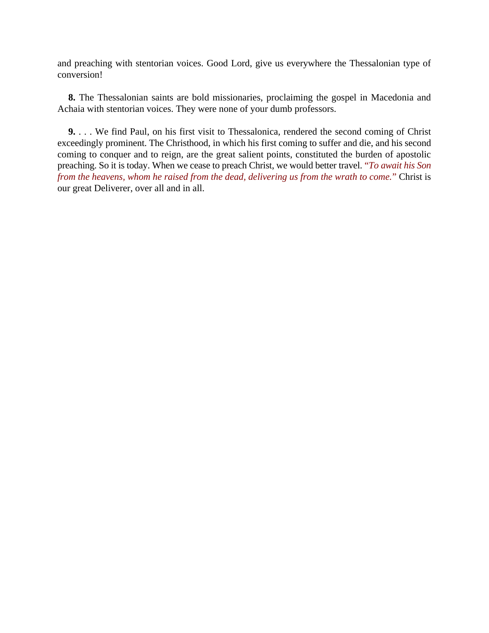and preaching with stentorian voices. Good Lord, give us everywhere the Thessalonian type of conversion!

**8.** The Thessalonian saints are bold missionaries, proclaiming the gospel in Macedonia and Achaia with stentorian voices. They were none of your dumb professors.

**9.** . . . We find Paul, on his first visit to Thessalonica, rendered the second coming of Christ exceedingly prominent. The Christhood, in which his first coming to suffer and die, and his second coming to conquer and to reign, are the great salient points, constituted the burden of apostolic preaching. So it is today. When we cease to preach Christ, we would better travel. "*To await his Son from the heavens, whom he raised from the dead, delivering us from the wrath to come.*" Christ is our great Deliverer, over all and in all.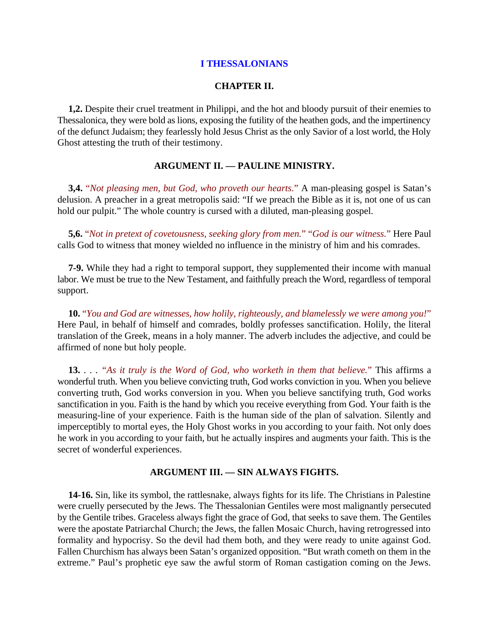#### **CHAPTER II.**

**1,2.** Despite their cruel treatment in Philippi, and the hot and bloody pursuit of their enemies to Thessalonica, they were bold as lions, exposing the futility of the heathen gods, and the impertinency of the defunct Judaism; they fearlessly hold Jesus Christ as the only Savior of a lost world, the Holy Ghost attesting the truth of their testimony.

## **ARGUMENT II. — PAULINE MINISTRY.**

**3,4.** "*Not pleasing men, but God, who proveth our hearts.*" A man-pleasing gospel is Satan's delusion. A preacher in a great metropolis said: "If we preach the Bible as it is, not one of us can hold our pulpit." The whole country is cursed with a diluted, man-pleasing gospel.

**5,6.** "*Not in pretext of covetousness, seeking glory from men.*" "*God is our witness.*" Here Paul calls God to witness that money wielded no influence in the ministry of him and his comrades.

**7-9.** While they had a right to temporal support, they supplemented their income with manual labor. We must be true to the New Testament, and faithfully preach the Word, regardless of temporal support.

**10.** "*You and God are witnesses, how holily, righteously, and blamelessly we were among you!*" Here Paul, in behalf of himself and comrades, boldly professes sanctification. Holily, the literal translation of the Greek, means in a holy manner. The adverb includes the adjective, and could be affirmed of none but holy people.

**13.** . . . *"As it truly is the Word of God, who worketh in them that believe.*" This affirms a wonderful truth. When you believe convicting truth, God works conviction in you. When you believe converting truth, God works conversion in you. When you believe sanctifying truth, God works sanctification in you. Faith is the hand by which you receive everything from God. Your faith is the measuring-line of your experience. Faith is the human side of the plan of salvation. Silently and imperceptibly to mortal eyes, the Holy Ghost works in you according to your faith. Not only does he work in you according to your faith, but he actually inspires and augments your faith. This is the secret of wonderful experiences.

### **ARGUMENT III. — SIN ALWAYS FIGHTS.**

**14-16.** Sin, like its symbol, the rattlesnake, always fights for its life. The Christians in Palestine were cruelly persecuted by the Jews. The Thessalonian Gentiles were most malignantly persecuted by the Gentile tribes. Graceless always fight the grace of God, that seeks to save them. The Gentiles were the apostate Patriarchal Church; the Jews, the fallen Mosaic Church, having retrogressed into formality and hypocrisy. So the devil had them both, and they were ready to unite against God. Fallen Churchism has always been Satan's organized opposition. "But wrath cometh on them in the extreme." Paul's prophetic eye saw the awful storm of Roman castigation coming on the Jews.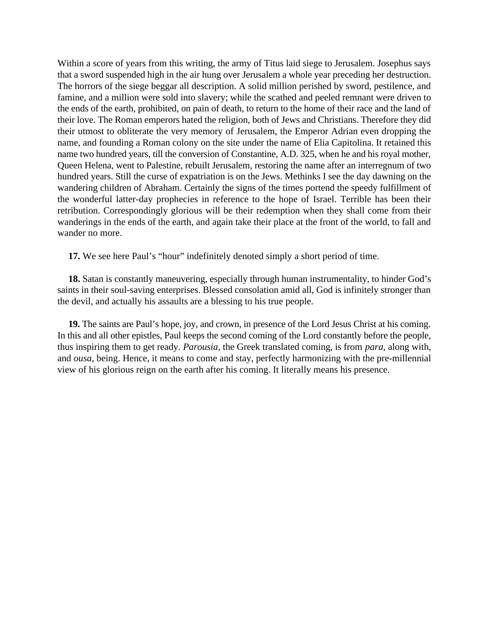Within a score of years from this writing, the army of Titus laid siege to Jerusalem. Josephus says that a sword suspended high in the air hung over Jerusalem a whole year preceding her destruction. The horrors of the siege beggar all description. A solid million perished by sword, pestilence, and famine, and a million were sold into slavery; while the scathed and peeled remnant were driven to the ends of the earth, prohibited, on pain of death, to return to the home of their race and the land of their love. The Roman emperors hated the religion, both of Jews and Christians. Therefore they did their utmost to obliterate the very memory of Jerusalem, the Emperor Adrian even dropping the name, and founding a Roman colony on the site under the name of Elia Capitolina. It retained this name two hundred years, till the conversion of Constantine, A.D. 325, when he and his royal mother, Queen Helena, went to Palestine, rebuilt Jerusalem, restoring the name after an interregnum of two hundred years. Still the curse of expatriation is on the Jews. Methinks I see the day dawning on the wandering children of Abraham. Certainly the signs of the times portend the speedy fulfillment of the wonderful latter-day prophecies in reference to the hope of Israel. Terrible has been their retribution. Correspondingly glorious will be their redemption when they shall come from their wanderings in the ends of the earth, and again take their place at the front of the world, to fall and wander no more.

**17.** We see here Paul's "hour" indefinitely denoted simply a short period of time.

**18.** Satan is constantly maneuvering, especially through human instrumentality, to hinder God's saints in their soul-saving enterprises. Blessed consolation amid all, God is infinitely stronger than the devil, and actually his assaults are a blessing to his true people.

**19.** The saints are Paul's hope, joy, and crown, in presence of the Lord Jesus Christ at his coming. In this and all other epistles, Paul keeps the second coming of the Lord constantly before the people, thus inspiring them to get ready. *Parousia*, the Greek translated coming, is from *para*, along with, and *ousa*, being. Hence, it means to come and stay, perfectly harmonizing with the pre-millennial view of his glorious reign on the earth after his coming. It literally means his presence.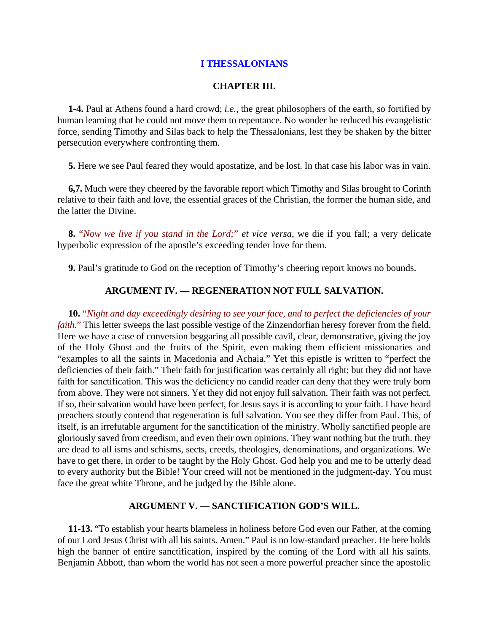## **CHAPTER III.**

**1-4.** Paul at Athens found a hard crowd; *i.e.*, the great philosophers of the earth, so fortified by human learning that he could not move them to repentance. No wonder he reduced his evangelistic force, sending Timothy and Silas back to help the Thessalonians, lest they be shaken by the bitter persecution everywhere confronting them.

**5.** Here we see Paul feared they would apostatize, and be lost. In that case his labor was in vain.

**6,7.** Much were they cheered by the favorable report which Timothy and Silas brought to Corinth relative to their faith and love, the essential graces of the Christian, the former the human side, and the latter the Divine.

**8.** "*Now we live if you stand in the Lord;*" *et vice versa*, we die if you fall; a very delicate hyperbolic expression of the apostle's exceeding tender love for them.

**9.** Paul's gratitude to God on the reception of Timothy's cheering report knows no bounds.

## **ARGUMENT IV. — REGENERATION NOT FULL SALVATION.**

**10.** "*Night and day exceedingly desiring to see your face, and to perfect the deficiencies of your faith.*" This letter sweeps the last possible vestige of the Zinzendorfian heresy forever from the field. Here we have a case of conversion beggaring all possible cavil, clear, demonstrative, giving the joy of the Holy Ghost and the fruits of the Spirit, even making them efficient missionaries and "examples to all the saints in Macedonia and Achaia." Yet this epistle is written to "perfect the deficiencies of their faith." Their faith for justification was certainly all right; but they did not have faith for sanctification. This was the deficiency no candid reader can deny that they were truly born from above. They were not sinners. Yet they did not enjoy full salvation. Their faith was not perfect. If so, their salvation would have been perfect, for Jesus says it is according to your faith. I have heard preachers stoutly contend that regeneration is full salvation. You see they differ from Paul. This, of itself, is an irrefutable argument for the sanctification of the ministry. Wholly sanctified people are gloriously saved from creedism, and even their own opinions. They want nothing but the truth. they are dead to all isms and schisms, sects, creeds, theologies, denominations, and organizations. We have to get there, in order to be taught by the Holy Ghost. God help you and me to be utterly dead to every authority but the Bible! Your creed will not be mentioned in the judgment-day. You must face the great white Throne, and be judged by the Bible alone.

### **ARGUMENT V. — SANCTIFICATION GOD'S WILL.**

**11-13.** "To establish your hearts blameless in holiness before God even our Father, at the coming of our Lord Jesus Christ with all his saints. Amen." Paul is no low-standard preacher. He here holds high the banner of entire sanctification, inspired by the coming of the Lord with all his saints. Benjamin Abbott, than whom the world has not seen a more powerful preacher since the apostolic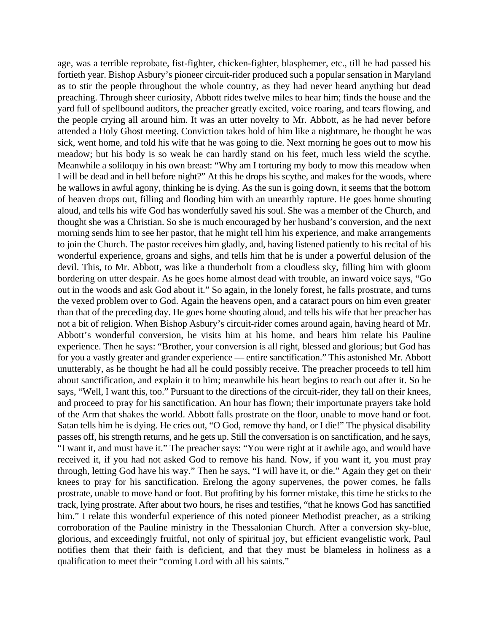age, was a terrible reprobate, fist-fighter, chicken-fighter, blasphemer, etc., till he had passed his fortieth year. Bishop Asbury's pioneer circuit-rider produced such a popular sensation in Maryland as to stir the people throughout the whole country, as they had never heard anything but dead preaching. Through sheer curiosity, Abbott rides twelve miles to hear him; finds the house and the yard full of spellbound auditors, the preacher greatly excited, voice roaring, and tears flowing, and the people crying all around him. It was an utter novelty to Mr. Abbott, as he had never before attended a Holy Ghost meeting. Conviction takes hold of him like a nightmare, he thought he was sick, went home, and told his wife that he was going to die. Next morning he goes out to mow his meadow; but his body is so weak he can hardly stand on his feet, much less wield the scythe. Meanwhile a soliloquy in his own breast: "Why am I torturing my body to mow this meadow when I will be dead and in hell before night?" At this he drops his scythe, and makes for the woods, where he wallows in awful agony, thinking he is dying. As the sun is going down, it seems that the bottom of heaven drops out, filling and flooding him with an unearthly rapture. He goes home shouting aloud, and tells his wife God has wonderfully saved his soul. She was a member of the Church, and thought she was a Christian. So she is much encouraged by her husband's conversion, and the next morning sends him to see her pastor, that he might tell him his experience, and make arrangements to join the Church. The pastor receives him gladly, and, having listened patiently to his recital of his wonderful experience, groans and sighs, and tells him that he is under a powerful delusion of the devil. This, to Mr. Abbott, was like a thunderbolt from a cloudless sky, filling him with gloom bordering on utter despair. As he goes home almost dead with trouble, an inward voice says, "Go out in the woods and ask God about it." So again, in the lonely forest, he falls prostrate, and turns the vexed problem over to God. Again the heavens open, and a cataract pours on him even greater than that of the preceding day. He goes home shouting aloud, and tells his wife that her preacher has not a bit of religion. When Bishop Asbury's circuit-rider comes around again, having heard of Mr. Abbott's wonderful conversion, he visits him at his home, and hears him relate his Pauline experience. Then he says: "Brother, your conversion is all right, blessed and glorious; but God has for you a vastly greater and grander experience — entire sanctification." This astonished Mr. Abbott unutterably, as he thought he had all he could possibly receive. The preacher proceeds to tell him about sanctification, and explain it to him; meanwhile his heart begins to reach out after it. So he says, "Well, I want this, too." Pursuant to the directions of the circuit-rider, they fall on their knees, and proceed to pray for his sanctification. An hour has flown; their importunate prayers take hold of the Arm that shakes the world. Abbott falls prostrate on the floor, unable to move hand or foot. Satan tells him he is dying. He cries out, "O God, remove thy hand, or I die!" The physical disability passes off, his strength returns, and he gets up. Still the conversation is on sanctification, and he says, "I want it, and must have it." The preacher says: "You were right at it awhile ago, and would have received it, if you had not asked God to remove his hand. Now, if you want it, you must pray through, letting God have his way." Then he says, "I will have it, or die." Again they get on their knees to pray for his sanctification. Erelong the agony supervenes, the power comes, he falls prostrate, unable to move hand or foot. But profiting by his former mistake, this time he sticks to the track, lying prostrate. After about two hours, he rises and testifies, "that he knows God has sanctified him." I relate this wonderful experience of this noted pioneer Methodist preacher, as a striking corroboration of the Pauline ministry in the Thessalonian Church. After a conversion sky-blue, glorious, and exceedingly fruitful, not only of spiritual joy, but efficient evangelistic work, Paul notifies them that their faith is deficient, and that they must be blameless in holiness as a qualification to meet their "coming Lord with all his saints."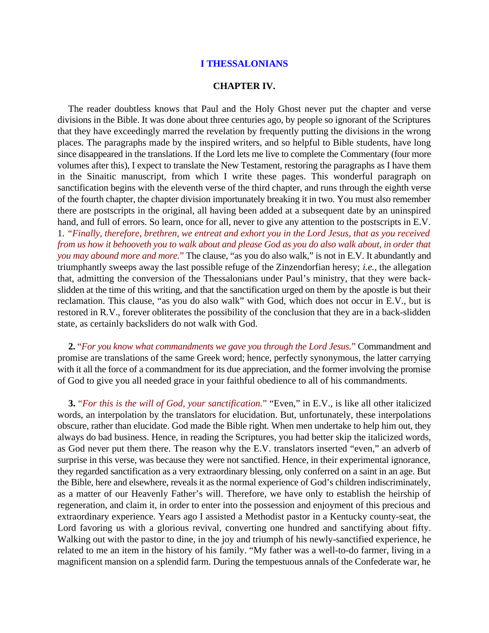#### **CHAPTER IV.**

The reader doubtless knows that Paul and the Holy Ghost never put the chapter and verse divisions in the Bible. It was done about three centuries ago, by people so ignorant of the Scriptures that they have exceedingly marred the revelation by frequently putting the divisions in the wrong places. The paragraphs made by the inspired writers, and so helpful to Bible students, have long since disappeared in the translations. If the Lord lets me live to complete the Commentary (four more volumes after this), I expect to translate the New Testament, restoring the paragraphs as I have them in the Sinaitic manuscript, from which I write these pages. This wonderful paragraph on sanctification begins with the eleventh verse of the third chapter, and runs through the eighth verse of the fourth chapter, the chapter division importunately breaking it in two. You must also remember there are postscripts in the original, all having been added at a subsequent date by an uninspired hand, and full of errors. So learn, once for all, never to give any attention to the postscripts in E.V. 1. *"Finally, therefore, brethren, we entreat and exhort you in the Lord Jesus, that as you received from us how it behooveth you to walk about and please God as you do also walk about, in order that you may abound more and more.*" The clause, "as you do also walk," is not in E.V. It abundantly and triumphantly sweeps away the last possible refuge of the Zinzendorfian heresy; *i.e.*, the allegation that, admitting the conversion of the Thessalonians under Paul's ministry, that they were backslidden at the time of this writing, and that the sanctification urged on them by the apostle is but their reclamation. This clause, "as you do also walk" with God, which does not occur in E.V., but is restored in R.V., forever obliterates the possibility of the conclusion that they are in a back-slidden state, as certainly backsliders do not walk with God.

**2.** "*For you know what commandments we gave you through the Lord Jesus.*" Commandment and promise are translations of the same Greek word; hence, perfectly synonymous, the latter carrying with it all the force of a commandment for its due appreciation, and the former involving the promise of God to give you all needed grace in your faithful obedience to all of his commandments.

**3.** "*For this is the will of God, your sanctification.*" "Even," in E.V., is like all other italicized words, an interpolation by the translators for elucidation. But, unfortunately, these interpolations obscure, rather than elucidate. God made the Bible right. When men undertake to help him out, they always do bad business. Hence, in reading the Scriptures, you had better skip the italicized words, as God never put them there. The reason why the E.V. translators inserted "even," an adverb of surprise in this verse, was because they were not sanctified. Hence, in their experimental ignorance, they regarded sanctification as a very extraordinary blessing, only conferred on a saint in an age. But the Bible, here and elsewhere, reveals it as the normal experience of God's children indiscriminately, as a matter of our Heavenly Father's will. Therefore, we have only to establish the heirship of regeneration, and claim it, in order to enter into the possession and enjoyment of this precious and extraordinary experience. Years ago I assisted a Methodist pastor in a Kentucky county-seat, the Lord favoring us with a glorious revival, converting one hundred and sanctifying about fifty. Walking out with the pastor to dine, in the joy and triumph of his newly-sanctified experience, he related to me an item in the history of his family. "My father was a well-to-do farmer, living in a magnificent mansion on a splendid farm. During the tempestuous annals of the Confederate war, he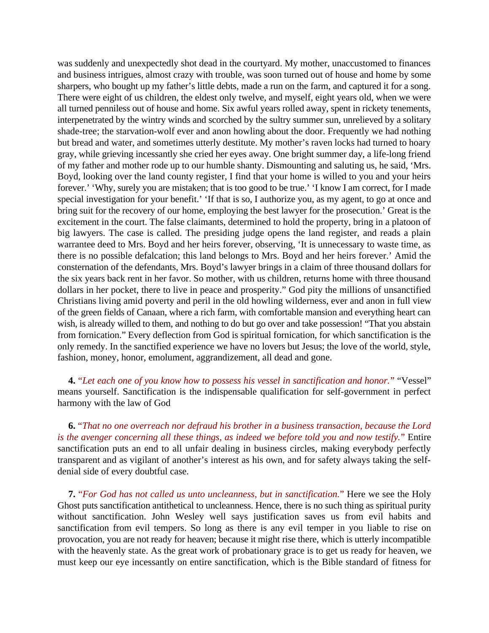was suddenly and unexpectedly shot dead in the courtyard. My mother, unaccustomed to finances and business intrigues, almost crazy with trouble, was soon turned out of house and home by some sharpers, who bought up my father's little debts, made a run on the farm, and captured it for a song. There were eight of us children, the eldest only twelve, and myself, eight years old, when we were all turned penniless out of house and home. Six awful years rolled away, spent in rickety tenements, interpenetrated by the wintry winds and scorched by the sultry summer sun, unrelieved by a solitary shade-tree; the starvation-wolf ever and anon howling about the door. Frequently we had nothing but bread and water, and sometimes utterly destitute. My mother's raven locks had turned to hoary gray, while grieving incessantly she cried her eyes away. One bright summer day, a life-long friend of my father and mother rode up to our humble shanty. Dismounting and saluting us, he said, 'Mrs. Boyd, looking over the land county register, I find that your home is willed to you and your heirs forever.' 'Why, surely you are mistaken; that is too good to be true.' 'I know I am correct, for I made special investigation for your benefit.' 'If that is so, I authorize you, as my agent, to go at once and bring suit for the recovery of our home, employing the best lawyer for the prosecution.' Great is the excitement in the court. The false claimants, determined to hold the property, bring in a platoon of big lawyers. The case is called. The presiding judge opens the land register, and reads a plain warrantee deed to Mrs. Boyd and her heirs forever, observing, 'It is unnecessary to waste time, as there is no possible defalcation; this land belongs to Mrs. Boyd and her heirs forever.' Amid the consternation of the defendants, Mrs. Boyd's lawyer brings in a claim of three thousand dollars for the six years back rent in her favor. So mother, with us children, returns home with three thousand dollars in her pocket, there to live in peace and prosperity." God pity the millions of unsanctified Christians living amid poverty and peril in the old howling wilderness, ever and anon in full view of the green fields of Canaan, where a rich farm, with comfortable mansion and everything heart can wish, is already willed to them, and nothing to do but go over and take possession! "That you abstain from fornication." Every deflection from God is spiritual fornication, for which sanctification is the only remedy. In the sanctified experience we have no lovers but Jesus; the love of the world, style, fashion, money, honor, emolument, aggrandizement, all dead and gone.

**4.** "*Let each one of you know how to possess his vessel in sanctification and honor.*" "Vessel" means yourself. Sanctification is the indispensable qualification for self-government in perfect harmony with the law of God

**6.** "*That no one overreach nor defraud his brother in a business transaction, because the Lord is the avenger concerning all these things, as indeed we before told you and now testify.*" Entire sanctification puts an end to all unfair dealing in business circles, making everybody perfectly transparent and as vigilant of another's interest as his own, and for safety always taking the selfdenial side of every doubtful case.

**7.** "*For God has not called us unto uncleanness, but in sanctification.*" Here we see the Holy Ghost puts sanctification antithetical to uncleanness. Hence, there is no such thing as spiritual purity without sanctification. John Wesley well says justification saves us from evil habits and sanctification from evil tempers. So long as there is any evil temper in you liable to rise on provocation, you are not ready for heaven; because it might rise there, which is utterly incompatible with the heavenly state. As the great work of probationary grace is to get us ready for heaven, we must keep our eye incessantly on entire sanctification, which is the Bible standard of fitness for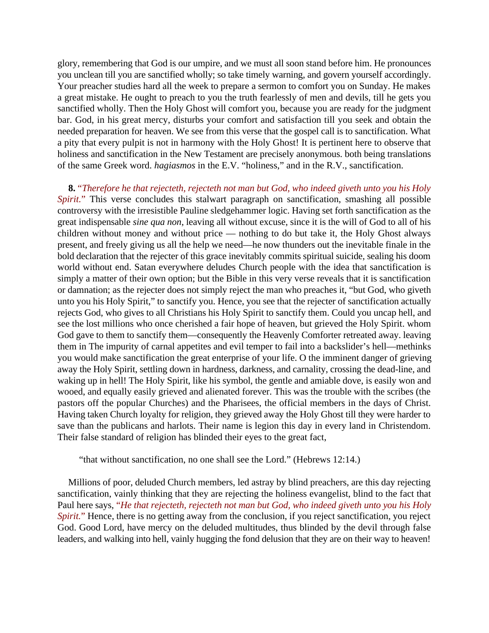glory, remembering that God is our umpire, and we must all soon stand before him. He pronounces you unclean till you are sanctified wholly; so take timely warning, and govern yourself accordingly. Your preacher studies hard all the week to prepare a sermon to comfort you on Sunday. He makes a great mistake. He ought to preach to you the truth fearlessly of men and devils, till he gets you sanctified wholly. Then the Holy Ghost will comfort you, because you are ready for the judgment bar. God, in his great mercy, disturbs your comfort and satisfaction till you seek and obtain the needed preparation for heaven. We see from this verse that the gospel call is to sanctification. What a pity that every pulpit is not in harmony with the Holy Ghost! It is pertinent here to observe that holiness and sanctification in the New Testament are precisely anonymous. both being translations of the same Greek word. *hagiasmos* in the E.V. "holiness," and in the R.V., sanctification.

**8.** "*Therefore he that rejecteth, rejecteth not man but God, who indeed giveth unto you his Holy Spirit.*" This verse concludes this stalwart paragraph on sanctification, smashing all possible controversy with the irresistible Pauline sledgehammer logic. Having set forth sanctification as the great indispensable *sine qua non*, leaving all without excuse, since it is the will of God to all of his children without money and without price — nothing to do but take it, the Holy Ghost always present, and freely giving us all the help we need—he now thunders out the inevitable finale in the bold declaration that the rejecter of this grace inevitably commits spiritual suicide, sealing his doom world without end. Satan everywhere deludes Church people with the idea that sanctification is simply a matter of their own option; but the Bible in this very verse reveals that it is sanctification or damnation; as the rejecter does not simply reject the man who preaches it, "but God, who giveth unto you his Holy Spirit," to sanctify you. Hence, you see that the rejecter of sanctification actually rejects God, who gives to all Christians his Holy Spirit to sanctify them. Could you uncap hell, and see the lost millions who once cherished a fair hope of heaven, but grieved the Holy Spirit. whom God gave to them to sanctify them—consequently the Heavenly Comforter retreated away. leaving them in The impurity of carnal appetites and evil temper to fail into a backslider's hell—methinks you would make sanctification the great enterprise of your life. O the imminent danger of grieving away the Holy Spirit, settling down in hardness, darkness, and carnality, crossing the dead-line, and waking up in hell! The Holy Spirit, like his symbol, the gentle and amiable dove, is easily won and wooed, and equally easily grieved and alienated forever. This was the trouble with the scribes (the pastors off the popular Churches) and the Pharisees, the official members in the days of Christ. Having taken Church loyalty for religion, they grieved away the Holy Ghost till they were harder to save than the publicans and harlots. Their name is legion this day in every land in Christendom. Their false standard of religion has blinded their eyes to the great fact,

"that without sanctification, no one shall see the Lord." (Hebrews 12:14.)

Millions of poor, deluded Church members, led astray by blind preachers, are this day rejecting sanctification, vainly thinking that they are rejecting the holiness evangelist, blind to the fact that Paul here says, "*He that rejecteth, rejecteth not man but God, who indeed giveth unto you his Holy Spirit.*" Hence, there is no getting away from the conclusion, if you reject sanctification, you reject God. Good Lord, have mercy on the deluded multitudes, thus blinded by the devil through false leaders, and walking into hell, vainly hugging the fond delusion that they are on their way to heaven!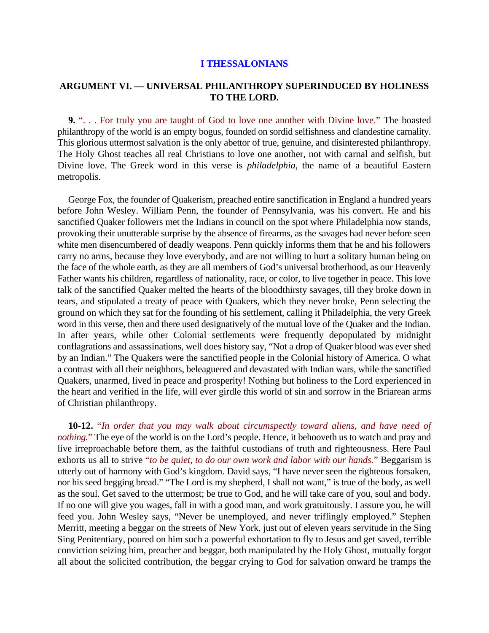## **ARGUMENT VI. — UNIVERSAL PHILANTHROPY SUPERINDUCED BY HOLINESS TO THE LORD.**

**9.** ". . . For truly you are taught of God to love one another with Divine love." The boasted philanthropy of the world is an empty bogus, founded on sordid selfishness and clandestine carnality. This glorious uttermost salvation is the only abettor of true, genuine, and disinterested philanthropy. The Holy Ghost teaches all real Christians to love one another, not with carnal and selfish, but Divine love. The Greek word in this verse is *philadelphia*, the name of a beautiful Eastern metropolis.

George Fox, the founder of Quakerism, preached entire sanctification in England a hundred years before John Wesley. William Penn, the founder of Pennsylvania, was his convert. He and his sanctified Quaker followers met the Indians in council on the spot where Philadelphia now stands, provoking their unutterable surprise by the absence of firearms, as the savages had never before seen white men disencumbered of deadly weapons. Penn quickly informs them that he and his followers carry no arms, because they love everybody, and are not willing to hurt a solitary human being on the face of the whole earth, as they are all members of God's universal brotherhood, as our Heavenly Father wants his children, regardless of nationality, race, or color, to live together in peace. This love talk of the sanctified Quaker melted the hearts of the bloodthirsty savages, till they broke down in tears, and stipulated a treaty of peace with Quakers, which they never broke, Penn selecting the ground on which they sat for the founding of his settlement, calling it Philadelphia, the very Greek word in this verse, then and there used designatively of the mutual love of the Quaker and the Indian. In after years, while other Colonial settlements were frequently depopulated by midnight conflagrations and assassinations, well does history say, "Not a drop of Quaker blood was ever shed by an Indian." The Quakers were the sanctified people in the Colonial history of America. O what a contrast with all their neighbors, beleaguered and devastated with Indian wars, while the sanctified Quakers, unarmed, lived in peace and prosperity! Nothing but holiness to the Lord experienced in the heart and verified in the life, will ever girdle this world of sin and sorrow in the Briarean arms of Christian philanthropy.

**10-12.** "*In order that you may walk about circumspectly toward aliens, and have need of nothing.*" The eye of the world is on the Lord's people. Hence, it behooveth us to watch and pray and live irreproachable before them, as the faithful custodians of truth and righteousness. Here Paul exhorts us all to strive "*to be quiet, to do our own work and labor with our hands.*" Beggarism is utterly out of harmony with God's kingdom. David says, "I have never seen the righteous forsaken, nor his seed begging bread." "The Lord is my shepherd, I shall not want," is true of the body, as well as the soul. Get saved to the uttermost; be true to God, and he will take care of you, soul and body. If no one will give you wages, fall in with a good man, and work gratuitously. I assure you, he will feed you. John Wesley says, "Never be unemployed, and never triflingly employed." Stephen Merritt, meeting a beggar on the streets of New York, just out of eleven years servitude in the Sing Sing Penitentiary, poured on him such a powerful exhortation to fly to Jesus and get saved, terrible conviction seizing him, preacher and beggar, both manipulated by the Holy Ghost, mutually forgot all about the solicited contribution, the beggar crying to God for salvation onward he tramps the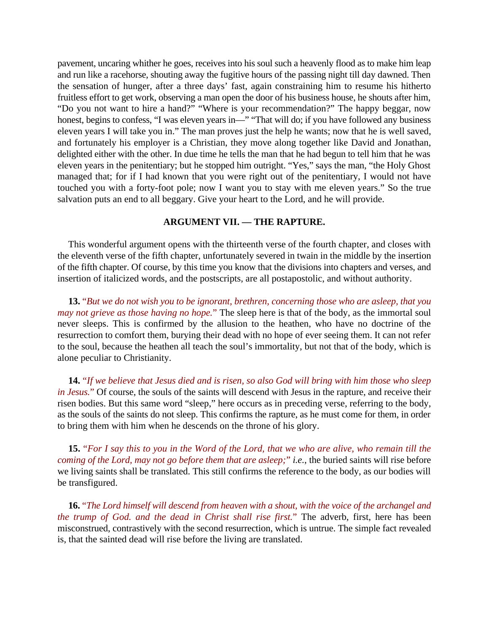pavement, uncaring whither he goes, receives into his soul such a heavenly flood as to make him leap and run like a racehorse, shouting away the fugitive hours of the passing night till day dawned. Then the sensation of hunger, after a three days' fast, again constraining him to resume his hitherto fruitless effort to get work, observing a man open the door of his business house, he shouts after him, "Do you not want to hire a hand?" "Where is your recommendation?" The happy beggar, now honest, begins to confess, "I was eleven years in—" "That will do; if you have followed any business eleven years I will take you in." The man proves just the help he wants; now that he is well saved, and fortunately his employer is a Christian, they move along together like David and Jonathan, delighted either with the other. In due time he tells the man that he had begun to tell him that he was eleven years in the penitentiary; but he stopped him outright. "Yes," says the man, "the Holy Ghost managed that; for if I had known that you were right out of the penitentiary, I would not have touched you with a forty-foot pole; now I want you to stay with me eleven years." So the true salvation puts an end to all beggary. Give your heart to the Lord, and he will provide.

## **ARGUMENT VII. — THE RAPTURE.**

This wonderful argument opens with the thirteenth verse of the fourth chapter, and closes with the eleventh verse of the fifth chapter, unfortunately severed in twain in the middle by the insertion of the fifth chapter. Of course, by this time you know that the divisions into chapters and verses, and insertion of italicized words, and the postscripts, are all postapostolic, and without authority.

**13.** "*But we do not wish you to be ignorant, brethren, concerning those who are asleep, that you may not grieve as those having no hope.*" The sleep here is that of the body, as the immortal soul never sleeps. This is confirmed by the allusion to the heathen, who have no doctrine of the resurrection to comfort them, burying their dead with no hope of ever seeing them. It can not refer to the soul, because the heathen all teach the soul's immortality, but not that of the body, which is alone peculiar to Christianity.

**14.** "*If we believe that Jesus died and is risen, so also God will bring with him those who sleep in Jesus.*" Of course, the souls of the saints will descend with Jesus in the rapture, and receive their risen bodies. But this same word "sleep," here occurs as in preceding verse, referring to the body, as the souls of the saints do not sleep. This confirms the rapture, as he must come for them, in order to bring them with him when he descends on the throne of his glory.

**15.** "*For I say this to you in the Word of the Lord, that we who are alive, who remain till the coming of the Lord, may not go before them that are asleep;*" *i.e.*, the buried saints will rise before we living saints shall be translated. This still confirms the reference to the body, as our bodies will be transfigured.

**16.** "*The Lord himself will descend from heaven with a shout, with the voice of the archangel and the trump of God. and the dead in Christ shall rise first.*" The adverb, first, here has been misconstrued, contrastively with the second resurrection, which is untrue. The simple fact revealed is, that the sainted dead will rise before the living are translated.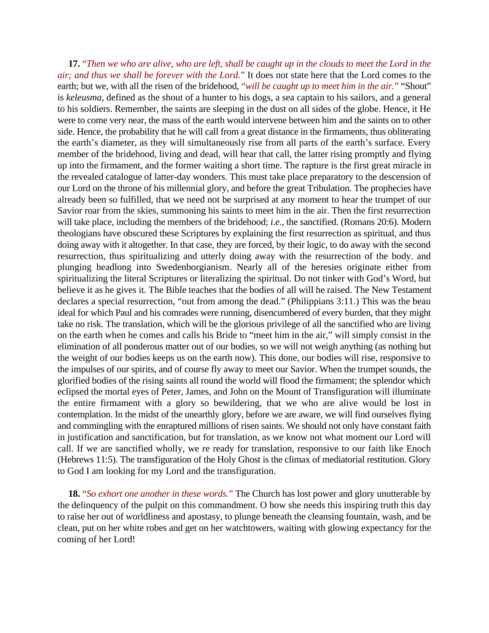**17.** "*Then we who are alive, who are left, shall be caught up in the clouds to meet the Lord in the air; and thus we shall be forever with the Lord.*" It does not state here that the Lord comes to the earth; but we, with all the risen of the bridehood, "*will be caught up to meet him in the air.*" "Shout" is *keleusma*, defined as the shout of a hunter to his dogs, a sea captain to his sailors, and a general to his soldiers. Remember, the saints are sleeping in the dust on all sides of the globe. Hence, it He were to come very near, the mass of the earth would intervene between him and the saints on to other side. Hence, the probability that he will call from a great distance in the firmaments, thus obliterating the earth's diameter, as they will simultaneously rise from all parts of the earth's surface. Every member of the bridehood, living and dead, will hear that call, the latter rising promptly and flying up into the firmament, and the former waiting a short time. The rapture is the first great miracle in the revealed catalogue of latter-day wonders. This must take place preparatory to the descension of our Lord on the throne of his millennial glory, and before the great Tribulation. The prophecies have already been so fulfilled, that we need not be surprised at any moment to hear the trumpet of our Savior roar from the skies, summoning his saints to meet him in the air. Then the first resurrection will take place, including the members of the bridehood; *i.e.*, the sanctified. (Romans 20:6). Modern theologians have obscured these Scriptures by explaining the first resurrection as spiritual, and thus doing away with it altogether. In that case, they are forced, by their logic, to do away with the second resurrection, thus spiritualizing and utterly doing away with the resurrection of the body. and plunging headlong into Swedenborgianism. Nearly all of the heresies originate either from spiritualizing the literal Scriptures or literalizing the spiritual. Do not tinker with God's Word, but believe it as he gives it. The Bible teaches that the bodies of all will he raised. The New Testament declares a special resurrection, "out from among the dead." (Philippians 3:11.) This was the beau ideal for which Paul and his comrades were running, disencumbered of every burden, that they might take no risk. The translation, which will be the glorious privilege of all the sanctified who are living on the earth when he comes and calls his Bride to "meet him in the air," will simply consist in the elimination of all ponderous matter out of our bodies, so we will not weigh anything (as nothing but the weight of our bodies keeps us on the earth now). This done, our bodies will rise, responsive to the impulses of our spirits, and of course fly away to meet our Savior. When the trumpet sounds, the glorified bodies of the rising saints all round the world will flood the firmament; the splendor which eclipsed the mortal eyes of Peter, James, and John on the Mount of Transfiguration will illuminate the entire firmament with a glory so bewildering, that we who are alive would be lost in contemplation. In the midst of the unearthly glory, before we are aware, we will find ourselves flying and commingling with the enraptured millions of risen saints. We should not only have constant faith in justification and sanctification, but for translation, as we know not what moment our Lord will call. If we are sanctified wholly, we re ready for translation, responsive to our faith like Enoch (Hebrews 11:5). The transfiguration of the Holy Ghost is the climax of mediatorial restitution. Glory to God I am looking for my Lord and the transfiguration.

**18.** "*So exhort one another in these words.*" The Church has lost power and glory unutterable by the delinquency of the pulpit on this commandment. O how she needs this inspiring truth this day to raise her out of worldliness and apostasy, to plunge beneath the cleansing fountain, wash, and be clean, put on her white robes and get on her watchtowers, waiting with glowing expectancy for the coming of her Lord!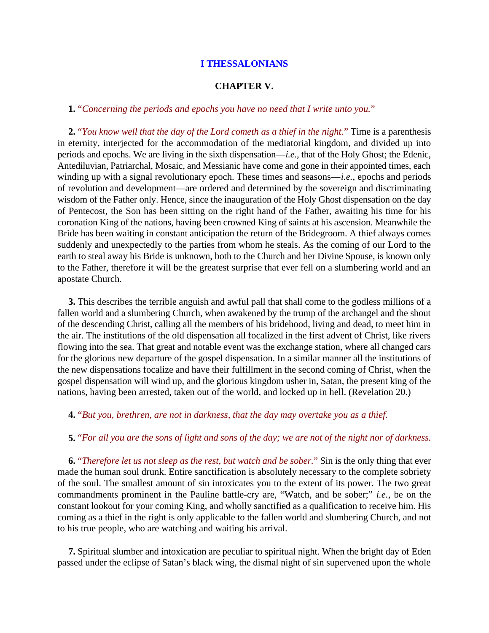#### **CHAPTER V.**

# **1.** "*Concerning the periods and epochs you have no need that I write unto you.*"

**2.** "*You know well that the day of the Lord cometh as a thief in the night.*" Time is a parenthesis in eternity, interjected for the accommodation of the mediatorial kingdom, and divided up into periods and epochs. We are living in the sixth dispensation—*i.e.*, that of the Holy Ghost; the Edenic, Antediluvian, Patriarchal, Mosaic, and Messianic have come and gone in their appointed times, each winding up with a signal revolutionary epoch. These times and seasons—*i.e.*, epochs and periods of revolution and development—are ordered and determined by the sovereign and discriminating wisdom of the Father only. Hence, since the inauguration of the Holy Ghost dispensation on the day of Pentecost, the Son has been sitting on the right hand of the Father, awaiting his time for his coronation King of the nations, having been crowned King of saints at his ascension. Meanwhile the Bride has been waiting in constant anticipation the return of the Bridegroom. A thief always comes suddenly and unexpectedly to the parties from whom he steals. As the coming of our Lord to the earth to steal away his Bride is unknown, both to the Church and her Divine Spouse, is known only to the Father, therefore it will be the greatest surprise that ever fell on a slumbering world and an apostate Church.

**3.** This describes the terrible anguish and awful pall that shall come to the godless millions of a fallen world and a slumbering Church, when awakened by the trump of the archangel and the shout of the descending Christ, calling all the members of his bridehood, living and dead, to meet him in the air. The institutions of the old dispensation all focalized in the first advent of Christ, like rivers flowing into the sea. That great and notable event was the exchange station, where all changed cars for the glorious new departure of the gospel dispensation. In a similar manner all the institutions of the new dispensations focalize and have their fulfillment in the second coming of Christ, when the gospel dispensation will wind up, and the glorious kingdom usher in, Satan, the present king of the nations, having been arrested, taken out of the world, and locked up in hell. (Revelation 20.)

#### **4.** "*But you, brethren, are not in darkness, that the day may overtake you as a thief.*

## **5.** "*For all you are the sons of light and sons of the day; we are not of the night nor of darkness.*

**6.** "*Therefore let us not sleep as the rest, but watch and be sober.*" Sin is the only thing that ever made the human soul drunk. Entire sanctification is absolutely necessary to the complete sobriety of the soul. The smallest amount of sin intoxicates you to the extent of its power. The two great commandments prominent in the Pauline battle-cry are, "Watch, and be sober;" *i.e.*, be on the constant lookout for your coming King, and wholly sanctified as a qualification to receive him. His coming as a thief in the right is only applicable to the fallen world and slumbering Church, and not to his true people, who are watching and waiting his arrival.

**7.** Spiritual slumber and intoxication are peculiar to spiritual night. When the bright day of Eden passed under the eclipse of Satan's black wing, the dismal night of sin supervened upon the whole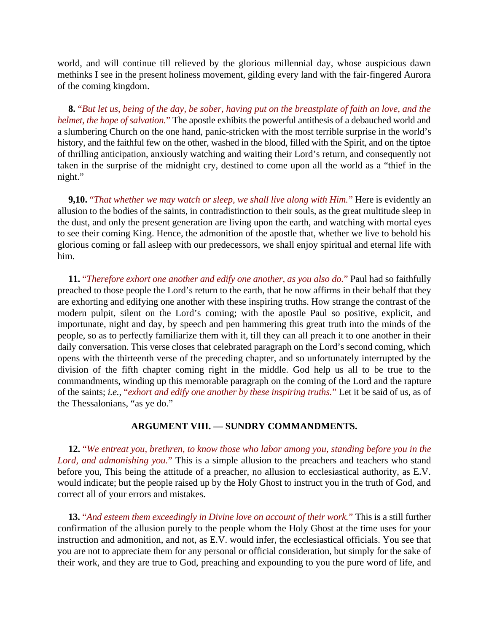world, and will continue till relieved by the glorious millennial day, whose auspicious dawn methinks I see in the present holiness movement, gilding every land with the fair-fingered Aurora of the coming kingdom.

**8.** "*But let us, being of the day, be sober, having put on the breastplate of faith an love, and the helmet, the hope of salvation.*" The apostle exhibits the powerful antithesis of a debauched world and a slumbering Church on the one hand, panic-stricken with the most terrible surprise in the world's history, and the faithful few on the other, washed in the blood, filled with the Spirit, and on the tiptoe of thrilling anticipation, anxiously watching and waiting their Lord's return, and consequently not taken in the surprise of the midnight cry, destined to come upon all the world as a "thief in the night."

**9,10.** "*That whether we may watch or sleep, we shall live along with Him.*" Here is evidently an allusion to the bodies of the saints, in contradistinction to their souls, as the great multitude sleep in the dust, and only the present generation are living upon the earth, and watching with mortal eyes to see their coming King. Hence, the admonition of the apostle that, whether we live to behold his glorious coming or fall asleep with our predecessors, we shall enjoy spiritual and eternal life with him.

**11.** "*Therefore exhort one another and edify one another, as you also do.*" Paul had so faithfully preached to those people the Lord's return to the earth, that he now affirms in their behalf that they are exhorting and edifying one another with these inspiring truths. How strange the contrast of the modern pulpit, silent on the Lord's coming; with the apostle Paul so positive, explicit, and importunate, night and day, by speech and pen hammering this great truth into the minds of the people, so as to perfectly familiarize them with it, till they can all preach it to one another in their daily conversation. This verse closes that celebrated paragraph on the Lord's second coming, which opens with the thirteenth verse of the preceding chapter, and so unfortunately interrupted by the division of the fifth chapter coming right in the middle. God help us all to be true to the commandments, winding up this memorable paragraph on the coming of the Lord and the rapture of the saints; *i.e.*, "*exhort and edify one another by these inspiring truths.*" Let it be said of us, as of the Thessalonians, "as ye do."

## **ARGUMENT VIII. — SUNDRY COMMANDMENTS.**

**12.** "*We entreat you, brethren, to know those who labor among you, standing before you in the Lord, and admonishing you.*" This is a simple allusion to the preachers and teachers who stand before you, This being the attitude of a preacher, no allusion to ecclesiastical authority, as E.V. would indicate; but the people raised up by the Holy Ghost to instruct you in the truth of God, and correct all of your errors and mistakes.

**13.** "*And esteem them exceedingly in Divine love on account of their work.*" This is a still further confirmation of the allusion purely to the people whom the Holy Ghost at the time uses for your instruction and admonition, and not, as E.V. would infer, the ecclesiastical officials. You see that you are not to appreciate them for any personal or official consideration, but simply for the sake of their work, and they are true to God, preaching and expounding to you the pure word of life, and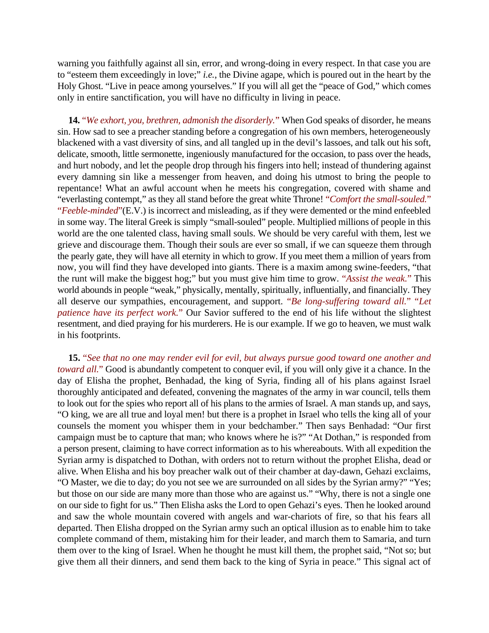warning you faithfully against all sin, error, and wrong-doing in every respect. In that case you are to "esteem them exceedingly in love;" *i.e.*, the Divine agape, which is poured out in the heart by the Holy Ghost. "Live in peace among yourselves." If you will all get the "peace of God," which comes only in entire sanctification, you will have no difficulty in living in peace.

**14.** "*We exhort, you, brethren, admonish the disorderly.*" When God speaks of disorder, he means sin. How sad to see a preacher standing before a congregation of his own members, heterogeneously blackened with a vast diversity of sins, and all tangled up in the devil's lassoes, and talk out his soft, delicate, smooth, little sermonette, ingeniously manufactured for the occasion, to pass over the heads, and hurt nobody, and let the people drop through his fingers into hell; instead of thundering against every damning sin like a messenger from heaven, and doing his utmost to bring the people to repentance! What an awful account when he meets his congregation, covered with shame and "everlasting contempt," as they all stand before the great white Throne! "*Comfort the small-souled.*" "*Feeble-minded*"(E.V.) is incorrect and misleading, as if they were demented or the mind enfeebled in some way. The literal Greek is simply "small-souled" people. Multiplied millions of people in this world are the one talented class, having small souls. We should be very careful with them, lest we grieve and discourage them. Though their souls are ever so small, if we can squeeze them through the pearly gate, they will have all eternity in which to grow. If you meet them a million of years from now, you will find they have developed into giants. There is a maxim among swine-feeders, "that the runt will make the biggest hog;" but you must give him time to grow. "*Assist the weak.*" This world abounds in people "weak," physically, mentally, spiritually, influentially, and financially. They all deserve our sympathies, encouragement, and support. "*Be long-suffering toward all.*" "*Let patience have its perfect work.*" Our Savior suffered to the end of his life without the slightest resentment, and died praying for his murderers. He is our example. If we go to heaven, we must walk in his footprints.

**15.** "*See that no one may render evil for evil, but always pursue good toward one another and toward all.*" Good is abundantly competent to conquer evil, if you will only give it a chance. In the day of Elisha the prophet, Benhadad, the king of Syria, finding all of his plans against Israel thoroughly anticipated and defeated, convening the magnates of the army in war council, tells them to look out for the spies who report all of his plans to the armies of Israel. A man stands up, and says, "O king, we are all true and loyal men! but there is a prophet in Israel who tells the king all of your counsels the moment you whisper them in your bedchamber." Then says Benhadad: "Our first campaign must be to capture that man; who knows where he is?" "At Dothan," is responded from a person present, claiming to have correct information as to his whereabouts. With all expedition the Syrian army is dispatched to Dothan, with orders not to return without the prophet Elisha, dead or alive. When Elisha and his boy preacher walk out of their chamber at day-dawn, Gehazi exclaims, "O Master, we die to day; do you not see we are surrounded on all sides by the Syrian army?" "Yes; but those on our side are many more than those who are against us." "Why, there is not a single one on our side to fight for us." Then Elisha asks the Lord to open Gehazi's eyes. Then he looked around and saw the whole mountain covered with angels and war-chariots of fire, so that his fears all departed. Then Elisha dropped on the Syrian army such an optical illusion as to enable him to take complete command of them, mistaking him for their leader, and march them to Samaria, and turn them over to the king of Israel. When he thought he must kill them, the prophet said, "Not so; but give them all their dinners, and send them back to the king of Syria in peace." This signal act of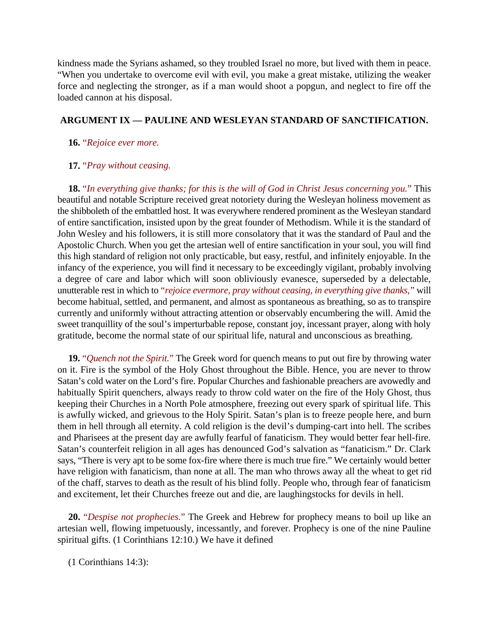kindness made the Syrians ashamed, so they troubled Israel no more, but lived with them in peace. "When you undertake to overcome evil with evil, you make a great mistake, utilizing the weaker force and neglecting the stronger, as if a man would shoot a popgun, and neglect to fire off the loaded cannon at his disposal.

# **ARGUMENT IX — PAULINE AND WESLEYAN STANDARD OF SANCTIFICATION.**

## **16.** "*Rejoice ever more.*

## **17.** "*Pray without ceasing.*

**18.** "*In everything give thanks; for this is the will of God in Christ Jesus concerning you.*" This beautiful and notable Scripture received great notoriety during the Wesleyan holiness movement as the shibboleth of the embattled host. It was everywhere rendered prominent as the Wesleyan standard of entire sanctification, insisted upon by the great founder of Methodism. While it is the standard of John Wesley and his followers, it is still more consolatory that it was the standard of Paul and the Apostolic Church. When you get the artesian well of entire sanctification in your soul, you will find this high standard of religion not only practicable, but easy, restful, and infinitely enjoyable. In the infancy of the experience, you will find it necessary to be exceedingly vigilant, probably involving a degree of care and labor which will soon obliviously evanesce, superseded by a delectable, unutterable rest in which to "*rejoice evermore, pray without ceasing, in everything give thanks,*" will become habitual, settled, and permanent, and almost as spontaneous as breathing, so as to transpire currently and uniformly without attracting attention or observably encumbering the will. Amid the sweet tranquillity of the soul's imperturbable repose, constant joy, incessant prayer, along with holy gratitude, become the normal state of our spiritual life, natural and unconscious as breathing.

**19.** "*Quench not the Spirit.*" The Greek word for quench means to put out fire by throwing water on it. Fire is the symbol of the Holy Ghost throughout the Bible. Hence, you are never to throw Satan's cold water on the Lord's fire. Popular Churches and fashionable preachers are avowedly and habitually Spirit quenchers, always ready to throw cold water on the fire of the Holy Ghost, thus keeping their Churches in a North Pole atmosphere, freezing out every spark of spiritual life. This is awfully wicked, and grievous to the Holy Spirit. Satan's plan is to freeze people here, and burn them in hell through all eternity. A cold religion is the devil's dumping-cart into hell. The scribes and Pharisees at the present day are awfully fearful of fanaticism. They would better fear hell-fire. Satan's counterfeit religion in all ages has denounced God's salvation as "fanaticism." Dr. Clark says, "There is very apt to be some fox-fire where there is much true fire." We certainly would better have religion with fanaticism, than none at all. The man who throws away all the wheat to get rid of the chaff, starves to death as the result of his blind folly. People who, through fear of fanaticism and excitement, let their Churches freeze out and die, are laughingstocks for devils in hell.

**20.** "*Despise not prophecies.*" The Greek and Hebrew for prophecy means to boil up like an artesian well, flowing impetuously, incessantly, and forever. Prophecy is one of the nine Pauline spiritual gifts. (1 Corinthians 12:10.) We have it defined

(1 Corinthians 14:3):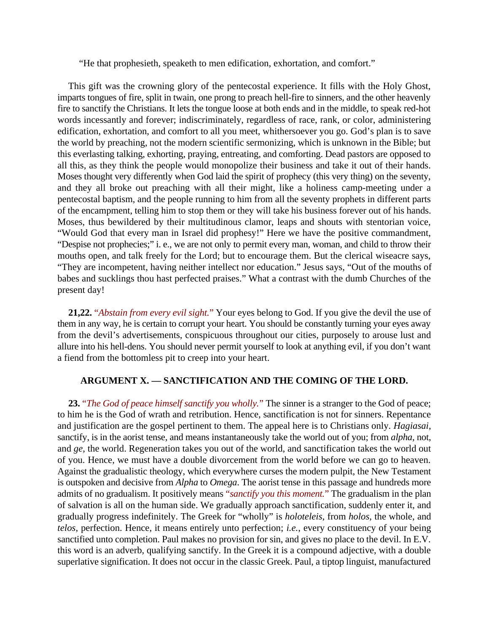"He that prophesieth, speaketh to men edification, exhortation, and comfort."

This gift was the crowning glory of the pentecostal experience. It fills with the Holy Ghost, imparts tongues of fire, split in twain, one prong to preach hell-fire to sinners, and the other heavenly fire to sanctify the Christians. It lets the tongue loose at both ends and in the middle, to speak red-hot words incessantly and forever; indiscriminately, regardless of race, rank, or color, administering edification, exhortation, and comfort to all you meet, whithersoever you go. God's plan is to save the world by preaching, not the modern scientific sermonizing, which is unknown in the Bible; but this everlasting talking, exhorting, praying, entreating, and comforting. Dead pastors are opposed to all this, as they think the people would monopolize their business and take it out of their hands. Moses thought very differently when God laid the spirit of prophecy (this very thing) on the seventy, and they all broke out preaching with all their might, like a holiness camp-meeting under a pentecostal baptism, and the people running to him from all the seventy prophets in different parts of the encampment, telling him to stop them or they will take his business forever out of his hands. Moses, thus bewildered by their multitudinous clamor, leaps and shouts with stentorian voice, "Would God that every man in Israel did prophesy!" Here we have the positive commandment, "Despise not prophecies;" i. e., we are not only to permit every man, woman, and child to throw their mouths open, and talk freely for the Lord; but to encourage them. But the clerical wiseacre says, "They are incompetent, having neither intellect nor education." Jesus says, "Out of the mouths of babes and sucklings thou hast perfected praises." What a contrast with the dumb Churches of the present day!

**21,22.** "*Abstain from every evil sight.*" Your eyes belong to God. If you give the devil the use of them in any way, he is certain to corrupt your heart. You should be constantly turning your eyes away from the devil's advertisements, conspicuous throughout our cities, purposely to arouse lust and allure into his hell-dens. You should never permit yourself to look at anything evil, if you don't want a fiend from the bottomless pit to creep into your heart.

### **ARGUMENT X. — SANCTIFICATION AND THE COMING OF THE LORD.**

**23.** "*The God of peace himself sanctify you wholly.*" The sinner is a stranger to the God of peace; to him he is the God of wrath and retribution. Hence, sanctification is not for sinners. Repentance and justification are the gospel pertinent to them. The appeal here is to Christians only. *Hagiasai*, sanctify, is in the aorist tense, and means instantaneously take the world out of you; from *alpha*, not, and *ge*, the world. Regeneration takes you out of the world, and sanctification takes the world out of you. Hence, we must have a double divorcement from the world before we can go to heaven. Against the gradualistic theology, which everywhere curses the modern pulpit, the New Testament is outspoken and decisive from *Alpha* to *Omega*. The aorist tense in this passage and hundreds more admits of no gradualism. It positively means "*sanctify you this moment.*" The gradualism in the plan of salvation is all on the human side. We gradually approach sanctification, suddenly enter it, and gradually progress indefinitely. The Greek for "wholly" is *holoteleis*, from *holos*, the whole, and *telos*, perfection. Hence, it means entirely unto perfection; *i.e.*, every constituency of your being sanctified unto completion. Paul makes no provision for sin, and gives no place to the devil. In E.V. this word is an adverb, qualifying sanctify. In the Greek it is a compound adjective, with a double superlative signification. It does not occur in the classic Greek. Paul, a tiptop linguist, manufactured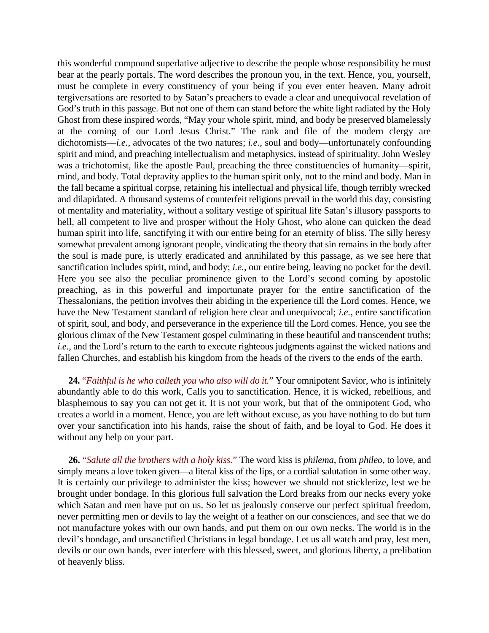this wonderful compound superlative adjective to describe the people whose responsibility he must bear at the pearly portals. The word describes the pronoun you, in the text. Hence, you, yourself, must be complete in every constituency of your being if you ever enter heaven. Many adroit tergiversations are resorted to by Satan's preachers to evade a clear and unequivocal revelation of God's truth in this passage. But not one of them can stand before the white light radiated by the Holy Ghost from these inspired words, "May your whole spirit, mind, and body be preserved blamelessly at the coming of our Lord Jesus Christ." The rank and file of the modern clergy are dichotomists—*i.e.*, advocates of the two natures; *i.e.*, soul and body—unfortunately confounding spirit and mind, and preaching intellectualism and metaphysics, instead of spirituality. John Wesley was a trichotomist, like the apostle Paul, preaching the three constituencies of humanity—spirit, mind, and body. Total depravity applies to the human spirit only, not to the mind and body. Man in the fall became a spiritual corpse, retaining his intellectual and physical life, though terribly wrecked and dilapidated. A thousand systems of counterfeit religions prevail in the world this day, consisting of mentality and materiality, without a solitary vestige of spiritual life Satan's illusory passports to hell, all competent to live and prosper without the Holy Ghost, who alone can quicken the dead human spirit into life, sanctifying it with our entire being for an eternity of bliss. The silly heresy somewhat prevalent among ignorant people, vindicating the theory that sin remains in the body after the soul is made pure, is utterly eradicated and annihilated by this passage, as we see here that sanctification includes spirit, mind, and body; *i.e.*, our entire being, leaving no pocket for the devil. Here you see also the peculiar prominence given to the Lord's second coming by apostolic preaching, as in this powerful and importunate prayer for the entire sanctification of the Thessalonians, the petition involves their abiding in the experience till the Lord comes. Hence, we have the New Testament standard of religion here clear and unequivocal; *i.e.*, entire sanctification of spirit, soul, and body, and perseverance in the experience till the Lord comes. Hence, you see the glorious climax of the New Testament gospel culminating in these beautiful and transcendent truths; *i.e.*, and the Lord's return to the earth to execute righteous judgments against the wicked nations and fallen Churches, and establish his kingdom from the heads of the rivers to the ends of the earth.

**24.** "*Faithful is he who calleth you who also will do it.*" Your omnipotent Savior, who is infinitely abundantly able to do this work, Calls you to sanctification. Hence, it is wicked, rebellious, and blasphemous to say you can not get it. It is not your work, but that of the omnipotent God, who creates a world in a moment. Hence, you are left without excuse, as you have nothing to do but turn over your sanctification into his hands, raise the shout of faith, and be loyal to God. He does it without any help on your part.

**26.** "*Salute all the brothers with a holy kiss.*" The word kiss is *philema*, from *phileo*, to love, and simply means a love token given—a literal kiss of the lips, or a cordial salutation in some other way. It is certainly our privilege to administer the kiss; however we should not sticklerize, lest we be brought under bondage. In this glorious full salvation the Lord breaks from our necks every yoke which Satan and men have put on us. So let us jealously conserve our perfect spiritual freedom, never permitting men or devils to lay the weight of a feather on our consciences, and see that we do not manufacture yokes with our own hands, and put them on our own necks. The world is in the devil's bondage, and unsanctified Christians in legal bondage. Let us all watch and pray, lest men, devils or our own hands, ever interfere with this blessed, sweet, and glorious liberty, a prelibation of heavenly bliss.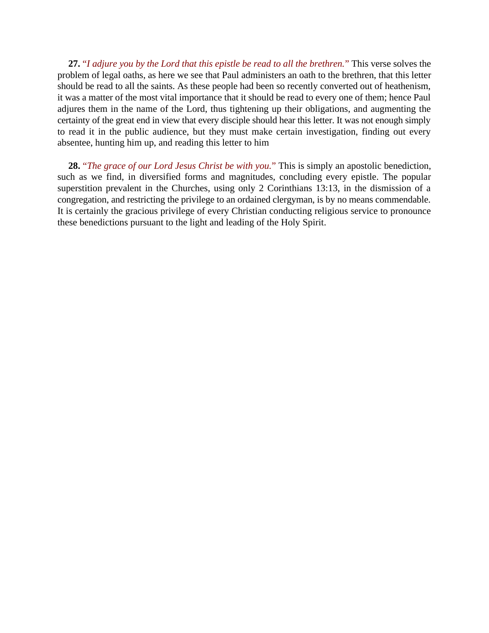**27.** "*I adjure you by the Lord that this epistle be read to all the brethren.*" This verse solves the problem of legal oaths, as here we see that Paul administers an oath to the brethren, that this letter should be read to all the saints. As these people had been so recently converted out of heathenism, it was a matter of the most vital importance that it should be read to every one of them; hence Paul adjures them in the name of the Lord, thus tightening up their obligations, and augmenting the certainty of the great end in view that every disciple should hear this letter. It was not enough simply to read it in the public audience, but they must make certain investigation, finding out every absentee, hunting him up, and reading this letter to him

**28.** "*The grace of our Lord Jesus Christ be with you.*" This is simply an apostolic benediction, such as we find, in diversified forms and magnitudes, concluding every epistle. The popular superstition prevalent in the Churches, using only 2 Corinthians 13:13, in the dismission of a congregation, and restricting the privilege to an ordained clergyman, is by no means commendable. It is certainly the gracious privilege of every Christian conducting religious service to pronounce these benedictions pursuant to the light and leading of the Holy Spirit.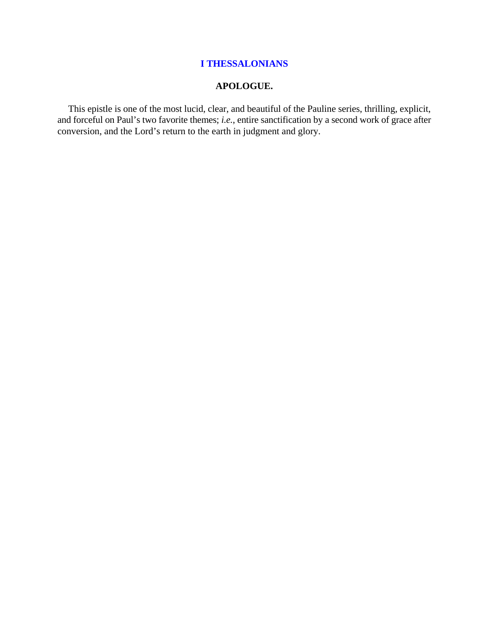# **APOLOGUE.**

This epistle is one of the most lucid, clear, and beautiful of the Pauline series, thrilling, explicit, and forceful on Paul's two favorite themes; *i.e.*, entire sanctification by a second work of grace after conversion, and the Lord's return to the earth in judgment and glory.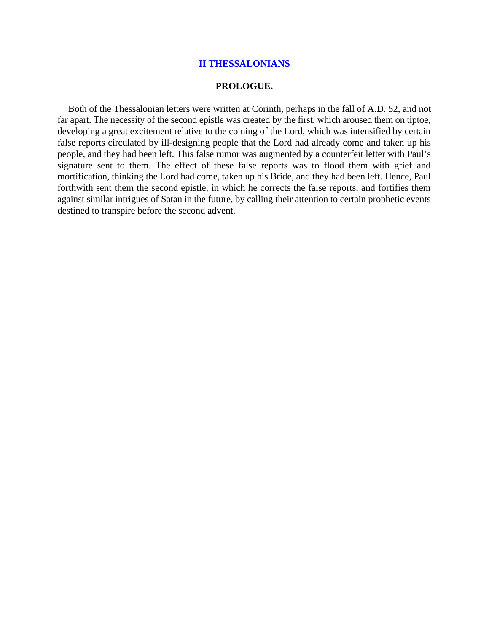#### **PROLOGUE.**

Both of the Thessalonian letters were written at Corinth, perhaps in the fall of A.D. 52, and not far apart. The necessity of the second epistle was created by the first, which aroused them on tiptoe, developing a great excitement relative to the coming of the Lord, which was intensified by certain false reports circulated by ill-designing people that the Lord had already come and taken up his people, and they had been left. This false rumor was augmented by a counterfeit letter with Paul's signature sent to them. The effect of these false reports was to flood them with grief and mortification, thinking the Lord had come, taken up his Bride, and they had been left. Hence, Paul forthwith sent them the second epistle, in which he corrects the false reports, and fortifies them against similar intrigues of Satan in the future, by calling their attention to certain prophetic events destined to transpire before the second advent.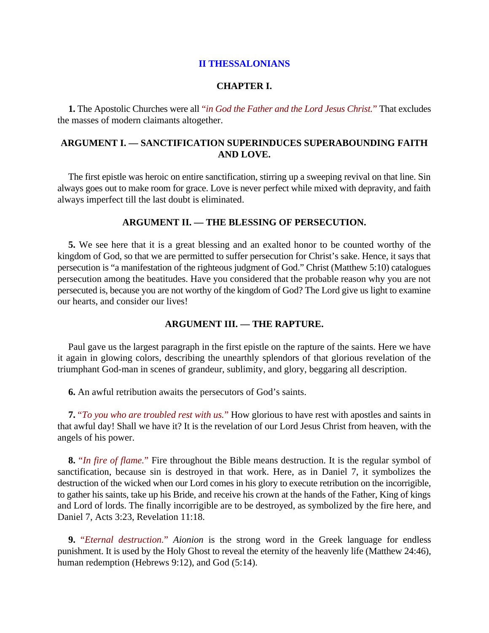### **CHAPTER I.**

**1.** The Apostolic Churches were all "*in God the Father and the Lord Jesus Christ.*" That excludes the masses of modern claimants altogether.

# **ARGUMENT I. — SANCTIFICATION SUPERINDUCES SUPERABOUNDING FAITH AND LOVE.**

The first epistle was heroic on entire sanctification, stirring up a sweeping revival on that line. Sin always goes out to make room for grace. Love is never perfect while mixed with depravity, and faith always imperfect till the last doubt is eliminated.

## **ARGUMENT II. — THE BLESSING OF PERSECUTION.**

**5.** We see here that it is a great blessing and an exalted honor to be counted worthy of the kingdom of God, so that we are permitted to suffer persecution for Christ's sake. Hence, it says that persecution is "a manifestation of the righteous judgment of God." Christ (Matthew 5:10) catalogues persecution among the beatitudes. Have you considered that the probable reason why you are not persecuted is, because you are not worthy of the kingdom of God? The Lord give us light to examine our hearts, and consider our lives!

### **ARGUMENT III. — THE RAPTURE.**

Paul gave us the largest paragraph in the first epistle on the rapture of the saints. Here we have it again in glowing colors, describing the unearthly splendors of that glorious revelation of the triumphant God-man in scenes of grandeur, sublimity, and glory, beggaring all description.

**6.** An awful retribution awaits the persecutors of God's saints.

**7.** "*To you who are troubled rest with us.*" How glorious to have rest with apostles and saints in that awful day! Shall we have it? It is the revelation of our Lord Jesus Christ from heaven, with the angels of his power.

**8.** "*In fire of flame.*" Fire throughout the Bible means destruction. It is the regular symbol of sanctification, because sin is destroyed in that work. Here, as in Daniel 7, it symbolizes the destruction of the wicked when our Lord comes in his glory to execute retribution on the incorrigible, to gather his saints, take up his Bride, and receive his crown at the hands of the Father, King of kings and Lord of lords. The finally incorrigible are to be destroyed, as symbolized by the fire here, and Daniel 7, Acts 3:23, Revelation 11:18.

**9.** "*Eternal destruction.*" *Aionion* is the strong word in the Greek language for endless punishment. It is used by the Holy Ghost to reveal the eternity of the heavenly life (Matthew 24:46), human redemption (Hebrews 9:12), and God (5:14).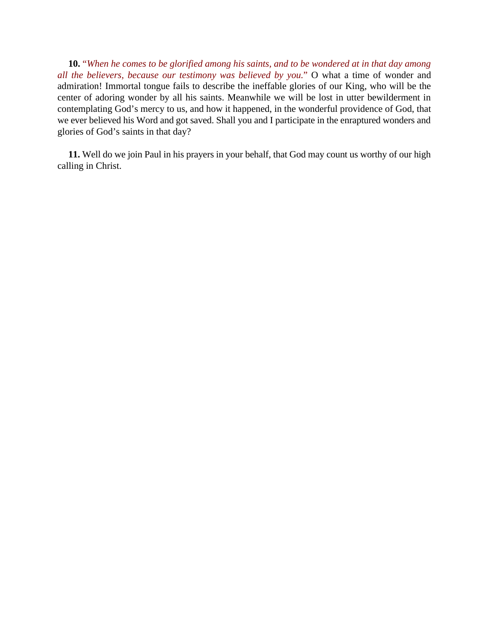**10.** "*When he comes to be glorified among his saints, and to be wondered at in that day among all the believers, because our testimony was believed by you.*" O what a time of wonder and admiration! Immortal tongue fails to describe the ineffable glories of our King, who will be the center of adoring wonder by all his saints. Meanwhile we will be lost in utter bewilderment in contemplating God's mercy to us, and how it happened, in the wonderful providence of God, that we ever believed his Word and got saved. Shall you and I participate in the enraptured wonders and glories of God's saints in that day?

**11.** Well do we join Paul in his prayers in your behalf, that God may count us worthy of our high calling in Christ.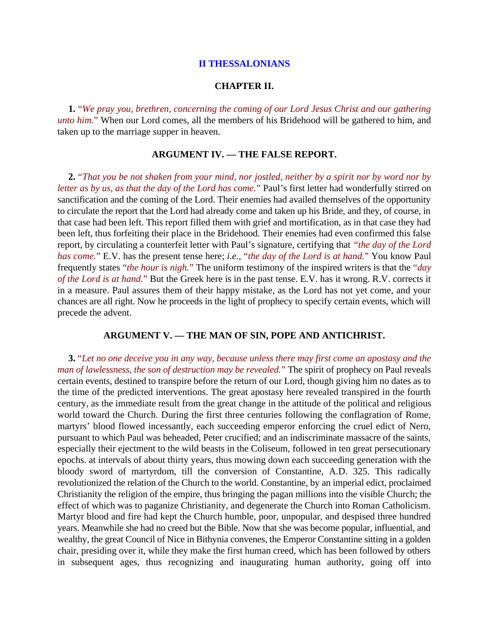## **II THESSALONIANS**

#### **CHAPTER II.**

**1.** "*We pray you, brethren, concerning the coming of our Lord Jesus Christ and our gathering unto him.*" When our Lord comes, all the members of his Bridehood will be gathered to him, and taken up to the marriage supper in heaven.

#### **ARGUMENT IV. — THE FALSE REPORT.**

**2.** "*That you be not shaken from your mind, nor jostled, neither by a spirit nor by word nor by letter as by us, as that the day of the Lord has come.*" Paul's first letter had wonderfully stirred on sanctification and the coming of the Lord. Their enemies had availed themselves of the opportunity to circulate the report that the Lord had already come and taken up his Bride, and they, of course, in that case had been left. This report filled them with grief and mortification, as in that case they had been left, thus forfeiting their place in the Bridehood. Their enemies had even confirmed this false report, by circulating a counterfeit letter with Paul's signature, certifying that "*the day of the Lord has come.*" E.V. has the present tense here; *i.e.*, "*the day of the Lord is at hand.*" You know Paul frequently states "*the hour is nigh.*" The uniform testimony of the inspired writers is that the "*day of the Lord is at hand.*" But the Greek here is in the past tense. E.V. has it wrong. R.V. corrects it in a measure. Paul assures them of their happy mistake, as the Lord has not yet come, and your chances are all right. Now he proceeds in the light of prophecy to specify certain events, which will precede the advent.

# **ARGUMENT V. — THE MAN OF SIN, POPE AND ANTICHRIST.**

**3.** "*Let no one deceive you in any way, because unless there may first come an apostasy and the man of lawlessness, the son of destruction may be revealed.*" The spirit of prophecy on Paul reveals certain events, destined to transpire before the return of our Lord, though giving him no dates as to the time of the predicted interventions. The great apostasy here revealed transpired in the fourth century, as the immediate result from the great change in the attitude of the political and religious world toward the Church. During the first three centuries following the conflagration of Rome, martyrs' blood flowed incessantly, each succeeding emperor enforcing the cruel edict of Nero, pursuant to which Paul was beheaded, Peter crucified; and an indiscriminate massacre of the saints, especially their ejectment to the wild beasts in the Coliseum, followed in ten great persecutionary epochs. at intervals of about thirty years, thus mowing down each succeeding generation with the bloody sword of martyrdom, till the conversion of Constantine, A.D. 325. This radically revolutionized the relation of the Church to the world. Constantine, by an imperial edict, proclaimed Christianity the religion of the empire, thus bringing the pagan millions into the visible Church; the effect of which was to paganize Christianity, and degenerate the Church into Roman Catholicism. Martyr blood and fire had kept the Church humble, poor, unpopular, and despised three hundred years. Meanwhile she had no creed but the Bible. Now that she was become popular, influential, and wealthy, the great Council of Nice in Bithynia convenes, the Emperor Constantine sitting in a golden chair, presiding over it, while they make the first human creed, which has been followed by others in subsequent ages, thus recognizing and inaugurating human authority, going off into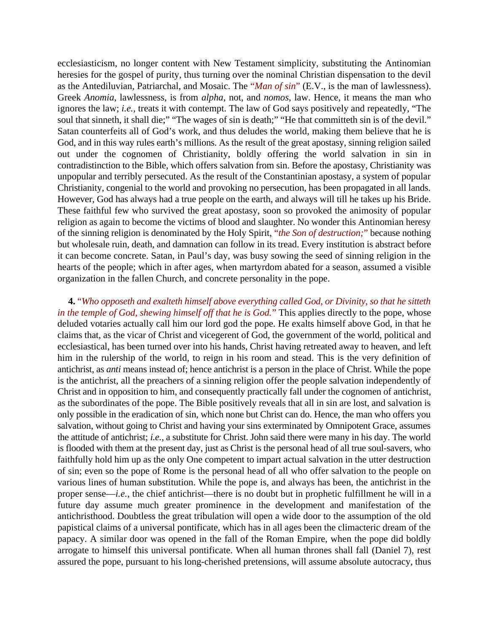ecclesiasticism, no longer content with New Testament simplicity, substituting the Antinomian heresies for the gospel of purity, thus turning over the nominal Christian dispensation to the devil as the Antediluvian, Patriarchal, and Mosaic. The "*Man of sin*" (E.V., is the man of lawlessness). Greek *Anomia*, lawlessness, is from *alpha*, not, and *nomos*, law. Hence, it means the man who ignores the law; *i.e.*, treats it with contempt. The law of God says positively and repeatedly, "The soul that sinneth, it shall die;" "The wages of sin is death;" "He that committeth sin is of the devil." Satan counterfeits all of God's work, and thus deludes the world, making them believe that he is God, and in this way rules earth's millions. As the result of the great apostasy, sinning religion sailed out under the cognomen of Christianity, boldly offering the world salvation in sin in contradistinction to the Bible, which offers salvation from sin. Before the apostasy, Christianity was unpopular and terribly persecuted. As the result of the Constantinian apostasy, a system of popular Christianity, congenial to the world and provoking no persecution, has been propagated in all lands. However, God has always had a true people on the earth, and always will till he takes up his Bride. These faithful few who survived the great apostasy, soon so provoked the animosity of popular religion as again to become the victims of blood and slaughter. No wonder this Antinomian heresy of the sinning religion is denominated by the Holy Spirit, "*the Son of destruction;*" because nothing but wholesale ruin, death, and damnation can follow in its tread. Every institution is abstract before it can become concrete. Satan, in Paul's day, was busy sowing the seed of sinning religion in the hearts of the people; which in after ages, when martyrdom abated for a season, assumed a visible organization in the fallen Church, and concrete personality in the pope.

**4.** "*Who opposeth and exalteth himself above everything called God, or Divinity, so that he sitteth in the temple of God, shewing himself off that he is God.*" This applies directly to the pope, whose deluded votaries actually call him our lord god the pope. He exalts himself above God, in that he claims that, as the vicar of Christ and vicegerent of God, the government of the world, political and ecclesiastical, has been turned over into his hands, Christ having retreated away to heaven, and left him in the rulership of the world, to reign in his room and stead. This is the very definition of antichrist, as *anti* means instead of; hence antichrist is a person in the place of Christ. While the pope is the antichrist, all the preachers of a sinning religion offer the people salvation independently of Christ and in opposition to him, and consequently practically fall under the cognomen of antichrist, as the subordinates of the pope. The Bible positively reveals that all in sin are lost, and salvation is only possible in the eradication of sin, which none but Christ can do. Hence, the man who offers you salvation, without going to Christ and having your sins exterminated by Omnipotent Grace, assumes the attitude of antichrist; *i.e.*, a substitute for Christ. John said there were many in his day. The world is flooded with them at the present day, just as Christ is the personal head of all true soul-savers, who faithfully hold him up as the only One competent to impart actual salvation in the utter destruction of sin; even so the pope of Rome is the personal head of all who offer salvation to the people on various lines of human substitution. While the pope is, and always has been, the antichrist in the proper sense—*i.e.*, the chief antichrist—there is no doubt but in prophetic fulfillment he will in a future day assume much greater prominence in the development and manifestation of the antichristhood. Doubtless the great tribulation will open a wide door to the assumption of the old papistical claims of a universal pontificate, which has in all ages been the climacteric dream of the papacy. A similar door was opened in the fall of the Roman Empire, when the pope did boldly arrogate to himself this universal pontificate. When all human thrones shall fall (Daniel 7), rest assured the pope, pursuant to his long-cherished pretensions, will assume absolute autocracy, thus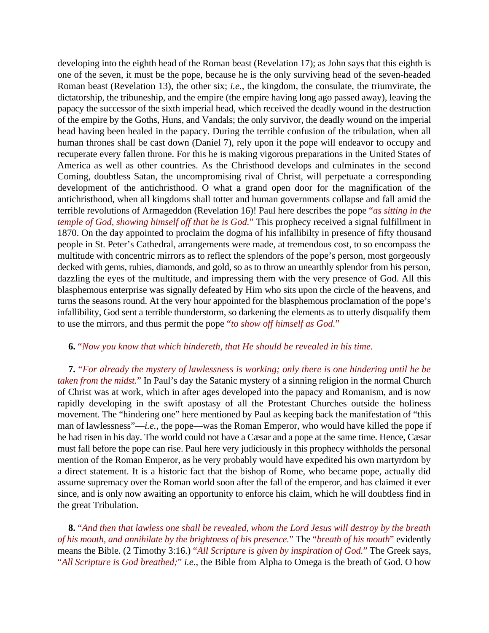developing into the eighth head of the Roman beast (Revelation 17); as John says that this eighth is one of the seven, it must be the pope, because he is the only surviving head of the seven-headed Roman beast (Revelation 13), the other six; *i.e.*, the kingdom, the consulate, the triumvirate, the dictatorship, the tribuneship, and the empire (the empire having long ago passed away), leaving the papacy the successor of the sixth imperial head, which received the deadly wound in the destruction of the empire by the Goths, Huns, and Vandals; the only survivor, the deadly wound on the imperial head having been healed in the papacy. During the terrible confusion of the tribulation, when all human thrones shall be cast down (Daniel 7), rely upon it the pope will endeavor to occupy and recuperate every fallen throne. For this he is making vigorous preparations in the United States of America as well as other countries. As the Christhood develops and culminates in the second Coming, doubtless Satan, the uncompromising rival of Christ, will perpetuate a corresponding development of the antichristhood. O what a grand open door for the magnification of the antichristhood, when all kingdoms shall totter and human governments collapse and fall amid the terrible revolutions of Armageddon (Revelation 16)! Paul here describes the pope "*as sitting in the temple of God, showing himself off that he is God.*" This prophecy received a signal fulfillment in 1870. On the day appointed to proclaim the dogma of his infallibilty in presence of fifty thousand people in St. Peter's Cathedral, arrangements were made, at tremendous cost, to so encompass the multitude with concentric mirrors as to reflect the splendors of the pope's person, most gorgeously decked with gems, rubies, diamonds, and gold, so as to throw an unearthly splendor from his person, dazzling the eyes of the multitude, and impressing them with the very presence of God. All this blasphemous enterprise was signally defeated by Him who sits upon the circle of the heavens, and turns the seasons round. At the very hour appointed for the blasphemous proclamation of the pope's infallibility, God sent a terrible thunderstorm, so darkening the elements as to utterly disqualify them to use the mirrors, and thus permit the pope "*to show off himself as God.*"

# **6.** "*Now you know that which hindereth, that He should be revealed in his time.*

**7.** "*For already the mystery of lawlessness is working; only there is one hindering until he be taken from the midst.*" In Paul's day the Satanic mystery of a sinning religion in the normal Church of Christ was at work, which in after ages developed into the papacy and Romanism, and is now rapidly developing in the swift apostasy of all the Protestant Churches outside the holiness movement. The "hindering one" here mentioned by Paul as keeping back the manifestation of "this man of lawlessness"—*i.e.*, the pope—was the Roman Emperor, who would have killed the pope if he had risen in his day. The world could not have a Cæsar and a pope at the same time. Hence, Cæsar must fall before the pope can rise. Paul here very judiciously in this prophecy withholds the personal mention of the Roman Emperor, as he very probably would have expedited his own martyrdom by a direct statement. It is a historic fact that the bishop of Rome, who became pope, actually did assume supremacy over the Roman world soon after the fall of the emperor, and has claimed it ever since, and is only now awaiting an opportunity to enforce his claim, which he will doubtless find in the great Tribulation.

**8.** "*And then that lawless one shall be revealed, whom the Lord Jesus will destroy by the breath of his mouth, and annihilate by the brightness of his presence.*" The "*breath of his mouth*" evidently means the Bible. (2 Timothy 3:16.) "*All Scripture is given by inspiration of God.*" The Greek says, "*All Scripture is God breathed;*" *i.e.*, the Bible from Alpha to Omega is the breath of God. O how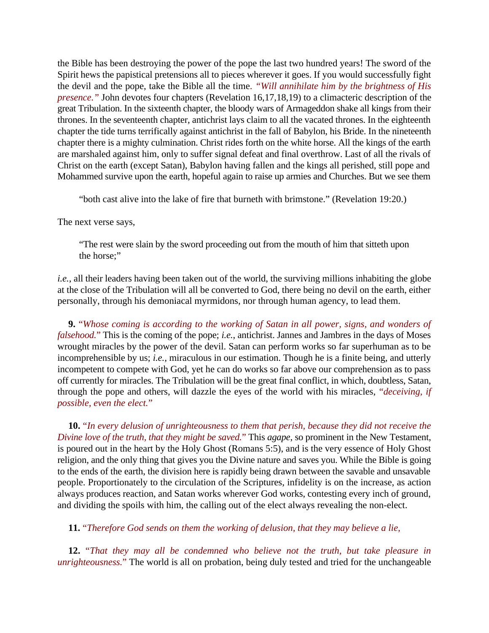the Bible has been destroying the power of the pope the last two hundred years! The sword of the Spirit hews the papistical pretensions all to pieces wherever it goes. If you would successfully fight the devil and the pope, take the Bible all the time*. "Will annihilate him by the brightness of His presence.*" John devotes four chapters (Revelation 16,17,18,19) to a climacteric description of the great Tribulation. In the sixteenth chapter, the bloody wars of Armageddon shake all kings from their thrones. In the seventeenth chapter, antichrist lays claim to all the vacated thrones. In the eighteenth chapter the tide turns terrifically against antichrist in the fall of Babylon, his Bride. In the nineteenth chapter there is a mighty culmination. Christ rides forth on the white horse. All the kings of the earth are marshaled against him, only to suffer signal defeat and final overthrow. Last of all the rivals of Christ on the earth (except Satan), Babylon having fallen and the kings all perished, still pope and Mohammed survive upon the earth, hopeful again to raise up armies and Churches. But we see them

"both cast alive into the lake of fire that burneth with brimstone." (Revelation 19:20.)

The next verse says,

"The rest were slain by the sword proceeding out from the mouth of him that sitteth upon the horse;"

*i.e.*, all their leaders having been taken out of the world, the surviving millions inhabiting the globe at the close of the Tribulation will all be converted to God, there being no devil on the earth, either personally, through his demoniacal myrmidons, nor through human agency, to lead them.

**9.** "*Whose coming is according to the working of Satan in all power, signs, and wonders of falsehood.*" This is the coming of the pope; *i.e.*, antichrist. Jannes and Jambres in the days of Moses wrought miracles by the power of the devil. Satan can perform works so far superhuman as to be incomprehensible by us; *i.e.*, miraculous in our estimation. Though he is a finite being, and utterly incompetent to compete with God, yet he can do works so far above our comprehension as to pass off currently for miracles. The Tribulation will be the great final conflict, in which, doubtless, Satan, through the pope and others, will dazzle the eyes of the world with his miracles, "*deceiving, if possible, even the elect.*"

**10.** "*In every delusion of unrighteousness to them that perish, because they did not receive the Divine love of the truth, that they might be saved.*" This *agape*, so prominent in the New Testament, is poured out in the heart by the Holy Ghost (Romans 5:5), and is the very essence of Holy Ghost religion, and the only thing that gives you the Divine nature and saves you. While the Bible is going to the ends of the earth, the division here is rapidly being drawn between the savable and unsavable people. Proportionately to the circulation of the Scriptures, infidelity is on the increase, as action always produces reaction, and Satan works wherever God works, contesting every inch of ground, and dividing the spoils with him, the calling out of the elect always revealing the non-elect.

**11.** "*Therefore God sends on them the working of delusion, that they may believe a lie,*

**12.** "*That they may all be condemned who believe not the truth, but take pleasure in unrighteousness.*" The world is all on probation, being duly tested and tried for the unchangeable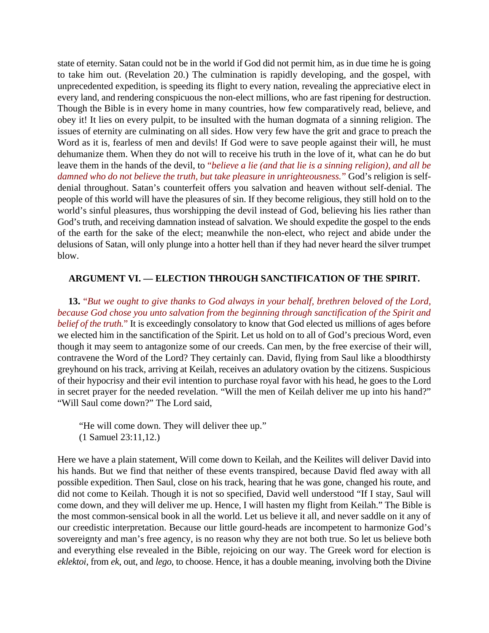state of eternity. Satan could not be in the world if God did not permit him, as in due time he is going to take him out. (Revelation 20.) The culmination is rapidly developing, and the gospel, with unprecedented expedition, is speeding its flight to every nation, revealing the appreciative elect in every land, and rendering conspicuous the non-elect millions, who are fast ripening for destruction. Though the Bible is in every home in many countries, how few comparatively read, believe, and obey it! It lies on every pulpit, to be insulted with the human dogmata of a sinning religion. The issues of eternity are culminating on all sides. How very few have the grit and grace to preach the Word as it is, fearless of men and devils! If God were to save people against their will, he must dehumanize them. When they do not will to receive his truth in the love of it, what can he do but leave them in the hands of the devil, to "*believe a lie (and that lie is a sinning religion), and all be damned who do not believe the truth, but take pleasure in unrighteousness.*" God's religion is selfdenial throughout. Satan's counterfeit offers you salvation and heaven without self-denial. The people of this world will have the pleasures of sin. If they become religious, they still hold on to the world's sinful pleasures, thus worshipping the devil instead of God, believing his lies rather than God's truth, and receiving damnation instead of salvation. We should expedite the gospel to the ends of the earth for the sake of the elect; meanwhile the non-elect, who reject and abide under the delusions of Satan, will only plunge into a hotter hell than if they had never heard the silver trumpet blow.

# **ARGUMENT VI. — ELECTION THROUGH SANCTIFICATION OF THE SPIRIT.**

**13.** "*But we ought to give thanks to God always in your behalf, brethren beloved of the Lord, because God chose you unto salvation from the beginning through sanctification of the Spirit and belief of the truth.*" It is exceedingly consolatory to know that God elected us millions of ages before we elected him in the sanctification of the Spirit. Let us hold on to all of God's precious Word, even though it may seem to antagonize some of our creeds. Can men, by the free exercise of their will, contravene the Word of the Lord? They certainly can. David, flying from Saul like a bloodthirsty greyhound on his track, arriving at Keilah, receives an adulatory ovation by the citizens. Suspicious of their hypocrisy and their evil intention to purchase royal favor with his head, he goes to the Lord in secret prayer for the needed revelation. "Will the men of Keilah deliver me up into his hand?" "Will Saul come down?" The Lord said,

"He will come down. They will deliver thee up." (1 Samuel 23:11,12.)

Here we have a plain statement, Will come down to Keilah, and the Keilites will deliver David into his hands. But we find that neither of these events transpired, because David fled away with all possible expedition. Then Saul, close on his track, hearing that he was gone, changed his route, and did not come to Keilah. Though it is not so specified, David well understood "If I stay, Saul will come down, and they will deliver me up. Hence, I will hasten my flight from Keilah." The Bible is the most common-sensical book in all the world. Let us believe it all, and never saddle on it any of our creedistic interpretation. Because our little gourd-heads are incompetent to harmonize God's sovereignty and man's free agency, is no reason why they are not both true. So let us believe both and everything else revealed in the Bible, rejoicing on our way. The Greek word for election is *eklektoi*, from *ek*, out, and *lego*, to choose. Hence, it has a double meaning, involving both the Divine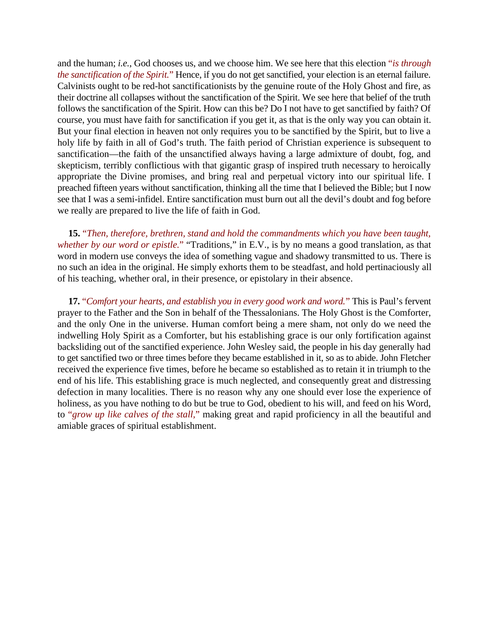and the human; *i.e.*, God chooses us, and we choose him. We see here that this election "*is through the sanctification of the Spirit.*" Hence, if you do not get sanctified, your election is an eternal failure. Calvinists ought to be red-hot sanctificationists by the genuine route of the Holy Ghost and fire, as their doctrine all collapses without the sanctification of the Spirit. We see here that belief of the truth follows the sanctification of the Spirit. How can this be? Do I not have to get sanctified by faith? Of course, you must have faith for sanctification if you get it, as that is the only way you can obtain it. But your final election in heaven not only requires you to be sanctified by the Spirit, but to live a holy life by faith in all of God's truth. The faith period of Christian experience is subsequent to sanctification—the faith of the unsanctified always having a large admixture of doubt, fog, and skepticism, terribly conflictious with that gigantic grasp of inspired truth necessary to heroically appropriate the Divine promises, and bring real and perpetual victory into our spiritual life. I preached fifteen years without sanctification, thinking all the time that I believed the Bible; but I now see that I was a semi-infidel. Entire sanctification must burn out all the devil's doubt and fog before we really are prepared to live the life of faith in God.

**15.** "*Then, therefore, brethren, stand and hold the commandments which you have been taught, whether by our word or epistle.*" "Traditions," in E.V., is by no means a good translation, as that word in modern use conveys the idea of something vague and shadowy transmitted to us. There is no such an idea in the original. He simply exhorts them to be steadfast, and hold pertinaciously all of his teaching, whether oral, in their presence, or epistolary in their absence.

**17.** "*Comfort your hearts, and establish you in every good work and word.*" This is Paul's fervent prayer to the Father and the Son in behalf of the Thessalonians. The Holy Ghost is the Comforter, and the only One in the universe. Human comfort being a mere sham, not only do we need the indwelling Holy Spirit as a Comforter, but his establishing grace is our only fortification against backsliding out of the sanctified experience. John Wesley said, the people in his day generally had to get sanctified two or three times before they became established in it, so as to abide. John Fletcher received the experience five times, before he became so established as to retain it in triumph to the end of his life. This establishing grace is much neglected, and consequently great and distressing defection in many localities. There is no reason why any one should ever lose the experience of holiness, as you have nothing to do but be true to God, obedient to his will, and feed on his Word, to "*grow up like calves of the stall,*" making great and rapid proficiency in all the beautiful and amiable graces of spiritual establishment.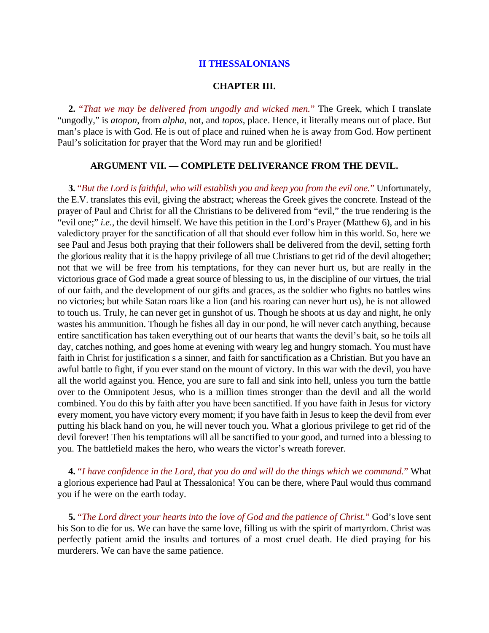## **II THESSALONIANS**

#### **CHAPTER III.**

**2.** "*That we may be delivered from ungodly and wicked men.*" The Greek, which I translate "ungodly," is *atopon*, from *alpha*, not, and *topos*, place. Hence, it literally means out of place. But man's place is with God. He is out of place and ruined when he is away from God. How pertinent Paul's solicitation for prayer that the Word may run and be glorified!

## **ARGUMENT VII. — COMPLETE DELIVERANCE FROM THE DEVIL.**

**3.** "*But the Lord is faithful, who will establish you and keep you from the evil one.*" Unfortunately, the E.V. translates this evil, giving the abstract; whereas the Greek gives the concrete. Instead of the prayer of Paul and Christ for all the Christians to be delivered from "evil," the true rendering is the "evil one;" *i.e.*, the devil himself. We have this petition in the Lord's Prayer (Matthew 6), and in his valedictory prayer for the sanctification of all that should ever follow him in this world. So, here we see Paul and Jesus both praying that their followers shall be delivered from the devil, setting forth the glorious reality that it is the happy privilege of all true Christians to get rid of the devil altogether; not that we will be free from his temptations, for they can never hurt us, but are really in the victorious grace of God made a great source of blessing to us, in the discipline of our virtues, the trial of our faith, and the development of our gifts and graces, as the soldier who fights no battles wins no victories; but while Satan roars like a lion (and his roaring can never hurt us), he is not allowed to touch us. Truly, he can never get in gunshot of us. Though he shoots at us day and night, he only wastes his ammunition. Though he fishes all day in our pond, he will never catch anything, because entire sanctification has taken everything out of our hearts that wants the devil's bait, so he toils all day, catches nothing, and goes home at evening with weary leg and hungry stomach. You must have faith in Christ for justification s a sinner, and faith for sanctification as a Christian. But you have an awful battle to fight, if you ever stand on the mount of victory. In this war with the devil, you have all the world against you. Hence, you are sure to fall and sink into hell, unless you turn the battle over to the Omnipotent Jesus, who is a million times stronger than the devil and all the world combined. You do this by faith after you have been sanctified. If you have faith in Jesus for victory every moment, you have victory every moment; if you have faith in Jesus to keep the devil from ever putting his black hand on you, he will never touch you. What a glorious privilege to get rid of the devil forever! Then his temptations will all be sanctified to your good, and turned into a blessing to you. The battlefield makes the hero, who wears the victor's wreath forever.

**4.** "*I have confidence in the Lord, that you do and will do the things which we command.*" What a glorious experience had Paul at Thessalonica! You can be there, where Paul would thus command you if he were on the earth today.

**5.** "*The Lord direct your hearts into the love of God and the patience of Christ.*" God's love sent his Son to die for us. We can have the same love, filling us with the spirit of martyrdom. Christ was perfectly patient amid the insults and tortures of a most cruel death. He died praying for his murderers. We can have the same patience.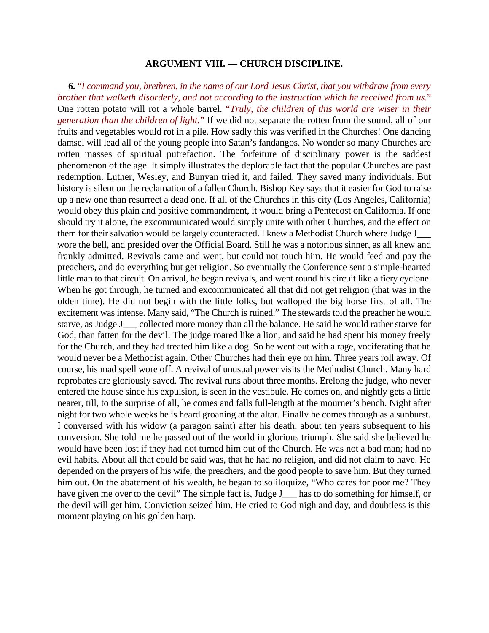#### **ARGUMENT VIII. — CHURCH DISCIPLINE.**

**6.** "*I command you, brethren, in the name of our Lord Jesus Christ, that you withdraw from every brother that walketh disorderly, and not according to the instruction which he received from us.*" One rotten potato will rot a whole barrel. "*Truly, the children of this world are wiser in their generation than the children of light.*" If we did not separate the rotten from the sound, all of our fruits and vegetables would rot in a pile. How sadly this was verified in the Churches! One dancing damsel will lead all of the young people into Satan's fandangos. No wonder so many Churches are rotten masses of spiritual putrefaction. The forfeiture of disciplinary power is the saddest phenomenon of the age. It simply illustrates the deplorable fact that the popular Churches are past redemption. Luther, Wesley, and Bunyan tried it, and failed. They saved many individuals. But history is silent on the reclamation of a fallen Church. Bishop Key says that it easier for God to raise up a new one than resurrect a dead one. If all of the Churches in this city (Los Angeles, California) would obey this plain and positive commandment, it would bring a Pentecost on California. If one should try it alone, the excommunicated would simply unite with other Churches, and the effect on them for their salvation would be largely counteracted. I knew a Methodist Church where Judge J\_\_\_ wore the bell, and presided over the Official Board. Still he was a notorious sinner, as all knew and frankly admitted. Revivals came and went, but could not touch him. He would feed and pay the preachers, and do everything but get religion. So eventually the Conference sent a simple-hearted little man to that circuit. On arrival, he began revivals, and went round his circuit like a fiery cyclone. When he got through, he turned and excommunicated all that did not get religion (that was in the olden time). He did not begin with the little folks, but walloped the big horse first of all. The excitement was intense. Many said, "The Church is ruined." The stewards told the preacher he would starve, as Judge J\_\_\_ collected more money than all the balance. He said he would rather starve for God, than fatten for the devil. The judge roared like a lion, and said he had spent his money freely for the Church, and they had treated him like a dog. So he went out with a rage, vociferating that he would never be a Methodist again. Other Churches had their eye on him. Three years roll away. Of course, his mad spell wore off. A revival of unusual power visits the Methodist Church. Many hard reprobates are gloriously saved. The revival runs about three months. Erelong the judge, who never entered the house since his expulsion, is seen in the vestibule. He comes on, and nightly gets a little nearer, till, to the surprise of all, he comes and falls full-length at the mourner's bench. Night after night for two whole weeks he is heard groaning at the altar. Finally he comes through as a sunburst. I conversed with his widow (a paragon saint) after his death, about ten years subsequent to his conversion. She told me he passed out of the world in glorious triumph. She said she believed he would have been lost if they had not turned him out of the Church. He was not a bad man; had no evil habits. About all that could be said was, that he had no religion, and did not claim to have. He depended on the prayers of his wife, the preachers, and the good people to save him. But they turned him out. On the abatement of his wealth, he began to soliloquize, "Who cares for poor me? They have given me over to the devil" The simple fact is, Judge J\_\_\_ has to do something for himself, or the devil will get him. Conviction seized him. He cried to God nigh and day, and doubtless is this moment playing on his golden harp.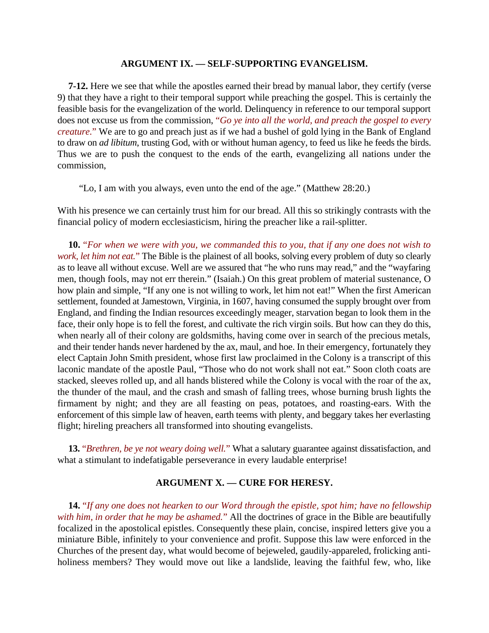#### **ARGUMENT IX. — SELF-SUPPORTING EVANGELISM.**

**7-12.** Here we see that while the apostles earned their bread by manual labor, they certify (verse 9) that they have a right to their temporal support while preaching the gospel. This is certainly the feasible basis for the evangelization of the world. Delinquency in reference to our temporal support does not excuse us from the commission, "*Go ye into all the world, and preach the gospel to every creature.*" We are to go and preach just as if we had a bushel of gold lying in the Bank of England to draw on *ad libitum*, trusting God, with or without human agency, to feed us like he feeds the birds. Thus we are to push the conquest to the ends of the earth, evangelizing all nations under the commission,

"Lo, I am with you always, even unto the end of the age." (Matthew 28:20.)

With his presence we can certainly trust him for our bread. All this so strikingly contrasts with the financial policy of modern ecclesiasticism, hiring the preacher like a rail-splitter.

**10.** "*For when we were with you, we commanded this to you, that if any one does not wish to work, let him not eat.*" The Bible is the plainest of all books, solving every problem of duty so clearly as to leave all without excuse. Well are we assured that "he who runs may read," and the "wayfaring men, though fools, may not err therein." (Isaiah.) On this great problem of material sustenance, O how plain and simple, "If any one is not willing to work, let him not eat!" When the first American settlement, founded at Jamestown, Virginia, in 1607, having consumed the supply brought over from England, and finding the Indian resources exceedingly meager, starvation began to look them in the face, their only hope is to fell the forest, and cultivate the rich virgin soils. But how can they do this, when nearly all of their colony are goldsmiths, having come over in search of the precious metals, and their tender hands never hardened by the ax, maul, and hoe. In their emergency, fortunately they elect Captain John Smith president, whose first law proclaimed in the Colony is a transcript of this laconic mandate of the apostle Paul, "Those who do not work shall not eat." Soon cloth coats are stacked, sleeves rolled up, and all hands blistered while the Colony is vocal with the roar of the ax, the thunder of the maul, and the crash and smash of falling trees, whose burning brush lights the firmament by night; and they are all feasting on peas, potatoes, and roasting-ears. With the enforcement of this simple law of heaven, earth teems with plenty, and beggary takes her everlasting flight; hireling preachers all transformed into shouting evangelists.

**13.** "*Brethren, be ye not weary doing well.*" What a salutary guarantee against dissatisfaction, and what a stimulant to indefatigable perseverance in every laudable enterprise!

# **ARGUMENT X. — CURE FOR HERESY.**

**14.** "*If any one does not hearken to our Word through the epistle, spot him; have no fellowship with him, in order that he may be ashamed.*" All the doctrines of grace in the Bible are beautifully focalized in the apostolical epistles. Consequently these plain, concise, inspired letters give you a miniature Bible, infinitely to your convenience and profit. Suppose this law were enforced in the Churches of the present day, what would become of bejeweled, gaudily-appareled, frolicking antiholiness members? They would move out like a landslide, leaving the faithful few, who, like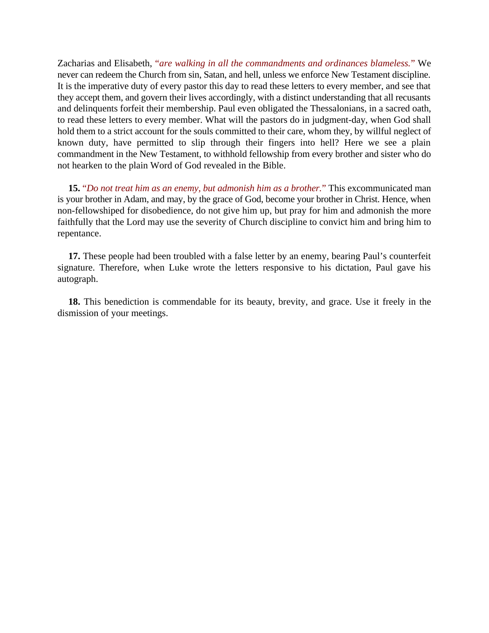Zacharias and Elisabeth, "*are walking in all the commandments and ordinances blameless.*" We never can redeem the Church from sin, Satan, and hell, unless we enforce New Testament discipline. It is the imperative duty of every pastor this day to read these letters to every member, and see that they accept them, and govern their lives accordingly, with a distinct understanding that all recusants and delinquents forfeit their membership. Paul even obligated the Thessalonians, in a sacred oath, to read these letters to every member. What will the pastors do in judgment-day, when God shall hold them to a strict account for the souls committed to their care, whom they, by willful neglect of known duty, have permitted to slip through their fingers into hell? Here we see a plain commandment in the New Testament, to withhold fellowship from every brother and sister who do not hearken to the plain Word of God revealed in the Bible.

**15.** "*Do not treat him as an enemy, but admonish him as a brother.*" This excommunicated man is your brother in Adam, and may, by the grace of God, become your brother in Christ. Hence, when non-fellowshiped for disobedience, do not give him up, but pray for him and admonish the more faithfully that the Lord may use the severity of Church discipline to convict him and bring him to repentance.

**17.** These people had been troubled with a false letter by an enemy, bearing Paul's counterfeit signature. Therefore, when Luke wrote the letters responsive to his dictation, Paul gave his autograph.

**18.** This benediction is commendable for its beauty, brevity, and grace. Use it freely in the dismission of your meetings.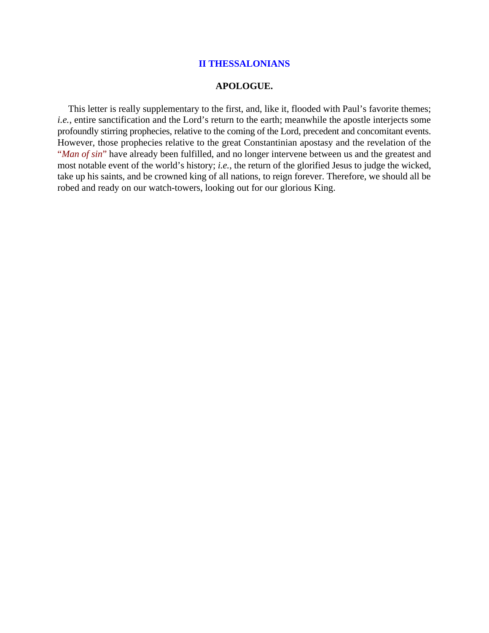## **II THESSALONIANS**

#### **APOLOGUE.**

This letter is really supplementary to the first, and, like it, flooded with Paul's favorite themes; *i.e.*, entire sanctification and the Lord's return to the earth; meanwhile the apostle interjects some profoundly stirring prophecies, relative to the coming of the Lord, precedent and concomitant events. However, those prophecies relative to the great Constantinian apostasy and the revelation of the "*Man of sin*" have already been fulfilled, and no longer intervene between us and the greatest and most notable event of the world's history; *i.e.*, the return of the glorified Jesus to judge the wicked, take up his saints, and be crowned king of all nations, to reign forever. Therefore, we should all be robed and ready on our watch-towers, looking out for our glorious King.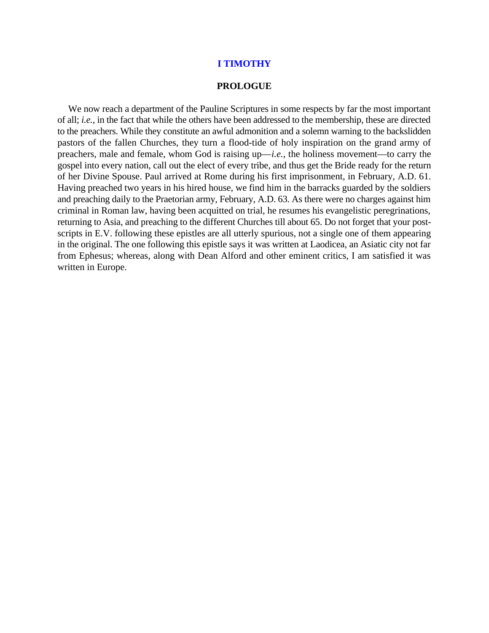#### **I TIMOTHY**

#### **PROLOGUE**

We now reach a department of the Pauline Scriptures in some respects by far the most important of all; *i.e.*, in the fact that while the others have been addressed to the membership, these are directed to the preachers. While they constitute an awful admonition and a solemn warning to the backslidden pastors of the fallen Churches, they turn a flood-tide of holy inspiration on the grand army of preachers, male and female, whom God is raising up—*i.e.*, the holiness movement—to carry the gospel into every nation, call out the elect of every tribe, and thus get the Bride ready for the return of her Divine Spouse. Paul arrived at Rome during his first imprisonment, in February, A.D. 61. Having preached two years in his hired house, we find him in the barracks guarded by the soldiers and preaching daily to the Praetorian army, February, A.D. 63. As there were no charges against him criminal in Roman law, having been acquitted on trial, he resumes his evangelistic peregrinations, returning to Asia, and preaching to the different Churches till about 65. Do not forget that your postscripts in E.V. following these epistles are all utterly spurious, not a single one of them appearing in the original. The one following this epistle says it was written at Laodicea, an Asiatic city not far from Ephesus; whereas, along with Dean Alford and other eminent critics, I am satisfied it was written in Europe.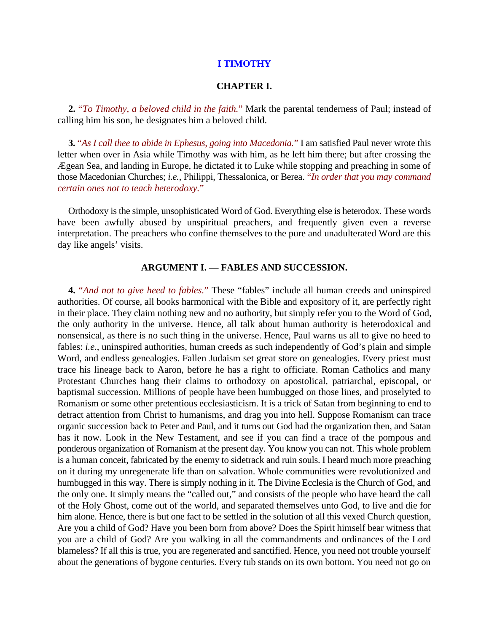## **I TIMOTHY**

## **CHAPTER I.**

**2.** "*To Timothy, a beloved child in the faith.*" Mark the parental tenderness of Paul; instead of calling him his son, he designates him a beloved child.

**3.** "*As I call thee to abide in Ephesus, going into Macedonia.*" I am satisfied Paul never wrote this letter when over in Asia while Timothy was with him, as he left him there; but after crossing the Ægean Sea, and landing in Europe, he dictated it to Luke while stopping and preaching in some of those Macedonian Churches; *i.e.*, Philippi, Thessalonica, or Berea. "*In order that you may command certain ones not to teach heterodoxy.*"

Orthodoxy is the simple, unsophisticated Word of God. Everything else is heterodox. These words have been awfully abused by unspiritual preachers, and frequently given even a reverse interpretation. The preachers who confine themselves to the pure and unadulterated Word are this day like angels' visits.

## **ARGUMENT I. — FABLES AND SUCCESSION.**

**4.** "*And not to give heed to fables.*" These "fables" include all human creeds and uninspired authorities. Of course, all books harmonical with the Bible and expository of it, are perfectly right in their place. They claim nothing new and no authority, but simply refer you to the Word of God, the only authority in the universe. Hence, all talk about human authority is heterodoxical and nonsensical, as there is no such thing in the universe. Hence, Paul warns us all to give no heed to fables: *i.e.*, uninspired authorities, human creeds as such independently of God's plain and simple Word, and endless genealogies. Fallen Judaism set great store on genealogies. Every priest must trace his lineage back to Aaron, before he has a right to officiate. Roman Catholics and many Protestant Churches hang their claims to orthodoxy on apostolical, patriarchal, episcopal, or baptismal succession. Millions of people have been humbugged on those lines, and proselyted to Romanism or some other pretentious ecclesiasticism. It is a trick of Satan from beginning to end to detract attention from Christ to humanisms, and drag you into hell. Suppose Romanism can trace organic succession back to Peter and Paul, and it turns out God had the organization then, and Satan has it now. Look in the New Testament, and see if you can find a trace of the pompous and ponderous organization of Romanism at the present day. You know you can not. This whole problem is a human conceit, fabricated by the enemy to sidetrack and ruin souls. I heard much more preaching on it during my unregenerate life than on salvation. Whole communities were revolutionized and humbugged in this way. There is simply nothing in it. The Divine Ecclesia is the Church of God, and the only one. It simply means the "called out," and consists of the people who have heard the call of the Holy Ghost, come out of the world, and separated themselves unto God, to live and die for him alone. Hence, there is but one fact to be settled in the solution of all this vexed Church question, Are you a child of God? Have you been born from above? Does the Spirit himself bear witness that you are a child of God? Are you walking in all the commandments and ordinances of the Lord blameless? If all this is true, you are regenerated and sanctified. Hence, you need not trouble yourself about the generations of bygone centuries. Every tub stands on its own bottom. You need not go on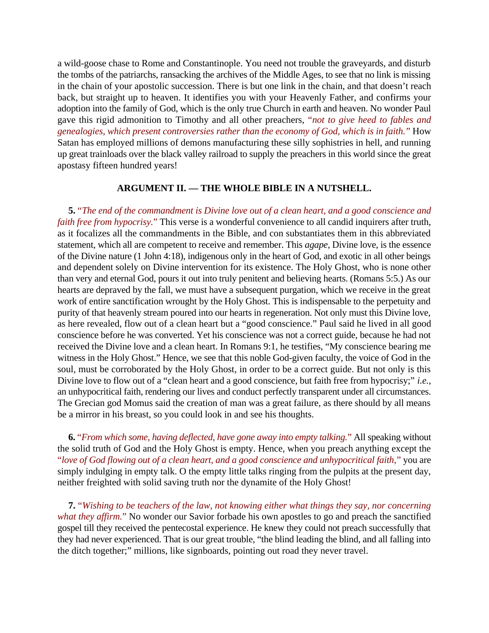a wild-goose chase to Rome and Constantinople. You need not trouble the graveyards, and disturb the tombs of the patriarchs, ransacking the archives of the Middle Ages, to see that no link is missing in the chain of your apostolic succession. There is but one link in the chain, and that doesn't reach back, but straight up to heaven. It identifies you with your Heavenly Father, and confirms your adoption into the family of God, which is the only true Church in earth and heaven. No wonder Paul gave this rigid admonition to Timothy and all other preachers, "*not to give heed to fables and genealogies, which present controversies rather than the economy of God, which is in faith.*" How Satan has employed millions of demons manufacturing these silly sophistries in hell, and running up great trainloads over the black valley railroad to supply the preachers in this world since the great apostasy fifteen hundred years!

# **ARGUMENT II. — THE WHOLE BIBLE IN A NUTSHELL.**

**5.** "*The end of the commandment is Divine love out of a clean heart, and a good conscience and faith free from hypocrisy.*" This verse is a wonderful convenience to all candid inquirers after truth, as it focalizes all the commandments in the Bible, and con substantiates them in this abbreviated statement, which all are competent to receive and remember. This *agape*, Divine love, is the essence of the Divine nature (1 John 4:18), indigenous only in the heart of God, and exotic in all other beings and dependent solely on Divine intervention for its existence. The Holy Ghost, who is none other than very and eternal God, pours it out into truly penitent and believing hearts. (Romans 5:5.) As our hearts are depraved by the fall, we must have a subsequent purgation, which we receive in the great work of entire sanctification wrought by the Holy Ghost. This is indispensable to the perpetuity and purity of that heavenly stream poured into our hearts in regeneration. Not only must this Divine love, as here revealed, flow out of a clean heart but a "good conscience." Paul said he lived in all good conscience before he was converted. Yet his conscience was not a correct guide, because he had not received the Divine love and a clean heart. In Romans 9:1, he testifies, "My conscience bearing me witness in the Holy Ghost." Hence, we see that this noble God-given faculty, the voice of God in the soul, must be corroborated by the Holy Ghost, in order to be a correct guide. But not only is this Divine love to flow out of a "clean heart and a good conscience, but faith free from hypocrisy;" *i.e.*, an unhypocritical faith, rendering our lives and conduct perfectly transparent under all circumstances. The Grecian god Momus said the creation of man was a great failure, as there should by all means be a mirror in his breast, so you could look in and see his thoughts.

**6.** "*From which some, having deflected, have gone away into empty talking.*" All speaking without the solid truth of God and the Holy Ghost is empty. Hence, when you preach anything except the "*love of God flowing out of a clean heart, and a good conscience and unhypocritical faith,*" you are simply indulging in empty talk. O the empty little talks ringing from the pulpits at the present day, neither freighted with solid saving truth nor the dynamite of the Holy Ghost!

**7.** "*Wishing to be teachers of the law, not knowing either what things they say, nor concerning what they affirm.*" No wonder our Savior forbade his own apostles to go and preach the sanctified gospel till they received the pentecostal experience. He knew they could not preach successfully that they had never experienced. That is our great trouble, "the blind leading the blind, and all falling into the ditch together;" millions, like signboards, pointing out road they never travel.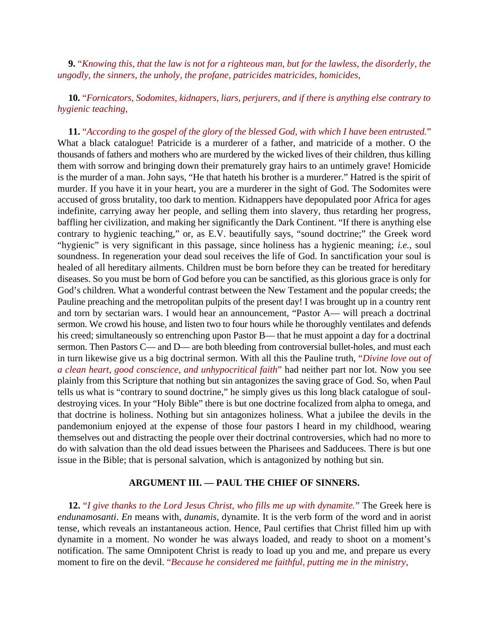**9.** "*Knowing this, that the law is not for a righteous man, but for the lawless, the disorderly, the ungodly, the sinners, the unholy, the profane, patricides matricides, homicides,*

**10.** "*Fornicators, Sodomites, kidnapers, liars, perjurers, and if there is anything else contrary to hygienic teaching,*

**11.** "*According to the gospel of the glory of the blessed God, with which I have been entrusted.*" What a black catalogue! Patricide is a murderer of a father, and matricide of a mother. O the thousands of fathers and mothers who are murdered by the wicked lives of their children, thus killing them with sorrow and bringing down their prematurely gray hairs to an untimely grave! Homicide is the murder of a man. John says, "He that hateth his brother is a murderer." Hatred is the spirit of murder. If you have it in your heart, you are a murderer in the sight of God. The Sodomites were accused of gross brutality, too dark to mention. Kidnappers have depopulated poor Africa for ages indefinite, carrying away her people, and selling them into slavery, thus retarding her progress, baffling her civilization, and making her significantly the Dark Continent. "If there is anything else contrary to hygienic teaching," or, as E.V. beautifully says, "sound doctrine;" the Greek word "hygienic" is very significant in this passage, since holiness has a hygienic meaning; *i.e.*, soul soundness. In regeneration your dead soul receives the life of God. In sanctification your soul is healed of all hereditary ailments. Children must be born before they can be treated for hereditary diseases. So you must be born of God before you can be sanctified, as this glorious grace is only for God's children. What a wonderful contrast between the New Testament and the popular creeds; the Pauline preaching and the metropolitan pulpits of the present day! I was brought up in a country rent and torn by sectarian wars. I would hear an announcement, "Pastor A— will preach a doctrinal sermon. We crowd his house, and listen two to four hours while he thoroughly ventilates and defends his creed; simultaneously so entrenching upon Pastor B— that he must appoint a day for a doctrinal sermon. Then Pastors C— and D— are both bleeding from controversial bullet-holes, and must each in turn likewise give us a big doctrinal sermon. With all this the Pauline truth, "*Divine love out of a clean heart, good conscience, and unhypocritical faith*" had neither part nor lot. Now you see plainly from this Scripture that nothing but sin antagonizes the saving grace of God. So, when Paul tells us what is "contrary to sound doctrine," he simply gives us this long black catalogue of souldestroying vices. In your "Holy Bible" there is but one doctrine focalized from alpha to omega, and that doctrine is holiness. Nothing but sin antagonizes holiness. What a jubilee the devils in the pandemonium enjoyed at the expense of those four pastors I heard in my childhood, wearing themselves out and distracting the people over their doctrinal controversies, which had no more to do with salvation than the old dead issues between the Pharisees and Sadducees. There is but one issue in the Bible; that is personal salvation, which is antagonized by nothing but sin.

## **ARGUMENT III. — PAUL THE CHIEF OF SINNERS.**

**12.** "*I give thanks to the Lord Jesus Christ, who fills me up with dynamite.*" The Greek here is *endunamosanti*. *En* means with, *dunamis*, dynamite. It is the verb form of the word and in aorist tense, which reveals an instantaneous action. Hence, Paul certifies that Christ filled him up with dynamite in a moment. No wonder he was always loaded, and ready to shoot on a moment's notification. The same Omnipotent Christ is ready to load up you and me, and prepare us every moment to fire on the devil. "*Because he considered me faithful, putting me in the ministry,*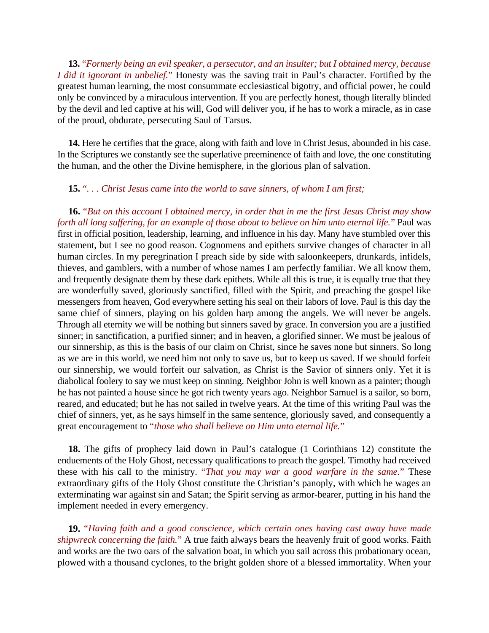**13.** "*Formerly being an evil speaker, a persecutor, and an insulter; but I obtained mercy, because I did it ignorant in unbelief.*" Honesty was the saving trait in Paul's character. Fortified by the greatest human learning, the most consummate ecclesiastical bigotry, and official power, he could only be convinced by a miraculous intervention. If you are perfectly honest, though literally blinded by the devil and led captive at his will, God will deliver you, if he has to work a miracle, as in case of the proud, obdurate, persecuting Saul of Tarsus.

**14.** Here he certifies that the grace, along with faith and love in Christ Jesus, abounded in his case. In the Scriptures we constantly see the superlative preeminence of faith and love, the one constituting the human, and the other the Divine hemisphere, in the glorious plan of salvation.

# **15.** "*. . . Christ Jesus came into the world to save sinners, of whom I am first;*

**16.** "*But on this account I obtained mercy, in order that in me the first Jesus Christ may show forth all long suffering, for an example of those about to believe on him unto eternal life.*" Paul was first in official position, leadership, learning, and influence in his day. Many have stumbled over this statement, but I see no good reason. Cognomens and epithets survive changes of character in all human circles. In my peregrination I preach side by side with saloonkeepers, drunkards, infidels, thieves, and gamblers, with a number of whose names I am perfectly familiar. We all know them, and frequently designate them by these dark epithets. While all this is true, it is equally true that they are wonderfully saved, gloriously sanctified, filled with the Spirit, and preaching the gospel like messengers from heaven, God everywhere setting his seal on their labors of love. Paul is this day the same chief of sinners, playing on his golden harp among the angels. We will never be angels. Through all eternity we will be nothing but sinners saved by grace. In conversion you are a justified sinner; in sanctification, a purified sinner; and in heaven, a glorified sinner. We must be jealous of our sinnership, as this is the basis of our claim on Christ, since he saves none but sinners. So long as we are in this world, we need him not only to save us, but to keep us saved. If we should forfeit our sinnership, we would forfeit our salvation, as Christ is the Savior of sinners only. Yet it is diabolical foolery to say we must keep on sinning. Neighbor John is well known as a painter; though he has not painted a house since he got rich twenty years ago. Neighbor Samuel is a sailor, so born, reared, and educated; but he has not sailed in twelve years. At the time of this writing Paul was the chief of sinners, yet, as he says himself in the same sentence, gloriously saved, and consequently a great encouragement to "*those who shall believe on Him unto eternal life.*"

**18.** The gifts of prophecy laid down in Paul's catalogue (1 Corinthians 12) constitute the enduements of the Holy Ghost, necessary qualifications to preach the gospel. Timothy had received these with his call to the ministry. "*That you may war a good warfare in the same.*" These extraordinary gifts of the Holy Ghost constitute the Christian's panoply, with which he wages an exterminating war against sin and Satan; the Spirit serving as armor-bearer, putting in his hand the implement needed in every emergency.

**19.** "*Having faith and a good conscience, which certain ones having cast away have made shipwreck concerning the faith.*" A true faith always bears the heavenly fruit of good works. Faith and works are the two oars of the salvation boat, in which you sail across this probationary ocean, plowed with a thousand cyclones, to the bright golden shore of a blessed immortality. When your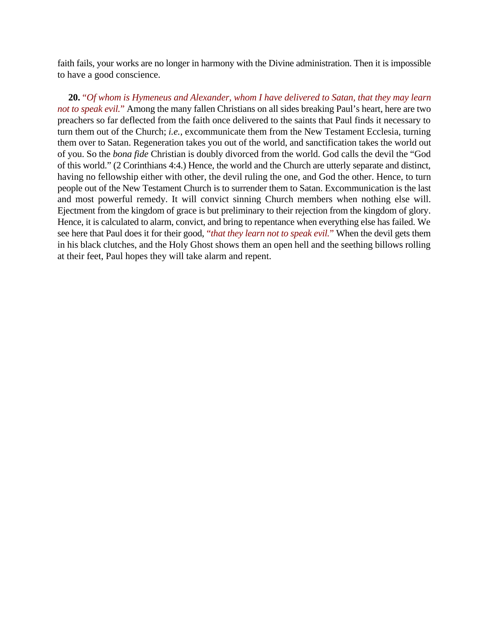faith fails, your works are no longer in harmony with the Divine administration. Then it is impossible to have a good conscience.

**20.** "*Of whom is Hymeneus and Alexander, whom I have delivered to Satan, that they may learn not to speak evil.*" Among the many fallen Christians on all sides breaking Paul's heart, here are two preachers so far deflected from the faith once delivered to the saints that Paul finds it necessary to turn them out of the Church; *i.e.*, excommunicate them from the New Testament Ecclesia, turning them over to Satan. Regeneration takes you out of the world, and sanctification takes the world out of you. So the *bona fide* Christian is doubly divorced from the world. God calls the devil the "God of this world." (2 Corinthians 4:4.) Hence, the world and the Church are utterly separate and distinct, having no fellowship either with other, the devil ruling the one, and God the other. Hence, to turn people out of the New Testament Church is to surrender them to Satan. Excommunication is the last and most powerful remedy. It will convict sinning Church members when nothing else will. Ejectment from the kingdom of grace is but preliminary to their rejection from the kingdom of glory. Hence, it is calculated to alarm, convict, and bring to repentance when everything else has failed. We see here that Paul does it for their good, "*that they learn not to speak evil.*" When the devil gets them in his black clutches, and the Holy Ghost shows them an open hell and the seething billows rolling at their feet, Paul hopes they will take alarm and repent.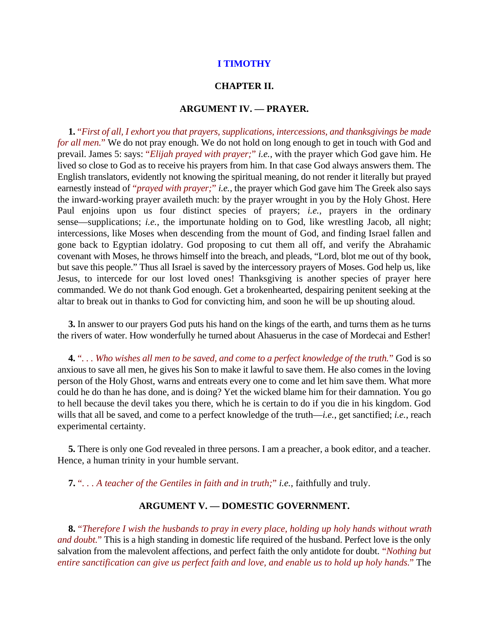## **I TIMOTHY**

## **CHAPTER II.**

#### **ARGUMENT IV. — PRAYER.**

**1.** "*First of all, I exhort you that prayers, supplications, intercessions, and thanksgivings be made for all men.*" We do not pray enough. We do not hold on long enough to get in touch with God and prevail. James 5: says: "*Elijah prayed with prayer;*" *i.e.*, with the prayer which God gave him. He lived so close to God as to receive his prayers from him. In that case God always answers them. The English translators, evidently not knowing the spiritual meaning, do not render it literally but prayed earnestly instead of "*prayed with prayer;*" *i.e.*, the prayer which God gave him The Greek also says the inward-working prayer availeth much: by the prayer wrought in you by the Holy Ghost. Here Paul enjoins upon us four distinct species of prayers; *i.e.*, prayers in the ordinary sense—supplications; *i.e.*, the importunate holding on to God, like wrestling Jacob, all night; intercessions, like Moses when descending from the mount of God, and finding Israel fallen and gone back to Egyptian idolatry. God proposing to cut them all off, and verify the Abrahamic covenant with Moses, he throws himself into the breach, and pleads, "Lord, blot me out of thy book, but save this people." Thus all Israel is saved by the intercessory prayers of Moses. God help us, like Jesus, to intercede for our lost loved ones! Thanksgiving is another species of prayer here commanded. We do not thank God enough. Get a brokenhearted, despairing penitent seeking at the altar to break out in thanks to God for convicting him, and soon he will be up shouting aloud.

**3.** In answer to our prayers God puts his hand on the kings of the earth, and turns them as he turns the rivers of water. How wonderfully he turned about Ahasuerus in the case of Mordecai and Esther!

**4.** "*. . . Who wishes all men to be saved, and come to a perfect knowledge of the truth.*" God is so anxious to save all men, he gives his Son to make it lawful to save them. He also comes in the loving person of the Holy Ghost, warns and entreats every one to come and let him save them. What more could he do than he has done, and is doing? Yet the wicked blame him for their damnation. You go to hell because the devil takes you there, which he is certain to do if you die in his kingdom. God wills that all be saved, and come to a perfect knowledge of the truth—*i.e.*, get sanctified; *i.e.*, reach experimental certainty.

**5.** There is only one God revealed in three persons. I am a preacher, a book editor, and a teacher. Hence, a human trinity in your humble servant.

**7.** "*. . . A teacher of the Gentiles in faith and in truth;*" *i.e.*, faithfully and truly.

## **ARGUMENT V. — DOMESTIC GOVERNMENT.**

**8.** "*Therefore I wish the husbands to pray in every place, holding up holy hands without wrath and doubt.*" This is a high standing in domestic life required of the husband. Perfect love is the only salvation from the malevolent affections, and perfect faith the only antidote for doubt. "*Nothing but entire sanctification can give us perfect faith and love, and enable us to hold up holy hands.*" The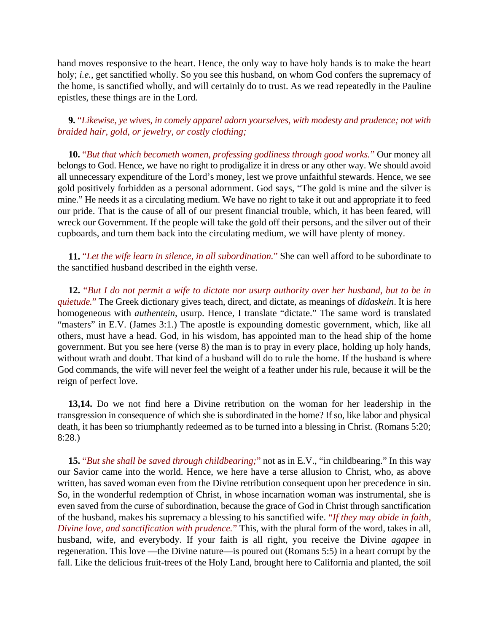hand moves responsive to the heart. Hence, the only way to have holy hands is to make the heart holy; *i.e.*, get sanctified wholly. So you see this husband, on whom God confers the supremacy of the home, is sanctified wholly, and will certainly do to trust. As we read repeatedly in the Pauline epistles, these things are in the Lord.

**9.** "*Likewise, ye wives, in comely apparel adorn yourselves, with modesty and prudence; not with braided hair, gold, or jewelry, or costly clothing;*

**10.** "*But that which becometh women, professing godliness through good works.*" Our money all belongs to God. Hence, we have no right to prodigalize it in dress or any other way. We should avoid all unnecessary expenditure of the Lord's money, lest we prove unfaithful stewards. Hence, we see gold positively forbidden as a personal adornment. God says, "The gold is mine and the silver is mine." He needs it as a circulating medium. We have no right to take it out and appropriate it to feed our pride. That is the cause of all of our present financial trouble, which, it has been feared, will wreck our Government. If the people will take the gold off their persons, and the silver out of their cupboards, and turn them back into the circulating medium, we will have plenty of money.

**11.** "*Let the wife learn in silence, in all subordination.*" She can well afford to be subordinate to the sanctified husband described in the eighth verse.

**12.** "*But I do not permit a wife to dictate nor usurp authority over her husband, but to be in quietude.*" The Greek dictionary gives teach, direct, and dictate, as meanings of *didaskein*. It is here homogeneous with *authentein*, usurp. Hence, I translate "dictate." The same word is translated "masters" in E.V. (James 3:1.) The apostle is expounding domestic government, which, like all others, must have a head. God, in his wisdom, has appointed man to the head ship of the home government. But you see here (verse 8) the man is to pray in every place, holding up holy hands, without wrath and doubt. That kind of a husband will do to rule the home. If the husband is where God commands, the wife will never feel the weight of a feather under his rule, because it will be the reign of perfect love.

**13,14.** Do we not find here a Divine retribution on the woman for her leadership in the transgression in consequence of which she is subordinated in the home? If so, like labor and physical death, it has been so triumphantly redeemed as to be turned into a blessing in Christ. (Romans 5:20; 8:28.)

**15.** "*But she shall be saved through childbearing;*" not as in E.V., "in childbearing." In this way our Savior came into the world. Hence, we here have a terse allusion to Christ, who, as above written, has saved woman even from the Divine retribution consequent upon her precedence in sin. So, in the wonderful redemption of Christ, in whose incarnation woman was instrumental, she is even saved from the curse of subordination, because the grace of God in Christ through sanctification of the husband, makes his supremacy a blessing to his sanctified wife. "*If they may abide in faith, Divine love, and sanctification with prudence.*" This, with the plural form of the word, takes in all, husband, wife, and everybody. If your faith is all right, you receive the Divine *agapee* in regeneration. This love —the Divine nature—is poured out (Romans 5:5) in a heart corrupt by the fall. Like the delicious fruit-trees of the Holy Land, brought here to California and planted, the soil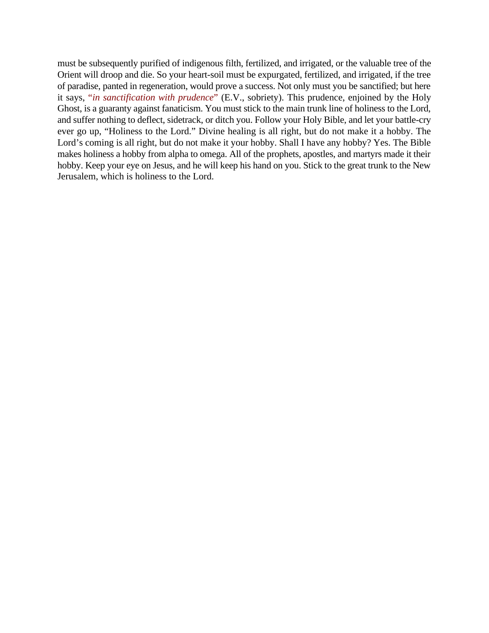must be subsequently purified of indigenous filth, fertilized, and irrigated, or the valuable tree of the Orient will droop and die. So your heart-soil must be expurgated, fertilized, and irrigated, if the tree of paradise, panted in regeneration, would prove a success. Not only must you be sanctified; but here it says, "*in sanctification with prudence*" (E.V., sobriety). This prudence, enjoined by the Holy Ghost, is a guaranty against fanaticism. You must stick to the main trunk line of holiness to the Lord, and suffer nothing to deflect, sidetrack, or ditch you. Follow your Holy Bible, and let your battle-cry ever go up, "Holiness to the Lord." Divine healing is all right, but do not make it a hobby. The Lord's coming is all right, but do not make it your hobby. Shall I have any hobby? Yes. The Bible makes holiness a hobby from alpha to omega. All of the prophets, apostles, and martyrs made it their hobby. Keep your eye on Jesus, and he will keep his hand on you. Stick to the great trunk to the New Jerusalem, which is holiness to the Lord.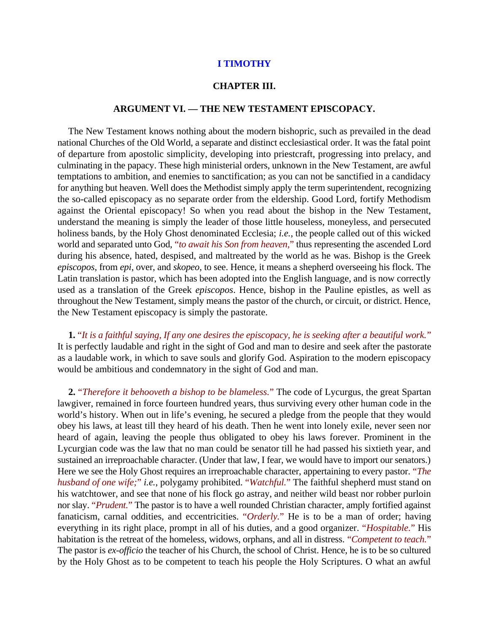#### **I TIMOTHY**

## **CHAPTER III.**

#### **ARGUMENT VI. — THE NEW TESTAMENT EPISCOPACY.**

The New Testament knows nothing about the modern bishopric, such as prevailed in the dead national Churches of the Old World, a separate and distinct ecclesiastical order. It was the fatal point of departure from apostolic simplicity, developing into priestcraft, progressing into prelacy, and culminating in the papacy. These high ministerial orders, unknown in the New Testament, are awful temptations to ambition, and enemies to sanctification; as you can not be sanctified in a candidacy for anything but heaven. Well does the Methodist simply apply the term superintendent, recognizing the so-called episcopacy as no separate order from the eldership. Good Lord, fortify Methodism against the Oriental episcopacy! So when you read about the bishop in the New Testament, understand the meaning is simply the leader of those little houseless, moneyless, and persecuted holiness bands, by the Holy Ghost denominated Ecclesia; *i.e.*, the people called out of this wicked world and separated unto God, "*to await his Son from heaven,*" thus representing the ascended Lord during his absence, hated, despised, and maltreated by the world as he was. Bishop is the Greek *episcopos*, from *epi*, over, and *skopeo*, to see. Hence, it means a shepherd overseeing his flock. The Latin translation is pastor, which has been adopted into the English language, and is now correctly used as a translation of the Greek *episcopos*. Hence, bishop in the Pauline epistles, as well as throughout the New Testament, simply means the pastor of the church, or circuit, or district. Hence, the New Testament episcopacy is simply the pastorate.

**1.** "*It is a faithful saying, If any one desires the episcopacy, he is seeking after a beautiful work.*" It is perfectly laudable and right in the sight of God and man to desire and seek after the pastorate as a laudable work, in which to save souls and glorify God. Aspiration to the modern episcopacy would be ambitious and condemnatory in the sight of God and man.

**2.** "*Therefore it behooveth a bishop to be blameless.*" The code of Lycurgus, the great Spartan lawgiver, remained in force fourteen hundred years, thus surviving every other human code in the world's history. When out in life's evening, he secured a pledge from the people that they would obey his laws, at least till they heard of his death. Then he went into lonely exile, never seen nor heard of again, leaving the people thus obligated to obey his laws forever. Prominent in the Lycurgian code was the law that no man could be senator till he had passed his sixtieth year, and sustained an irreproachable character. (Under that law, I fear, we would have to import our senators.) Here we see the Holy Ghost requires an irreproachable character, appertaining to every pastor. "*The husband of one wife;*" *i.e.*, polygamy prohibited. "*Watchful.*" The faithful shepherd must stand on his watchtower, and see that none of his flock go astray, and neither wild beast nor robber purloin nor slay. "*Prudent.*" The pastor is to have a well rounded Christian character, amply fortified against fanaticism, carnal oddities, and eccentricities. "*Orderly.*" He is to be a man of order; having everything in its right place, prompt in all of his duties, and a good organizer. "*Hospitable.*" His habitation is the retreat of the homeless, widows, orphans, and all in distress. "*Competent to teach.*" The pastor is *ex-officio* the teacher of his Church, the school of Christ. Hence, he is to be so cultured by the Holy Ghost as to be competent to teach his people the Holy Scriptures. O what an awful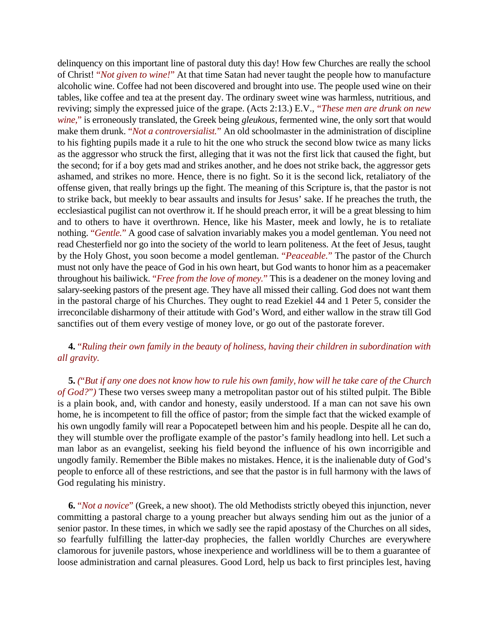delinquency on this important line of pastoral duty this day! How few Churches are really the school of Christ! "*Not given to wine!*" At that time Satan had never taught the people how to manufacture alcoholic wine. Coffee had not been discovered and brought into use. The people used wine on their tables, like coffee and tea at the present day. The ordinary sweet wine was harmless, nutritious, and reviving; simply the expressed juice of the grape. (Acts 2:13.) E.V., "*These men are drunk on new wine,*" is erroneously translated, the Greek being *gleukous*, fermented wine, the only sort that would make them drunk. "*Not a controversialist.*" An old schoolmaster in the administration of discipline to his fighting pupils made it a rule to hit the one who struck the second blow twice as many licks as the aggressor who struck the first, alleging that it was not the first lick that caused the fight, but the second; for if a boy gets mad and strikes another, and he does not strike back, the aggressor gets ashamed, and strikes no more. Hence, there is no fight. So it is the second lick, retaliatory of the offense given, that really brings up the fight. The meaning of this Scripture is, that the pastor is not to strike back, but meekly to bear assaults and insults for Jesus' sake. If he preaches the truth, the ecclesiastical pugilist can not overthrow it. If he should preach error, it will be a great blessing to him and to others to have it overthrown. Hence, like his Master, meek and lowly, he is to retaliate nothing. "*Gentle.*" A good case of salvation invariably makes you a model gentleman. You need not read Chesterfield nor go into the society of the world to learn politeness. At the feet of Jesus, taught by the Holy Ghost, you soon become a model gentleman. "*Peaceable.*" The pastor of the Church must not only have the peace of God in his own heart, but God wants to honor him as a peacemaker throughout his bailiwick. "*Free from the love of money.*" This is a deadener on the money loving and salary-seeking pastors of the present age. They have all missed their calling. God does not want them in the pastoral charge of his Churches. They ought to read Ezekiel 44 and 1 Peter 5, consider the irreconcilable disharmony of their attitude with God's Word, and either wallow in the straw till God sanctifies out of them every vestige of money love, or go out of the pastorate forever.

# **4.** "*Ruling their own family in the beauty of holiness, having their children in subordination with all gravity.*

**5.** *(*"*But if any one does not know how to rule his own family, how will he take care of the Church of God?*"*)* These two verses sweep many a metropolitan pastor out of his stilted pulpit. The Bible is a plain book, and, with candor and honesty, easily understood. If a man can not save his own home, he is incompetent to fill the office of pastor; from the simple fact that the wicked example of his own ungodly family will rear a Popocatepetl between him and his people. Despite all he can do, they will stumble over the profligate example of the pastor's family headlong into hell. Let such a man labor as an evangelist, seeking his field beyond the influence of his own incorrigible and ungodly family. Remember the Bible makes no mistakes. Hence, it is the inalienable duty of God's people to enforce all of these restrictions, and see that the pastor is in full harmony with the laws of God regulating his ministry.

**6.** "*Not a novice*" (Greek, a new shoot). The old Methodists strictly obeyed this injunction, never committing a pastoral charge to a young preacher but always sending him out as the junior of a senior pastor. In these times, in which we sadly see the rapid apostasy of the Churches on all sides, so fearfully fulfilling the latter-day prophecies, the fallen worldly Churches are everywhere clamorous for juvenile pastors, whose inexperience and worldliness will be to them a guarantee of loose administration and carnal pleasures. Good Lord, help us back to first principles lest, having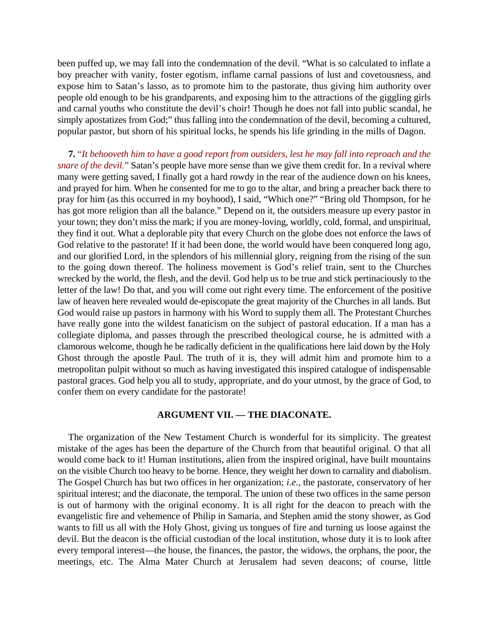been puffed up, we may fall into the condemnation of the devil. "What is so calculated to inflate a boy preacher with vanity, foster egotism, inflame carnal passions of lust and covetousness, and expose him to Satan's lasso, as to promote him to the pastorate, thus giving him authority over people old enough to be his grandparents, and exposing him to the attractions of the giggling girls and carnal youths who constitute the devil's choir! Though he does not fall into public scandal, he simply apostatizes from God;" thus falling into the condemnation of the devil, becoming a cultured, popular pastor, but shorn of his spiritual locks, he spends his life grinding in the mills of Dagon.

**7.** "*It behooveth him to have a good report from outsiders, lest he may fall into reproach and the snare of the devil.*" Satan's people have more sense than we give them credit for. In a revival where many were getting saved, I finally got a hard rowdy in the rear of the audience down on his knees, and prayed for him. When he consented for me to go to the altar, and bring a preacher back there to pray for him (as this occurred in my boyhood), I said, "Which one?" "Bring old Thompson, for he has got more religion than all the balance." Depend on it, the outsiders measure up every pastor in your town; they don't miss the mark; if you are money-loving, worldly, cold, formal, and unspiritual, they find it out. What a deplorable pity that every Church on the globe does not enforce the laws of God relative to the pastorate! If it had been done, the world would have been conquered long ago, and our glorified Lord, in the splendors of his millennial glory, reigning from the rising of the sun to the going down thereof. The holiness movement is God's relief train, sent to the Churches wrecked by the world, the flesh, and the devil. God help us to be true and stick pertinaciously to the letter of the law! Do that, and you will come out right every time. The enforcement of the positive law of heaven here revealed would de-episcopate the great majority of the Churches in all lands. But God would raise up pastors in harmony with his Word to supply them all. The Protestant Churches have really gone into the wildest fanaticism on the subject of pastoral education. If a man has a collegiate diploma, and passes through the prescribed theological course, he is admitted with a clamorous welcome, though he be radically deficient in the qualifications here laid down by the Holy Ghost through the apostle Paul. The truth of it is, they will admit him and promote him to a metropolitan pulpit without so much as having investigated this inspired catalogue of indispensable pastoral graces. God help you all to study, appropriate, and do your utmost, by the grace of God, to confer them on every candidate for the pastorate!

## **ARGUMENT VII. — THE DIACONATE.**

The organization of the New Testament Church is wonderful for its simplicity. The greatest mistake of the ages has been the departure of the Church from that beautiful original. O that all would come back to it! Human institutions, alien from the inspired original, have built mountains on the visible Church too heavy to be borne. Hence, they weight her down to carnality and diabolism. The Gospel Church has but two offices in her organization; *i.e.*, the pastorate, conservatory of her spiritual interest; and the diaconate, the temporal. The union of these two offices in the same person is out of harmony with the original economy. It is all right for the deacon to preach with the evangelistic fire and vehemence of Philip in Samaria, and Stephen amid the stony shower, as God wants to fill us all with the Holy Ghost, giving us tongues of fire and turning us loose against the devil. But the deacon is the official custodian of the local institution, whose duty it is to look after every temporal interest—the house, the finances, the pastor, the widows, the orphans, the poor, the meetings, etc. The Alma Mater Church at Jerusalem had seven deacons; of course, little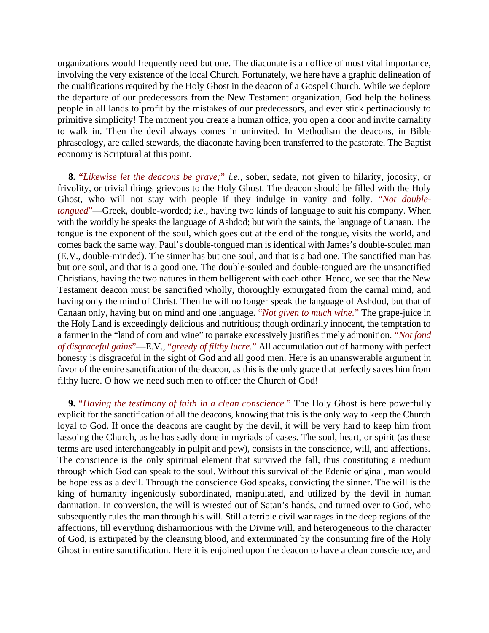organizations would frequently need but one. The diaconate is an office of most vital importance, involving the very existence of the local Church. Fortunately, we here have a graphic delineation of the qualifications required by the Holy Ghost in the deacon of a Gospel Church. While we deplore the departure of our predecessors from the New Testament organization, God help the holiness people in all lands to profit by the mistakes of our predecessors, and ever stick pertinaciously to primitive simplicity! The moment you create a human office, you open a door and invite carnality to walk in. Then the devil always comes in uninvited. In Methodism the deacons, in Bible phraseology, are called stewards, the diaconate having been transferred to the pastorate. The Baptist economy is Scriptural at this point.

**8.** "*Likewise let the deacons be grave;*" *i.e.*, sober, sedate, not given to hilarity, jocosity, or frivolity, or trivial things grievous to the Holy Ghost. The deacon should be filled with the Holy Ghost, who will not stay with people if they indulge in vanity and folly. "*Not doubletongued*"—Greek, double-worded; *i.e.*, having two kinds of language to suit his company. When with the worldly he speaks the language of Ashdod; but with the saints, the language of Canaan. The tongue is the exponent of the soul, which goes out at the end of the tongue, visits the world, and comes back the same way. Paul's double-tongued man is identical with James's double-souled man (E.V., double-minded). The sinner has but one soul, and that is a bad one. The sanctified man has but one soul, and that is a good one. The double-souled and double-tongued are the unsanctified Christians, having the two natures in them belligerent with each other. Hence, we see that the New Testament deacon must be sanctified wholly, thoroughly expurgated from the carnal mind, and having only the mind of Christ. Then he will no longer speak the language of Ashdod, but that of Canaan only, having but on mind and one language. "*Not given to much wine.*" The grape-juice in the Holy Land is exceedingly delicious and nutritious; though ordinarily innocent, the temptation to a farmer in the "land of corn and wine" to partake excessively justifies timely admonition. "*Not fond of disgraceful gains*"—E.V., "*greedy of filthy lucre.*" All accumulation out of harmony with perfect honesty is disgraceful in the sight of God and all good men. Here is an unanswerable argument in favor of the entire sanctification of the deacon, as this is the only grace that perfectly saves him from filthy lucre. O how we need such men to officer the Church of God!

**9.** "*Having the testimony of faith in a clean conscience.*" The Holy Ghost is here powerfully explicit for the sanctification of all the deacons, knowing that this is the only way to keep the Church loyal to God. If once the deacons are caught by the devil, it will be very hard to keep him from lassoing the Church, as he has sadly done in myriads of cases. The soul, heart, or spirit (as these terms are used interchangeably in pulpit and pew), consists in the conscience, will, and affections. The conscience is the only spiritual element that survived the fall, thus constituting a medium through which God can speak to the soul. Without this survival of the Edenic original, man would be hopeless as a devil. Through the conscience God speaks, convicting the sinner. The will is the king of humanity ingeniously subordinated, manipulated, and utilized by the devil in human damnation. In conversion, the will is wrested out of Satan's hands, and turned over to God, who subsequently rules the man through his will. Still a terrible civil war rages in the deep regions of the affections, till everything disharmonious with the Divine will, and heterogeneous to the character of God, is extirpated by the cleansing blood, and exterminated by the consuming fire of the Holy Ghost in entire sanctification. Here it is enjoined upon the deacon to have a clean conscience, and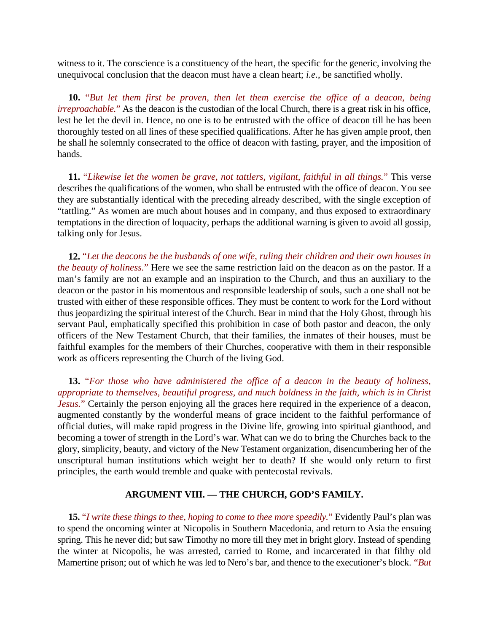witness to it. The conscience is a constituency of the heart, the specific for the generic, involving the unequivocal conclusion that the deacon must have a clean heart; *i.e.*, be sanctified wholly.

**10.** "*But let them first be proven, then let them exercise the office of a deacon, being irreproachable.*" As the deacon is the custodian of the local Church, there is a great risk in his office, lest he let the devil in. Hence, no one is to be entrusted with the office of deacon till he has been thoroughly tested on all lines of these specified qualifications. After he has given ample proof, then he shall he solemnly consecrated to the office of deacon with fasting, prayer, and the imposition of hands.

**11.** "*Likewise let the women be grave, not tattlers, vigilant, faithful in all things.*" This verse describes the qualifications of the women, who shall be entrusted with the office of deacon. You see they are substantially identical with the preceding already described, with the single exception of "tattling." As women are much about houses and in company, and thus exposed to extraordinary temptations in the direction of loquacity, perhaps the additional warning is given to avoid all gossip, talking only for Jesus.

**12.** "*Let the deacons be the husbands of one wife, ruling their children and their own houses in the beauty of holiness.*" Here we see the same restriction laid on the deacon as on the pastor. If a man's family are not an example and an inspiration to the Church, and thus an auxiliary to the deacon or the pastor in his momentous and responsible leadership of souls, such a one shall not be trusted with either of these responsible offices. They must be content to work for the Lord without thus jeopardizing the spiritual interest of the Church. Bear in mind that the Holy Ghost, through his servant Paul, emphatically specified this prohibition in case of both pastor and deacon, the only officers of the New Testament Church, that their families, the inmates of their houses, must be faithful examples for the members of their Churches, cooperative with them in their responsible work as officers representing the Church of the living God.

**13.** "*For those who have administered the office of a deacon in the beauty of holiness, appropriate to themselves, beautiful progress, and much boldness in the faith, which is in Christ Jesus.*" Certainly the person enjoying all the graces here required in the experience of a deacon, augmented constantly by the wonderful means of grace incident to the faithful performance of official duties, will make rapid progress in the Divine life, growing into spiritual gianthood, and becoming a tower of strength in the Lord's war. What can we do to bring the Churches back to the glory, simplicity, beauty, and victory of the New Testament organization, disencumbering her of the unscriptural human institutions which weight her to death? If she would only return to first principles, the earth would tremble and quake with pentecostal revivals.

# **ARGUMENT VIII. — THE CHURCH, GOD'S FAMILY.**

**15.** "*I write these things to thee, hoping to come to thee more speedily.*" Evidently Paul's plan was to spend the oncoming winter at Nicopolis in Southern Macedonia, and return to Asia the ensuing spring. This he never did; but saw Timothy no more till they met in bright glory. Instead of spending the winter at Nicopolis, he was arrested, carried to Rome, and incarcerated in that filthy old Mamertine prison; out of which he was led to Nero's bar, and thence to the executioner's block. "*But*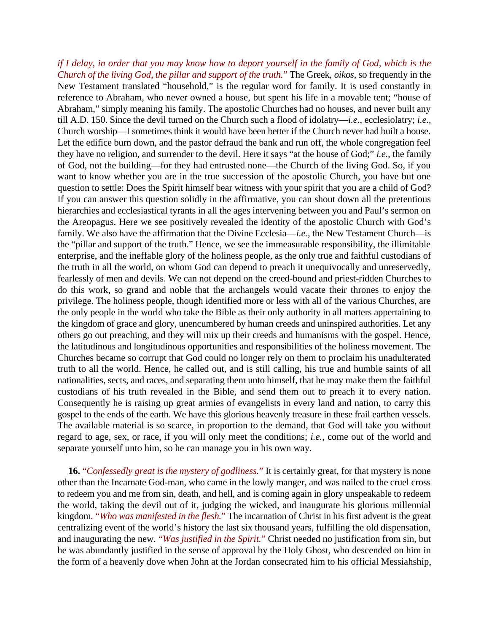*if I delay, in order that you may know how to deport yourself in the family of God, which is the Church of the living God, the pillar and support of the truth.*" The Greek, *oikos*, so frequently in the New Testament translated "household," is the regular word for family. It is used constantly in reference to Abraham, who never owned a house, but spent his life in a movable tent; "house of Abraham," simply meaning his family. The apostolic Churches had no houses, and never built any till A.D. 150. Since the devil turned on the Church such a flood of idolatry—*i.e.*, ecclesiolatry; *i.e.*, Church worship—I sometimes think it would have been better if the Church never had built a house. Let the edifice burn down, and the pastor defraud the bank and run off, the whole congregation feel they have no religion, and surrender to the devil. Here it says "at the house of God;" *i.e.*, the family of God, not the building—for they had entrusted none—the Church of the living God. So, if you want to know whether you are in the true succession of the apostolic Church, you have but one question to settle: Does the Spirit himself bear witness with your spirit that you are a child of God? If you can answer this question solidly in the affirmative, you can shout down all the pretentious hierarchies and ecclesiastical tyrants in all the ages intervening between you and Paul's sermon on the Areopagus. Here we see positively revealed the identity of the apostolic Church with God's family. We also have the affirmation that the Divine Ecclesia—*i.e.*, the New Testament Church—is the "pillar and support of the truth." Hence, we see the immeasurable responsibility, the illimitable enterprise, and the ineffable glory of the holiness people, as the only true and faithful custodians of the truth in all the world, on whom God can depend to preach it unequivocally and unreservedly, fearlessly of men and devils. We can not depend on the creed-bound and priest-ridden Churches to do this work, so grand and noble that the archangels would vacate their thrones to enjoy the privilege. The holiness people, though identified more or less with all of the various Churches, are the only people in the world who take the Bible as their only authority in all matters appertaining to the kingdom of grace and glory, unencumbered by human creeds and uninspired authorities. Let any others go out preaching, and they will mix up their creeds and humanisms with the gospel. Hence, the latitudinous and longitudinous opportunities and responsibilities of the holiness movement. The Churches became so corrupt that God could no longer rely on them to proclaim his unadulterated truth to all the world. Hence, he called out, and is still calling, his true and humble saints of all nationalities, sects, and races, and separating them unto himself, that he may make them the faithful custodians of his truth revealed in the Bible, and send them out to preach it to every nation. Consequently he is raising up great armies of evangelists in every land and nation, to carry this gospel to the ends of the earth. We have this glorious heavenly treasure in these frail earthen vessels. The available material is so scarce, in proportion to the demand, that God will take you without regard to age, sex, or race, if you will only meet the conditions; *i.e.*, come out of the world and separate yourself unto him, so he can manage you in his own way.

**16.** "*Confessedly great is the mystery of godliness.*" It is certainly great, for that mystery is none other than the Incarnate God-man, who came in the lowly manger, and was nailed to the cruel cross to redeem you and me from sin, death, and hell, and is coming again in glory unspeakable to redeem the world, taking the devil out of it, judging the wicked, and inaugurate his glorious millennial kingdom*.* "*Who was manifested in the flesh.*" The incarnation of Christ in his first advent is the great centralizing event of the world's history the last six thousand years, fulfilling the old dispensation, and inaugurating the new. "*Was justified in the Spirit.*" Christ needed no justification from sin, but he was abundantly justified in the sense of approval by the Holy Ghost, who descended on him in the form of a heavenly dove when John at the Jordan consecrated him to his official Messiahship,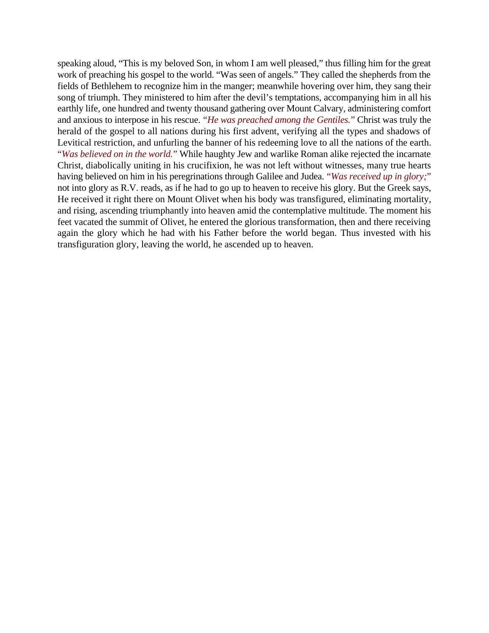speaking aloud, "This is my beloved Son, in whom I am well pleased," thus filling him for the great work of preaching his gospel to the world. "Was seen of angels." They called the shepherds from the fields of Bethlehem to recognize him in the manger; meanwhile hovering over him, they sang their song of triumph. They ministered to him after the devil's temptations, accompanying him in all his earthly life, one hundred and twenty thousand gathering over Mount Calvary, administering comfort and anxious to interpose in his rescue. "*He was preached among the Gentiles.*" Christ was truly the herald of the gospel to all nations during his first advent, verifying all the types and shadows of Levitical restriction, and unfurling the banner of his redeeming love to all the nations of the earth. "*Was believed on in the world.*" While haughty Jew and warlike Roman alike rejected the incarnate Christ, diabolically uniting in his crucifixion, he was not left without witnesses, many true hearts having believed on him in his peregrinations through Galilee and Judea. "*Was received up in glory;*" not into glory as R.V. reads, as if he had to go up to heaven to receive his glory. But the Greek says, He received it right there on Mount Olivet when his body was transfigured, eliminating mortality, and rising, ascending triumphantly into heaven amid the contemplative multitude. The moment his feet vacated the summit of Olivet, he entered the glorious transformation, then and there receiving again the glory which he had with his Father before the world began. Thus invested with his transfiguration glory, leaving the world, he ascended up to heaven.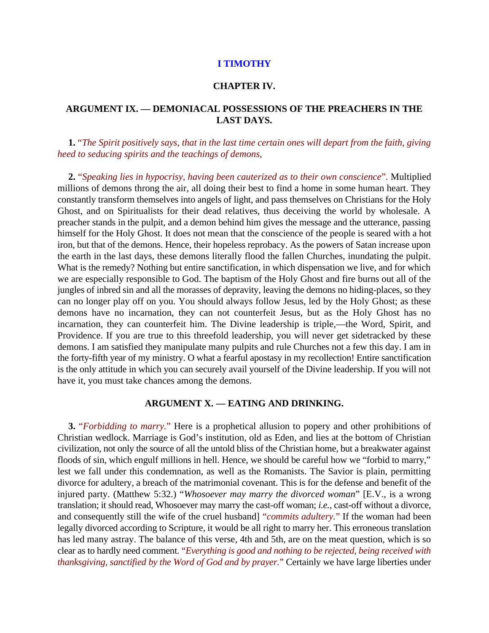#### **I TIMOTHY**

## **CHAPTER IV.**

# **ARGUMENT IX. — DEMONIACAL POSSESSIONS OF THE PREACHERS IN THE LAST DAYS.**

**1.** "*The Spirit positively says, that in the last time certain ones will depart from the faith, giving heed to seducing spirits and the teachings of demons,*

**2.** "*Speaking lies in hypocrisy, having been cauterized as to their own conscience*"*.* Multiplied millions of demons throng the air, all doing their best to find a home in some human heart. They constantly transform themselves into angels of light, and pass themselves on Christians for the Holy Ghost, and on Spiritualists for their dead relatives, thus deceiving the world by wholesale. A preacher stands in the pulpit, and a demon behind him gives the message and the utterance, passing himself for the Holy Ghost. It does not mean that the conscience of the people is seared with a hot iron, but that of the demons. Hence, their hopeless reprobacy. As the powers of Satan increase upon the earth in the last days, these demons literally flood the fallen Churches, inundating the pulpit. What is the remedy? Nothing but entire sanctification, in which dispensation we live, and for which we are especially responsible to God. The baptism of the Holy Ghost and fire burns out all of the jungles of inbred sin and all the morasses of depravity, leaving the demons no hiding-places, so they can no longer play off on you. You should always follow Jesus, led by the Holy Ghost; as these demons have no incarnation, they can not counterfeit Jesus, but as the Holy Ghost has no incarnation, they can counterfeit him. The Divine leadership is triple,—the Word, Spirit, and Providence. If you are true to this threefold leadership, you will never get sidetracked by these demons. I am satisfied they manipulate many pulpits and rule Churches not a few this day. I am in the forty-fifth year of my ministry. O what a fearful apostasy in my recollection! Entire sanctification is the only attitude in which you can securely avail yourself of the Divine leadership. If you will not have it, you must take chances among the demons.

## **ARGUMENT X. — EATING AND DRINKING.**

**3.** "*Forbidding to marry.*" Here is a prophetical allusion to popery and other prohibitions of Christian wedlock. Marriage is God's institution, old as Eden, and lies at the bottom of Christian civilization, not only the source of all the untold bliss of the Christian home, but a breakwater against floods of sin, which engulf millions in hell. Hence, we should be careful how we "forbid to marry," lest we fall under this condemnation, as well as the Romanists. The Savior is plain, permitting divorce for adultery, a breach of the matrimonial covenant. This is for the defense and benefit of the injured party. (Matthew 5:32.) "*Whosoever may marry the divorced woman*" [E.V., is a wrong translation; it should read, Whosoever may marry the cast-off woman; *i.e.*, cast-off without a divorce, and consequently still the wife of the cruel husband] "*commits adultery.*" If the woman had been legally divorced according to Scripture, it would be all right to marry her. This erroneous translation has led many astray. The balance of this verse, 4th and 5th, are on the meat question, which is so clear as to hardly need comment. "*Everything is good and nothing to be rejected, being received with thanksgiving, sanctified by the Word of God and by prayer.*" Certainly we have large liberties under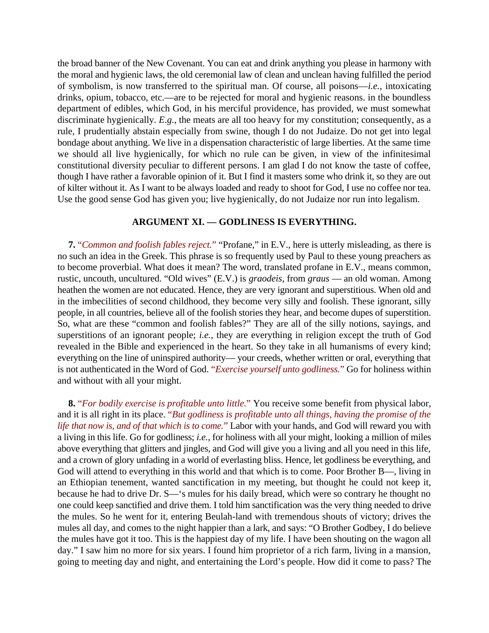the broad banner of the New Covenant. You can eat and drink anything you please in harmony with the moral and hygienic laws, the old ceremonial law of clean and unclean having fulfilled the period of symbolism, is now transferred to the spiritual man. Of course, all poisons—*i.e.*, intoxicating drinks, opium, tobacco, etc.—are to be rejected for moral and hygienic reasons. in the boundless department of edibles, which God, in his merciful providence, has provided, we must somewhat discriminate hygienically. *E*.*g*., the meats are all too heavy for my constitution; consequently, as a rule, I prudentially abstain especially from swine, though I do not Judaize. Do not get into legal bondage about anything. We live in a dispensation characteristic of large liberties. At the same time we should all live hygienically, for which no rule can be given, in view of the infinitesimal constitutional diversity peculiar to different persons. I am glad I do not know the taste of coffee, though I have rather a favorable opinion of it. But I find it masters some who drink it, so they are out of kilter without it. As I want to be always loaded and ready to shoot for God, I use no coffee nor tea. Use the good sense God has given you; live hygienically, do not Judaize nor run into legalism.

#### **ARGUMENT XI. — GODLINESS IS EVERYTHING.**

**7.** "*Common and foolish fables reject.*" "Profane," in E.V., here is utterly misleading, as there is no such an idea in the Greek. This phrase is so frequently used by Paul to these young preachers as to become proverbial. What does it mean? The word, translated profane in E.V., means common, rustic, uncouth, uncultured. "Old wives" (E.V.) is *graodeis*, from *graus* — an old woman. Among heathen the women are not educated. Hence, they are very ignorant and superstitious. When old and in the imbecilities of second childhood, they become very silly and foolish. These ignorant, silly people, in all countries, believe all of the foolish stories they hear, and become dupes of superstition. So, what are these "common and foolish fables?" They are all of the silly notions, sayings, and superstitions of an ignorant people; *i.e.*, they are everything in religion except the truth of God revealed in the Bible and experienced in the heart. So they take in all humanisms of every kind; everything on the line of uninspired authority— your creeds, whether written or oral, everything that is not authenticated in the Word of God. "*Exercise yourself unto godliness.*" Go for holiness within and without with all your might.

**8.** "*For bodily exercise is profitable unto little.*" You receive some benefit from physical labor, and it is all right in its place. "*But godliness is profitable unto all things, having the promise of the life that now is, and of that which is to come.*" Labor with your hands, and God will reward you with a living in this life. Go for godliness; *i.e.*, for holiness with all your might, looking a million of miles above everything that glitters and jingles, and God will give you a living and all you need in this life, and a crown of glory unfading in a world of everlasting bliss. Hence, let godliness be everything, and God will attend to everything in this world and that which is to come. Poor Brother B—, living in an Ethiopian tenement, wanted sanctification in my meeting, but thought he could not keep it, because he had to drive Dr. S—'s mules for his daily bread, which were so contrary he thought no one could keep sanctified and drive them. I told him sanctification was the very thing needed to drive the mules. So he went for it, entering Beulah-land with tremendous shouts of victory; drives the mules all day, and comes to the night happier than a lark, and says: "O Brother Godbey, I do believe the mules have got it too. This is the happiest day of my life. I have been shouting on the wagon all day." I saw him no more for six years. I found him proprietor of a rich farm, living in a mansion, going to meeting day and night, and entertaining the Lord's people. How did it come to pass? The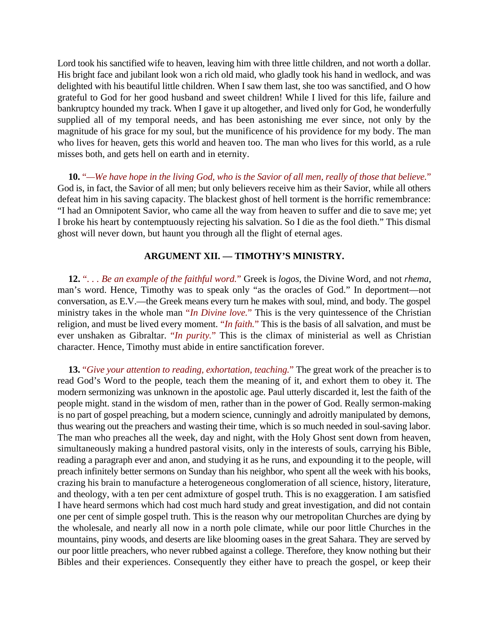Lord took his sanctified wife to heaven, leaving him with three little children, and not worth a dollar. His bright face and jubilant look won a rich old maid, who gladly took his hand in wedlock, and was delighted with his beautiful little children. When I saw them last, she too was sanctified, and O how grateful to God for her good husband and sweet children! While I lived for this life, failure and bankruptcy hounded my track. When I gave it up altogether, and lived only for God, he wonderfully supplied all of my temporal needs, and has been astonishing me ever since, not only by the magnitude of his grace for my soul, but the munificence of his providence for my body. The man who lives for heaven, gets this world and heaven too. The man who lives for this world, as a rule misses both, and gets hell on earth and in eternity.

**10.** "*—We have hope in the living God, who is the Savior of all men, really of those that believe.*" God is, in fact, the Savior of all men; but only believers receive him as their Savior, while all others defeat him in his saving capacity. The blackest ghost of hell torment is the horrific remembrance: "I had an Omnipotent Savior, who came all the way from heaven to suffer and die to save me; yet I broke his heart by contemptuously rejecting his salvation. So I die as the fool dieth." This dismal ghost will never down, but haunt you through all the flight of eternal ages.

## **ARGUMENT XII. — TIMOTHY'S MINISTRY.**

**12.** "*. . . Be an example of the faithful word.*" Greek is *logos*, the Divine Word, and not *rhema*, man's word. Hence, Timothy was to speak only "as the oracles of God." In deportment—not conversation, as E.V.—the Greek means every turn he makes with soul, mind, and body. The gospel ministry takes in the whole man "*In Divine love.*" This is the very quintessence of the Christian religion, and must be lived every moment. "*In faith.*" This is the basis of all salvation, and must be ever unshaken as Gibraltar. "*In purity.*" This is the climax of ministerial as well as Christian character. Hence, Timothy must abide in entire sanctification forever.

**13.** "*Give your attention to reading, exhortation, teaching.*" The great work of the preacher is to read God's Word to the people, teach them the meaning of it, and exhort them to obey it. The modern sermonizing was unknown in the apostolic age. Paul utterly discarded it, lest the faith of the people might. stand in the wisdom of men, rather than in the power of God. Really sermon-making is no part of gospel preaching, but a modern science, cunningly and adroitly manipulated by demons, thus wearing out the preachers and wasting their time, which is so much needed in soul-saving labor. The man who preaches all the week, day and night, with the Holy Ghost sent down from heaven, simultaneously making a hundred pastoral visits, only in the interests of souls, carrying his Bible, reading a paragraph ever and anon, and studying it as he runs, and expounding it to the people, will preach infinitely better sermons on Sunday than his neighbor, who spent all the week with his books, crazing his brain to manufacture a heterogeneous conglomeration of all science, history, literature, and theology, with a ten per cent admixture of gospel truth. This is no exaggeration. I am satisfied I have heard sermons which had cost much hard study and great investigation, and did not contain one per cent of simple gospel truth. This is the reason why our metropolitan Churches are dying by the wholesale, and nearly all now in a north pole climate, while our poor little Churches in the mountains, piny woods, and deserts are like blooming oases in the great Sahara. They are served by our poor little preachers, who never rubbed against a college. Therefore, they know nothing but their Bibles and their experiences. Consequently they either have to preach the gospel, or keep their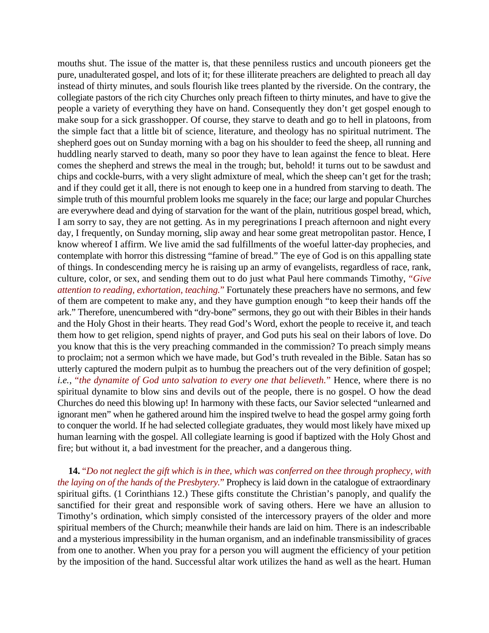mouths shut. The issue of the matter is, that these penniless rustics and uncouth pioneers get the pure, unadulterated gospel, and lots of it; for these illiterate preachers are delighted to preach all day instead of thirty minutes, and souls flourish like trees planted by the riverside. On the contrary, the collegiate pastors of the rich city Churches only preach fifteen to thirty minutes, and have to give the people a variety of everything they have on hand. Consequently they don't get gospel enough to make soup for a sick grasshopper. Of course, they starve to death and go to hell in platoons, from the simple fact that a little bit of science, literature, and theology has no spiritual nutriment. The shepherd goes out on Sunday morning with a bag on his shoulder to feed the sheep, all running and huddling nearly starved to death, many so poor they have to lean against the fence to bleat. Here comes the shepherd and strews the meal in the trough; but, behold! it turns out to be sawdust and chips and cockle-burrs, with a very slight admixture of meal, which the sheep can't get for the trash; and if they could get it all, there is not enough to keep one in a hundred from starving to death. The simple truth of this mournful problem looks me squarely in the face; our large and popular Churches are everywhere dead and dying of starvation for the want of the plain, nutritious gospel bread, which, I am sorry to say, they are not getting. As in my peregrinations I preach afternoon and night every day, I frequently, on Sunday morning, slip away and hear some great metropolitan pastor. Hence, I know whereof I affirm. We live amid the sad fulfillments of the woeful latter-day prophecies, and contemplate with horror this distressing "famine of bread." The eye of God is on this appalling state of things. In condescending mercy he is raising up an army of evangelists, regardless of race, rank, culture, color, or sex, and sending them out to do just what Paul here commands Timothy, "*Give attention to reading, exhortation, teaching.*" Fortunately these preachers have no sermons, and few of them are competent to make any, and they have gumption enough "to keep their hands off the ark." Therefore, unencumbered with "dry-bone" sermons, they go out with their Bibles in their hands and the Holy Ghost in their hearts. They read God's Word, exhort the people to receive it, and teach them how to get religion, spend nights of prayer, and God puts his seal on their labors of love. Do you know that this is the very preaching commanded in the commission? To preach simply means to proclaim; not a sermon which we have made, but God's truth revealed in the Bible. Satan has so utterly captured the modern pulpit as to humbug the preachers out of the very definition of gospel; *i.e.*, "*the dynamite of God unto salvation to every one that believeth.*" Hence, where there is no spiritual dynamite to blow sins and devils out of the people, there is no gospel. O how the dead Churches do need this blowing up! In harmony with these facts, our Savior selected "unlearned and ignorant men" when he gathered around him the inspired twelve to head the gospel army going forth to conquer the world. If he had selected collegiate graduates, they would most likely have mixed up human learning with the gospel. All collegiate learning is good if baptized with the Holy Ghost and fire; but without it, a bad investment for the preacher, and a dangerous thing.

**14.** "*Do not neglect the gift which is in thee, which was conferred on thee through prophecy, with the laying on of the hands of the Presbytery.*" Prophecy is laid down in the catalogue of extraordinary spiritual gifts. (1 Corinthians 12.) These gifts constitute the Christian's panoply, and qualify the sanctified for their great and responsible work of saving others. Here we have an allusion to Timothy's ordination, which simply consisted of the intercessory prayers of the older and more spiritual members of the Church; meanwhile their hands are laid on him. There is an indescribable and a mysterious impressibility in the human organism, and an indefinable transmissibility of graces from one to another. When you pray for a person you will augment the efficiency of your petition by the imposition of the hand. Successful altar work utilizes the hand as well as the heart. Human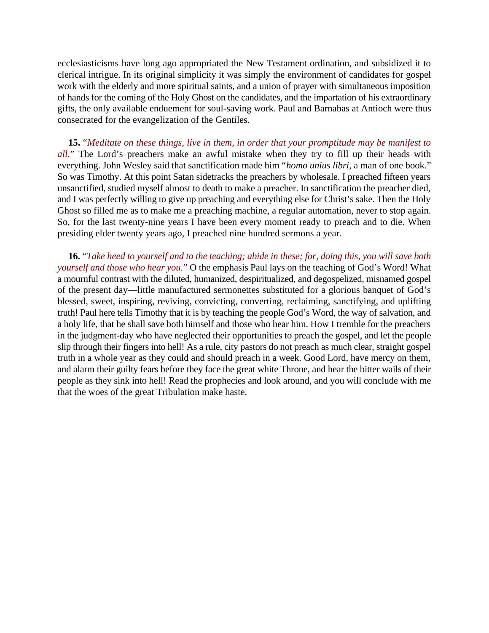ecclesiasticisms have long ago appropriated the New Testament ordination, and subsidized it to clerical intrigue. In its original simplicity it was simply the environment of candidates for gospel work with the elderly and more spiritual saints, and a union of prayer with simultaneous imposition of hands for the coming of the Holy Ghost on the candidates, and the impartation of his extraordinary gifts, the only available enduement for soul-saving work. Paul and Barnabas at Antioch were thus consecrated for the evangelization of the Gentiles.

**15.** "*Meditate on these things, live in them, in order that your promptitude may be manifest to all.*" The Lord's preachers make an awful mistake when they try to fill up their heads with everything. John Wesley said that sanctification made him "*homo unius libri*, a man of one book." So was Timothy. At this point Satan sidetracks the preachers by wholesale. I preached fifteen years unsanctified, studied myself almost to death to make a preacher. In sanctification the preacher died, and I was perfectly willing to give up preaching and everything else for Christ's sake. Then the Holy Ghost so filled me as to make me a preaching machine, a regular automation, never to stop again. So, for the last twenty-nine years I have been every moment ready to preach and to die. When presiding elder twenty years ago, I preached nine hundred sermons a year.

**16.** "*Take heed to yourself and to the teaching; abide in these; for, doing this, you will save both yourself and those who hear you.*" O the emphasis Paul lays on the teaching of God's Word! What a mournful contrast with the diluted, humanized, despiritualized, and degospelized, misnamed gospel of the present day—little manufactured sermonettes substituted for a glorious banquet of God's blessed, sweet, inspiring, reviving, convicting, converting, reclaiming, sanctifying, and uplifting truth! Paul here tells Timothy that it is by teaching the people God's Word, the way of salvation, and a holy life, that he shall save both himself and those who hear him. How I tremble for the preachers in the judgment-day who have neglected their opportunities to preach the gospel, and let the people slip through their fingers into hell! As a rule, city pastors do not preach as much clear, straight gospel truth in a whole year as they could and should preach in a week. Good Lord, have mercy on them, and alarm their guilty fears before they face the great white Throne, and hear the bitter wails of their people as they sink into hell! Read the prophecies and look around, and you will conclude with me that the woes of the great Tribulation make haste.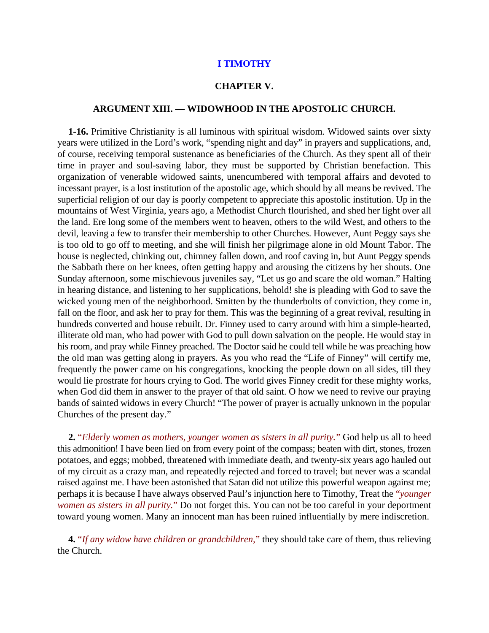## **I TIMOTHY**

#### **CHAPTER V.**

## **ARGUMENT XIII. — WIDOWHOOD IN THE APOSTOLIC CHURCH.**

**1-16.** Primitive Christianity is all luminous with spiritual wisdom. Widowed saints over sixty years were utilized in the Lord's work, "spending night and day" in prayers and supplications, and, of course, receiving temporal sustenance as beneficiaries of the Church. As they spent all of their time in prayer and soul-saving labor, they must be supported by Christian benefaction. This organization of venerable widowed saints, unencumbered with temporal affairs and devoted to incessant prayer, is a lost institution of the apostolic age, which should by all means be revived. The superficial religion of our day is poorly competent to appreciate this apostolic institution. Up in the mountains of West Virginia, years ago, a Methodist Church flourished, and shed her light over all the land. Ere long some of the members went to heaven, others to the wild West, and others to the devil, leaving a few to transfer their membership to other Churches. However, Aunt Peggy says she is too old to go off to meeting, and she will finish her pilgrimage alone in old Mount Tabor. The house is neglected, chinking out, chimney fallen down, and roof caving in, but Aunt Peggy spends the Sabbath there on her knees, often getting happy and arousing the citizens by her shouts. One Sunday afternoon, some mischievous juveniles say, "Let us go and scare the old woman." Halting in hearing distance, and listening to her supplications, behold! she is pleading with God to save the wicked young men of the neighborhood. Smitten by the thunderbolts of conviction, they come in, fall on the floor, and ask her to pray for them. This was the beginning of a great revival, resulting in hundreds converted and house rebuilt. Dr. Finney used to carry around with him a simple-hearted, illiterate old man, who had power with God to pull down salvation on the people. He would stay in his room, and pray while Finney preached. The Doctor said he could tell while he was preaching how the old man was getting along in prayers. As you who read the "Life of Finney" will certify me, frequently the power came on his congregations, knocking the people down on all sides, till they would lie prostrate for hours crying to God. The world gives Finney credit for these mighty works, when God did them in answer to the prayer of that old saint. O how we need to revive our praying bands of sainted widows in every Church! "The power of prayer is actually unknown in the popular Churches of the present day."

**2.** "*Elderly women as mothers, younger women as sisters in all purity.*" God help us all to heed this admonition! I have been lied on from every point of the compass; beaten with dirt, stones, frozen potatoes, and eggs; mobbed, threatened with immediate death, and twenty-six years ago hauled out of my circuit as a crazy man, and repeatedly rejected and forced to travel; but never was a scandal raised against me. I have been astonished that Satan did not utilize this powerful weapon against me; perhaps it is because I have always observed Paul's injunction here to Timothy, Treat the "*younger women as sisters in all purity.*" Do not forget this. You can not be too careful in your deportment toward young women. Many an innocent man has been ruined influentially by mere indiscretion.

**4.** "*If any widow have children or grandchildren,*" they should take care of them, thus relieving the Church.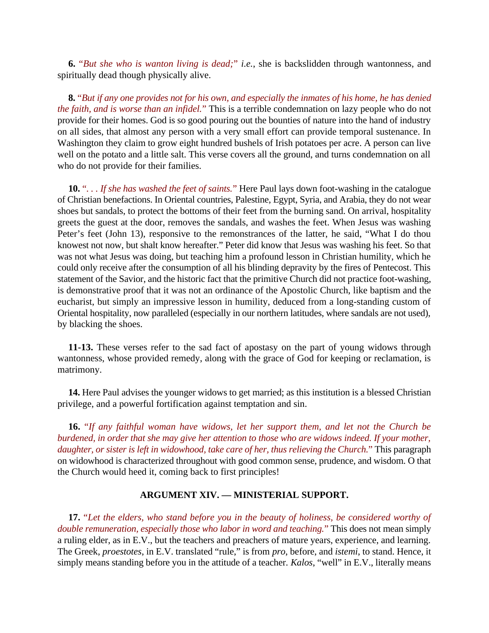**6.** "*But she who is wanton living is dead;*" *i.e.*, she is backslidden through wantonness, and spiritually dead though physically alive.

**8.** "*But if any one provides not for his own, and especially the inmates of his home, he has denied the faith, and is worse than an infidel.*" This is a terrible condemnation on lazy people who do not provide for their homes. God is so good pouring out the bounties of nature into the hand of industry on all sides, that almost any person with a very small effort can provide temporal sustenance. In Washington they claim to grow eight hundred bushels of Irish potatoes per acre. A person can live well on the potato and a little salt. This verse covers all the ground, and turns condemnation on all who do not provide for their families.

**10.** "*. . . If she has washed the feet of saints.*" Here Paul lays down foot-washing in the catalogue of Christian benefactions. In Oriental countries, Palestine, Egypt, Syria, and Arabia, they do not wear shoes but sandals, to protect the bottoms of their feet from the burning sand. On arrival, hospitality greets the guest at the door, removes the sandals, and washes the feet. When Jesus was washing Peter's feet (John 13), responsive to the remonstrances of the latter, he said, "What I do thou knowest not now, but shalt know hereafter." Peter did know that Jesus was washing his feet. So that was not what Jesus was doing, but teaching him a profound lesson in Christian humility, which he could only receive after the consumption of all his blinding depravity by the fires of Pentecost. This statement of the Savior, and the historic fact that the primitive Church did not practice foot-washing, is demonstrative proof that it was not an ordinance of the Apostolic Church, like baptism and the eucharist, but simply an impressive lesson in humility, deduced from a long-standing custom of Oriental hospitality, now paralleled (especially in our northern latitudes, where sandals are not used), by blacking the shoes.

**11-13.** These verses refer to the sad fact of apostasy on the part of young widows through wantonness, whose provided remedy, along with the grace of God for keeping or reclamation, is matrimony.

**14.** Here Paul advises the younger widows to get married; as this institution is a blessed Christian privilege, and a powerful fortification against temptation and sin.

**16.** "*If any faithful woman have widows, let her support them, and let not the Church be burdened, in order that she may give her attention to those who are widows indeed. If your mother, daughter, or sister is left in widowhood, take care of her, thus relieving the Church.*" This paragraph on widowhood is characterized throughout with good common sense, prudence, and wisdom. O that the Church would heed it, coming back to first principles!

# **ARGUMENT XIV. — MINISTERIAL SUPPORT.**

**17.** "*Let the elders, who stand before you in the beauty of holiness, be considered worthy of double remuneration, especially those who labor in word and teaching.*" This does not mean simply a ruling elder, as in E.V., but the teachers and preachers of mature years, experience, and learning. The Greek, *proestotes*, in E.V. translated "rule," is from *pro*, before, and *istemi*, to stand. Hence, it simply means standing before you in the attitude of a teacher. *Kalos*, "well" in E.V., literally means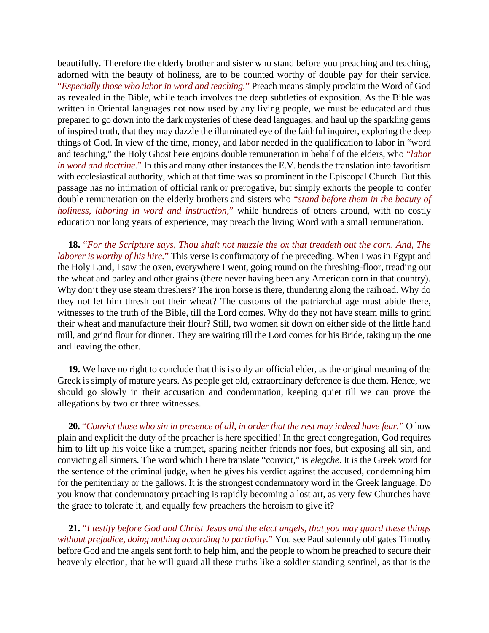beautifully. Therefore the elderly brother and sister who stand before you preaching and teaching, adorned with the beauty of holiness, are to be counted worthy of double pay for their service. "*Especially those who labor in word and teaching.*" Preach means simply proclaim the Word of God as revealed in the Bible, while teach involves the deep subtleties of exposition. As the Bible was written in Oriental languages not now used by any living people, we must be educated and thus prepared to go down into the dark mysteries of these dead languages, and haul up the sparkling gems of inspired truth, that they may dazzle the illuminated eye of the faithful inquirer, exploring the deep things of God. In view of the time, money, and labor needed in the qualification to labor in "word and teaching," the Holy Ghost here enjoins double remuneration in behalf of the elders, who "*labor in word and doctrine.*" In this and many other instances the E.V. bends the translation into favoritism with ecclesiastical authority, which at that time was so prominent in the Episcopal Church. But this passage has no intimation of official rank or prerogative, but simply exhorts the people to confer double remuneration on the elderly brothers and sisters who "*stand before them in the beauty of holiness, laboring in word and instruction,*" while hundreds of others around, with no costly education nor long years of experience, may preach the living Word with a small remuneration.

**18.** "*For the Scripture says, Thou shalt not muzzle the ox that treadeth out the corn. And, The laborer is worthy of his hire.*" This verse is confirmatory of the preceding. When I was in Egypt and the Holy Land, I saw the oxen, everywhere I went, going round on the threshing-floor, treading out the wheat and barley and other grains (there never having been any American corn in that country). Why don't they use steam threshers? The iron horse is there, thundering along the railroad. Why do they not let him thresh out their wheat? The customs of the patriarchal age must abide there, witnesses to the truth of the Bible, till the Lord comes. Why do they not have steam mills to grind their wheat and manufacture their flour? Still, two women sit down on either side of the little hand mill, and grind flour for dinner. They are waiting till the Lord comes for his Bride, taking up the one and leaving the other.

**19.** We have no right to conclude that this is only an official elder, as the original meaning of the Greek is simply of mature years. As people get old, extraordinary deference is due them. Hence, we should go slowly in their accusation and condemnation, keeping quiet till we can prove the allegations by two or three witnesses.

**20.** "*Convict those who sin in presence of all, in order that the rest may indeed have fear.*" O how plain and explicit the duty of the preacher is here specified! In the great congregation, God requires him to lift up his voice like a trumpet, sparing neither friends nor foes, but exposing all sin, and convicting all sinners. The word which I here translate "convict," is *elegche*. It is the Greek word for the sentence of the criminal judge, when he gives his verdict against the accused, condemning him for the penitentiary or the gallows. It is the strongest condemnatory word in the Greek language. Do you know that condemnatory preaching is rapidly becoming a lost art, as very few Churches have the grace to tolerate it, and equally few preachers the heroism to give it?

**21.** "*I testify before God and Christ Jesus and the elect angels, that you may guard these things without prejudice, doing nothing according to partiality.*" You see Paul solemnly obligates Timothy before God and the angels sent forth to help him, and the people to whom he preached to secure their heavenly election, that he will guard all these truths like a soldier standing sentinel, as that is the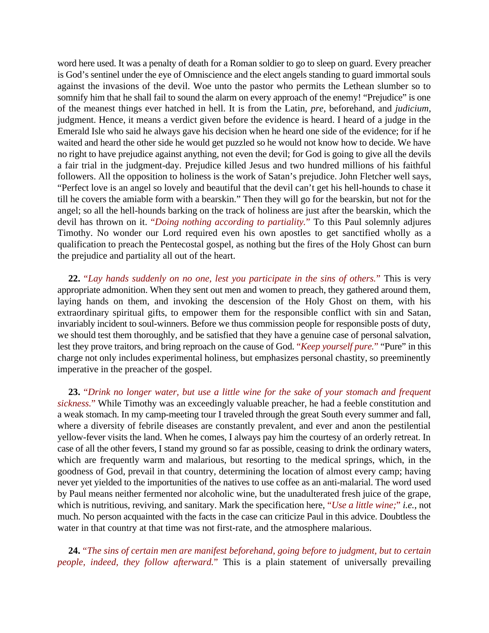word here used. It was a penalty of death for a Roman soldier to go to sleep on guard. Every preacher is God's sentinel under the eye of Omniscience and the elect angels standing to guard immortal souls against the invasions of the devil. Woe unto the pastor who permits the Lethean slumber so to somnify him that he shall fail to sound the alarm on every approach of the enemy! "Prejudice" is one of the meanest things ever hatched in hell. It is from the Latin, *pre*, beforehand, and *judicium*, judgment. Hence, it means a verdict given before the evidence is heard. I heard of a judge in the Emerald Isle who said he always gave his decision when he heard one side of the evidence; for if he waited and heard the other side he would get puzzled so he would not know how to decide. We have no right to have prejudice against anything, not even the devil; for God is going to give all the devils a fair trial in the judgment-day. Prejudice killed Jesus and two hundred millions of his faithful followers. All the opposition to holiness is the work of Satan's prejudice. John Fletcher well says, "Perfect love is an angel so lovely and beautiful that the devil can't get his hell-hounds to chase it till he covers the amiable form with a bearskin." Then they will go for the bearskin, but not for the angel; so all the hell-hounds barking on the track of holiness are just after the bearskin, which the devil has thrown on it. "*Doing nothing according to partiality.*" To this Paul solemnly adjures Timothy. No wonder our Lord required even his own apostles to get sanctified wholly as a qualification to preach the Pentecostal gospel, as nothing but the fires of the Holy Ghost can burn the prejudice and partiality all out of the heart.

**22.** "*Lay hands suddenly on no one, lest you participate in the sins of others.*" This is very appropriate admonition. When they sent out men and women to preach, they gathered around them, laying hands on them, and invoking the descension of the Holy Ghost on them, with his extraordinary spiritual gifts, to empower them for the responsible conflict with sin and Satan, invariably incident to soul-winners. Before we thus commission people for responsible posts of duty, we should test them thoroughly, and be satisfied that they have a genuine case of personal salvation, lest they prove traitors, and bring reproach on the cause of God. "*Keep yourself pure.*" "Pure" in this charge not only includes experimental holiness, but emphasizes personal chastity, so preeminently imperative in the preacher of the gospel.

**23.** "*Drink no longer water, but use a little wine for the sake of your stomach and frequent sickness.*" While Timothy was an exceedingly valuable preacher, he had a feeble constitution and a weak stomach. In my camp-meeting tour I traveled through the great South every summer and fall, where a diversity of febrile diseases are constantly prevalent, and ever and anon the pestilential yellow-fever visits the land. When he comes, I always pay him the courtesy of an orderly retreat. In case of all the other fevers, I stand my ground so far as possible, ceasing to drink the ordinary waters, which are frequently warm and malarious, but resorting to the medical springs, which, in the goodness of God, prevail in that country, determining the location of almost every camp; having never yet yielded to the importunities of the natives to use coffee as an anti-malarial. The word used by Paul means neither fermented nor alcoholic wine, but the unadulterated fresh juice of the grape, which is nutritious, reviving, and sanitary. Mark the specification here, "*Use a little wine;*" *i.e.*, not much. No person acquainted with the facts in the case can criticize Paul in this advice. Doubtless the water in that country at that time was not first-rate, and the atmosphere malarious.

**24.** "*The sins of certain men are manifest beforehand, going before to judgment, but to certain people, indeed, they follow afterward.*" This is a plain statement of universally prevailing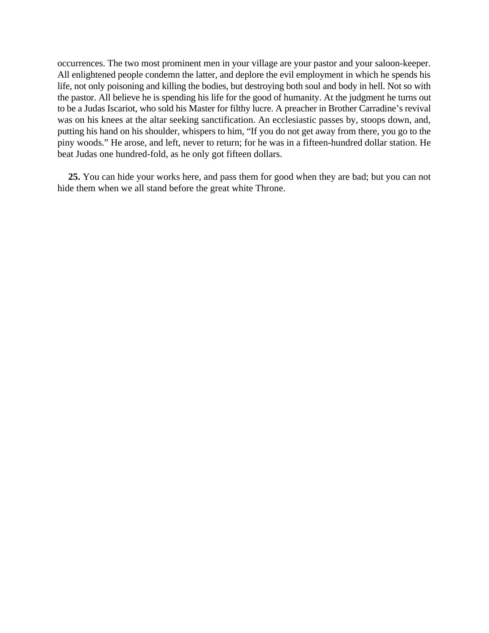occurrences. The two most prominent men in your village are your pastor and your saloon-keeper. All enlightened people condemn the latter, and deplore the evil employment in which he spends his life, not only poisoning and killing the bodies, but destroying both soul and body in hell. Not so with the pastor. All believe he is spending his life for the good of humanity. At the judgment he turns out to be a Judas Iscariot, who sold his Master for filthy lucre. A preacher in Brother Carradine's revival was on his knees at the altar seeking sanctification. An ecclesiastic passes by, stoops down, and, putting his hand on his shoulder, whispers to him, "If you do not get away from there, you go to the piny woods." He arose, and left, never to return; for he was in a fifteen-hundred dollar station. He beat Judas one hundred-fold, as he only got fifteen dollars.

**25.** You can hide your works here, and pass them for good when they are bad; but you can not hide them when we all stand before the great white Throne.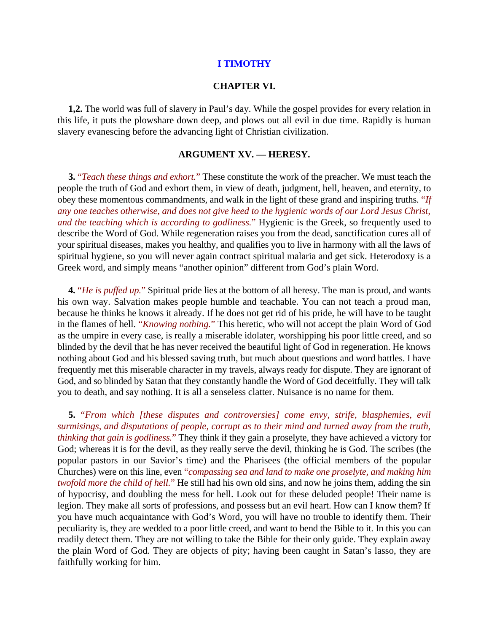## **I TIMOTHY**

## **CHAPTER VI.**

**1,2.** The world was full of slavery in Paul's day. While the gospel provides for every relation in this life, it puts the plowshare down deep, and plows out all evil in due time. Rapidly is human slavery evanescing before the advancing light of Christian civilization.

## **ARGUMENT XV. — HERESY.**

**3.** "*Teach these things and exhort.*" These constitute the work of the preacher. We must teach the people the truth of God and exhort them, in view of death, judgment, hell, heaven, and eternity, to obey these momentous commandments, and walk in the light of these grand and inspiring truths. "*If any one teaches otherwise, and does not give heed to the hygienic words of our Lord Jesus Christ, and the teaching which is according to godliness.*" Hygienic is the Greek, so frequently used to describe the Word of God. While regeneration raises you from the dead, sanctification cures all of your spiritual diseases, makes you healthy, and qualifies you to live in harmony with all the laws of spiritual hygiene, so you will never again contract spiritual malaria and get sick. Heterodoxy is a Greek word, and simply means "another opinion" different from God's plain Word.

**4.** "*He is puffed up.*" Spiritual pride lies at the bottom of all heresy. The man is proud, and wants his own way. Salvation makes people humble and teachable. You can not teach a proud man, because he thinks he knows it already. If he does not get rid of his pride, he will have to be taught in the flames of hell. "*Knowing nothing.*" This heretic, who will not accept the plain Word of God as the umpire in every case, is really a miserable idolater, worshipping his poor little creed, and so blinded by the devil that he has never received the beautiful light of God in regeneration. He knows nothing about God and his blessed saving truth, but much about questions and word battles. I have frequently met this miserable character in my travels, always ready for dispute. They are ignorant of God, and so blinded by Satan that they constantly handle the Word of God deceitfully. They will talk you to death, and say nothing. It is all a senseless clatter. Nuisance is no name for them.

**5.** "*From which [these disputes and controversies] come envy, strife, blasphemies, evil surmisings, and disputations of people, corrupt as to their mind and turned away from the truth, thinking that gain is godliness.*" They think if they gain a proselyte, they have achieved a victory for God; whereas it is for the devil, as they really serve the devil, thinking he is God. The scribes (the popular pastors in our Savior's time) and the Pharisees (the official members of the popular Churches) were on this line, even "*compassing sea and land to make one proselyte, and making him twofold more the child of hell.*" He still had his own old sins, and now he joins them, adding the sin of hypocrisy, and doubling the mess for hell. Look out for these deluded people! Their name is legion. They make all sorts of professions, and possess but an evil heart. How can I know them? If you have much acquaintance with God's Word, you will have no trouble to identify them. Their peculiarity is, they are wedded to a poor little creed, and want to bend the Bible to it. In this you can readily detect them. They are not willing to take the Bible for their only guide. They explain away the plain Word of God. They are objects of pity; having been caught in Satan's lasso, they are faithfully working for him.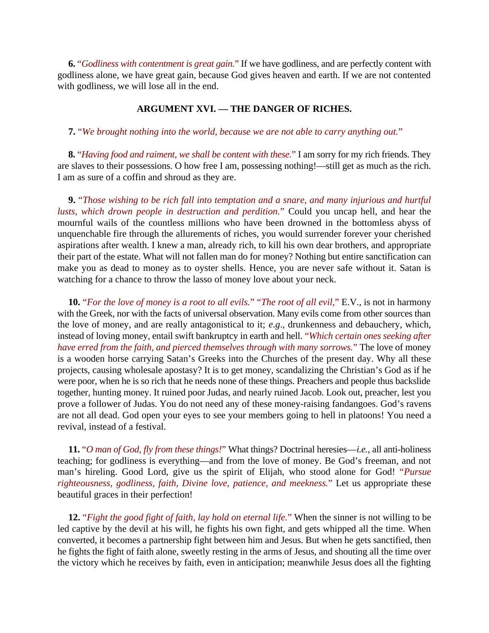**6.** "*Godliness with contentment is great gain.*" If we have godliness, and are perfectly content with godliness alone, we have great gain, because God gives heaven and earth. If we are not contented with godliness, we will lose all in the end.

# **ARGUMENT XVI. — THE DANGER OF RICHES.**

**7.** "*We brought nothing into the world, because we are not able to carry anything out.*"

**8.** "*Having food and raiment, we shall be content with these.*" I am sorry for my rich friends. They are slaves to their possessions. O how free I am, possessing nothing!—still get as much as the rich. I am as sure of a coffin and shroud as they are.

**9.** "*Those wishing to be rich fall into temptation and a snare, and many injurious and hurtful lusts, which drown people in destruction and perdition.*" Could you uncap hell, and hear the mournful wails of the countless millions who have been drowned in the bottomless abyss of unquenchable fire through the allurements of riches, you would surrender forever your cherished aspirations after wealth. I knew a man, already rich, to kill his own dear brothers, and appropriate their part of the estate. What will not fallen man do for money? Nothing but entire sanctification can make you as dead to money as to oyster shells. Hence, you are never safe without it. Satan is watching for a chance to throw the lasso of money love about your neck.

**10.** "*For the love of money is a root to all evils.*" "*The root of all evil,*" E.V., is not in harmony with the Greek, nor with the facts of universal observation. Many evils come from other sources than the love of money, and are really antagonistical to it; *e*.*g*., drunkenness and debauchery, which, instead of loving money, entail swift bankruptcy in earth and hell. "*Which certain ones seeking after have erred from the faith, and pierced themselves through with many sorrows.*" The love of money is a wooden horse carrying Satan's Greeks into the Churches of the present day. Why all these projects, causing wholesale apostasy? It is to get money, scandalizing the Christian's God as if he were poor, when he is so rich that he needs none of these things. Preachers and people thus backslide together, hunting money. It ruined poor Judas, and nearly ruined Jacob. Look out, preacher, lest you prove a follower of Judas. You do not need any of these money-raising fandangoes. God's ravens are not all dead. God open your eyes to see your members going to hell in platoons! You need a revival, instead of a festival.

**11.** "*O man of God, fly from these things!*" What things? Doctrinal heresies—*i.e.*, all anti-holiness teaching; for godliness is everything—and from the love of money. Be God's freeman, and not man's hireling. Good Lord, give us the spirit of Elijah, who stood alone for God! "*Pursue righteousness, godliness, faith, Divine love, patience, and meekness.*" Let us appropriate these beautiful graces in their perfection!

**12.** "*Fight the good fight of faith, lay hold on eternal life.*" When the sinner is not willing to be led captive by the devil at his will, he fights his own fight, and gets whipped all the time. When converted, it becomes a partnership fight between him and Jesus. But when he gets sanctified, then he fights the fight of faith alone, sweetly resting in the arms of Jesus, and shouting all the time over the victory which he receives by faith, even in anticipation; meanwhile Jesus does all the fighting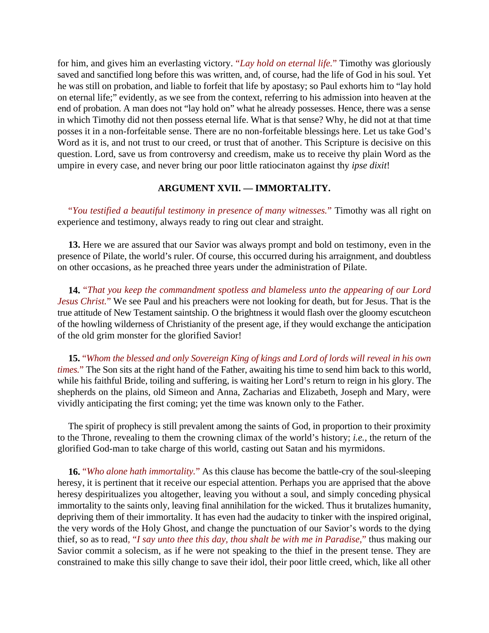for him, and gives him an everlasting victory. "*Lay hold on eternal life.*" Timothy was gloriously saved and sanctified long before this was written, and, of course, had the life of God in his soul. Yet he was still on probation, and liable to forfeit that life by apostasy; so Paul exhorts him to "lay hold on eternal life;" evidently, as we see from the context, referring to his admission into heaven at the end of probation. A man does not "lay hold on" what he already possesses. Hence, there was a sense in which Timothy did not then possess eternal life. What is that sense? Why, he did not at that time posses it in a non-forfeitable sense. There are no non-forfeitable blessings here. Let us take God's Word as it is, and not trust to our creed, or trust that of another. This Scripture is decisive on this question. Lord, save us from controversy and creedism, make us to receive thy plain Word as the umpire in every case, and never bring our poor little ratiocinaton against thy *ipse dixit*!

# **ARGUMENT XVII. — IMMORTALITY.**

"*You testified a beautiful testimony in presence of many witnesses.*" Timothy was all right on experience and testimony, always ready to ring out clear and straight.

**13.** Here we are assured that our Savior was always prompt and bold on testimony, even in the presence of Pilate, the world's ruler. Of course, this occurred during his arraignment, and doubtless on other occasions, as he preached three years under the administration of Pilate.

**14.** "*That you keep the commandment spotless and blameless unto the appearing of our Lord Jesus Christ.*" We see Paul and his preachers were not looking for death, but for Jesus. That is the true attitude of New Testament saintship. O the brightness it would flash over the gloomy escutcheon of the howling wilderness of Christianity of the present age, if they would exchange the anticipation of the old grim monster for the glorified Savior!

**15.** "*Whom the blessed and only Sovereign King of kings and Lord of lords will reveal in his own times.*" The Son sits at the right hand of the Father, awaiting his time to send him back to this world, while his faithful Bride, toiling and suffering, is waiting her Lord's return to reign in his glory. The shepherds on the plains, old Simeon and Anna, Zacharias and Elizabeth, Joseph and Mary, were vividly anticipating the first coming; yet the time was known only to the Father.

The spirit of prophecy is still prevalent among the saints of God, in proportion to their proximity to the Throne, revealing to them the crowning climax of the world's history; *i.e.*, the return of the glorified God-man to take charge of this world, casting out Satan and his myrmidons.

**16.** "*Who alone hath immortality.*" As this clause has become the battle-cry of the soul-sleeping heresy, it is pertinent that it receive our especial attention. Perhaps you are apprised that the above heresy despiritualizes you altogether, leaving you without a soul, and simply conceding physical immortality to the saints only, leaving final annihilation for the wicked. Thus it brutalizes humanity, depriving them of their immortality. It has even had the audacity to tinker with the inspired original, the very words of the Holy Ghost, and change the punctuation of our Savior's words to the dying thief, so as to read*,* "*I say unto thee this day, thou shalt be with me in Paradise,*" thus making our Savior commit a solecism, as if he were not speaking to the thief in the present tense. They are constrained to make this silly change to save their idol, their poor little creed, which, like all other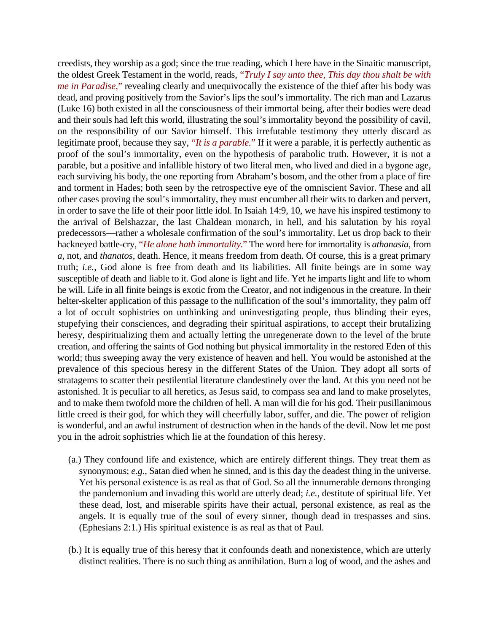creedists, they worship as a god; since the true reading, which I here have in the Sinaitic manuscript, the oldest Greek Testament in the world, reads, "*Truly I say unto thee, This day thou shalt be with me in Paradise,*" revealing clearly and unequivocally the existence of the thief after his body was dead, and proving positively from the Savior's lips the soul's immortality. The rich man and Lazarus (Luke 16) both existed in all the consciousness of their immortal being, after their bodies were dead and their souls had left this world, illustrating the soul's immortality beyond the possibility of cavil, on the responsibility of our Savior himself. This irrefutable testimony they utterly discard as legitimate proof, because they say, "*It is a parable.*" If it were a parable, it is perfectly authentic as proof of the soul's immortality, even on the hypothesis of parabolic truth. However, it is not a parable, but a positive and infallible history of two literal men, who lived and died in a bygone age, each surviving his body, the one reporting from Abraham's bosom, and the other from a place of fire and torment in Hades; both seen by the retrospective eye of the omniscient Savior. These and all other cases proving the soul's immortality, they must encumber all their wits to darken and pervert, in order to save the life of their poor little idol. In Isaiah 14:9, 10, we have his inspired testimony to the arrival of Belshazzar, the last Chaldean monarch, in hell, and his salutation by his royal predecessors—rather a wholesale confirmation of the soul's immortality. Let us drop back to their hackneyed battle-cry, "*He alone hath immortality.*" The word here for immortality is *athanasia*, from *a*, not, and *thanatos*, death. Hence, it means freedom from death. Of course, this is a great primary truth; *i.e.*, God alone is free from death and its liabilities. All finite beings are in some way susceptible of death and liable to it. God alone is light and life. Yet he imparts light and life to whom he will. Life in all finite beings is exotic from the Creator, and not indigenous in the creature. In their helter-skelter application of this passage to the nullification of the soul's immortality, they palm off a lot of occult sophistries on unthinking and uninvestigating people, thus blinding their eyes, stupefying their consciences, and degrading their spiritual aspirations, to accept their brutalizing heresy, despiritualizing them and actually letting the unregenerate down to the level of the brute creation, and offering the saints of God nothing but physical immortality in the restored Eden of this world; thus sweeping away the very existence of heaven and hell. You would be astonished at the prevalence of this specious heresy in the different States of the Union. They adopt all sorts of stratagems to scatter their pestilential literature clandestinely over the land. At this you need not be astonished. It is peculiar to all heretics, as Jesus said, to compass sea and land to make proselytes, and to make them twofold more the children of hell. A man will die for his god. Their pusillanimous little creed is their god, for which they will cheerfully labor, suffer, and die. The power of religion is wonderful, and an awful instrument of destruction when in the hands of the devil. Now let me post you in the adroit sophistries which lie at the foundation of this heresy.

- (a.) They confound life and existence, which are entirely different things. They treat them as synonymous; *e*.*g*., Satan died when he sinned, and is this day the deadest thing in the universe. Yet his personal existence is as real as that of God. So all the innumerable demons thronging the pandemonium and invading this world are utterly dead; *i.e.*, destitute of spiritual life. Yet these dead, lost, and miserable spirits have their actual, personal existence, as real as the angels. It is equally true of the soul of every sinner, though dead in trespasses and sins. (Ephesians 2:1.) His spiritual existence is as real as that of Paul.
- (b.) It is equally true of this heresy that it confounds death and nonexistence, which are utterly distinct realities. There is no such thing as annihilation. Burn a log of wood, and the ashes and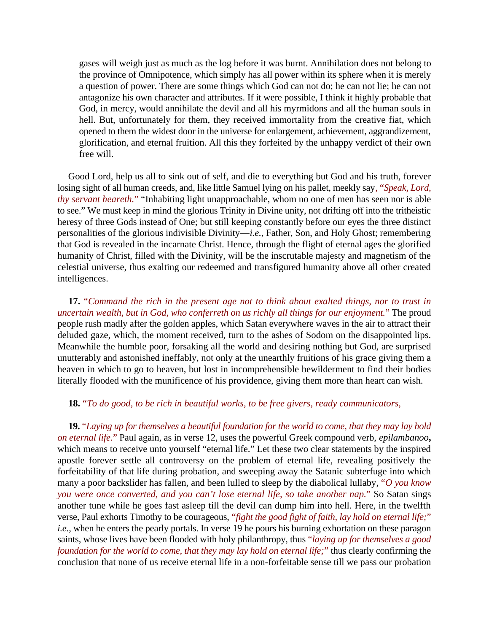gases will weigh just as much as the log before it was burnt. Annihilation does not belong to the province of Omnipotence, which simply has all power within its sphere when it is merely a question of power. There are some things which God can not do; he can not lie; he can not antagonize his own character and attributes. If it were possible, I think it highly probable that God, in mercy, would annihilate the devil and all his myrmidons and all the human souls in hell. But, unfortunately for them, they received immortality from the creative fiat, which opened to them the widest door in the universe for enlargement, achievement, aggrandizement, glorification, and eternal fruition. All this they forfeited by the unhappy verdict of their own free will.

Good Lord, help us all to sink out of self, and die to everything but God and his truth, forever losing sight of all human creeds, and, like little Samuel lying on his pallet, meekly say*,* "*Speak, Lord, thy servant heareth.*" "Inhabiting light unapproachable, whom no one of men has seen nor is able to see." We must keep in mind the glorious Trinity in Divine unity, not drifting off into the tritheistic heresy of three Gods instead of One; but still keeping constantly before our eyes the three distinct personalities of the glorious indivisible Divinity—*i.e.*, Father, Son, and Holy Ghost; remembering that God is revealed in the incarnate Christ. Hence, through the flight of eternal ages the glorified humanity of Christ, filled with the Divinity, will be the inscrutable majesty and magnetism of the celestial universe, thus exalting our redeemed and transfigured humanity above all other created intelligences.

**17.** "*Command the rich in the present age not to think about exalted things, nor to trust in uncertain wealth, but in God, who conferreth on us richly all things for our enjoyment.*" The proud people rush madly after the golden apples, which Satan everywhere waves in the air to attract their deluded gaze, which, the moment received, turn to the ashes of Sodom on the disappointed lips. Meanwhile the humble poor, forsaking all the world and desiring nothing but God, are surprised unutterably and astonished ineffably, not only at the unearthly fruitions of his grace giving them a heaven in which to go to heaven, but lost in incomprehensible bewilderment to find their bodies literally flooded with the munificence of his providence, giving them more than heart can wish.

## **18.** "*To do good, to be rich in beautiful works, to be free givers, ready communicators,*

**19.** "*Laying up for themselves a beautiful foundation for the world to come, that they may lay hold on eternal life.*" Paul again, as in verse 12, uses the powerful Greek compound verb, *epilambanoo***,** which means to receive unto yourself "eternal life." Let these two clear statements by the inspired apostle forever settle all controversy on the problem of eternal life, revealing positively the forfeitability of that life during probation, and sweeping away the Satanic subterfuge into which many a poor backslider has fallen, and been lulled to sleep by the diabolical lullaby, "*O you know you were once converted, and you can't lose eternal life, so take another nap.*" So Satan sings another tune while he goes fast asleep till the devil can dump him into hell. Here, in the twelfth verse, Paul exhorts Timothy to be courageous, "*fight the good fight of faith, lay hold on eternal life;*" *i.e.*, when he enters the pearly portals. In verse 19 he pours his burning exhortation on these paragon saints, whose lives have been flooded with holy philanthropy, thus "*laying up for themselves a good foundation for the world to come, that they may lay hold on eternal life;*" thus clearly confirming the conclusion that none of us receive eternal life in a non-forfeitable sense till we pass our probation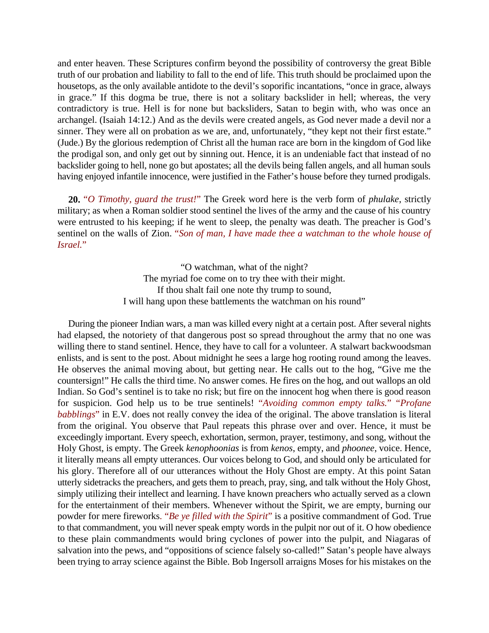and enter heaven. These Scriptures confirm beyond the possibility of controversy the great Bible truth of our probation and liability to fall to the end of life. This truth should be proclaimed upon the housetops, as the only available antidote to the devil's soporific incantations, "once in grace, always in grace." If this dogma be true, there is not a solitary backslider in hell; whereas, the very contradictory is true. Hell is for none but backsliders, Satan to begin with, who was once an archangel. (Isaiah 14:12.) And as the devils were created angels, as God never made a devil nor a sinner. They were all on probation as we are, and, unfortunately, "they kept not their first estate." (Jude.) By the glorious redemption of Christ all the human race are born in the kingdom of God like the prodigal son, and only get out by sinning out. Hence, it is an undeniable fact that instead of no backslider going to hell, none go but apostates; all the devils being fallen angels, and all human souls having enjoyed infantile innocence, were justified in the Father's house before they turned prodigals.

**20.** "*O Timothy, guard the trust!*" The Greek word here is the verb form of *phulake*, strictly military; as when a Roman soldier stood sentinel the lives of the army and the cause of his country were entrusted to his keeping; if he went to sleep, the penalty was death. The preacher is God's sentinel on the walls of Zion. "*Son of man, I have made thee a watchman to the whole house of Israel.*"

> "O watchman, what of the night? The myriad foe come on to try thee with their might. If thou shalt fail one note thy trump to sound, I will hang upon these battlements the watchman on his round"

During the pioneer Indian wars, a man was killed every night at a certain post. After several nights had elapsed, the notoriety of that dangerous post so spread throughout the army that no one was willing there to stand sentinel. Hence, they have to call for a volunteer. A stalwart backwoodsman enlists, and is sent to the post. About midnight he sees a large hog rooting round among the leaves. He observes the animal moving about, but getting near. He calls out to the hog, "Give me the countersign!" He calls the third time. No answer comes. He fires on the hog, and out wallops an old Indian. So God's sentinel is to take no risk; but fire on the innocent hog when there is good reason for suspicion. God help us to be true sentinels! "*Avoiding common empty talks.*" "*Profane babblings*" in E.V. does not really convey the idea of the original. The above translation is literal from the original. You observe that Paul repeats this phrase over and over. Hence, it must be exceedingly important. Every speech, exhortation, sermon, prayer, testimony, and song, without the Holy Ghost, is empty. The Greek *kenophoonias* is from *kenos*, empty, and *phoonee*, voice. Hence, it literally means all empty utterances. Our voices belong to God, and should only be articulated for his glory. Therefore all of our utterances without the Holy Ghost are empty. At this point Satan utterly sidetracks the preachers, and gets them to preach, pray, sing, and talk without the Holy Ghost, simply utilizing their intellect and learning. I have known preachers who actually served as a clown for the entertainment of their members. Whenever without the Spirit, we are empty, burning our powder for mere fireworks*.* "*Be ye filled with the Spirit*" is a positive commandment of God. True to that commandment, you will never speak empty words in the pulpit nor out of it. O how obedience to these plain commandments would bring cyclones of power into the pulpit, and Niagaras of salvation into the pews, and "oppositions of science falsely so-called!" Satan's people have always been trying to array science against the Bible. Bob Ingersoll arraigns Moses for his mistakes on the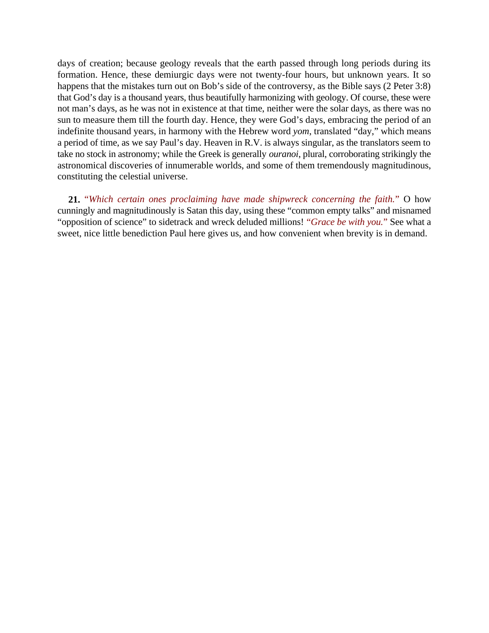days of creation; because geology reveals that the earth passed through long periods during its formation. Hence, these demiurgic days were not twenty-four hours, but unknown years. It so happens that the mistakes turn out on Bob's side of the controversy, as the Bible says (2 Peter 3:8) that God's day is a thousand years, thus beautifully harmonizing with geology. Of course, these were not man's days, as he was not in existence at that time, neither were the solar days, as there was no sun to measure them till the fourth day. Hence, they were God's days, embracing the period of an indefinite thousand years, in harmony with the Hebrew word *yom*, translated "day," which means a period of time, as we say Paul's day. Heaven in R.V. is always singular, as the translators seem to take no stock in astronomy; while the Greek is generally *ouranoi*, plural, corroborating strikingly the astronomical discoveries of innumerable worlds, and some of them tremendously magnitudinous, constituting the celestial universe.

**21.** "*Which certain ones proclaiming have made shipwreck concerning the faith.*" O how cunningly and magnitudinously is Satan this day, using these "common empty talks" and misnamed "opposition of science" to sidetrack and wreck deluded millions! "*Grace be with you.*" See what a sweet, nice little benediction Paul here gives us, and how convenient when brevity is in demand.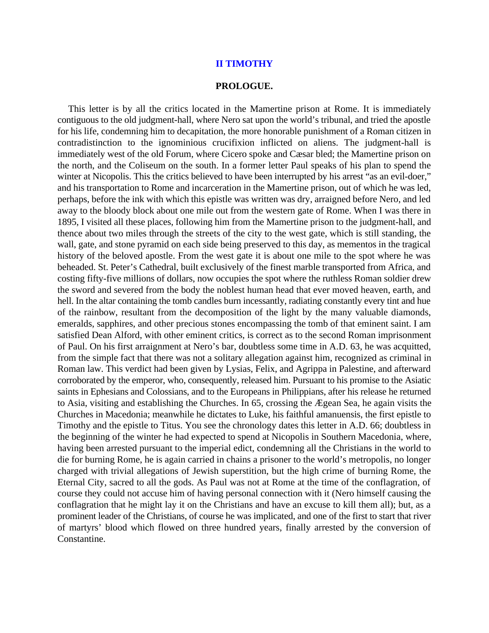#### **II TIMOTHY**

#### **PROLOGUE.**

This letter is by all the critics located in the Mamertine prison at Rome. It is immediately contiguous to the old judgment-hall, where Nero sat upon the world's tribunal, and tried the apostle for his life, condemning him to decapitation, the more honorable punishment of a Roman citizen in contradistinction to the ignominious crucifixion inflicted on aliens. The judgment-hall is immediately west of the old Forum, where Cicero spoke and Cæsar bled; the Mamertine prison on the north, and the Coliseum on the south. In a former letter Paul speaks of his plan to spend the winter at Nicopolis. This the critics believed to have been interrupted by his arrest "as an evil-doer," and his transportation to Rome and incarceration in the Mamertine prison, out of which he was led, perhaps, before the ink with which this epistle was written was dry, arraigned before Nero, and led away to the bloody block about one mile out from the western gate of Rome. When I was there in 1895, I visited all these places, following him from the Mamertine prison to the judgment-hall, and thence about two miles through the streets of the city to the west gate, which is still standing, the wall, gate, and stone pyramid on each side being preserved to this day, as mementos in the tragical history of the beloved apostle. From the west gate it is about one mile to the spot where he was beheaded. St. Peter's Cathedral, built exclusively of the finest marble transported from Africa, and costing fifty-five millions of dollars, now occupies the spot where the ruthless Roman soldier drew the sword and severed from the body the noblest human head that ever moved heaven, earth, and hell. In the altar containing the tomb candles burn incessantly, radiating constantly every tint and hue of the rainbow, resultant from the decomposition of the light by the many valuable diamonds, emeralds, sapphires, and other precious stones encompassing the tomb of that eminent saint. I am satisfied Dean Alford, with other eminent critics, is correct as to the second Roman imprisonment of Paul. On his first arraignment at Nero's bar, doubtless some time in A.D. 63, he was acquitted, from the simple fact that there was not a solitary allegation against him, recognized as criminal in Roman law. This verdict had been given by Lysias, Felix, and Agrippa in Palestine, and afterward corroborated by the emperor, who, consequently, released him. Pursuant to his promise to the Asiatic saints in Ephesians and Colossians, and to the Europeans in Philippians, after his release he returned to Asia, visiting and establishing the Churches. In 65, crossing the Ægean Sea, he again visits the Churches in Macedonia; meanwhile he dictates to Luke, his faithful amanuensis, the first epistle to Timothy and the epistle to Titus. You see the chronology dates this letter in A.D. 66; doubtless in the beginning of the winter he had expected to spend at Nicopolis in Southern Macedonia, where, having been arrested pursuant to the imperial edict, condemning all the Christians in the world to die for burning Rome, he is again carried in chains a prisoner to the world's metropolis, no longer charged with trivial allegations of Jewish superstition, but the high crime of burning Rome, the Eternal City, sacred to all the gods. As Paul was not at Rome at the time of the conflagration, of course they could not accuse him of having personal connection with it (Nero himself causing the conflagration that he might lay it on the Christians and have an excuse to kill them all); but, as a prominent leader of the Christians, of course he was implicated, and one of the first to start that river of martyrs' blood which flowed on three hundred years, finally arrested by the conversion of Constantine.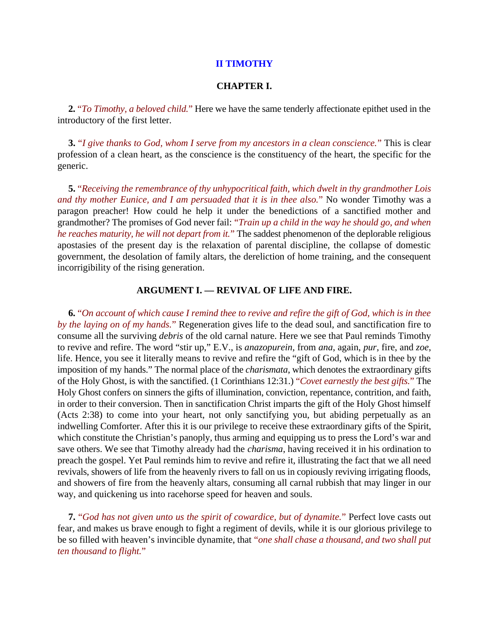## **II TIMOTHY**

## **CHAPTER I.**

**2.** "*To Timothy, a beloved child.*" Here we have the same tenderly affectionate epithet used in the introductory of the first letter.

**3.** "*I give thanks to God, whom I serve from my ancestors in a clean conscience.*" This is clear profession of a clean heart, as the conscience is the constituency of the heart, the specific for the generic.

**5.** "*Receiving the remembrance of thy unhypocritical faith, which dwelt in thy grandmother Lois and thy mother Eunice, and I am persuaded that it is in thee also.*" No wonder Timothy was a paragon preacher! How could he help it under the benedictions of a sanctified mother and grandmother? The promises of God never fail: "*Train up a child in the way he should go, and when he reaches maturity, he will not depart from it.*" The saddest phenomenon of the deplorable religious apostasies of the present day is the relaxation of parental discipline, the collapse of domestic government, the desolation of family altars, the dereliction of home training, and the consequent incorrigibility of the rising generation.

## **ARGUMENT I. — REVIVAL OF LIFE AND FIRE.**

**6.** "*On account of which cause I remind thee to revive and refire the gift of God, which is in thee by the laying on of my hands.*" Regeneration gives life to the dead soul, and sanctification fire to consume all the surviving *debris* of the old carnal nature. Here we see that Paul reminds Timothy to revive and refire. The word "stir up," E.V., is *anazopurein*, from *ana*, again, *pur*, fire, and *zoe*, life. Hence, you see it literally means to revive and refire the "gift of God, which is in thee by the imposition of my hands." The normal place of the *charismata*, which denotes the extraordinary gifts of the Holy Ghost, is with the sanctified. (1 Corinthians 12:31.) "*Covet earnestly the best gifts.*" The Holy Ghost confers on sinners the gifts of illumination, conviction, repentance, contrition, and faith, in order to their conversion. Then in sanctification Christ imparts the gift of the Holy Ghost himself (Acts 2:38) to come into your heart, not only sanctifying you, but abiding perpetually as an indwelling Comforter. After this it is our privilege to receive these extraordinary gifts of the Spirit, which constitute the Christian's panoply, thus arming and equipping us to press the Lord's war and save others. We see that Timothy already had the *charisma*, having received it in his ordination to preach the gospel. Yet Paul reminds him to revive and refire it, illustrating the fact that we all need revivals, showers of life from the heavenly rivers to fall on us in copiously reviving irrigating floods, and showers of fire from the heavenly altars, consuming all carnal rubbish that may linger in our way, and quickening us into racehorse speed for heaven and souls.

**7.** "*God has not given unto us the spirit of cowardice, but of dynamite.*" Perfect love casts out fear, and makes us brave enough to fight a regiment of devils, while it is our glorious privilege to be so filled with heaven's invincible dynamite, that "*one shall chase a thousand, and two shall put ten thousand to flight.*"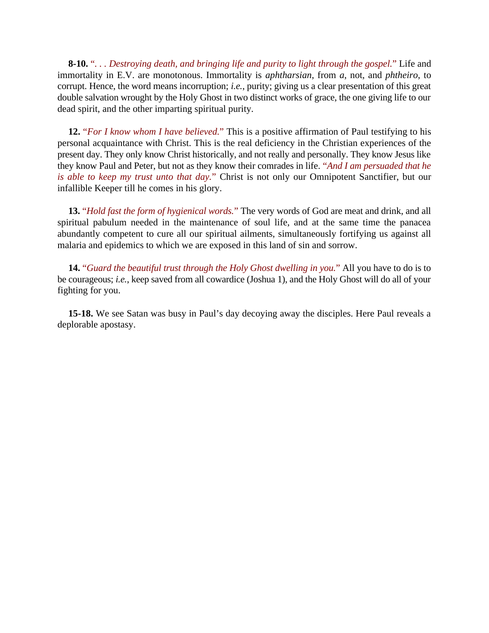**8-10.** "*. . . Destroying death, and bringing life and purity to light through the gospel.*" Life and immortality in E.V. are monotonous. Immortality is *aphtharsian*, from *a*, not, and *phtheiro*, to corrupt. Hence, the word means incorruption; *i.e.*, purity; giving us a clear presentation of this great double salvation wrought by the Holy Ghost in two distinct works of grace, the one giving life to our dead spirit, and the other imparting spiritual purity.

**12.** "*For I know whom I have believed.*" This is a positive affirmation of Paul testifying to his personal acquaintance with Christ. This is the real deficiency in the Christian experiences of the present day. They only know Christ historically, and not really and personally. They know Jesus like they know Paul and Peter, but not as they know their comrades in life. "*And I am persuaded that he is able to keep my trust unto that day.*" Christ is not only our Omnipotent Sanctifier, but our infallible Keeper till he comes in his glory.

**13.** "*Hold fast the form of hygienical words.*" The very words of God are meat and drink, and all spiritual pabulum needed in the maintenance of soul life, and at the same time the panacea abundantly competent to cure all our spiritual ailments, simultaneously fortifying us against all malaria and epidemics to which we are exposed in this land of sin and sorrow.

**14.** "*Guard the beautiful trust through the Holy Ghost dwelling in you.*" All you have to do is to be courageous; *i.e.*, keep saved from all cowardice (Joshua 1), and the Holy Ghost will do all of your fighting for you.

**15-18.** We see Satan was busy in Paul's day decoying away the disciples. Here Paul reveals a deplorable apostasy.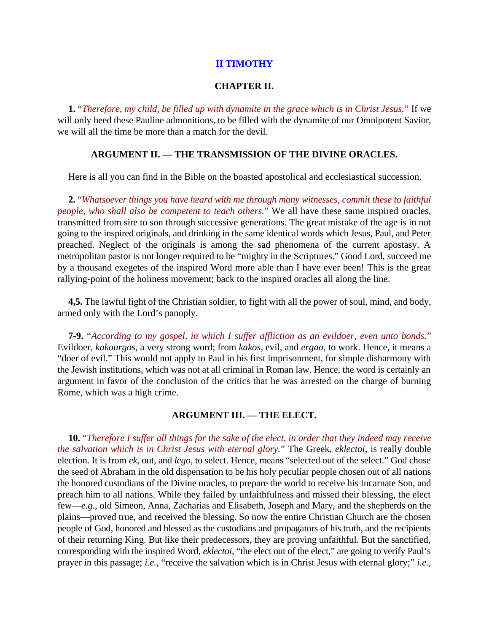## **II TIMOTHY**

## **CHAPTER II.**

**1.** "*Therefore, my child, be filled up with dynamite in the grace which is in Christ Jesus.*" If we will only heed these Pauline admonitions, to be filled with the dynamite of our Omnipotent Savior, we will all the time be more than a match for the devil.

## **ARGUMENT II. — THE TRANSMISSION OF THE DIVINE ORACLES.**

Here is all you can find in the Bible on the boasted apostolical and ecclesiastical succession.

**2.** "*Whatsoever things you have heard with me through many witnesses, commit these to faithful people, who shall also be competent to teach others.*" We all have these same inspired oracles, transmitted from sire to son through successive generations. The great mistake of the age is in not going to the inspired originals, and drinking in the same identical words which Jesus, Paul, and Peter preached. Neglect of the originals is among the sad phenomena of the current apostasy. A metropolitan pastor is not longer required to be "mighty in the Scriptures." Good Lord, succeed me by a thousand exegetes of the inspired Word more able than I have ever been! This is the great rallying-point of the holiness movement; back to the inspired oracles all along the line.

**4,5.** The lawful fight of the Christian soldier, to fight with all the power of soul, mind, and body, armed only with the Lord's panoply.

**7-9.** "*According to my gospel, in which I suffer affliction as an evildoer, even unto bonds.*" Evildoer, *kakourgos*, a very strong word; from *kakos*, evil, and *ergao*, to work. Hence, it means a "doer of evil." This would not apply to Paul in his first imprisonment, for simple disharmony with the Jewish institutions, which was not at all criminal in Roman law. Hence, the word is certainly an argument in favor of the conclusion of the critics that he was arrested on the charge of burning Rome, which was a high crime.

## **ARGUMENT III. — THE ELECT.**

**10.** "*Therefore I suffer all things for the sake of the elect, in order that they indeed may receive the salvation which is in Christ Jesus with eternal glory.*" The Greek, *eklectoi*, is really double election. It is from *ek*, out, and *lego*, to select. Hence, means "selected out of the select." God chose the seed of Abraham in the old dispensation to be his holy peculiar people chosen out of all nations the honored custodians of the Divine oracles, to prepare the world to receive his Incarnate Son, and preach him to all nations. While they failed by unfaithfulness and missed their blessing, the elect few—*e*.*g*., old Simeon, Anna, Zacharias and Elisabeth, Joseph and Mary, and the shepherds on the plains—proved true, and received the blessing. So now the entire Christian Church are the chosen people of God, honored and blessed as the custodians and propagators of his truth, and the recipients of their returning King. But like their predecessors, they are proving unfaithful. But the sanctified, corresponding with the inspired Word, *eklectoi*, "the elect out of the elect," are going to verify Paul's prayer in this passage; *i.e.*, "receive the salvation which is in Christ Jesus with eternal glory;" *i.e.*,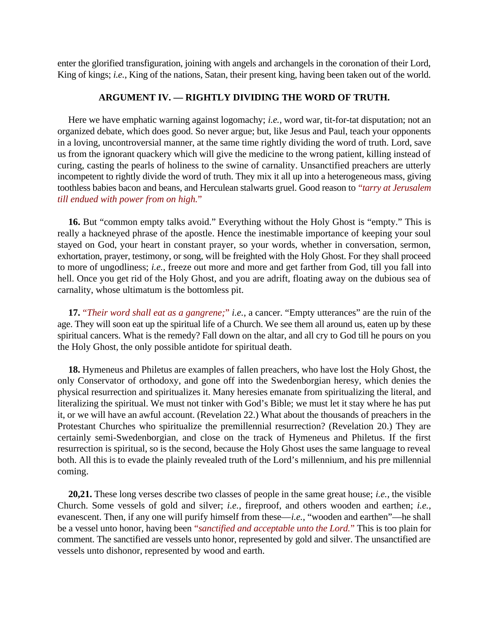enter the glorified transfiguration, joining with angels and archangels in the coronation of their Lord, King of kings; *i.e.*, King of the nations, Satan, their present king, having been taken out of the world.

# **ARGUMENT IV. — RIGHTLY DIVIDING THE WORD OF TRUTH.**

Here we have emphatic warning against logomachy; *i.e.*, word war, tit-for-tat disputation; not an organized debate, which does good. So never argue; but, like Jesus and Paul, teach your opponents in a loving, uncontroversial manner, at the same time rightly dividing the word of truth. Lord, save us from the ignorant quackery which will give the medicine to the wrong patient, killing instead of curing, casting the pearls of holiness to the swine of carnality. Unsanctified preachers are utterly incompetent to rightly divide the word of truth. They mix it all up into a heterogeneous mass, giving toothless babies bacon and beans, and Herculean stalwarts gruel. Good reason to "*tarry at Jerusalem till endued with power from on high.*"

16. But "common empty talks avoid." Everything without the Holy Ghost is "empty." This is really a hackneyed phrase of the apostle. Hence the inestimable importance of keeping your soul stayed on God, your heart in constant prayer, so your words, whether in conversation, sermon, exhortation, prayer, testimony, or song, will be freighted with the Holy Ghost. For they shall proceed to more of ungodliness; *i.e.*, freeze out more and more and get farther from God, till you fall into hell. Once you get rid of the Holy Ghost, and you are adrift, floating away on the dubious sea of carnality, whose ultimatum is the bottomless pit.

**17.** "*Their word shall eat as a gangrene;*" *i.e.*, a cancer. "Empty utterances" are the ruin of the age. They will soon eat up the spiritual life of a Church. We see them all around us, eaten up by these spiritual cancers. What is the remedy? Fall down on the altar, and all cry to God till he pours on you the Holy Ghost, the only possible antidote for spiritual death.

**18.** Hymeneus and Philetus are examples of fallen preachers, who have lost the Holy Ghost, the only Conservator of orthodoxy, and gone off into the Swedenborgian heresy, which denies the physical resurrection and spiritualizes it. Many heresies emanate from spiritualizing the literal, and literalizing the spiritual. We must not tinker with God's Bible; we must let it stay where he has put it, or we will have an awful account. (Revelation 22.) What about the thousands of preachers in the Protestant Churches who spiritualize the premillennial resurrection? (Revelation 20.) They are certainly semi-Swedenborgian, and close on the track of Hymeneus and Philetus. If the first resurrection is spiritual, so is the second, because the Holy Ghost uses the same language to reveal both. All this is to evade the plainly revealed truth of the Lord's millennium, and his pre millennial coming.

**20,21.** These long verses describe two classes of people in the same great house; *i.e.*, the visible Church. Some vessels of gold and silver; *i.e.*, fireproof, and others wooden and earthen; *i.e.*, evanescent. Then, if any one will purify himself from these—*i.e.*, "wooden and earthen"—he shall be a vessel unto honor, having been "*sanctified and acceptable unto the Lord.*" This is too plain for comment. The sanctified are vessels unto honor, represented by gold and silver. The unsanctified are vessels unto dishonor, represented by wood and earth.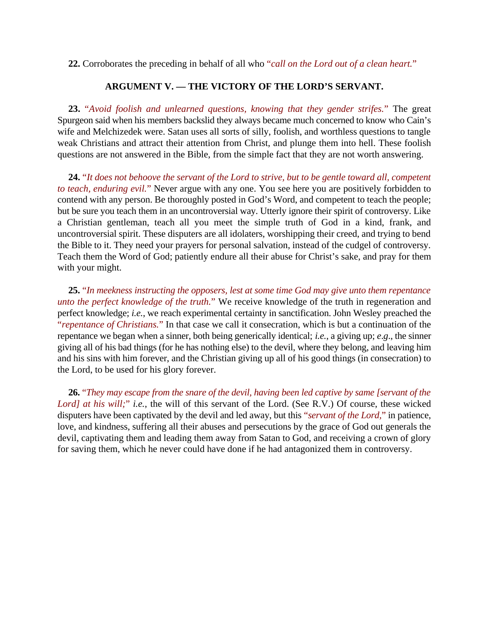**22.** Corroborates the preceding in behalf of all who "*call on the Lord out of a clean heart.*"

## **ARGUMENT V. — THE VICTORY OF THE LORD'S SERVANT.**

**23.** "*Avoid foolish and unlearned questions, knowing that they gender strifes.*" The great Spurgeon said when his members backslid they always became much concerned to know who Cain's wife and Melchizedek were. Satan uses all sorts of silly, foolish, and worthless questions to tangle weak Christians and attract their attention from Christ, and plunge them into hell. These foolish questions are not answered in the Bible, from the simple fact that they are not worth answering.

**24.** "*It does not behoove the servant of the Lord to strive, but to be gentle toward all, competent to teach, enduring evil.*" Never argue with any one. You see here you are positively forbidden to contend with any person. Be thoroughly posted in God's Word, and competent to teach the people; but be sure you teach them in an uncontroversial way. Utterly ignore their spirit of controversy. Like a Christian gentleman, teach all you meet the simple truth of God in a kind, frank, and uncontroversial spirit. These disputers are all idolaters, worshipping their creed, and trying to bend the Bible to it. They need your prayers for personal salvation, instead of the cudgel of controversy. Teach them the Word of God; patiently endure all their abuse for Christ's sake, and pray for them with your might.

**25.** "*In meekness instructing the opposers, lest at some time God may give unto them repentance unto the perfect knowledge of the truth.*" We receive knowledge of the truth in regeneration and perfect knowledge; *i.e.*, we reach experimental certainty in sanctification. John Wesley preached the "*repentance of Christians.*" In that case we call it consecration, which is but a continuation of the repentance we began when a sinner, both being generically identical; *i.e.*, a giving up; *e*.*g*., the sinner giving all of his bad things (for he has nothing else) to the devil, where they belong, and leaving him and his sins with him forever, and the Christian giving up all of his good things (in consecration) to the Lord, to be used for his glory forever.

**26.** "*They may escape from the snare of the devil, having been led captive by same [servant of the Lord] at his will;*" *i.e.*, the will of this servant of the Lord. (See R.V.) Of course, these wicked disputers have been captivated by the devil and led away, but this "*servant of the Lord,*" in patience, love, and kindness, suffering all their abuses and persecutions by the grace of God out generals the devil, captivating them and leading them away from Satan to God, and receiving a crown of glory for saving them, which he never could have done if he had antagonized them in controversy.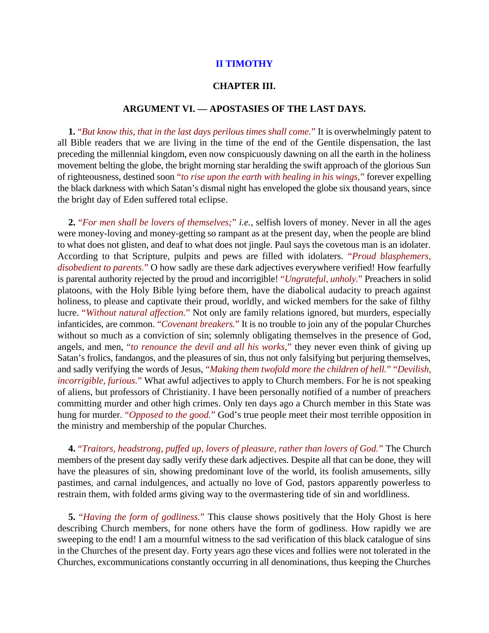## **II TIMOTHY**

## **CHAPTER III.**

## **ARGUMENT VI. — APOSTASIES OF THE LAST DAYS.**

**1.** "*But know this, that in the last days perilous times shall come.*" It is overwhelmingly patent to all Bible readers that we are living in the time of the end of the Gentile dispensation, the last preceding the millennial kingdom, even now conspicuously dawning on all the earth in the holiness movement belting the globe, the bright morning star heralding the swift approach of the glorious Sun of righteousness, destined soon "*to rise upon the earth with healing in his wings,*" forever expelling the black darkness with which Satan's dismal night has enveloped the globe six thousand years, since the bright day of Eden suffered total eclipse.

**2.** "*For men shall be lovers of themselves;*" *i.e.*, selfish lovers of money. Never in all the ages were money-loving and money-getting so rampant as at the present day, when the people are blind to what does not glisten, and deaf to what does not jingle. Paul says the covetous man is an idolater. According to that Scripture, pulpits and pews are filled with idolaters. "*Proud blasphemers, disobedient to parents.*" O how sadly are these dark adjectives everywhere verified! How fearfully is parental authority rejected by the proud and incorrigible! "*Ungrateful, unholy.*" Preachers in solid platoons, with the Holy Bible lying before them, have the diabolical audacity to preach against holiness, to please and captivate their proud, worldly, and wicked members for the sake of filthy lucre. "*Without natural affection.*" Not only are family relations ignored, but murders, especially infanticides, are common. "*Covenant breakers.*" It is no trouble to join any of the popular Churches without so much as a conviction of sin; solemnly obligating themselves in the presence of God, angels, and men, "*to renounce the devil and all his works,*" they never even think of giving up Satan's frolics, fandangos, and the pleasures of sin, thus not only falsifying but perjuring themselves, and sadly verifying the words of Jesus, "*Making them twofold more the children of hell.*" "*Devilish, incorrigible, furious.*" What awful adjectives to apply to Church members. For he is not speaking of aliens, but professors of Christianity. I have been personally notified of a number of preachers committing murder and other high crimes. Only ten days ago a Church member in this State was hung for murder. "*Opposed to the good.*" God's true people meet their most terrible opposition in the ministry and membership of the popular Churches.

**4.** "*Traitors, headstrong, puffed up, lovers of pleasure, rather than lovers of God.*" The Church members of the present day sadly verify these dark adjectives. Despite all that can be done, they will have the pleasures of sin, showing predominant love of the world, its foolish amusements, silly pastimes, and carnal indulgences, and actually no love of God, pastors apparently powerless to restrain them, with folded arms giving way to the overmastering tide of sin and worldliness.

**5.** "*Having the form of godliness.*" This clause shows positively that the Holy Ghost is here describing Church members, for none others have the form of godliness. How rapidly we are sweeping to the end! I am a mournful witness to the sad verification of this black catalogue of sins in the Churches of the present day. Forty years ago these vices and follies were not tolerated in the Churches, excommunications constantly occurring in all denominations, thus keeping the Churches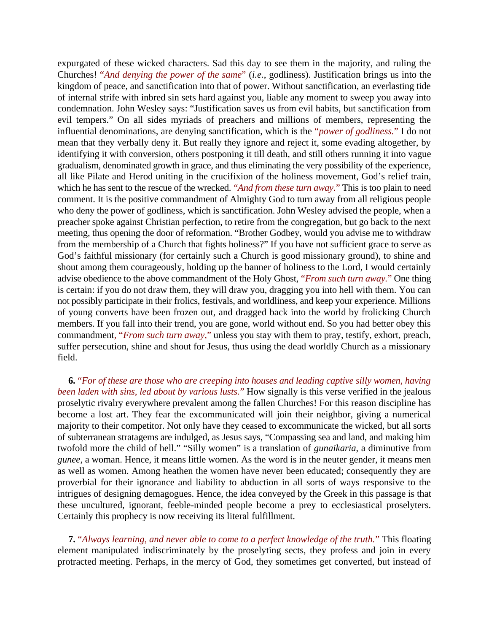expurgated of these wicked characters. Sad this day to see them in the majority, and ruling the Churches! "*And denying the power of the same*" (*i.e.*, godliness). Justification brings us into the kingdom of peace, and sanctification into that of power. Without sanctification, an everlasting tide of internal strife with inbred sin sets hard against you, liable any moment to sweep you away into condemnation. John Wesley says: "Justification saves us from evil habits, but sanctification from evil tempers." On all sides myriads of preachers and millions of members, representing the influential denominations, are denying sanctification, which is the "*power of godliness.*" I do not mean that they verbally deny it. But really they ignore and reject it, some evading altogether, by identifying it with conversion, others postponing it till death, and still others running it into vague gradualism, denominated growth in grace, and thus eliminating the very possibility of the experience, all like Pilate and Herod uniting in the crucifixion of the holiness movement, God's relief train, which he has sent to the rescue of the wrecked. "*And from these turn away*." This is too plain to need comment. It is the positive commandment of Almighty God to turn away from all religious people who deny the power of godliness, which is sanctification. John Wesley advised the people, when a preacher spoke against Christian perfection, to retire from the congregation, but go back to the next meeting, thus opening the door of reformation. "Brother Godbey, would you advise me to withdraw from the membership of a Church that fights holiness?" If you have not sufficient grace to serve as God's faithful missionary (for certainly such a Church is good missionary ground), to shine and shout among them courageously, holding up the banner of holiness to the Lord, I would certainly advise obedience to the above commandment of the Holy Ghost, "*From such turn away.*" One thing is certain: if you do not draw them, they will draw you, dragging you into hell with them. You can not possibly participate in their frolics, festivals, and worldliness, and keep your experience. Millions of young converts have been frozen out, and dragged back into the world by frolicking Church members. If you fall into their trend, you are gone, world without end. So you had better obey this commandment*,* "*From such turn away,*" unless you stay with them to pray, testify, exhort, preach, suffer persecution, shine and shout for Jesus, thus using the dead worldly Church as a missionary field.

**6.** "*For of these are those who are creeping into houses and leading captive silly women, having been laden with sins, led about by various lusts.*" How signally is this verse verified in the jealous proselytic rivalry everywhere prevalent among the fallen Churches! For this reason discipline has become a lost art. They fear the excommunicated will join their neighbor, giving a numerical majority to their competitor. Not only have they ceased to excommunicate the wicked, but all sorts of subterranean stratagems are indulged, as Jesus says, "Compassing sea and land, and making him twofold more the child of hell." "Silly women" is a translation of *gunaikaria*, a diminutive from *gunee*, a woman. Hence, it means little women. As the word is in the neuter gender, it means men as well as women. Among heathen the women have never been educated; consequently they are proverbial for their ignorance and liability to abduction in all sorts of ways responsive to the intrigues of designing demagogues. Hence, the idea conveyed by the Greek in this passage is that these uncultured, ignorant, feeble-minded people become a prey to ecclesiastical proselyters. Certainly this prophecy is now receiving its literal fulfillment.

**7.** "*Always learning, and never able to come to a perfect knowledge of the truth.*" This floating element manipulated indiscriminately by the proselyting sects, they profess and join in every protracted meeting. Perhaps, in the mercy of God, they sometimes get converted, but instead of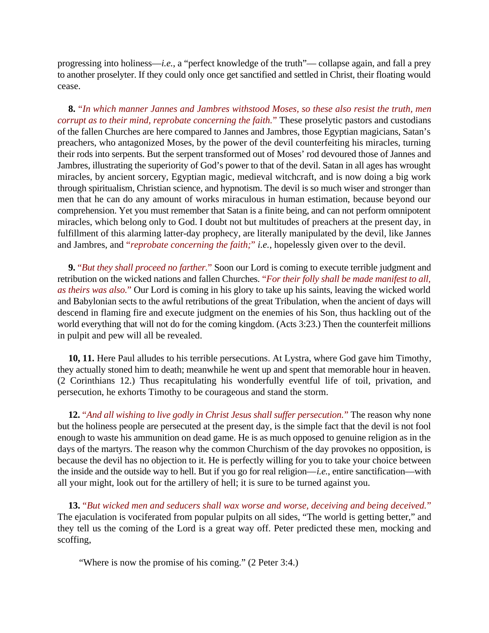progressing into holiness—*i.e.*, a "perfect knowledge of the truth"— collapse again, and fall a prey to another proselyter. If they could only once get sanctified and settled in Christ, their floating would cease.

**8.** "*In which manner Jannes and Jambres withstood Moses, so these also resist the truth, men corrupt as to their mind, reprobate concerning the faith.*" These proselytic pastors and custodians of the fallen Churches are here compared to Jannes and Jambres, those Egyptian magicians, Satan's preachers, who antagonized Moses, by the power of the devil counterfeiting his miracles, turning their rods into serpents. But the serpent transformed out of Moses' rod devoured those of Jannes and Jambres, illustrating the superiority of God's power to that of the devil. Satan in all ages has wrought miracles, by ancient sorcery, Egyptian magic, medieval witchcraft, and is now doing a big work through spiritualism, Christian science, and hypnotism. The devil is so much wiser and stronger than men that he can do any amount of works miraculous in human estimation, because beyond our comprehension. Yet you must remember that Satan is a finite being, and can not perform omnipotent miracles, which belong only to God. I doubt not but multitudes of preachers at the present day, in fulfillment of this alarming latter-day prophecy, are literally manipulated by the devil, like Jannes and Jambres, and "*reprobate concerning the faith;*" *i.e.*, hopelessly given over to the devil.

**9.** "*But they shall proceed no farther.*" Soon our Lord is coming to execute terrible judgment and retribution on the wicked nations and fallen Churches. "*For their folly shall be made manifest to all, as theirs was also.*" Our Lord is coming in his glory to take up his saints, leaving the wicked world and Babylonian sects to the awful retributions of the great Tribulation, when the ancient of days will descend in flaming fire and execute judgment on the enemies of his Son, thus hackling out of the world everything that will not do for the coming kingdom. (Acts 3:23.) Then the counterfeit millions in pulpit and pew will all be revealed.

**10, 11.** Here Paul alludes to his terrible persecutions. At Lystra, where God gave him Timothy, they actually stoned him to death; meanwhile he went up and spent that memorable hour in heaven. (2 Corinthians 12.) Thus recapitulating his wonderfully eventful life of toil, privation, and persecution, he exhorts Timothy to be courageous and stand the storm.

**12.** "*And all wishing to live godly in Christ Jesus shall suffer persecution.*" The reason why none but the holiness people are persecuted at the present day, is the simple fact that the devil is not fool enough to waste his ammunition on dead game. He is as much opposed to genuine religion as in the days of the martyrs. The reason why the common Churchism of the day provokes no opposition, is because the devil has no objection to it. He is perfectly willing for you to take your choice between the inside and the outside way to hell. But if you go for real religion—*i.e.*, entire sanctification—with all your might, look out for the artillery of hell; it is sure to be turned against you.

**13.** "*But wicked men and seducers shall wax worse and worse, deceiving and being deceived.*" The ejaculation is vociferated from popular pulpits on all sides, "The world is getting better," and they tell us the coming of the Lord is a great way off. Peter predicted these men, mocking and scoffing,

"Where is now the promise of his coming." (2 Peter 3:4.)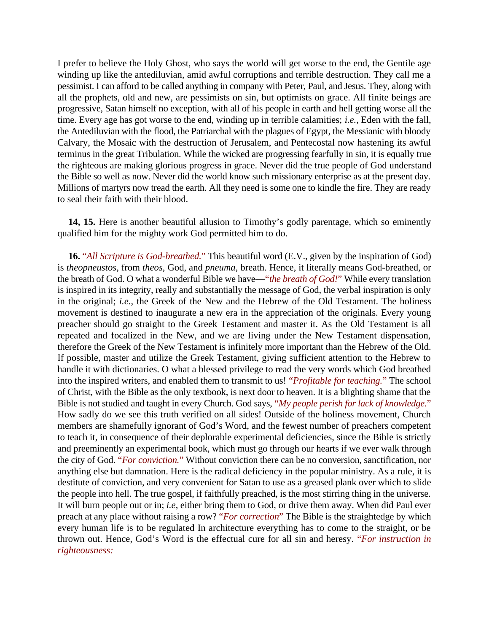I prefer to believe the Holy Ghost, who says the world will get worse to the end, the Gentile age winding up like the antediluvian, amid awful corruptions and terrible destruction. They call me a pessimist. I can afford to be called anything in company with Peter, Paul, and Jesus. They, along with all the prophets, old and new, are pessimists on sin, but optimists on grace. All finite beings are progressive, Satan himself no exception, with all of his people in earth and hell getting worse all the time. Every age has got worse to the end, winding up in terrible calamities; *i.e.*, Eden with the fall, the Antediluvian with the flood, the Patriarchal with the plagues of Egypt, the Messianic with bloody Calvary, the Mosaic with the destruction of Jerusalem, and Pentecostal now hastening its awful terminus in the great Tribulation. While the wicked are progressing fearfully in sin, it is equally true the righteous are making glorious progress in grace. Never did the true people of God understand the Bible so well as now. Never did the world know such missionary enterprise as at the present day. Millions of martyrs now tread the earth. All they need is some one to kindle the fire. They are ready to seal their faith with their blood.

**14, 15.** Here is another beautiful allusion to Timothy's godly parentage, which so eminently qualified him for the mighty work God permitted him to do.

**16.** "*All Scripture is God-breathed.*" This beautiful word (E.V., given by the inspiration of God) is *theopneustos*, from *theos*, God, and *pneuma*, breath. Hence, it literally means God-breathed, or the breath of God. O what a wonderful Bible we have—"*the breath of God!*" While every translation is inspired in its integrity, really and substantially the message of God, the verbal inspiration is only in the original; *i.e.*, the Greek of the New and the Hebrew of the Old Testament. The holiness movement is destined to inaugurate a new era in the appreciation of the originals. Every young preacher should go straight to the Greek Testament and master it. As the Old Testament is all repeated and focalized in the New, and we are living under the New Testament dispensation, therefore the Greek of the New Testament is infinitely more important than the Hebrew of the Old. If possible, master and utilize the Greek Testament, giving sufficient attention to the Hebrew to handle it with dictionaries. O what a blessed privilege to read the very words which God breathed into the inspired writers, and enabled them to transmit to us! "*Profitable for teaching.*" The school of Christ, with the Bible as the only textbook, is next door to heaven. It is a blighting shame that the Bible is not studied and taught in every Church. God says, "*My people perish for lack of knowledge.*" How sadly do we see this truth verified on all sides! Outside of the holiness movement, Church members are shamefully ignorant of God's Word, and the fewest number of preachers competent to teach it, in consequence of their deplorable experimental deficiencies, since the Bible is strictly and preeminently an experimental book, which must go through our hearts if we ever walk through the city of God. "*For conviction.*" Without conviction there can be no conversion, sanctification, nor anything else but damnation. Here is the radical deficiency in the popular ministry. As a rule, it is destitute of conviction, and very convenient for Satan to use as a greased plank over which to slide the people into hell. The true gospel, if faithfully preached, is the most stirring thing in the universe. It will burn people out or in; *i.e*, either bring them to God, or drive them away. When did Paul ever preach at any place without raising a row? "*For correction*" The Bible is the straightedge by which every human life is to be regulated In architecture everything has to come to the straight, or be thrown out. Hence, God's Word is the effectual cure for all sin and heresy. "*For instruction in righteousness:*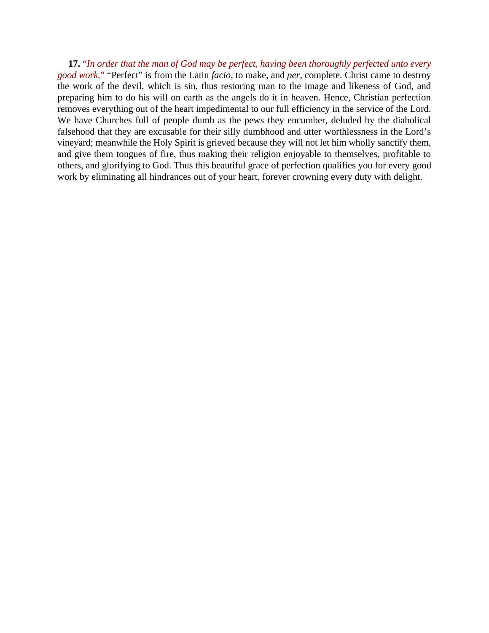**17.** "*In order that the man of God may be perfect, having been thoroughly perfected unto every good work.*" "Perfect" is from the Latin *facio*, to make, and *per*, complete. Christ came to destroy the work of the devil, which is sin, thus restoring man to the image and likeness of God, and preparing him to do his will on earth as the angels do it in heaven. Hence, Christian perfection removes everything out of the heart impedimental to our full efficiency in the service of the Lord. We have Churches full of people dumb as the pews they encumber, deluded by the diabolical falsehood that they are excusable for their silly dumbhood and utter worthlessness in the Lord's vineyard; meanwhile the Holy Spirit is grieved because they will not let him wholly sanctify them, and give them tongues of fire, thus making their religion enjoyable to themselves, profitable to others, and glorifying to God. Thus this beautiful grace of perfection qualifies you for every good work by eliminating all hindrances out of your heart, forever crowning every duty with delight.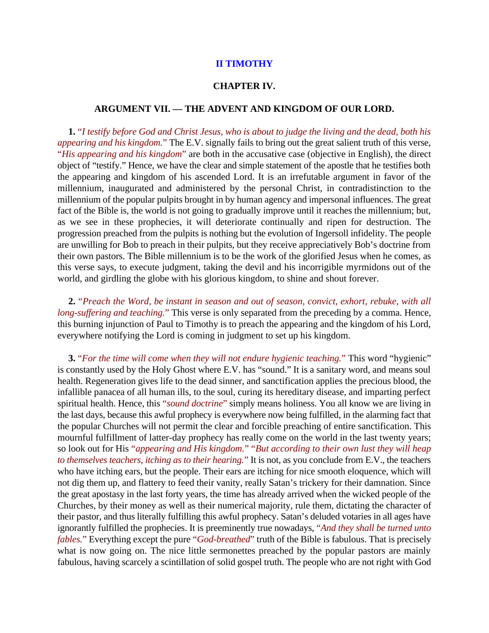## **II TIMOTHY**

## **CHAPTER IV.**

## **ARGUMENT VII. — THE ADVENT AND KINGDOM OF OUR LORD.**

**1.** "*I testify before God and Christ Jesus, who is about to judge the living and the dead, both his appearing and his kingdom.*" The E.V. signally fails to bring out the great salient truth of this verse, "*His appearing and his kingdom*" are both in the accusative case (objective in English), the direct object of "testify." Hence, we have the clear and simple statement of the apostle that he testifies both the appearing and kingdom of his ascended Lord. It is an irrefutable argument in favor of the millennium, inaugurated and administered by the personal Christ, in contradistinction to the millennium of the popular pulpits brought in by human agency and impersonal influences. The great fact of the Bible is, the world is not going to gradually improve until it reaches the millennium; but, as we see in these prophecies, it will deteriorate continually and ripen for destruction. The progression preached from the pulpits is nothing but the evolution of Ingersoll infidelity. The people are unwilling for Bob to preach in their pulpits, but they receive appreciatively Bob's doctrine from their own pastors. The Bible millennium is to be the work of the glorified Jesus when he comes, as this verse says, to execute judgment, taking the devil and his incorrigible myrmidons out of the world, and girdling the globe with his glorious kingdom, to shine and shout forever.

**2.** "*Preach the Word, be instant in season and out of season, convict, exhort, rebuke, with all long-suffering and teaching.*" This verse is only separated from the preceding by a comma. Hence, this burning injunction of Paul to Timothy is to preach the appearing and the kingdom of his Lord, everywhere notifying the Lord is coming in judgment to set up his kingdom.

**3.** "*For the time will come when they will not endure hygienic teaching.*" This word "hygienic" is constantly used by the Holy Ghost where E.V. has "sound." It is a sanitary word, and means soul health. Regeneration gives life to the dead sinner, and sanctification applies the precious blood, the infallible panacea of all human ills, to the soul, curing its hereditary disease, and imparting perfect spiritual health. Hence, this "*sound doctrine*" simply means holiness. You all know we are living in the last days, because this awful prophecy is everywhere now being fulfilled, in the alarming fact that the popular Churches will not permit the clear and forcible preaching of entire sanctification. This mournful fulfillment of latter-day prophecy has really come on the world in the last twenty years; so look out for His "*appearing and His kingdom.*" "*But according to their own lust they will heap to themselves teachers, itching as to their hearing.*" It is not, as you conclude from E.V., the teachers who have itching ears, but the people. Their ears are itching for nice smooth eloquence, which will not dig them up, and flattery to feed their vanity, really Satan's trickery for their damnation. Since the great apostasy in the last forty years, the time has already arrived when the wicked people of the Churches, by their money as well as their numerical majority, rule them, dictating the character of their pastor, and thus literally fulfilling this awful prophecy. Satan's deluded votaries in all ages have ignorantly fulfilled the prophecies. It is preeminently true nowadays, "*And they shall be turned unto fables.*" Everything except the pure "*God-breathed*" truth of the Bible is fabulous. That is precisely what is now going on. The nice little sermonettes preached by the popular pastors are mainly fabulous, having scarcely a scintillation of solid gospel truth. The people who are not right with God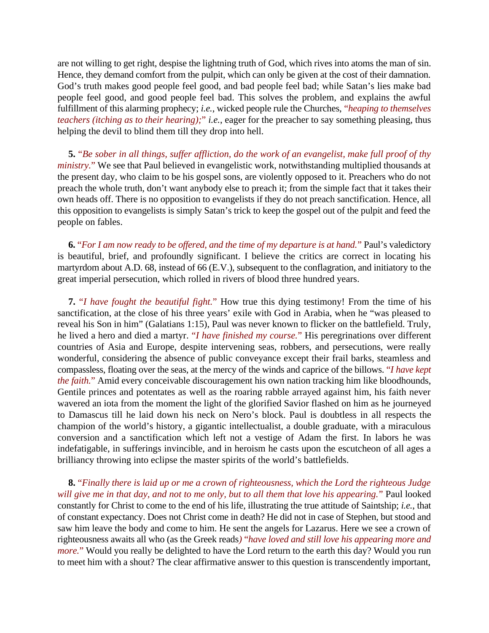are not willing to get right, despise the lightning truth of God, which rives into atoms the man of sin. Hence, they demand comfort from the pulpit, which can only be given at the cost of their damnation. God's truth makes good people feel good, and bad people feel bad; while Satan's lies make bad people feel good, and good people feel bad. This solves the problem, and explains the awful fulfillment of this alarming prophecy; *i.e.*, wicked people rule the Churches, "*heaping to themselves teachers (itching as to their hearing);*" *i.e.*, eager for the preacher to say something pleasing, thus helping the devil to blind them till they drop into hell.

**5.** "*Be sober in all things, suffer affliction, do the work of an evangelist, make full proof of thy ministry.*" We see that Paul believed in evangelistic work, notwithstanding multiplied thousands at the present day, who claim to be his gospel sons, are violently opposed to it. Preachers who do not preach the whole truth, don't want anybody else to preach it; from the simple fact that it takes their own heads off. There is no opposition to evangelists if they do not preach sanctification. Hence, all this opposition to evangelists is simply Satan's trick to keep the gospel out of the pulpit and feed the people on fables.

**6.** "*For I am now ready to be offered, and the time of my departure is at hand.*" Paul's valedictory is beautiful, brief, and profoundly significant. I believe the critics are correct in locating his martyrdom about A.D. 68, instead of 66 (E.V.), subsequent to the conflagration, and initiatory to the great imperial persecution, which rolled in rivers of blood three hundred years.

**7.** "*I have fought the beautiful fight.*" How true this dying testimony! From the time of his sanctification, at the close of his three years' exile with God in Arabia, when he "was pleased to reveal his Son in him" (Galatians 1:15), Paul was never known to flicker on the battlefield. Truly, he lived a hero and died a martyr. "*I have finished my course.*" His peregrinations over different countries of Asia and Europe, despite intervening seas, robbers, and persecutions, were really wonderful, considering the absence of public conveyance except their frail barks, steamless and compassless, floating over the seas, at the mercy of the winds and caprice of the billows. "*I have kept the faith.*" Amid every conceivable discouragement his own nation tracking him like bloodhounds, Gentile princes and potentates as well as the roaring rabble arrayed against him, his faith never wavered an iota from the moment the light of the glorified Savior flashed on him as he journeyed to Damascus till he laid down his neck on Nero's block. Paul is doubtless in all respects the champion of the world's history, a gigantic intellectualist, a double graduate, with a miraculous conversion and a sanctification which left not a vestige of Adam the first. In labors he was indefatigable, in sufferings invincible, and in heroism he casts upon the escutcheon of all ages a brilliancy throwing into eclipse the master spirits of the world's battlefields.

**8.** "*Finally there is laid up or me a crown of righteousness, which the Lord the righteous Judge will give me in that day, and not to me only, but to all them that love his appearing.*" Paul looked constantly for Christ to come to the end of his life, illustrating the true attitude of Saintship; *i.e.*, that of constant expectancy. Does not Christ come in death? He did not in case of Stephen, but stood and saw him leave the body and come to him. He sent the angels for Lazarus. Here we see a crown of righteousness awaits all who (as the Greek reads*)* "*have loved and still love his appearing more and more.*" Would you really be delighted to have the Lord return to the earth this day? Would you run to meet him with a shout? The clear affirmative answer to this question is transcendently important,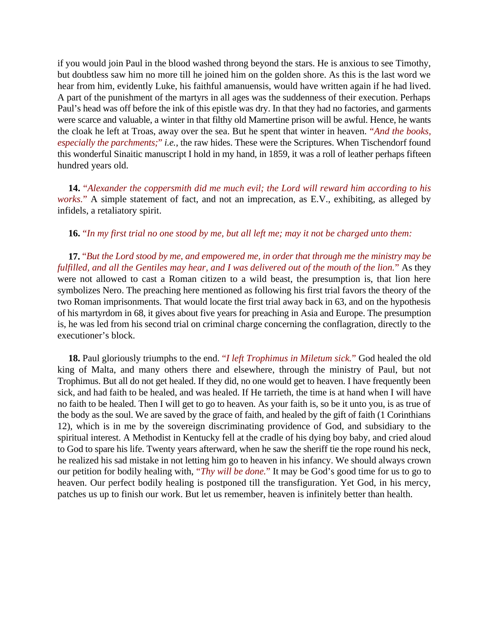if you would join Paul in the blood washed throng beyond the stars. He is anxious to see Timothy, but doubtless saw him no more till he joined him on the golden shore. As this is the last word we hear from him, evidently Luke, his faithful amanuensis, would have written again if he had lived. A part of the punishment of the martyrs in all ages was the suddenness of their execution. Perhaps Paul's head was off before the ink of this epistle was dry. In that they had no factories, and garments were scarce and valuable, a winter in that filthy old Mamertine prison will be awful. Hence, he wants the cloak he left at Troas, away over the sea. But he spent that winter in heaven. "*And the books, especially the parchments;*" *i.e.*, the raw hides. These were the Scriptures. When Tischendorf found this wonderful Sinaitic manuscript I hold in my hand, in 1859, it was a roll of leather perhaps fifteen hundred years old.

**14.** "*Alexander the coppersmith did me much evil; the Lord will reward him according to his works.*" A simple statement of fact, and not an imprecation, as E.V., exhibiting, as alleged by infidels, a retaliatory spirit.

**16.** "*In my first trial no one stood by me, but all left me; may it not be charged unto them:*

**17.** "*But the Lord stood by me, and empowered me, in order that through me the ministry may be fulfilled, and all the Gentiles may hear, and I was delivered out of the mouth of the lion.*" As they were not allowed to cast a Roman citizen to a wild beast, the presumption is, that lion here symbolizes Nero. The preaching here mentioned as following his first trial favors the theory of the two Roman imprisonments. That would locate the first trial away back in 63, and on the hypothesis of his martyrdom in 68, it gives about five years for preaching in Asia and Europe. The presumption is, he was led from his second trial on criminal charge concerning the conflagration, directly to the executioner's block.

**18.** Paul gloriously triumphs to the end. "*I left Trophimus in Miletum sick.*" God healed the old king of Malta, and many others there and elsewhere, through the ministry of Paul, but not Trophimus. But all do not get healed. If they did, no one would get to heaven. I have frequently been sick, and had faith to be healed, and was healed. If He tarrieth, the time is at hand when I will have no faith to be healed. Then I will get to go to heaven. As your faith is, so be it unto you, is as true of the body as the soul. We are saved by the grace of faith, and healed by the gift of faith (1 Corinthians 12), which is in me by the sovereign discriminating providence of God, and subsidiary to the spiritual interest. A Methodist in Kentucky fell at the cradle of his dying boy baby, and cried aloud to God to spare his life. Twenty years afterward, when he saw the sheriff tie the rope round his neck, he realized his sad mistake in not letting him go to heaven in his infancy. We should always crown our petition for bodily healing with, "*Thy will be done.*" It may be God's good time for us to go to heaven. Our perfect bodily healing is postponed till the transfiguration. Yet God, in his mercy, patches us up to finish our work. But let us remember, heaven is infinitely better than health.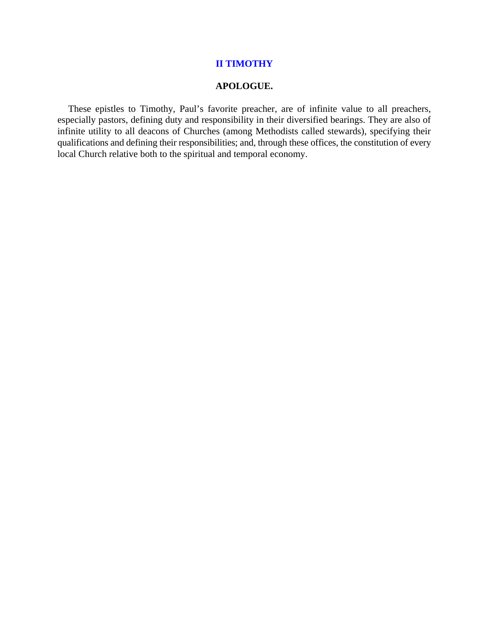## **II TIMOTHY**

## **APOLOGUE.**

These epistles to Timothy, Paul's favorite preacher, are of infinite value to all preachers, especially pastors, defining duty and responsibility in their diversified bearings. They are also of infinite utility to all deacons of Churches (among Methodists called stewards), specifying their qualifications and defining their responsibilities; and, through these offices, the constitution of every local Church relative both to the spiritual and temporal economy.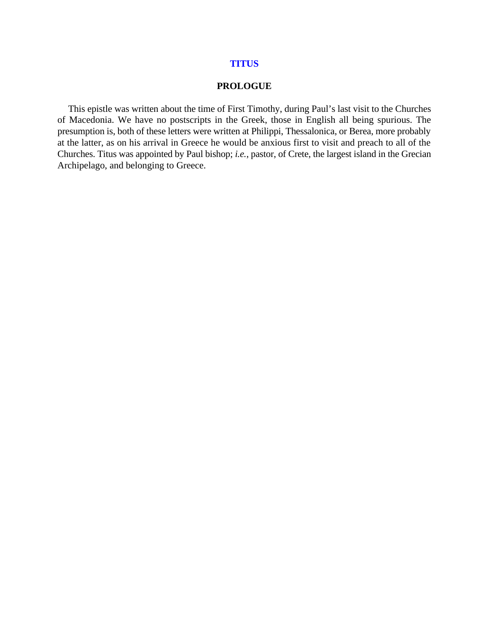#### **TITUS**

#### **PROLOGUE**

This epistle was written about the time of First Timothy, during Paul's last visit to the Churches of Macedonia. We have no postscripts in the Greek, those in English all being spurious. The presumption is, both of these letters were written at Philippi, Thessalonica, or Berea, more probably at the latter, as on his arrival in Greece he would be anxious first to visit and preach to all of the Churches. Titus was appointed by Paul bishop; *i.e.*, pastor, of Crete, the largest island in the Grecian Archipelago, and belonging to Greece.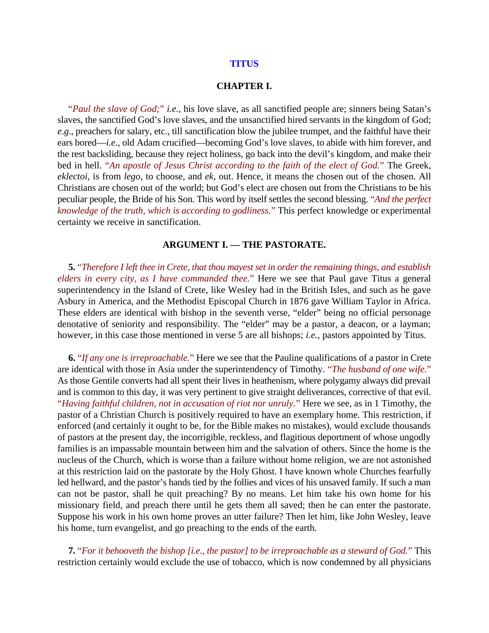#### **TITUS**

## **CHAPTER I.**

"*Paul the slave of God;*" *i.e.*, his love slave, as all sanctified people are; sinners being Satan's slaves, the sanctified God's love slaves, and the unsanctified hired servants in the kingdom of God; *e*.*g*., preachers for salary, etc., till sanctification blow the jubilee trumpet, and the faithful have their ears bored—*i.e.*, old Adam crucified—becoming God's love slaves, to abide with him forever, and the rest backsliding, because they reject holiness, go back into the devil's kingdom, and make their bed in hell. "*An apostle of Jesus Christ according to the faith of the elect of God.*" The Greek, *eklectoi*, is from *lego*, to choose, and *ek*, out. Hence, it means the chosen out of the chosen. All Christians are chosen out of the world; but God's elect are chosen out from the Christians to be his peculiar people, the Bride of his Son. This word by itself settles the second blessing. "*And the perfect knowledge of the truth, which is according to godliness.*" This perfect knowledge or experimental certainty we receive in sanctification.

## **ARGUMENT I. — THE PASTORATE.**

**5.** "*Therefore I left thee in Crete, that thou mayest set in order the remaining things, and establish elders in every city, as I have commanded thee.*" Here we see that Paul gave Titus a general superintendency in the Island of Crete, like Wesley had in the British Isles, and such as he gave Asbury in America, and the Methodist Episcopal Church in 1876 gave William Taylor in Africa. These elders are identical with bishop in the seventh verse, "elder" being no official personage denotative of seniority and responsibility. The "elder" may be a pastor, a deacon, or a layman; however, in this case those mentioned in verse 5 are all bishops; *i.e.*, pastors appointed by Titus.

**6.** "*If any one is irreproachable.*" Here we see that the Pauline qualifications of a pastor in Crete are identical with those in Asia under the superintendency of Timothy. "*The husband of one wife.*" As those Gentile converts had all spent their lives in heathenism, where polygamy always did prevail and is common to this day, it was very pertinent to give straight deliverances, corrective of that evil. "*Having faithful children, not in accusation of riot nor unruly.*" Here we see, as in 1 Timothy, the pastor of a Christian Church is positively required to have an exemplary home. This restriction, if enforced (and certainly it ought to be, for the Bible makes no mistakes), would exclude thousands of pastors at the present day, the incorrigible, reckless, and flagitious deportment of whose ungodly families is an impassable mountain between him and the salvation of others. Since the home is the nucleus of the Church, which is worse than a failure without home religion, we are not astonished at this restriction laid on the pastorate by the Holy Ghost. I have known whole Churches fearfully led hellward, and the pastor's hands tied by the follies and vices of his unsaved family. If such a man can not be pastor, shall he quit preaching? By no means. Let him take his own home for his missionary field, and preach there until he gets them all saved; then he can enter the pastorate. Suppose his work in his own home proves an utter failure? Then let him, like John Wesley, leave his home, turn evangelist, and go preaching to the ends of the earth.

**7.** "*For it behooveth the bishop [i.e., the pastor] to be irreproachable as a steward of God.*" This restriction certainly would exclude the use of tobacco, which is now condemned by all physicians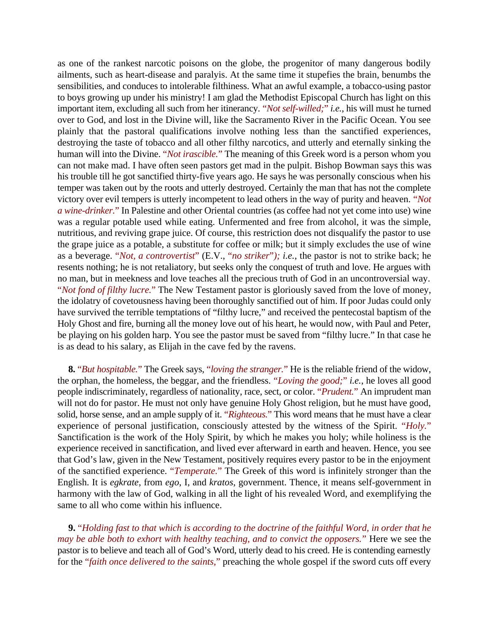as one of the rankest narcotic poisons on the globe, the progenitor of many dangerous bodily ailments, such as heart-disease and paralyis. At the same time it stupefies the brain, benumbs the sensibilities, and conduces to intolerable filthiness. What an awful example, a tobacco-using pastor to boys growing up under his ministry! I am glad the Methodist Episcopal Church has light on this important item, excluding all such from her itinerancy. "*Not self-willed;*" *i.e.*, his will must he turned over to God, and lost in the Divine will, like the Sacramento River in the Pacific Ocean. You see plainly that the pastoral qualifications involve nothing less than the sanctified experiences, destroying the taste of tobacco and all other filthy narcotics, and utterly and eternally sinking the human will into the Divine. "*Not irascible.*" The meaning of this Greek word is a person whom you can not make mad. I have often seen pastors get mad in the pulpit. Bishop Bowman says this was his trouble till he got sanctified thirty-five years ago. He says he was personally conscious when his temper was taken out by the roots and utterly destroyed. Certainly the man that has not the complete victory over evil tempers is utterly incompetent to lead others in the way of purity and heaven. "*Not a wine-drinker.*" In Palestine and other Oriental countries (as coffee had not yet come into use) wine was a regular potable used while eating. Unfermented and free from alcohol, it was the simple, nutritious, and reviving grape juice. Of course, this restriction does not disqualify the pastor to use the grape juice as a potable, a substitute for coffee or milk; but it simply excludes the use of wine as a beverage. "*Not, a controvertist*" (E.V., "*no striker*"*); i.e.*, the pastor is not to strike back; he resents nothing; he is not retaliatory, but seeks only the conquest of truth and love. He argues with no man, but in meekness and love teaches all the precious truth of God in an uncontroversial way. "*Not fond of filthy lucre.*" The New Testament pastor is gloriously saved from the love of money, the idolatry of covetousness having been thoroughly sanctified out of him. If poor Judas could only have survived the terrible temptations of "filthy lucre," and received the pentecostal baptism of the Holy Ghost and fire, burning all the money love out of his heart, he would now, with Paul and Peter, be playing on his golden harp. You see the pastor must be saved from "filthy lucre." In that case he is as dead to his salary, as Elijah in the cave fed by the ravens.

**8.** "*But hospitable.*" The Greek says, "*loving the stranger.*" He is the reliable friend of the widow, the orphan, the homeless, the beggar, and the friendless. "*Loving the good;*" *i.e.*, he loves all good people indiscriminately, regardless of nationality, race, sect, or color. "*Prudent.*" An imprudent man will not do for pastor. He must not only have genuine Holy Ghost religion, but he must have good, solid, horse sense, and an ample supply of it. "*Righteous.*" This word means that he must have a clear experience of personal justification, consciously attested by the witness of the Spirit. "*Holy.*" Sanctification is the work of the Holy Spirit, by which he makes you holy; while holiness is the experience received in sanctification, and lived ever afterward in earth and heaven. Hence, you see that God's law, given in the New Testament, positively requires every pastor to be in the enjoyment of the sanctified experience. "*Temperate.*" The Greek of this word is infinitely stronger than the English. It is *egkrate*, from *ego*, I, and *kratos*, government. Thence, it means self-government in harmony with the law of God, walking in all the light of his revealed Word, and exemplifying the same to all who come within his influence.

**9.** "*Holding fast to that which is according to the doctrine of the faithful Word, in order that he may be able both to exhort with healthy teaching, and to convict the opposers.*" Here we see the pastor is to believe and teach all of God's Word, utterly dead to his creed. He is contending earnestly for the "*faith once delivered to the saints,*" preaching the whole gospel if the sword cuts off every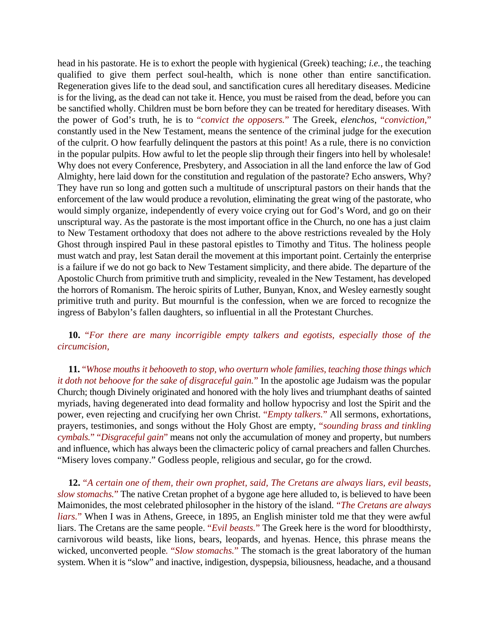head in his pastorate. He is to exhort the people with hygienical (Greek) teaching; *i.e.*, the teaching qualified to give them perfect soul-health, which is none other than entire sanctification. Regeneration gives life to the dead soul, and sanctification cures all hereditary diseases. Medicine is for the living, as the dead can not take it. Hence, you must be raised from the dead, before you can be sanctified wholly. Children must be born before they can be treated for hereditary diseases. With the power of God's truth, he is to "*convict the opposers.*" The Greek, *elenchos*, "*conviction,*" constantly used in the New Testament, means the sentence of the criminal judge for the execution of the culprit. O how fearfully delinquent the pastors at this point! As a rule, there is no conviction in the popular pulpits. How awful to let the people slip through their fingers into hell by wholesale! Why does not every Conference, Presbytery, and Association in all the land enforce the law of God Almighty, here laid down for the constitution and regulation of the pastorate? Echo answers, Why? They have run so long and gotten such a multitude of unscriptural pastors on their hands that the enforcement of the law would produce a revolution, eliminating the great wing of the pastorate, who would simply organize, independently of every voice crying out for God's Word, and go on their unscriptural way. As the pastorate is the most important office in the Church, no one has a just claim to New Testament orthodoxy that does not adhere to the above restrictions revealed by the Holy Ghost through inspired Paul in these pastoral epistles to Timothy and Titus. The holiness people must watch and pray, lest Satan derail the movement at this important point. Certainly the enterprise is a failure if we do not go back to New Testament simplicity, and there abide. The departure of the Apostolic Church from primitive truth and simplicity, revealed in the New Testament, has developed the horrors of Romanism. The heroic spirits of Luther, Bunyan, Knox, and Wesley earnestly sought primitive truth and purity. But mournful is the confession, when we are forced to recognize the ingress of Babylon's fallen daughters, so influential in all the Protestant Churches.

# **10.** "*For there are many incorrigible empty talkers and egotists, especially those of the circumcision,*

**11.** "*Whose mouths it behooveth to stop, who overturn whole families, teaching those things which it doth not behoove for the sake of disgraceful gain.*" In the apostolic age Judaism was the popular Church; though Divinely originated and honored with the holy lives and triumphant deaths of sainted myriads, having degenerated into dead formality and hollow hypocrisy and lost the Spirit and the power, even rejecting and crucifying her own Christ. "*Empty talkers.*" All sermons, exhortations, prayers, testimonies, and songs without the Holy Ghost are empty, "*sounding brass and tinkling cymbals.*" "*Disgraceful gain*" means not only the accumulation of money and property, but numbers and influence, which has always been the climacteric policy of carnal preachers and fallen Churches. "Misery loves company." Godless people, religious and secular, go for the crowd.

**12.** "*A certain one of them, their own prophet, said, The Cretans are always liars, evil beasts, slow stomachs.*" The native Cretan prophet of a bygone age here alluded to, is believed to have been Maimonides, the most celebrated philosopher in the history of the island. "*The Cretans are always liars.*" When I was in Athens, Greece, in 1895, an English minister told me that they were awful liars. The Cretans are the same people. "*Evil beasts.*" The Greek here is the word for bloodthirsty, carnivorous wild beasts, like lions, bears, leopards, and hyenas. Hence, this phrase means the wicked, unconverted people*.* "*Slow stomachs.*" The stomach is the great laboratory of the human system. When it is "slow" and inactive, indigestion, dyspepsia, biliousness, headache, and a thousand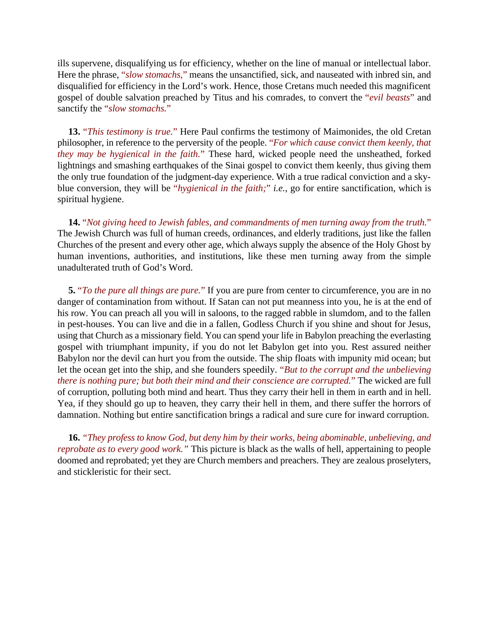ills supervene, disqualifying us for efficiency, whether on the line of manual or intellectual labor. Here the phrase, "*slow stomachs,*" means the unsanctified, sick, and nauseated with inbred sin, and disqualified for efficiency in the Lord's work. Hence, those Cretans much needed this magnificent gospel of double salvation preached by Titus and his comrades, to convert the "*evil beasts*" and sanctify the "*slow stomachs.*"

**13.** "*This testimony is true.*" Here Paul confirms the testimony of Maimonides, the old Cretan philosopher, in reference to the perversity of the people. "*For which cause convict them keenly, that they may be hygienical in the faith.*" These hard, wicked people need the unsheathed, forked lightnings and smashing earthquakes of the Sinai gospel to convict them keenly, thus giving them the only true foundation of the judgment-day experience. With a true radical conviction and a skyblue conversion, they will be "*hygienical in the faith;*" *i.e.*, go for entire sanctification, which is spiritual hygiene.

**14.** "*Not giving heed to Jewish fables, and commandments of men turning away from the truth.*" The Jewish Church was full of human creeds, ordinances, and elderly traditions, just like the fallen Churches of the present and every other age, which always supply the absence of the Holy Ghost by human inventions, authorities, and institutions, like these men turning away from the simple unadulterated truth of God's Word.

**5.** "*To the pure all things are pure.*" If you are pure from center to circumference, you are in no danger of contamination from without. If Satan can not put meanness into you, he is at the end of his row. You can preach all you will in saloons, to the ragged rabble in slumdom, and to the fallen in pest-houses. You can live and die in a fallen, Godless Church if you shine and shout for Jesus, using that Church as a missionary field. You can spend your life in Babylon preaching the everlasting gospel with triumphant impunity, if you do not let Babylon get into you. Rest assured neither Babylon nor the devil can hurt you from the outside. The ship floats with impunity mid ocean; but let the ocean get into the ship, and she founders speedily. "*But to the corrupt and the unbelieving there is nothing pure; but both their mind and their conscience are corrupted.*" The wicked are full of corruption, polluting both mind and heart. Thus they carry their hell in them in earth and in hell. Yea, if they should go up to heaven, they carry their hell in them, and there suffer the horrors of damnation. Nothing but entire sanctification brings a radical and sure cure for inward corruption.

**16.** *"They profess to know God, but deny him by their works, being abominable, unbelieving, and reprobate as to every good work."* This picture is black as the walls of hell, appertaining to people doomed and reprobated; yet they are Church members and preachers. They are zealous proselyters, and stickleristic for their sect.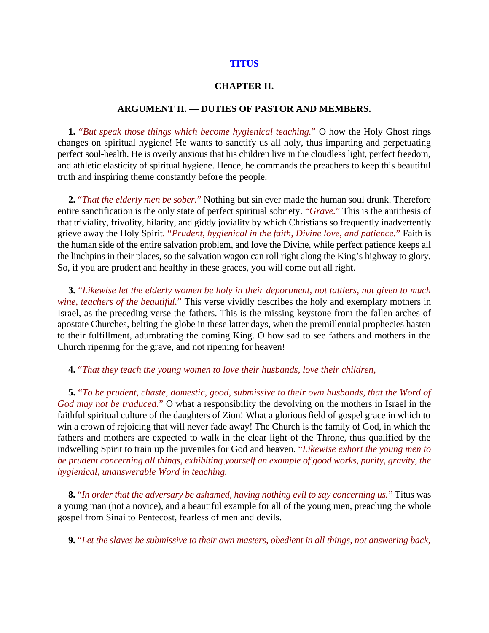## **TITUS**

## **CHAPTER II.**

## **ARGUMENT II. — DUTIES OF PASTOR AND MEMBERS.**

**1.** "*But speak those things which become hygienical teaching.*" O how the Holy Ghost rings changes on spiritual hygiene! He wants to sanctify us all holy, thus imparting and perpetuating perfect soul-health. He is overly anxious that his children live in the cloudless light, perfect freedom, and athletic elasticity of spiritual hygiene. Hence, he commands the preachers to keep this beautiful truth and inspiring theme constantly before the people.

**2.** "*That the elderly men be sober.*" Nothing but sin ever made the human soul drunk. Therefore entire sanctification is the only state of perfect spiritual sobriety. "*Grave.*" This is the antithesis of that triviality, frivolity, hilarity, and giddy joviality by which Christians so frequently inadvertently grieve away the Holy Spirit*.* "*Prudent, hygienical in the faith, Divine love, and patience.*" Faith is the human side of the entire salvation problem, and love the Divine, while perfect patience keeps all the linchpins in their places, so the salvation wagon can roll right along the King's highway to glory. So, if you are prudent and healthy in these graces, you will come out all right.

**3.** "*Likewise let the elderly women be holy in their deportment, not tattlers, not given to much wine, teachers of the beautiful.*" This verse vividly describes the holy and exemplary mothers in Israel, as the preceding verse the fathers. This is the missing keystone from the fallen arches of apostate Churches, belting the globe in these latter days, when the premillennial prophecies hasten to their fulfillment, adumbrating the coming King. O how sad to see fathers and mothers in the Church ripening for the grave, and not ripening for heaven!

## **4.** "*That they teach the young women to love their husbands, love their children,*

**5.** "*To be prudent, chaste, domestic, good, submissive to their own husbands, that the Word of God may not be traduced.*" O what a responsibility the devolving on the mothers in Israel in the faithful spiritual culture of the daughters of Zion! What a glorious field of gospel grace in which to win a crown of rejoicing that will never fade away! The Church is the family of God, in which the fathers and mothers are expected to walk in the clear light of the Throne, thus qualified by the indwelling Spirit to train up the juveniles for God and heaven. "*Likewise exhort the young men to be prudent concerning all things, exhibiting yourself an example of good works, purity, gravity, the hygienical, unanswerable Word in teaching.*

**8.** "*In order that the adversary be ashamed, having nothing evil to say concerning us.*" Titus was a young man (not a novice), and a beautiful example for all of the young men, preaching the whole gospel from Sinai to Pentecost, fearless of men and devils.

**9.** "*Let the slaves be submissive to their own masters, obedient in all things, not answering back,*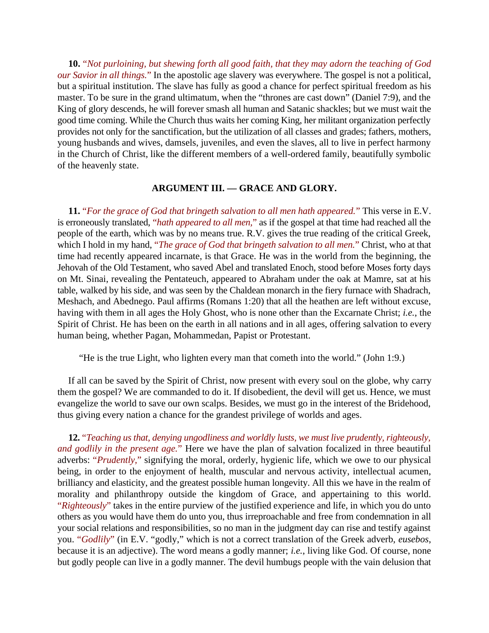**10.** "*Not purloining, but shewing forth all good faith, that they may adorn the teaching of God our Savior in all things.*" In the apostolic age slavery was everywhere. The gospel is not a political, but a spiritual institution. The slave has fully as good a chance for perfect spiritual freedom as his master. To be sure in the grand ultimatum, when the "thrones are cast down" (Daniel 7:9), and the King of glory descends, he will forever smash all human and Satanic shackles; but we must wait the good time coming. While the Church thus waits her coming King, her militant organization perfectly provides not only for the sanctification, but the utilization of all classes and grades; fathers, mothers, young husbands and wives, damsels, juveniles, and even the slaves, all to live in perfect harmony in the Church of Christ, like the different members of a well-ordered family, beautifully symbolic of the heavenly state.

## **ARGUMENT III. — GRACE AND GLORY.**

**11.** "*For the grace of God that bringeth salvation to all men hath appeared.*" This verse in E.V. is erroneously translated, "*hath appeared to all men,*" as if the gospel at that time had reached all the people of the earth, which was by no means true. R.V. gives the true reading of the critical Greek, which I hold in my hand, "*The grace of God that bringeth salvation to all men.*" Christ, who at that time had recently appeared incarnate, is that Grace. He was in the world from the beginning, the Jehovah of the Old Testament, who saved Abel and translated Enoch, stood before Moses forty days on Mt. Sinai, revealing the Pentateuch, appeared to Abraham under the oak at Mamre, sat at his table, walked by his side, and was seen by the Chaldean monarch in the fiery furnace with Shadrach, Meshach, and Abednego. Paul affirms (Romans 1:20) that all the heathen are left without excuse, having with them in all ages the Holy Ghost, who is none other than the Excarnate Christ; *i.e.*, the Spirit of Christ. He has been on the earth in all nations and in all ages, offering salvation to every human being, whether Pagan, Mohammedan, Papist or Protestant.

"He is the true Light, who lighten every man that cometh into the world." (John 1:9.)

If all can be saved by the Spirit of Christ, now present with every soul on the globe, why carry them the gospel? We are commanded to do it. If disobedient, the devil will get us. Hence, we must evangelize the world to save our own scalps. Besides, we must go in the interest of the Bridehood, thus giving every nation a chance for the grandest privilege of worlds and ages.

**12.** "*Teaching us that, denying ungodliness and worldly lusts, we must live prudently, righteously, and godlily in the present age.*" Here we have the plan of salvation focalized in three beautiful adverbs: "*Prudently,*" signifying the moral, orderly, hygienic life, which we owe to our physical being, in order to the enjoyment of health, muscular and nervous activity, intellectual acumen, brilliancy and elasticity, and the greatest possible human longevity. All this we have in the realm of morality and philanthropy outside the kingdom of Grace, and appertaining to this world. "*Righteously*" takes in the entire purview of the justified experience and life, in which you do unto others as you would have them do unto you, thus irreproachable and free from condemnation in all your social relations and responsibilities, so no man in the judgment day can rise and testify against you. "*Godlily*" (in E.V. "godly," which is not a correct translation of the Greek adverb, *eusebos*, because it is an adjective). The word means a godly manner; *i.e.*, living like God. Of course, none but godly people can live in a godly manner. The devil humbugs people with the vain delusion that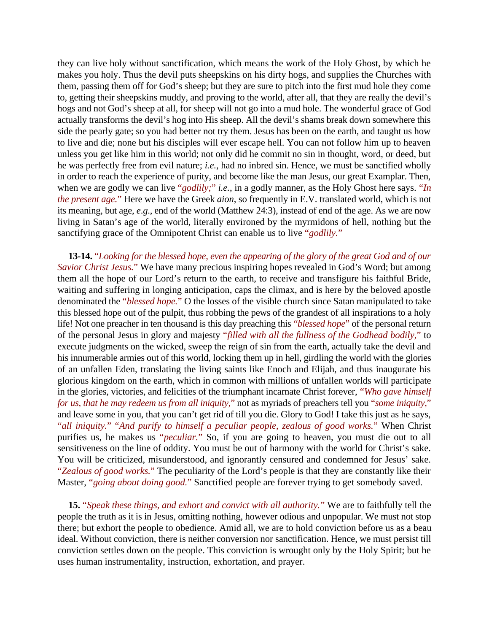they can live holy without sanctification, which means the work of the Holy Ghost, by which he makes you holy. Thus the devil puts sheepskins on his dirty hogs, and supplies the Churches with them, passing them off for God's sheep; but they are sure to pitch into the first mud hole they come to, getting their sheepskins muddy, and proving to the world, after all, that they are really the devil's hogs and not God's sheep at all, for sheep will not go into a mud hole. The wonderful grace of God actually transforms the devil's hog into His sheep. All the devil's shams break down somewhere this side the pearly gate; so you had better not try them. Jesus has been on the earth, and taught us how to live and die; none but his disciples will ever escape hell. You can not follow him up to heaven unless you get like him in this world; not only did he commit no sin in thought, word, or deed, but he was perfectly free from evil nature; *i.e.*, had no inbred sin. Hence, we must be sanctified wholly in order to reach the experience of purity, and become like the man Jesus, our great Examplar. Then, when we are godly we can live "*godlily;*" *i.e.*, in a godly manner, as the Holy Ghost here says. "*In the present age.*" Here we have the Greek *aion*, so frequently in E.V. translated world, which is not its meaning, but age, *e*.*g*., end of the world (Matthew 24:3), instead of end of the age. As we are now living in Satan's age of the world, literally environed by the myrmidons of hell, nothing but the sanctifying grace of the Omnipotent Christ can enable us to live "*godlily.*"

**13-14.** "*Looking for the blessed hope, even the appearing of the glory of the great God and of our Savior Christ Jesus.*" We have many precious inspiring hopes revealed in God's Word; but among them all the hope of our Lord's return to the earth, to receive and transfigure his faithful Bride, waiting and suffering in longing anticipation, caps the climax, and is here by the beloved apostle denominated the "*blessed hope.*" O the losses of the visible church since Satan manipulated to take this blessed hope out of the pulpit, thus robbing the pews of the grandest of all inspirations to a holy life! Not one preacher in ten thousand is this day preaching this "*blessed hope*" of the personal return of the personal Jesus in glory and majesty "*filled with all the fullness of the Godhead bodily,*" to execute judgments on the wicked, sweep the reign of sin from the earth, actually take the devil and his innumerable armies out of this world, locking them up in hell, girdling the world with the glories of an unfallen Eden, translating the living saints like Enoch and Elijah, and thus inaugurate his glorious kingdom on the earth, which in common with millions of unfallen worlds will participate in the glories, victories, and felicities of the triumphant incarnate Christ forever, "*Who gave himself for us, that he may redeem us from all iniquity,*" not as myriads of preachers tell you "*some iniquity,*" and leave some in you, that you can't get rid of till you die. Glory to God! I take this just as he says, "*all iniquity.*" "*And purify to himself a peculiar people, zealous of good works.*" When Christ purifies us, he makes us "*peculiar.*" So, if you are going to heaven, you must die out to all sensitiveness on the line of oddity. You must be out of harmony with the world for Christ's sake. You will be criticized, misunderstood, and ignorantly censured and condemned for Jesus' sake. "*Zealous of good works.*" The peculiarity of the Lord's people is that they are constantly like their Master, "*going about doing good.*" Sanctified people are forever trying to get somebody saved.

**15.** "*Speak these things, and exhort and convict with all authority.*" We are to faithfully tell the people the truth as it is in Jesus, omitting nothing, however odious and unpopular. We must not stop there; but exhort the people to obedience. Amid all, we are to hold conviction before us as a beau ideal. Without conviction, there is neither conversion nor sanctification. Hence, we must persist till conviction settles down on the people. This conviction is wrought only by the Holy Spirit; but he uses human instrumentality, instruction, exhortation, and prayer.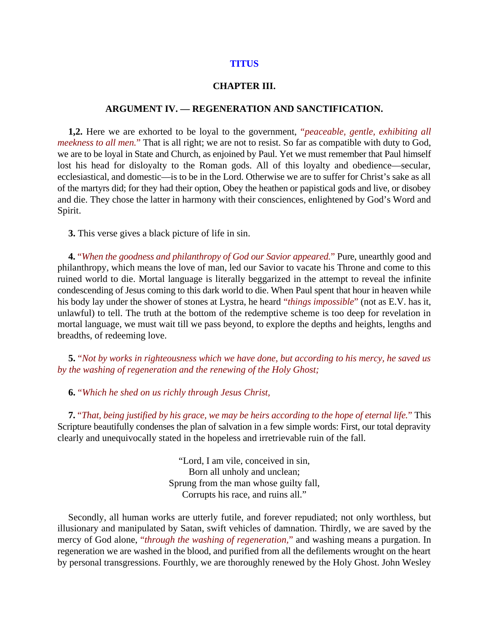#### **TITUS**

## **CHAPTER III.**

## **ARGUMENT IV. — REGENERATION AND SANCTIFICATION.**

**1,2.** Here we are exhorted to be loyal to the government, "*peaceable, gentle, exhibiting all meekness to all men.*" That is all right; we are not to resist. So far as compatible with duty to God, we are to be loyal in State and Church, as enjoined by Paul. Yet we must remember that Paul himself lost his head for disloyalty to the Roman gods. All of this loyalty and obedience—secular, ecclesiastical, and domestic—is to be in the Lord. Otherwise we are to suffer for Christ's sake as all of the martyrs did; for they had their option, Obey the heathen or papistical gods and live, or disobey and die. They chose the latter in harmony with their consciences, enlightened by God's Word and Spirit.

**3.** This verse gives a black picture of life in sin.

**4.** "*When the goodness and philanthropy of God our Savior appeared.*" Pure, unearthly good and philanthropy, which means the love of man, led our Savior to vacate his Throne and come to this ruined world to die. Mortal language is literally beggarized in the attempt to reveal the infinite condescending of Jesus coming to this dark world to die. When Paul spent that hour in heaven while his body lay under the shower of stones at Lystra, he heard "*things impossible*" (not as E.V. has it, unlawful) to tell. The truth at the bottom of the redemptive scheme is too deep for revelation in mortal language, we must wait till we pass beyond, to explore the depths and heights, lengths and breadths, of redeeming love.

**5.** "*Not by works in righteousness which we have done, but according to his mercy, he saved us by the washing of regeneration and the renewing of the Holy Ghost;*

**6.** "*Which he shed on us richly through Jesus Christ,*

**7.** "*That, being justified by his grace, we may be heirs according to the hope of eternal life.*" This Scripture beautifully condenses the plan of salvation in a few simple words: First, our total depravity clearly and unequivocally stated in the hopeless and irretrievable ruin of the fall.

> "Lord, I am vile, conceived in sin, Born all unholy and unclean; Sprung from the man whose guilty fall, Corrupts his race, and ruins all."

Secondly, all human works are utterly futile, and forever repudiated; not only worthless, but illusionary and manipulated by Satan, swift vehicles of damnation. Thirdly, we are saved by the mercy of God alone, "*through the washing of regeneration,*" and washing means a purgation. In regeneration we are washed in the blood, and purified from all the defilements wrought on the heart by personal transgressions. Fourthly, we are thoroughly renewed by the Holy Ghost. John Wesley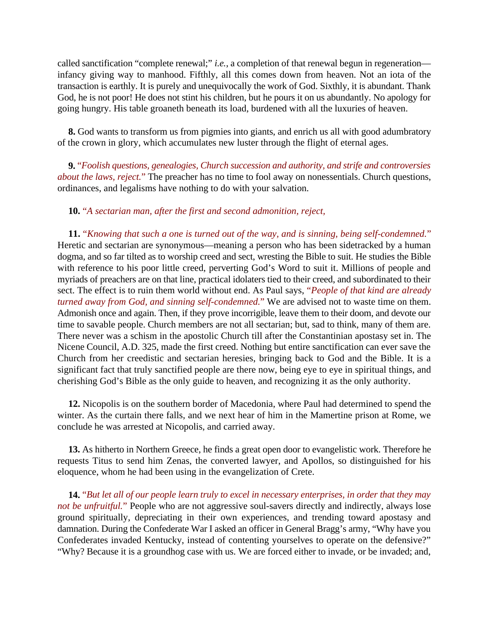called sanctification "complete renewal;" *i.e.*, a completion of that renewal begun in regeneration infancy giving way to manhood. Fifthly, all this comes down from heaven. Not an iota of the transaction is earthly. It is purely and unequivocally the work of God. Sixthly, it is abundant. Thank God, he is not poor! He does not stint his children, but he pours it on us abundantly. No apology for going hungry. His table groaneth beneath its load, burdened with all the luxuries of heaven.

**8.** God wants to transform us from pigmies into giants, and enrich us all with good adumbratory of the crown in glory, which accumulates new luster through the flight of eternal ages.

**9.** "*Foolish questions, genealogies, Church succession and authority, and strife and controversies about the laws, reject.*" The preacher has no time to fool away on nonessentials. Church questions, ordinances, and legalisms have nothing to do with your salvation.

# **10.** "*A sectarian man, after the first and second admonition, reject,*

**11.** "*Knowing that such a one is turned out of the way, and is sinning, being self-condemned.*" Heretic and sectarian are synonymous—meaning a person who has been sidetracked by a human dogma, and so far tilted as to worship creed and sect, wresting the Bible to suit. He studies the Bible with reference to his poor little creed, perverting God's Word to suit it. Millions of people and myriads of preachers are on that line, practical idolaters tied to their creed, and subordinated to their sect. The effect is to ruin them world without end. As Paul says, "*People of that kind are already turned away from God, and sinning self-condemned.*" We are advised not to waste time on them. Admonish once and again. Then, if they prove incorrigible, leave them to their doom, and devote our time to savable people. Church members are not all sectarian; but, sad to think, many of them are. There never was a schism in the apostolic Church till after the Constantinian apostasy set in. The Nicene Council, A.D. 325, made the first creed. Nothing but entire sanctification can ever save the Church from her creedistic and sectarian heresies, bringing back to God and the Bible. It is a significant fact that truly sanctified people are there now, being eye to eye in spiritual things, and cherishing God's Bible as the only guide to heaven, and recognizing it as the only authority.

**12.** Nicopolis is on the southern border of Macedonia, where Paul had determined to spend the winter. As the curtain there falls, and we next hear of him in the Mamertine prison at Rome, we conclude he was arrested at Nicopolis, and carried away.

**13.** As hitherto in Northern Greece, he finds a great open door to evangelistic work. Therefore he requests Titus to send him Zenas, the converted lawyer, and Apollos, so distinguished for his eloquence, whom he had been using in the evangelization of Crete.

**14.** "*But let all of our people learn truly to excel in necessary enterprises, in order that they may not be unfruitful.*" People who are not aggressive soul-savers directly and indirectly, always lose ground spiritually, depreciating in their own experiences, and trending toward apostasy and damnation. During the Confederate War I asked an officer in General Bragg's army, "Why have you Confederates invaded Kentucky, instead of contenting yourselves to operate on the defensive?" "Why? Because it is a groundhog case with us. We are forced either to invade, or be invaded; and,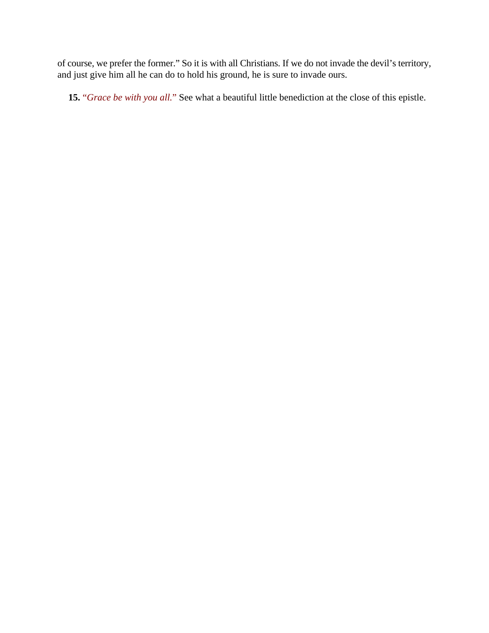of course, we prefer the former." So it is with all Christians. If we do not invade the devil's territory, and just give him all he can do to hold his ground, he is sure to invade ours.

**15.** "*Grace be with you all.*" See what a beautiful little benediction at the close of this epistle.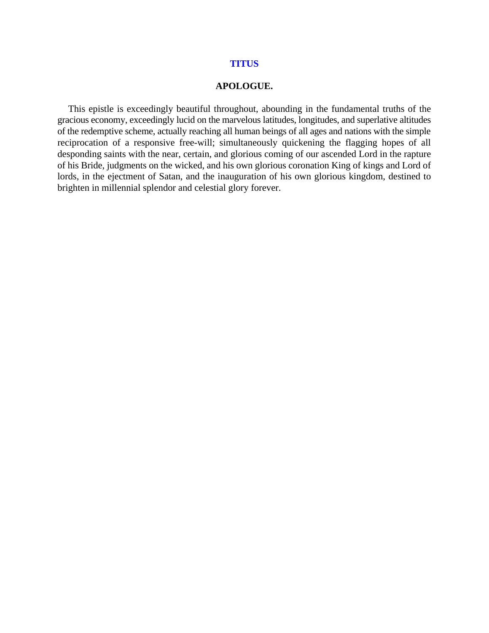#### **TITUS**

#### **APOLOGUE.**

This epistle is exceedingly beautiful throughout, abounding in the fundamental truths of the gracious economy, exceedingly lucid on the marvelous latitudes, longitudes, and superlative altitudes of the redemptive scheme, actually reaching all human beings of all ages and nations with the simple reciprocation of a responsive free-will; simultaneously quickening the flagging hopes of all desponding saints with the near, certain, and glorious coming of our ascended Lord in the rapture of his Bride, judgments on the wicked, and his own glorious coronation King of kings and Lord of lords, in the ejectment of Satan, and the inauguration of his own glorious kingdom, destined to brighten in millennial splendor and celestial glory forever.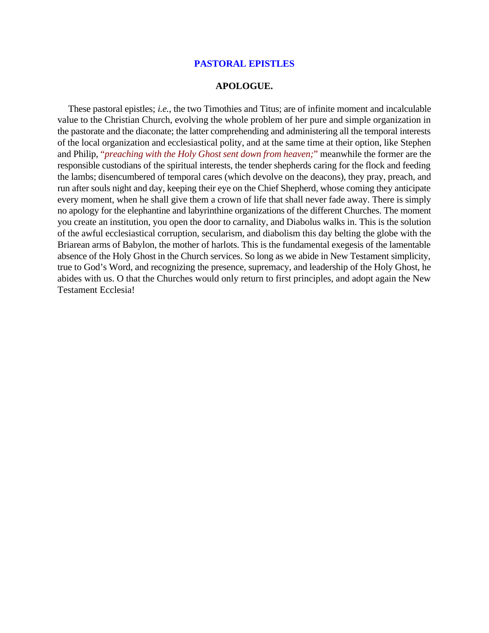### **PASTORAL EPISTLES**

### **APOLOGUE.**

These pastoral epistles; *i.e.*, the two Timothies and Titus; are of infinite moment and incalculable value to the Christian Church, evolving the whole problem of her pure and simple organization in the pastorate and the diaconate; the latter comprehending and administering all the temporal interests of the local organization and ecclesiastical polity, and at the same time at their option, like Stephen and Philip, "*preaching with the Holy Ghost sent down from heaven;*" meanwhile the former are the responsible custodians of the spiritual interests, the tender shepherds caring for the flock and feeding the lambs; disencumbered of temporal cares (which devolve on the deacons), they pray, preach, and run after souls night and day, keeping their eye on the Chief Shepherd, whose coming they anticipate every moment, when he shall give them a crown of life that shall never fade away. There is simply no apology for the elephantine and labyrinthine organizations of the different Churches. The moment you create an institution, you open the door to carnality, and Diabolus walks in. This is the solution of the awful ecclesiastical corruption, secularism, and diabolism this day belting the globe with the Briarean arms of Babylon, the mother of harlots. This is the fundamental exegesis of the lamentable absence of the Holy Ghost in the Church services. So long as we abide in New Testament simplicity, true to God's Word, and recognizing the presence, supremacy, and leadership of the Holy Ghost, he abides with us. O that the Churches would only return to first principles, and adopt again the New Testament Ecclesia!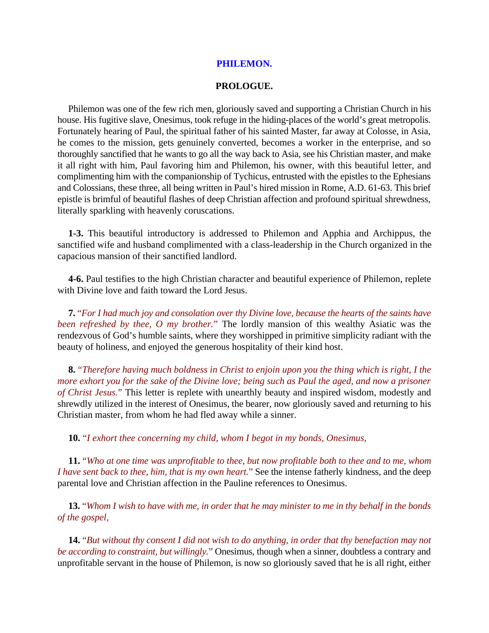## **PHILEMON.**

## **PROLOGUE.**

Philemon was one of the few rich men, gloriously saved and supporting a Christian Church in his house. His fugitive slave, Onesimus, took refuge in the hiding-places of the world's great metropolis. Fortunately hearing of Paul, the spiritual father of his sainted Master, far away at Colosse, in Asia, he comes to the mission, gets genuinely converted, becomes a worker in the enterprise, and so thoroughly sanctified that he wants to go all the way back to Asia, see his Christian master, and make it all right with him, Paul favoring him and Philemon, his owner, with this beautiful letter, and complimenting him with the companionship of Tychicus, entrusted with the epistles to the Ephesians and Colossians, these three, all being written in Paul's hired mission in Rome, A.D. 61-63. This brief epistle is brimful of beautiful flashes of deep Christian affection and profound spiritual shrewdness, literally sparkling with heavenly coruscations.

**1-3.** This beautiful introductory is addressed to Philemon and Apphia and Archippus, the sanctified wife and husband complimented with a class-leadership in the Church organized in the capacious mansion of their sanctified landlord.

**4-6.** Paul testifies to the high Christian character and beautiful experience of Philemon, replete with Divine love and faith toward the Lord Jesus.

**7.** "*For I had much joy and consolation over thy Divine love, because the hearts of the saints have been refreshed by thee, O my brother.*" The lordly mansion of this wealthy Asiatic was the rendezvous of God's humble saints, where they worshipped in primitive simplicity radiant with the beauty of holiness, and enjoyed the generous hospitality of their kind host.

**8.** "*Therefore having much boldness in Christ to enjoin upon you the thing which is right, I the more exhort you for the sake of the Divine love; being such as Paul the aged, and now a prisoner of Christ Jesus.*" This letter is replete with unearthly beauty and inspired wisdom, modestly and shrewdly utilized in the interest of Onesimus, the bearer, now gloriously saved and returning to his Christian master, from whom he had fled away while a sinner.

**10.** "*I exhort thee concerning my child, whom I begot in my bonds, Onesimus,*

**11.** "*Who at one time was unprofitable to thee, but now profitable both to thee and to me, whom I have sent back to thee, him, that is my own heart.*" See the intense fatherly kindness, and the deep parental love and Christian affection in the Pauline references to Onesimus.

**13.** "*Whom I wish to have with me, in order that he may minister to me in thy behalf in the bonds of the gospel,*

**14.** "*But without thy consent I did not wish to do anything, in order that thy benefaction may not be according to constraint, but willingly.*" Onesimus, though when a sinner, doubtless a contrary and unprofitable servant in the house of Philemon, is now so gloriously saved that he is all right, either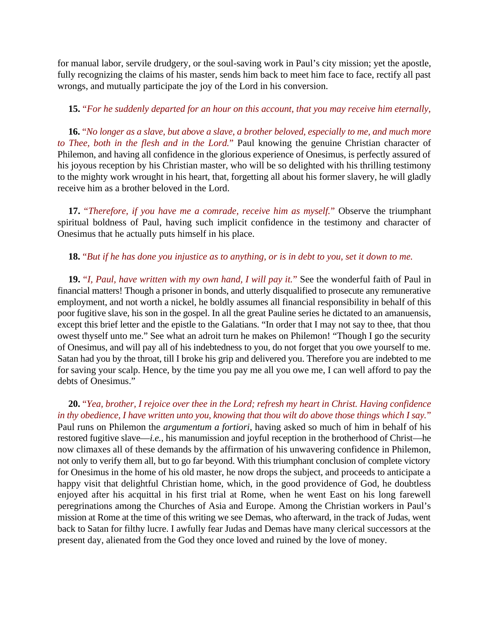for manual labor, servile drudgery, or the soul-saving work in Paul's city mission; yet the apostle, fully recognizing the claims of his master, sends him back to meet him face to face, rectify all past wrongs, and mutually participate the joy of the Lord in his conversion.

# **15.** "*For he suddenly departed for an hour on this account, that you may receive him eternally,*

**16.** "*No longer as a slave, but above a slave, a brother beloved, especially to me, and much more to Thee, both in the flesh and in the Lord.*" Paul knowing the genuine Christian character of Philemon, and having all confidence in the glorious experience of Onesimus, is perfectly assured of his joyous reception by his Christian master, who will be so delighted with his thrilling testimony to the mighty work wrought in his heart, that, forgetting all about his former slavery, he will gladly receive him as a brother beloved in the Lord.

**17.** "*Therefore, if you have me a comrade, receive him as myself.*" Observe the triumphant spiritual boldness of Paul, having such implicit confidence in the testimony and character of Onesimus that he actually puts himself in his place.

# **18.** "*But if he has done you injustice as to anything, or is in debt to you, set it down to me.*

**19.** "*I, Paul, have written with my own hand, I will pay it.*" See the wonderful faith of Paul in financial matters! Though a prisoner in bonds, and utterly disqualified to prosecute any remunerative employment, and not worth a nickel, he boldly assumes all financial responsibility in behalf of this poor fugitive slave, his son in the gospel. In all the great Pauline series he dictated to an amanuensis, except this brief letter and the epistle to the Galatians. "In order that I may not say to thee, that thou owest thyself unto me." See what an adroit turn he makes on Philemon! "Though I go the security of Onesimus, and will pay all of his indebtedness to you, do not forget that you owe yourself to me. Satan had you by the throat, till I broke his grip and delivered you. Therefore you are indebted to me for saving your scalp. Hence, by the time you pay me all you owe me, I can well afford to pay the debts of Onesimus."

# **20.** "*Yea, brother, I rejoice over thee in the Lord; refresh my heart in Christ. Having confidence in thy obedience, I have written unto you, knowing that thou wilt do above those things which I say.*"

Paul runs on Philemon the *argumentum a fortiori*, having asked so much of him in behalf of his restored fugitive slave—*i.e.*, his manumission and joyful reception in the brotherhood of Christ—he now climaxes all of these demands by the affirmation of his unwavering confidence in Philemon, not only to verify them all, but to go far beyond. With this triumphant conclusion of complete victory for Onesimus in the home of his old master, he now drops the subject, and proceeds to anticipate a happy visit that delightful Christian home, which, in the good providence of God, he doubtless enjoyed after his acquittal in his first trial at Rome, when he went East on his long farewell peregrinations among the Churches of Asia and Europe. Among the Christian workers in Paul's mission at Rome at the time of this writing we see Demas, who afterward, in the track of Judas, went back to Satan for filthy lucre. I awfully fear Judas and Demas have many clerical successors at the present day, alienated from the God they once loved and ruined by the love of money.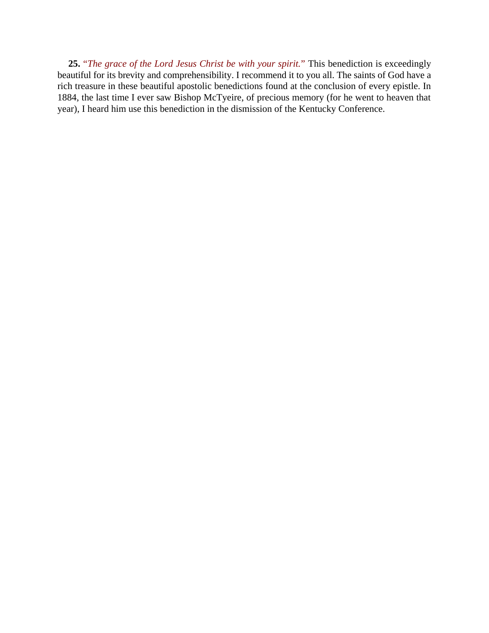**25.** "*The grace of the Lord Jesus Christ be with your spirit.*" This benediction is exceedingly beautiful for its brevity and comprehensibility. I recommend it to you all. The saints of God have a rich treasure in these beautiful apostolic benedictions found at the conclusion of every epistle. In 1884, the last time I ever saw Bishop McTyeire, of precious memory (for he went to heaven that year), I heard him use this benediction in the dismission of the Kentucky Conference.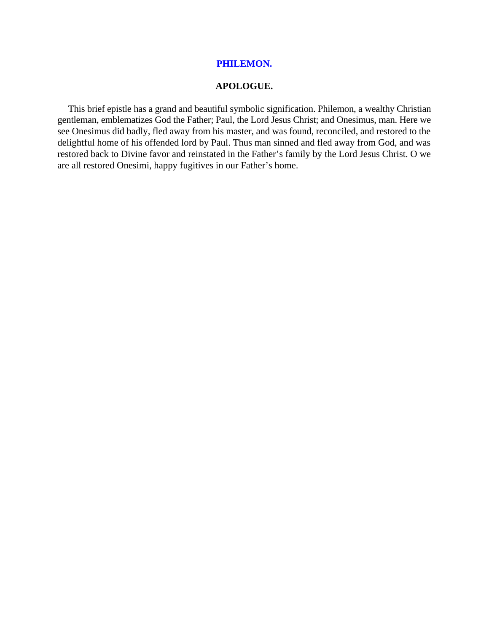## **PHILEMON.**

## **APOLOGUE.**

This brief epistle has a grand and beautiful symbolic signification. Philemon, a wealthy Christian gentleman, emblematizes God the Father; Paul, the Lord Jesus Christ; and Onesimus, man. Here we see Onesimus did badly, fled away from his master, and was found, reconciled, and restored to the delightful home of his offended lord by Paul. Thus man sinned and fled away from God, and was restored back to Divine favor and reinstated in the Father's family by the Lord Jesus Christ. O we are all restored Onesimi, happy fugitives in our Father's home.